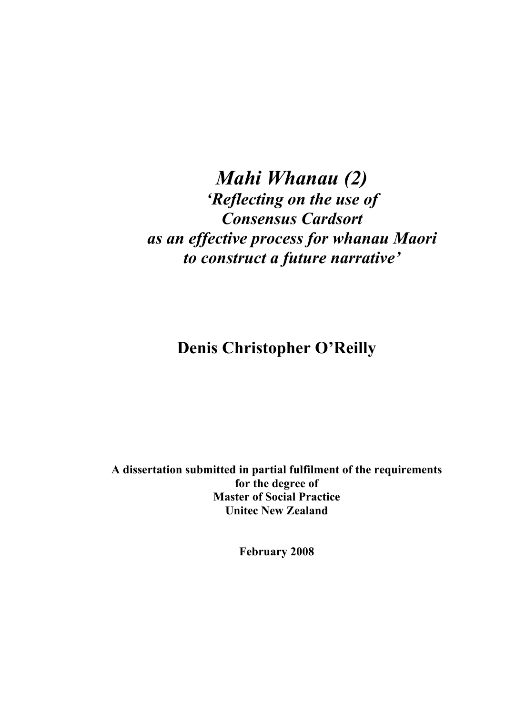# *Mahi Whanau (2) 'Reflecting on the use of Consensus Cardsort as an effective process for whanau Maori to construct a future narrative'*

**Denis Christopher O'Reilly** 

**A dissertation submitted in partial fulfilment of the requirements for the degree of Master of Social Practice Unitec New Zealand** 

**February 2008**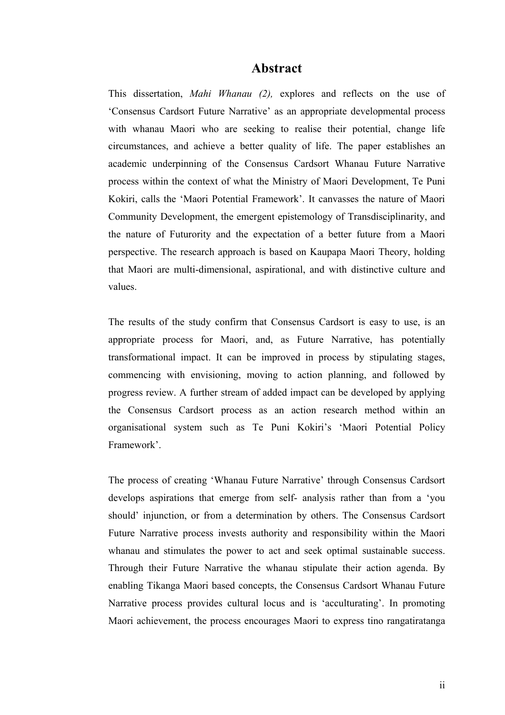# **Abstract**

This dissertation, *Mahi Whanau (2),* explores and reflects on the use of 'Consensus Cardsort Future Narrative' as an appropriate developmental process with whanau Maori who are seeking to realise their potential, change life circumstances, and achieve a better quality of life. The paper establishes an academic underpinning of the Consensus Cardsort Whanau Future Narrative process within the context of what the Ministry of Maori Development, Te Puni Kokiri, calls the 'Maori Potential Framework'. It canvasses the nature of Maori Community Development, the emergent epistemology of Transdisciplinarity, and the nature of Futurority and the expectation of a better future from a Maori perspective. The research approach is based on Kaupapa Maori Theory, holding that Maori are multi-dimensional, aspirational, and with distinctive culture and values.

The results of the study confirm that Consensus Cardsort is easy to use, is an appropriate process for Maori, and, as Future Narrative, has potentially transformational impact. It can be improved in process by stipulating stages, commencing with envisioning, moving to action planning, and followed by progress review. A further stream of added impact can be developed by applying the Consensus Cardsort process as an action research method within an organisational system such as Te Puni Kokiri's 'Maori Potential Policy Framework'.

The process of creating 'Whanau Future Narrative' through Consensus Cardsort develops aspirations that emerge from self- analysis rather than from a 'you should' injunction, or from a determination by others. The Consensus Cardsort Future Narrative process invests authority and responsibility within the Maori whanau and stimulates the power to act and seek optimal sustainable success. Through their Future Narrative the whanau stipulate their action agenda. By enabling Tikanga Maori based concepts, the Consensus Cardsort Whanau Future Narrative process provides cultural locus and is 'acculturating'. In promoting Maori achievement, the process encourages Maori to express tino rangatiratanga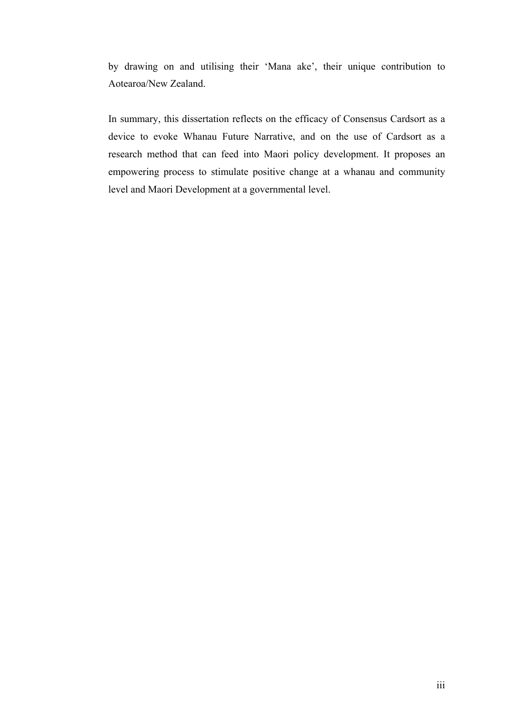by drawing on and utilising their 'Mana ake', their unique contribution to Aotearoa/New Zealand.

In summary, this dissertation reflects on the efficacy of Consensus Cardsort as a device to evoke Whanau Future Narrative, and on the use of Cardsort as a research method that can feed into Maori policy development. It proposes an empowering process to stimulate positive change at a whanau and community level and Maori Development at a governmental level.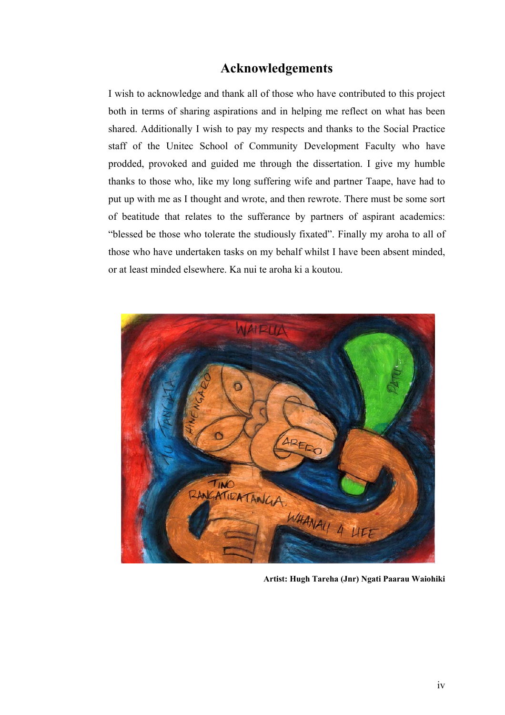# **Acknowledgements**

I wish to acknowledge and thank all of those who have contributed to this project both in terms of sharing aspirations and in helping me reflect on what has been shared. Additionally I wish to pay my respects and thanks to the Social Practice staff of the Unitec School of Community Development Faculty who have prodded, provoked and guided me through the dissertation. I give my humble thanks to those who, like my long suffering wife and partner Taape, have had to put up with me as I thought and wrote, and then rewrote. There must be some sort of beatitude that relates to the sufferance by partners of aspirant academics: "blessed be those who tolerate the studiously fixated". Finally my aroha to all of those who have undertaken tasks on my behalf whilst I have been absent minded, or at least minded elsewhere. Ka nui te aroha ki a koutou.



**Artist: Hugh Tareha (Jnr) Ngati Paarau Waiohiki**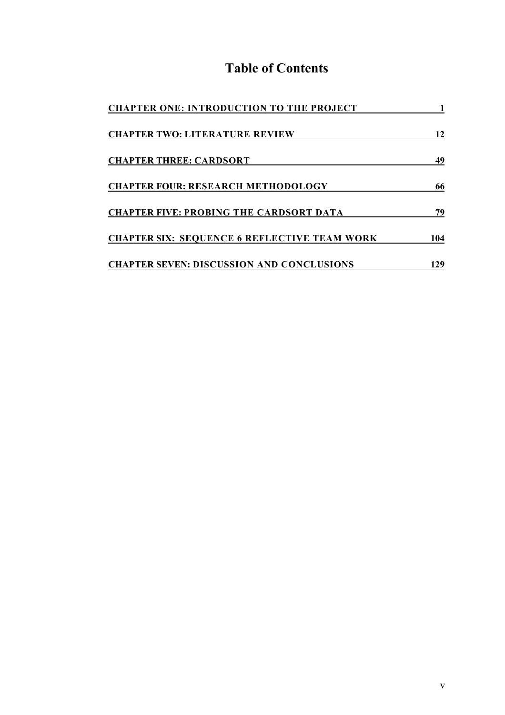# **Table of Contents**

| <b>CHAPTER ONE: INTRODUCTION TO THE PROJECT</b>     |     |
|-----------------------------------------------------|-----|
| <b>CHAPTER TWO: LITERATURE REVIEW</b>               | 12  |
| <b>CHAPTER THREE: CARDSORT</b>                      | 49  |
| <b>CHAPTER FOUR: RESEARCH METHODOLOGY</b>           | 66  |
| <b>CHAPTER FIVE: PROBING THE CARDSORT DATA</b>      | 79  |
| <b>CHAPTER SIX: SEQUENCE 6 REFLECTIVE TEAM WORK</b> | 104 |
| <b>CHAPTER SEVEN: DISCUSSION AND CONCLUSIONS</b>    | 29  |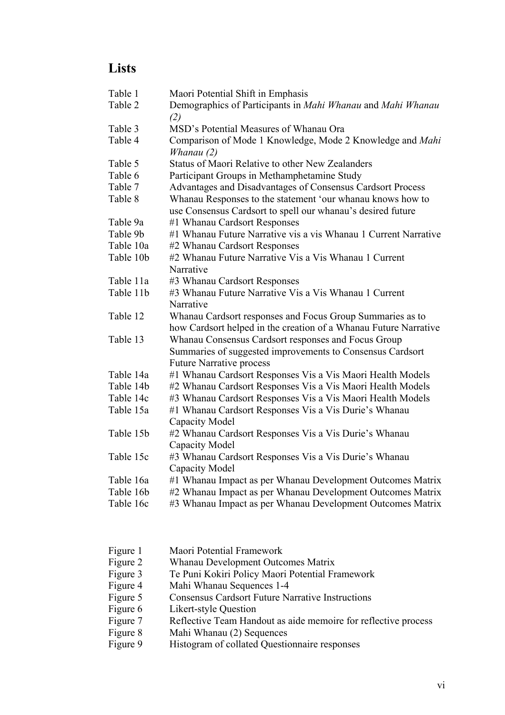# **Lists**

| Table 1   | Maori Potential Shift in Emphasis                                |  |
|-----------|------------------------------------------------------------------|--|
| Table 2   | Demographics of Participants in Mahi Whanau and Mahi Whanau      |  |
| Table 3   | (2)<br>MSD's Potential Measures of Whanau Ora                    |  |
| Table 4   | Comparison of Mode 1 Knowledge, Mode 2 Knowledge and Mahi        |  |
|           | Whanau $(2)$                                                     |  |
| Table 5   | Status of Maori Relative to other New Zealanders                 |  |
| Table 6   | Participant Groups in Methamphetamine Study                      |  |
| Table 7   | Advantages and Disadvantages of Consensus Cardsort Process       |  |
| Table 8   | Whanau Responses to the statement 'our whanau knows how to       |  |
|           | use Consensus Cardsort to spell our whanau's desired future      |  |
| Table 9a  | #1 Whanau Cardsort Responses                                     |  |
| Table 9b  | #1 Whanau Future Narrative vis a vis Whanau 1 Current Narrative  |  |
| Table 10a | #2 Whanau Cardsort Responses                                     |  |
| Table 10b | #2 Whanau Future Narrative Vis a Vis Whanau 1 Current            |  |
|           | Narrative                                                        |  |
| Table 11a | #3 Whanau Cardsort Responses                                     |  |
| Table 11b | #3 Whanau Future Narrative Vis a Vis Whanau 1 Current            |  |
|           | Narrative                                                        |  |
| Table 12  | Whanau Cardsort responses and Focus Group Summaries as to        |  |
|           | how Cardsort helped in the creation of a Whanau Future Narrative |  |
| Table 13  | Whanau Consensus Cardsort responses and Focus Group              |  |
|           | Summaries of suggested improvements to Consensus Cardsort        |  |
|           | <b>Future Narrative process</b>                                  |  |
| Table 14a | #1 Whanau Cardsort Responses Vis a Vis Maori Health Models       |  |
| Table 14b | #2 Whanau Cardsort Responses Vis a Vis Maori Health Models       |  |
| Table 14c | #3 Whanau Cardsort Responses Vis a Vis Maori Health Models       |  |
| Table 15a | #1 Whanau Cardsort Responses Vis a Vis Durie's Whanau            |  |
|           | Capacity Model                                                   |  |
| Table 15b | #2 Whanau Cardsort Responses Vis a Vis Durie's Whanau            |  |
|           | Capacity Model                                                   |  |
| Table 15c | #3 Whanau Cardsort Responses Vis a Vis Durie's Whanau            |  |
|           | Capacity Model                                                   |  |
| Table 16a | #1 Whanau Impact as per Whanau Development Outcomes Matrix       |  |
| Table 16b | #2 Whanau Impact as per Whanau Development Outcomes Matrix       |  |
| Table 16c | #3 Whanau Impact as per Whanau Development Outcomes Matrix       |  |

- Figure 1 Maori Potential Framework<br>Figure 2 Whanau Development Outc
- Whanau Development Outcomes Matrix
- Figure 3 Te Puni Kokiri Policy Maori Potential Framework
- Figure 4 Mahi Whanau Sequences 1-4
- Figure 5 Consensus Cardsort Future Narrative Instructions
- Figure 6 Likert-style Question
- Figure 7 Reflective Team Handout as aide memoire for reflective process
- Figure 8 Mahi Whanau (2) Sequences
- Figure 9 Histogram of collated Questionnaire responses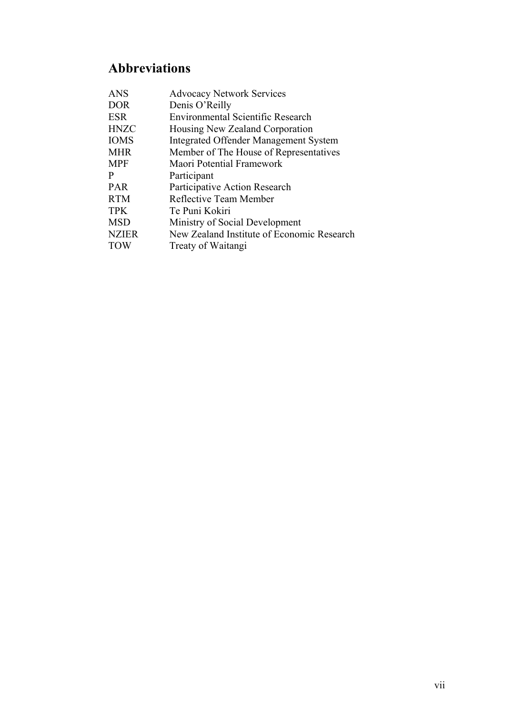# **Abbreviations**

| <b>ANS</b>   | <b>Advocacy Network Services</b>             |
|--------------|----------------------------------------------|
| <b>DOR</b>   | Denis O'Reilly                               |
| <b>ESR</b>   | Environmental Scientific Research            |
| <b>HNZC</b>  | Housing New Zealand Corporation              |
| <b>IOMS</b>  | <b>Integrated Offender Management System</b> |
| <b>MHR</b>   | Member of The House of Representatives       |
| <b>MPF</b>   | Maori Potential Framework                    |
| P            | Participant                                  |
| <b>PAR</b>   | Participative Action Research                |
| <b>RTM</b>   | Reflective Team Member                       |
| <b>TPK</b>   | Te Puni Kokiri                               |
| <b>MSD</b>   | Ministry of Social Development               |
| <b>NZIER</b> | New Zealand Institute of Economic Research   |
| <b>TOW</b>   | Treaty of Waitangi                           |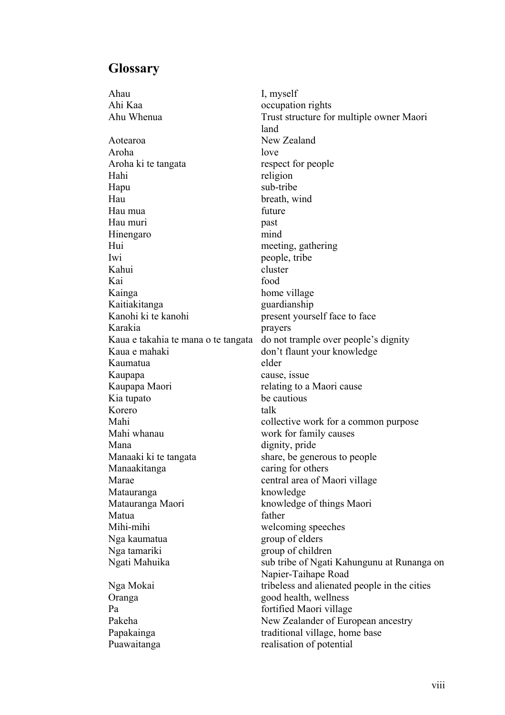# **Glossary**

Ahau I, myself Ahi Kaa occupation rights Aotearoa New Zealand Aroha love Aroha ki te tangata respect for people Hahi religion Hapu sub-tribe Hau breath, wind Hau mua future Hau muri past Hinengaro mind Hui meeting, gathering Iwi people, tribe Kahui cluster Kai food Kainga home village Kaitiakitanga guardianship Kanohi ki te kanohi present yourself face to face Karakia prayers Kaua e mahaki don't flaunt your knowledge Kaumatua elder Kaupapa cause, issue Kaupapa Maori relating to a Maori cause Kia tupato be cautious Korero talk Mahi whanau work for family causes Mana dignity, pride Manaaki ki te tangata share, be generous to people Manaakitanga caring for others Marae central area of Maori village Matauranga knowledge Matauranga Maori knowledge of things Maori Matua **father** Mihi-mihi welcoming speeches Nga kaumatua group of elders Nga tamariki group of children Oranga good health, wellness Pa fortified Maori village

Ahu Whenua Trust structure for multiple owner Maori land Kaua e takahia te mana o te tangata do not trample over people's dignity Mahi collective work for a common purpose Ngati Mahuika sub tribe of Ngati Kahungunu at Runanga on Napier-Taihape Road Nga Mokai tribeless and alienated people in the cities Pakeha New Zealander of European ancestry Papakainga traditional village, home base Puawaitanga realisation of potential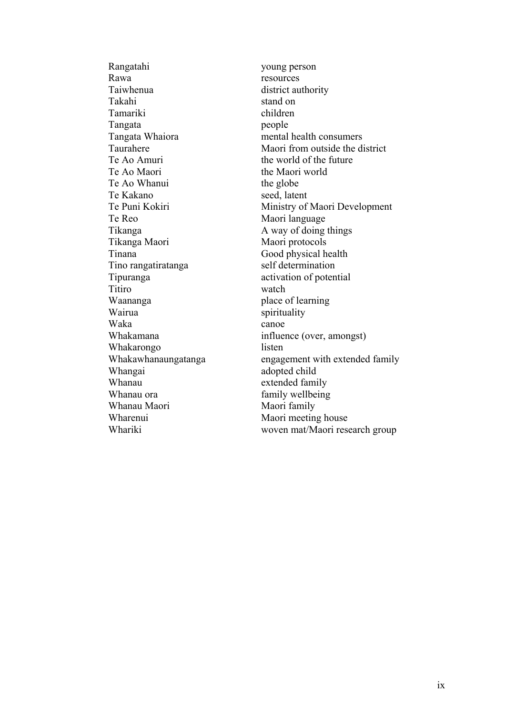Rangatahi young person Rawa resources Taiwhenua district authority Takahi stand on Tamariki children Tangata people Te Ao Amuri the world of the future Te Ao Maori the Maori world Te Ao Whanui the globe Te Kakano seed, latent Te Reo Maori language Tikanga A way of doing things Tikanga Maori Maori Maori protocols Tinana Good physical health Tino rangatiratanga self determination Tipuranga activation of potential Titiro watch Waananga place of learning Wairua spirituality Waka canoe Whakarongo listen Whangai adopted child Whanau extended family Whanau ora family wellbeing Whanau Maori Maori family Wharenui Maori meeting house

Tangata Whaiora mental health consumers Taurahere Maori from outside the district Te Puni Kokiri Ministry of Maori Development Whakamana influence (over, amongst) Whakawhanaungatanga engagement with extended family Whariki woven mat/Maori research group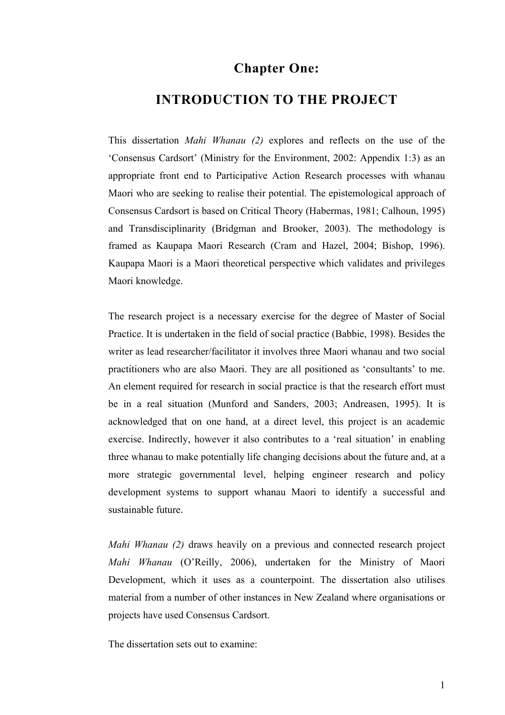# **Chapter One:**

# **INTRODUCTION TO THE PROJECT**

This dissertation *Mahi Whanau (2)* explores and reflects on the use of the 'Consensus Cardsort' (Ministry for the Environment, 2002: Appendix 1:3) as an appropriate front end to Participative Action Research processes with whanau Maori who are seeking to realise their potential. The epistemological approach of Consensus Cardsort is based on Critical Theory (Habermas, 1981; Calhoun, 1995) and Transdisciplinarity (Bridgman and Brooker, 2003). The methodology is framed as Kaupapa Maori Research (Cram and Hazel, 2004; Bishop, 1996). Kaupapa Maori is a Maori theoretical perspective which validates and privileges Maori knowledge.

The research project is a necessary exercise for the degree of Master of Social Practice. It is undertaken in the field of social practice (Babbie, 1998). Besides the writer as lead researcher/facilitator it involves three Maori whanau and two social practitioners who are also Maori. They are all positioned as 'consultants' to me. An element required for research in social practice is that the research effort must be in a real situation (Munford and Sanders, 2003; Andreasen, 1995). It is acknowledged that on one hand, at a direct level, this project is an academic exercise. Indirectly, however it also contributes to a 'real situation' in enabling three whanau to make potentially life changing decisions about the future and, at a more strategic governmental level, helping engineer research and policy development systems to support whanau Maori to identify a successful and sustainable future.

*Mahi Whanau (2)* draws heavily on a previous and connected research project *Mahi Whanau* (O'Reilly, 2006), undertaken for the Ministry of Maori Development, which it uses as a counterpoint. The dissertation also utilises material from a number of other instances in New Zealand where organisations or projects have used Consensus Cardsort.

The dissertation sets out to examine: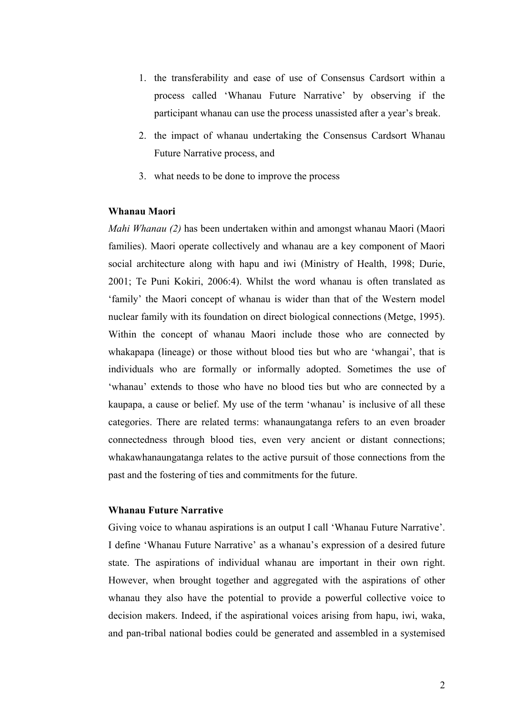- 1. the transferability and ease of use of Consensus Cardsort within a process called 'Whanau Future Narrative' by observing if the participant whanau can use the process unassisted after a year's break.
- 2. the impact of whanau undertaking the Consensus Cardsort Whanau Future Narrative process, and
- 3. what needs to be done to improve the process

## **Whanau Maori**

*Mahi Whanau (2)* has been undertaken within and amongst whanau Maori (Maori families). Maori operate collectively and whanau are a key component of Maori social architecture along with hapu and iwi (Ministry of Health, 1998; Durie, 2001; Te Puni Kokiri, 2006:4). Whilst the word whanau is often translated as 'family' the Maori concept of whanau is wider than that of the Western model nuclear family with its foundation on direct biological connections (Metge, 1995). Within the concept of whanau Maori include those who are connected by whakapapa (lineage) or those without blood ties but who are 'whangai', that is individuals who are formally or informally adopted. Sometimes the use of 'whanau' extends to those who have no blood ties but who are connected by a kaupapa, a cause or belief. My use of the term 'whanau' is inclusive of all these categories. There are related terms: whanaungatanga refers to an even broader connectedness through blood ties, even very ancient or distant connections; whakawhanaungatanga relates to the active pursuit of those connections from the past and the fostering of ties and commitments for the future.

#### **Whanau Future Narrative**

Giving voice to whanau aspirations is an output I call 'Whanau Future Narrative'. I define 'Whanau Future Narrative' as a whanau's expression of a desired future state. The aspirations of individual whanau are important in their own right. However, when brought together and aggregated with the aspirations of other whanau they also have the potential to provide a powerful collective voice to decision makers. Indeed, if the aspirational voices arising from hapu, iwi, waka, and pan-tribal national bodies could be generated and assembled in a systemised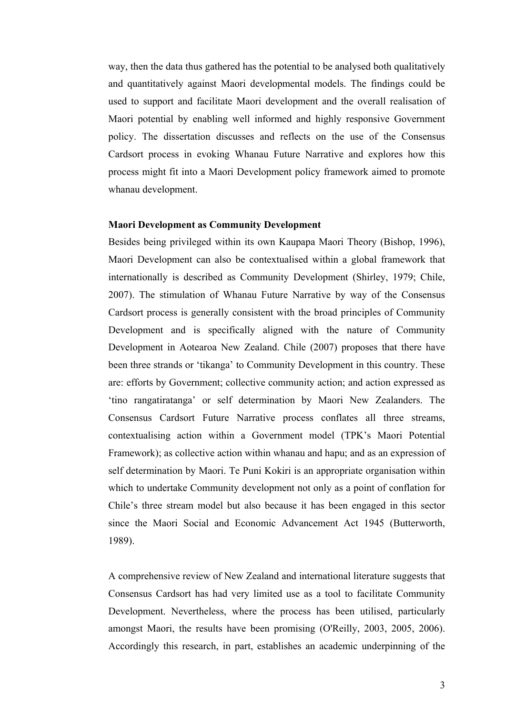way, then the data thus gathered has the potential to be analysed both qualitatively and quantitatively against Maori developmental models. The findings could be used to support and facilitate Maori development and the overall realisation of Maori potential by enabling well informed and highly responsive Government policy. The dissertation discusses and reflects on the use of the Consensus Cardsort process in evoking Whanau Future Narrative and explores how this process might fit into a Maori Development policy framework aimed to promote whanau development.

#### **Maori Development as Community Development**

Besides being privileged within its own Kaupapa Maori Theory (Bishop, 1996), Maori Development can also be contextualised within a global framework that internationally is described as Community Development (Shirley, 1979; Chile, 2007). The stimulation of Whanau Future Narrative by way of the Consensus Cardsort process is generally consistent with the broad principles of Community Development and is specifically aligned with the nature of Community Development in Aotearoa New Zealand. Chile (2007) proposes that there have been three strands or 'tikanga' to Community Development in this country. These are: efforts by Government; collective community action; and action expressed as 'tino rangatiratanga' or self determination by Maori New Zealanders. The Consensus Cardsort Future Narrative process conflates all three streams, contextualising action within a Government model (TPK's Maori Potential Framework); as collective action within whanau and hapu; and as an expression of self determination by Maori. Te Puni Kokiri is an appropriate organisation within which to undertake Community development not only as a point of conflation for Chile's three stream model but also because it has been engaged in this sector since the Maori Social and Economic Advancement Act 1945 (Butterworth, 1989).

A comprehensive review of New Zealand and international literature suggests that Consensus Cardsort has had very limited use as a tool to facilitate Community Development. Nevertheless, where the process has been utilised, particularly amongst Maori, the results have been promising (O'Reilly, 2003, 2005, 2006). Accordingly this research, in part, establishes an academic underpinning of the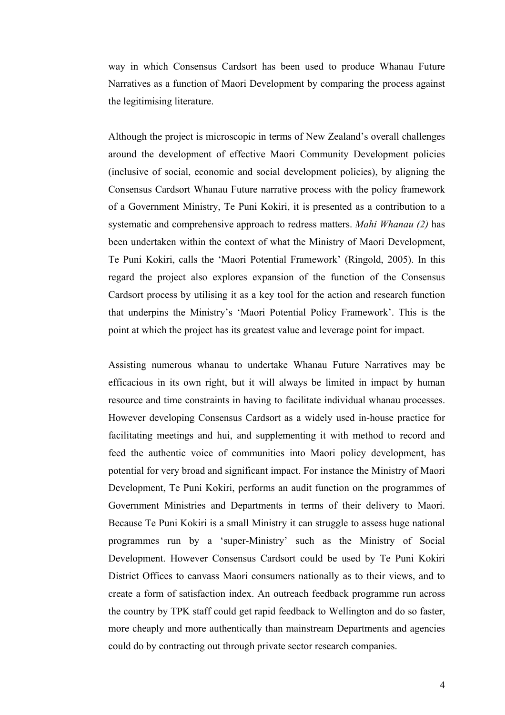way in which Consensus Cardsort has been used to produce Whanau Future Narratives as a function of Maori Development by comparing the process against the legitimising literature.

Although the project is microscopic in terms of New Zealand's overall challenges around the development of effective Maori Community Development policies (inclusive of social, economic and social development policies), by aligning the Consensus Cardsort Whanau Future narrative process with the policy framework of a Government Ministry, Te Puni Kokiri, it is presented as a contribution to a systematic and comprehensive approach to redress matters. *Mahi Whanau (2)* has been undertaken within the context of what the Ministry of Maori Development, Te Puni Kokiri, calls the 'Maori Potential Framework' (Ringold, 2005). In this regard the project also explores expansion of the function of the Consensus Cardsort process by utilising it as a key tool for the action and research function that underpins the Ministry's 'Maori Potential Policy Framework'. This is the point at which the project has its greatest value and leverage point for impact.

Assisting numerous whanau to undertake Whanau Future Narratives may be efficacious in its own right, but it will always be limited in impact by human resource and time constraints in having to facilitate individual whanau processes. However developing Consensus Cardsort as a widely used in-house practice for facilitating meetings and hui, and supplementing it with method to record and feed the authentic voice of communities into Maori policy development, has potential for very broad and significant impact. For instance the Ministry of Maori Development, Te Puni Kokiri, performs an audit function on the programmes of Government Ministries and Departments in terms of their delivery to Maori. Because Te Puni Kokiri is a small Ministry it can struggle to assess huge national programmes run by a 'super-Ministry' such as the Ministry of Social Development. However Consensus Cardsort could be used by Te Puni Kokiri District Offices to canvass Maori consumers nationally as to their views, and to create a form of satisfaction index. An outreach feedback programme run across the country by TPK staff could get rapid feedback to Wellington and do so faster, more cheaply and more authentically than mainstream Departments and agencies could do by contracting out through private sector research companies.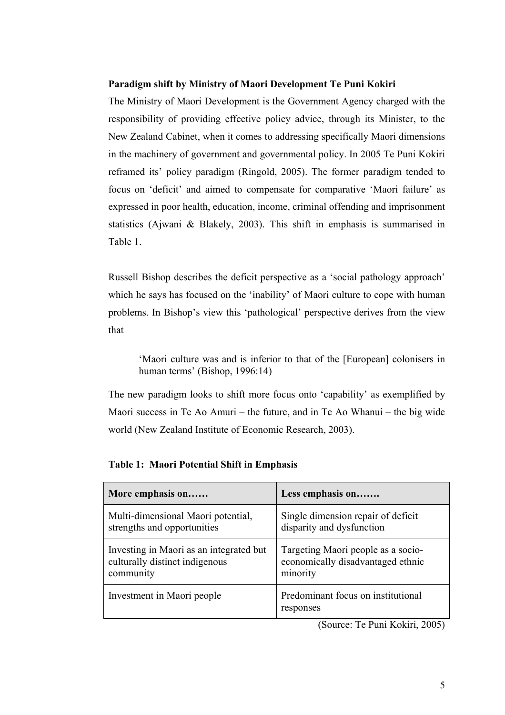# **Paradigm shift by Ministry of Maori Development Te Puni Kokiri**

The Ministry of Maori Development is the Government Agency charged with the responsibility of providing effective policy advice, through its Minister, to the New Zealand Cabinet, when it comes to addressing specifically Maori dimensions in the machinery of government and governmental policy. In 2005 Te Puni Kokiri reframed its' policy paradigm (Ringold, 2005). The former paradigm tended to focus on 'deficit' and aimed to compensate for comparative 'Maori failure' as expressed in poor health, education, income, criminal offending and imprisonment statistics (Ajwani & Blakely, 2003). This shift in emphasis is summarised in Table 1.

Russell Bishop describes the deficit perspective as a 'social pathology approach' which he says has focused on the 'inability' of Maori culture to cope with human problems. In Bishop's view this 'pathological' perspective derives from the view that

'Maori culture was and is inferior to that of the [European] colonisers in human terms' (Bishop, 1996:14)

The new paradigm looks to shift more focus onto 'capability' as exemplified by Maori success in Te Ao Amuri – the future, and in Te Ao Whanui – the big wide world (New Zealand Institute of Economic Research, 2003).

| More emphasis on                        | Less emphasis on                                |
|-----------------------------------------|-------------------------------------------------|
| Multi-dimensional Maori potential,      | Single dimension repair of deficit              |
| strengths and opportunities             | disparity and dysfunction                       |
| Investing in Maori as an integrated but | Targeting Maori people as a socio-              |
| culturally distinct indigenous          | economically disadvantaged ethnic               |
| community                               | minority                                        |
| Investment in Maori people              | Predominant focus on institutional<br>responses |

**Table 1: Maori Potential Shift in Emphasis** 

(Source: Te Puni Kokiri, 2005)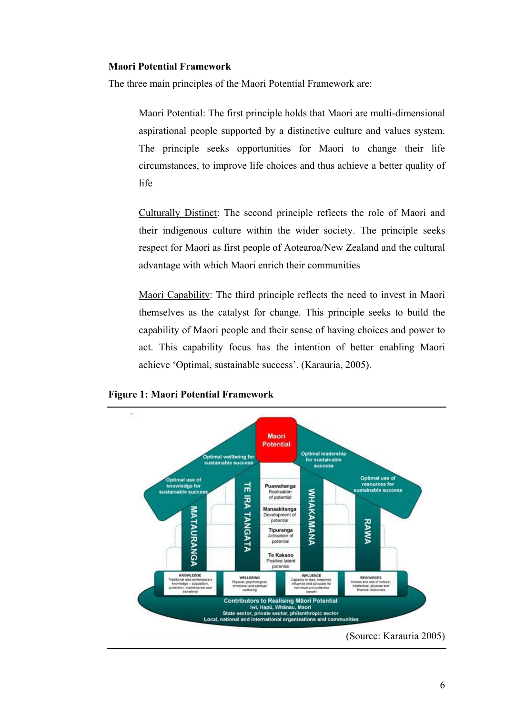## **Maori Potential Framework**

The three main principles of the Maori Potential Framework are:

Maori Potential: The first principle holds that Maori are multi-dimensional aspirational people supported by a distinctive culture and values system. The principle seeks opportunities for Maori to change their life circumstances, to improve life choices and thus achieve a better quality of life

Culturally Distinct: The second principle reflects the role of Maori and their indigenous culture within the wider society. The principle seeks respect for Maori as first people of Aotearoa/New Zealand and the cultural advantage with which Maori enrich their communities

Maori Capability: The third principle reflects the need to invest in Maori themselves as the catalyst for change. This principle seeks to build the capability of Maori people and their sense of having choices and power to act. This capability focus has the intention of better enabling Maori achieve 'Optimal, sustainable success'. (Karauria, 2005).



## **Figure 1: Maori Potential Framework**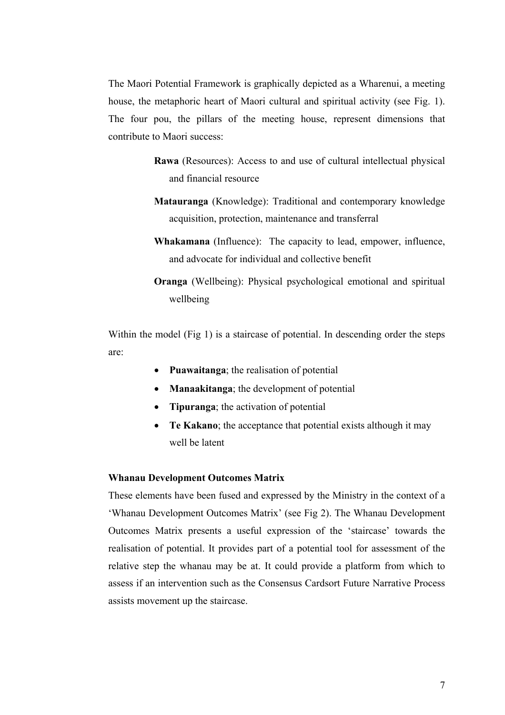The Maori Potential Framework is graphically depicted as a Wharenui, a meeting house, the metaphoric heart of Maori cultural and spiritual activity (see Fig. 1). The four pou, the pillars of the meeting house, represent dimensions that contribute to Maori success:

- **Rawa** (Resources): Access to and use of cultural intellectual physical and financial resource
- **Matauranga** (Knowledge): Traditional and contemporary knowledge acquisition, protection, maintenance and transferral
- **Whakamana** (Influence): The capacity to lead, empower, influence, and advocate for individual and collective benefit
- **Oranga** (Wellbeing): Physical psychological emotional and spiritual wellbeing

Within the model (Fig 1) is a staircase of potential. In descending order the steps are:

- **Puawaitanga**; the realisation of potential
- **Manaakitanga**; the development of potential
- **Tipuranga**; the activation of potential
- **Te Kakano**; the acceptance that potential exists although it may well be latent

## **Whanau Development Outcomes Matrix**

These elements have been fused and expressed by the Ministry in the context of a 'Whanau Development Outcomes Matrix' (see Fig 2). The Whanau Development Outcomes Matrix presents a useful expression of the 'staircase' towards the realisation of potential. It provides part of a potential tool for assessment of the relative step the whanau may be at. It could provide a platform from which to assess if an intervention such as the Consensus Cardsort Future Narrative Process assists movement up the staircase.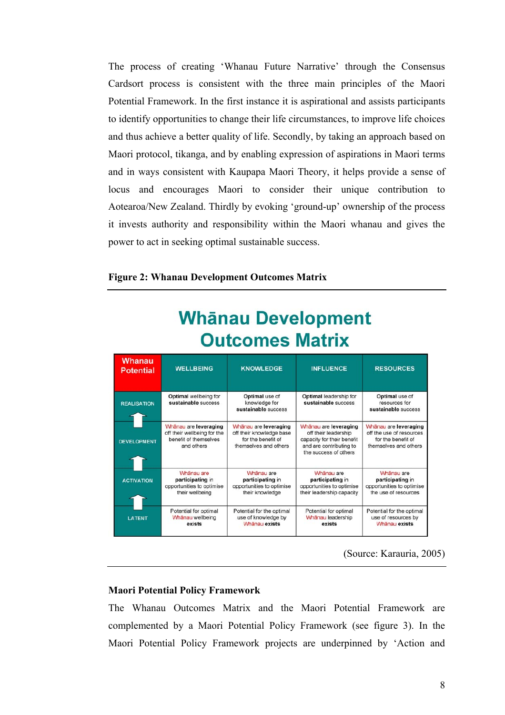The process of creating 'Whanau Future Narrative' through the Consensus Cardsort process is consistent with the three main principles of the Maori Potential Framework. In the first instance it is aspirational and assists participants to identify opportunities to change their life circumstances, to improve life choices and thus achieve a better quality of life. Secondly, by taking an approach based on Maori protocol, tikanga, and by enabling expression of aspirations in Maori terms and in ways consistent with Kaupapa Maori Theory, it helps provide a sense of locus and encourages Maori to consider their unique contribution to Aotearoa/New Zealand. Thirdly by evoking 'ground-up' ownership of the process it invests authority and responsibility within the Maori whanau and gives the power to act in seeking optimal sustainable success.

# **Figure 2: Whanau Development Outcomes Matrix**

| .                          |                                                                                             |                                                                                                  |                                                                                                                                 |                                                                                                  |
|----------------------------|---------------------------------------------------------------------------------------------|--------------------------------------------------------------------------------------------------|---------------------------------------------------------------------------------------------------------------------------------|--------------------------------------------------------------------------------------------------|
| Whanau<br><b>Potential</b> | <b>WELLBEING</b>                                                                            | <b>KNOWLEDGE</b>                                                                                 | <b>INFLUENCE</b>                                                                                                                | <b>RESOURCES</b>                                                                                 |
| <b>REALISATION</b>         | Optimal wellbeing for<br>sustainable success                                                | Optimal use of<br>knowledge for<br>sustainable success                                           | Optimal leadership for<br>sustainable success                                                                                   | Optimal use of<br>resources for<br>sustainable success                                           |
| <b>DEVELOPMENT</b>         | Whānau are leveraging<br>off their wellbeing for the<br>benefit of themselves<br>and others | Whānau are leveraging<br>off their knowledge base<br>for the benefit of<br>themselves and others | Whānau are leveraging<br>off their leadership<br>capacity for their benefit<br>and are contributing to<br>the success of others | Whânau are leveraging<br>off the use of resources<br>for the benefit of<br>themselves and others |
| <b>ACTIVATION</b>          | Whänau are<br>participating in<br>opportunities to optimise<br>their wellbeing              | Whānau are<br>participating in<br>opportunities to optimise<br>their knowledge                   | Whanau are<br>participating in<br>opportunities to optimise<br>their leadership capacity                                        | Whānau are<br>participating in<br>opportunities to optimise<br>the use of resources              |
| <b>LATENT</b>              | Potential for optimal<br>Whānau wellbeing<br>exists                                         | Potential for the optimal<br>use of knowledge by<br>Whānau exists                                | Potential for optimal<br>Whānau leadership<br>exists                                                                            | Potential for the optimal<br>use of resources by<br>Whānau exists                                |

# **Whānau Development Outcomes Matrix**

(Source: Karauria, 2005)

# **Maori Potential Policy Framework**

The Whanau Outcomes Matrix and the Maori Potential Framework are complemented by a Maori Potential Policy Framework (see figure 3). In the Maori Potential Policy Framework projects are underpinned by 'Action and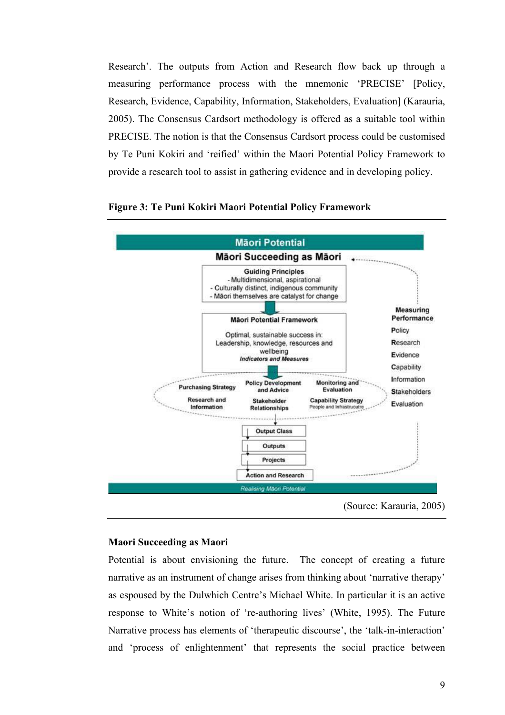Research'. The outputs from Action and Research flow back up through a measuring performance process with the mnemonic 'PRECISE' [Policy, Research, Evidence, Capability, Information, Stakeholders, Evaluation] (Karauria, 2005). The Consensus Cardsort methodology is offered as a suitable tool within PRECISE. The notion is that the Consensus Cardsort process could be customised by Te Puni Kokiri and 'reified' within the Maori Potential Policy Framework to provide a research tool to assist in gathering evidence and in developing policy.



## **Figure 3: Te Puni Kokiri Maori Potential Policy Framework**

# **Maori Succeeding as Maori**

Potential is about envisioning the future. The concept of creating a future narrative as an instrument of change arises from thinking about 'narrative therapy' as espoused by the Dulwhich Centre's Michael White. In particular it is an active response to White's notion of 're-authoring lives' (White, 1995). The Future Narrative process has elements of 'therapeutic discourse', the 'talk-in-interaction' and 'process of enlightenment' that represents the social practice between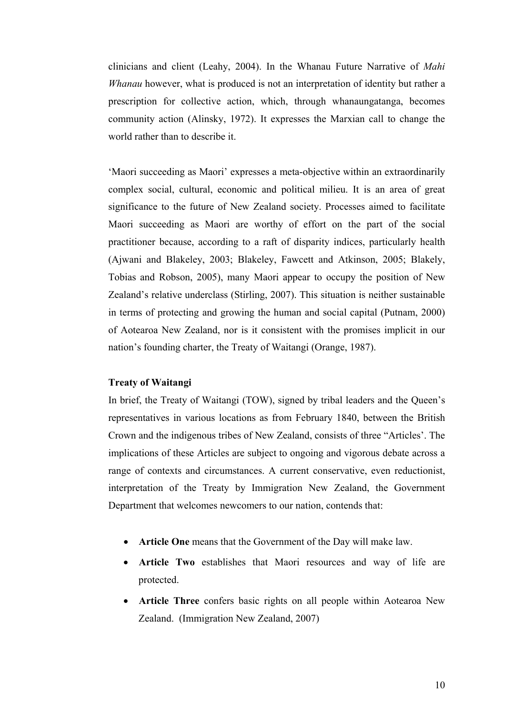clinicians and client (Leahy, 2004). In the Whanau Future Narrative of *Mahi Whanau* however, what is produced is not an interpretation of identity but rather a prescription for collective action, which, through whanaungatanga, becomes community action (Alinsky, 1972). It expresses the Marxian call to change the world rather than to describe it.

'Maori succeeding as Maori' expresses a meta-objective within an extraordinarily complex social, cultural, economic and political milieu. It is an area of great significance to the future of New Zealand society. Processes aimed to facilitate Maori succeeding as Maori are worthy of effort on the part of the social practitioner because, according to a raft of disparity indices, particularly health (Ajwani and Blakeley, 2003; Blakeley, Fawcett and Atkinson, 2005; Blakely, Tobias and Robson, 2005), many Maori appear to occupy the position of New Zealand's relative underclass (Stirling, 2007). This situation is neither sustainable in terms of protecting and growing the human and social capital (Putnam, 2000) of Aotearoa New Zealand, nor is it consistent with the promises implicit in our nation's founding charter, the Treaty of Waitangi (Orange, 1987).

## **Treaty of Waitangi**

In brief, the Treaty of Waitangi (TOW), signed by tribal leaders and the Queen's representatives in various locations as from February 1840, between the British Crown and the indigenous tribes of New Zealand, consists of three "Articles'. The implications of these Articles are subject to ongoing and vigorous debate across a range of contexts and circumstances. A current conservative, even reductionist, interpretation of the Treaty by Immigration New Zealand, the Government Department that welcomes newcomers to our nation, contends that:

- **Article One** means that the Government of the Day will make law.
- **Article Two** establishes that Maori resources and way of life are protected.
- **Article Three** confers basic rights on all people within Aotearoa New Zealand. (Immigration New Zealand, 2007)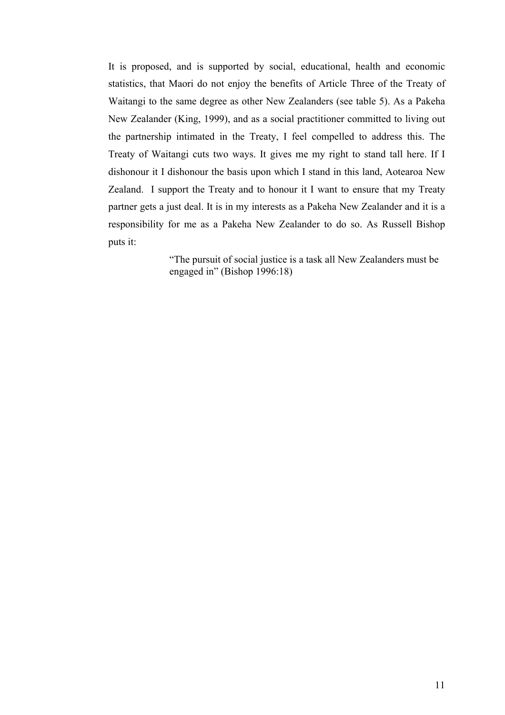It is proposed, and is supported by social, educational, health and economic statistics, that Maori do not enjoy the benefits of Article Three of the Treaty of Waitangi to the same degree as other New Zealanders (see table 5). As a Pakeha New Zealander (King, 1999), and as a social practitioner committed to living out the partnership intimated in the Treaty, I feel compelled to address this. The Treaty of Waitangi cuts two ways. It gives me my right to stand tall here. If I dishonour it I dishonour the basis upon which I stand in this land, Aotearoa New Zealand. I support the Treaty and to honour it I want to ensure that my Treaty partner gets a just deal. It is in my interests as a Pakeha New Zealander and it is a responsibility for me as a Pakeha New Zealander to do so. As Russell Bishop puts it:

> "The pursuit of social justice is a task all New Zealanders must be engaged in" (Bishop 1996:18)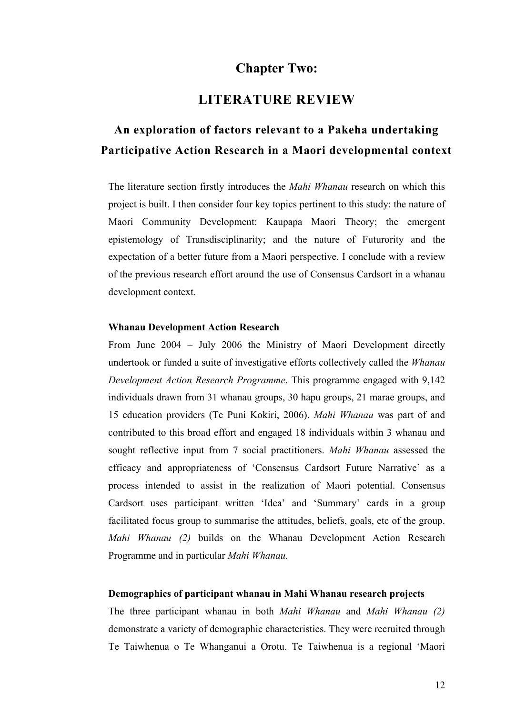# **Chapter Two:**

# **LITERATURE REVIEW**

# **An exploration of factors relevant to a Pakeha undertaking Participative Action Research in a Maori developmental context**

The literature section firstly introduces the *Mahi Whanau* research on which this project is built. I then consider four key topics pertinent to this study: the nature of Maori Community Development: Kaupapa Maori Theory; the emergent epistemology of Transdisciplinarity; and the nature of Futurority and the expectation of a better future from a Maori perspective. I conclude with a review of the previous research effort around the use of Consensus Cardsort in a whanau development context.

#### **Whanau Development Action Research**

From June 2004 – July 2006 the Ministry of Maori Development directly undertook or funded a suite of investigative efforts collectively called the *Whanau Development Action Research Programme*. This programme engaged with 9,142 individuals drawn from 31 whanau groups, 30 hapu groups, 21 marae groups, and 15 education providers (Te Puni Kokiri, 2006). *Mahi Whanau* was part of and contributed to this broad effort and engaged 18 individuals within 3 whanau and sought reflective input from 7 social practitioners. *Mahi Whanau* assessed the efficacy and appropriateness of 'Consensus Cardsort Future Narrative' as a process intended to assist in the realization of Maori potential. Consensus Cardsort uses participant written 'Idea' and 'Summary' cards in a group facilitated focus group to summarise the attitudes, beliefs, goals, etc of the group. *Mahi Whanau (2)* builds on the Whanau Development Action Research Programme and in particular *Mahi Whanau.*

#### **Demographics of participant whanau in Mahi Whanau research projects**

The three participant whanau in both *Mahi Whanau* and *Mahi Whanau (2)* demonstrate a variety of demographic characteristics. They were recruited through Te Taiwhenua o Te Whanganui a Orotu. Te Taiwhenua is a regional 'Maori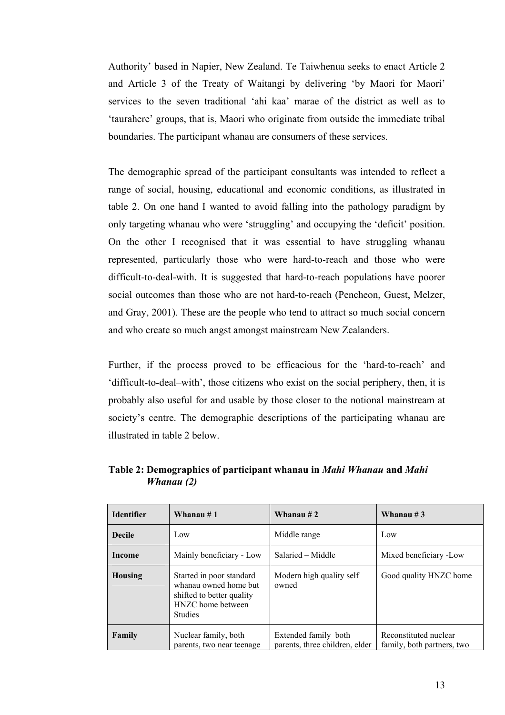Authority' based in Napier, New Zealand. Te Taiwhenua seeks to enact Article 2 and Article 3 of the Treaty of Waitangi by delivering 'by Maori for Maori' services to the seven traditional 'ahi kaa' marae of the district as well as to 'taurahere' groups, that is, Maori who originate from outside the immediate tribal boundaries. The participant whanau are consumers of these services.

The demographic spread of the participant consultants was intended to reflect a range of social, housing, educational and economic conditions, as illustrated in table 2. On one hand I wanted to avoid falling into the pathology paradigm by only targeting whanau who were 'struggling' and occupying the 'deficit' position. On the other I recognised that it was essential to have struggling whanau represented, particularly those who were hard-to-reach and those who were difficult-to-deal-with. It is suggested that hard-to-reach populations have poorer social outcomes than those who are not hard-to-reach (Pencheon, Guest, Melzer, and Gray, 2001). These are the people who tend to attract so much social concern and who create so much angst amongst mainstream New Zealanders.

Further, if the process proved to be efficacious for the 'hard-to-reach' and 'difficult-to-deal–with', those citizens who exist on the social periphery, then, it is probably also useful for and usable by those closer to the notional mainstream at society's centre. The demographic descriptions of the participating whanau are illustrated in table 2 below.

| <b>Identifier</b> | Whanau $#1$                                                                                                           | Whanau $#2$                                            | Whanau #3                                           |
|-------------------|-----------------------------------------------------------------------------------------------------------------------|--------------------------------------------------------|-----------------------------------------------------|
| <b>Decile</b>     | Low                                                                                                                   | Middle range                                           | Low                                                 |
| Income            | Mainly beneficiary - Low                                                                                              | Salaried – Middle                                      | Mixed beneficiary -Low                              |
| Housing           | Started in poor standard<br>whanau owned home but<br>shifted to better quality<br>HNZC home between<br><b>Studies</b> | Modern high quality self<br>owned                      | Good quality HNZC home                              |
| Family            | Nuclear family, both<br>parents, two near teenage                                                                     | Extended family both<br>parents, three children, elder | Reconstituted nuclear<br>family, both partners, two |

**Table 2: Demographics of participant whanau in** *Mahi Whanau* **and** *Mahi Whanau (2)*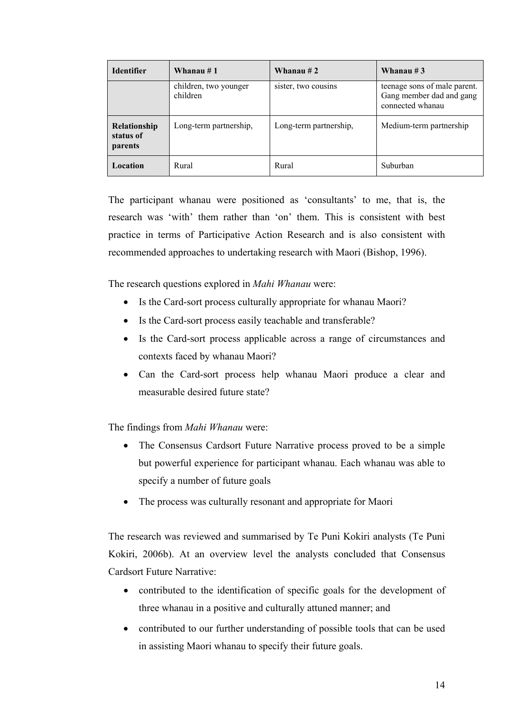| <b>Identifier</b>                           | Whanau # 1                        | Whanau $#2$            | Whanau $#3$                                                                  |
|---------------------------------------------|-----------------------------------|------------------------|------------------------------------------------------------------------------|
|                                             | children, two younger<br>children | sister, two cousins    | teenage sons of male parent.<br>Gang member dad and gang<br>connected whanau |
| <b>Relationship</b><br>status of<br>parents | Long-term partnership,            | Long-term partnership, | Medium-term partnership                                                      |
| Location                                    | Rural                             | Rural                  | Suburban                                                                     |

The participant whanau were positioned as 'consultants' to me, that is, the research was 'with' them rather than 'on' them. This is consistent with best practice in terms of Participative Action Research and is also consistent with recommended approaches to undertaking research with Maori (Bishop, 1996).

The research questions explored in *Mahi Whanau* were:

- Is the Card-sort process culturally appropriate for whanau Maori?
- Is the Card-sort process easily teachable and transferable?
- Is the Card-sort process applicable across a range of circumstances and contexts faced by whanau Maori?
- Can the Card-sort process help whanau Maori produce a clear and measurable desired future state?

The findings from *Mahi Whanau* were:

- The Consensus Cardsort Future Narrative process proved to be a simple but powerful experience for participant whanau. Each whanau was able to specify a number of future goals
- The process was culturally resonant and appropriate for Maori

The research was reviewed and summarised by Te Puni Kokiri analysts (Te Puni Kokiri, 2006b). At an overview level the analysts concluded that Consensus Cardsort Future Narrative:

- contributed to the identification of specific goals for the development of three whanau in a positive and culturally attuned manner; and
- contributed to our further understanding of possible tools that can be used in assisting Maori whanau to specify their future goals.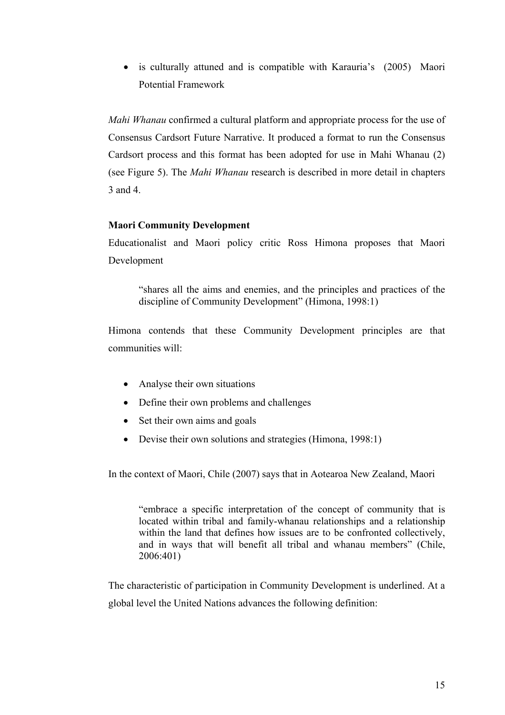• is culturally attuned and is compatible with Karauria's (2005) Maori Potential Framework

*Mahi Whanau* confirmed a cultural platform and appropriate process for the use of Consensus Cardsort Future Narrative. It produced a format to run the Consensus Cardsort process and this format has been adopted for use in Mahi Whanau (2) (see Figure 5). The *Mahi Whanau* research is described in more detail in chapters 3 and 4.

# **Maori Community Development**

Educationalist and Maori policy critic Ross Himona proposes that Maori Development

"shares all the aims and enemies, and the principles and practices of the discipline of Community Development" (Himona, 1998:1)

Himona contends that these Community Development principles are that communities will:

- Analyse their own situations
- Define their own problems and challenges
- Set their own aims and goals
- Devise their own solutions and strategies (Himona, 1998:1)

In the context of Maori, Chile (2007) says that in Aotearoa New Zealand, Maori

"embrace a specific interpretation of the concept of community that is located within tribal and family-whanau relationships and a relationship within the land that defines how issues are to be confronted collectively, and in ways that will benefit all tribal and whanau members" (Chile, 2006:401)

The characteristic of participation in Community Development is underlined. At a global level the United Nations advances the following definition: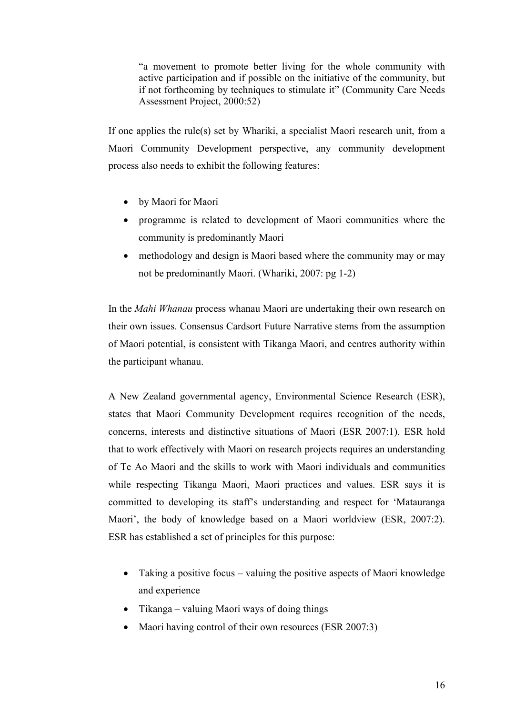"a movement to promote better living for the whole community with active participation and if possible on the initiative of the community, but if not forthcoming by techniques to stimulate it" (Community Care Needs Assessment Project, 2000:52)

If one applies the rule(s) set by Whariki, a specialist Maori research unit, from a Maori Community Development perspective, any community development process also needs to exhibit the following features:

- by Maori for Maori
- programme is related to development of Maori communities where the community is predominantly Maori
- methodology and design is Maori based where the community may or may not be predominantly Maori. (Whariki, 2007: pg 1-2)

In the *Mahi Whanau* process whanau Maori are undertaking their own research on their own issues. Consensus Cardsort Future Narrative stems from the assumption of Maori potential, is consistent with Tikanga Maori, and centres authority within the participant whanau.

A New Zealand governmental agency, Environmental Science Research (ESR), states that Maori Community Development requires recognition of the needs, concerns, interests and distinctive situations of Maori (ESR 2007:1). ESR hold that to work effectively with Maori on research projects requires an understanding of Te Ao Maori and the skills to work with Maori individuals and communities while respecting Tikanga Maori, Maori practices and values. ESR says it is committed to developing its staff's understanding and respect for 'Matauranga Maori', the body of knowledge based on a Maori worldview (ESR, 2007:2). ESR has established a set of principles for this purpose:

- Taking a positive focus valuing the positive aspects of Maori knowledge and experience
- Tikanga valuing Maori ways of doing things
- Maori having control of their own resources (ESR 2007:3)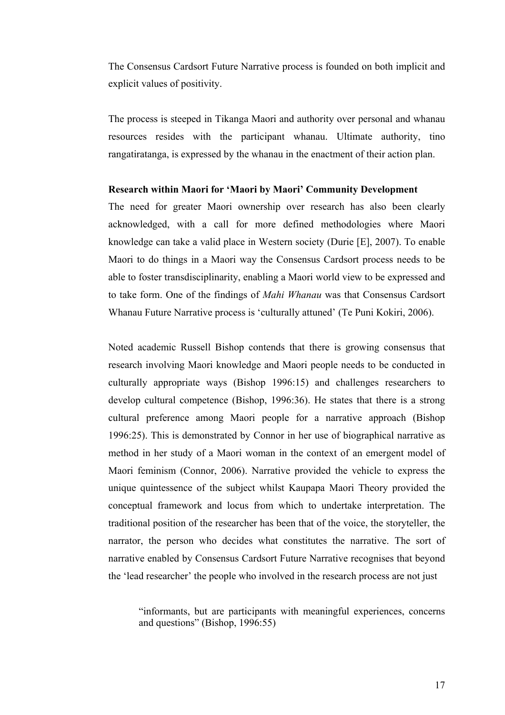The Consensus Cardsort Future Narrative process is founded on both implicit and explicit values of positivity.

The process is steeped in Tikanga Maori and authority over personal and whanau resources resides with the participant whanau. Ultimate authority, tino rangatiratanga, is expressed by the whanau in the enactment of their action plan.

#### **Research within Maori for 'Maori by Maori' Community Development**

The need for greater Maori ownership over research has also been clearly acknowledged, with a call for more defined methodologies where Maori knowledge can take a valid place in Western society (Durie [E], 2007). To enable Maori to do things in a Maori way the Consensus Cardsort process needs to be able to foster transdisciplinarity, enabling a Maori world view to be expressed and to take form. One of the findings of *Mahi Whanau* was that Consensus Cardsort Whanau Future Narrative process is 'culturally attuned' (Te Puni Kokiri, 2006).

Noted academic Russell Bishop contends that there is growing consensus that research involving Maori knowledge and Maori people needs to be conducted in culturally appropriate ways (Bishop 1996:15) and challenges researchers to develop cultural competence (Bishop, 1996:36). He states that there is a strong cultural preference among Maori people for a narrative approach (Bishop 1996:25). This is demonstrated by Connor in her use of biographical narrative as method in her study of a Maori woman in the context of an emergent model of Maori feminism (Connor, 2006). Narrative provided the vehicle to express the unique quintessence of the subject whilst Kaupapa Maori Theory provided the conceptual framework and locus from which to undertake interpretation. The traditional position of the researcher has been that of the voice, the storyteller, the narrator, the person who decides what constitutes the narrative. The sort of narrative enabled by Consensus Cardsort Future Narrative recognises that beyond the 'lead researcher' the people who involved in the research process are not just

"informants, but are participants with meaningful experiences, concerns and questions" (Bishop, 1996:55)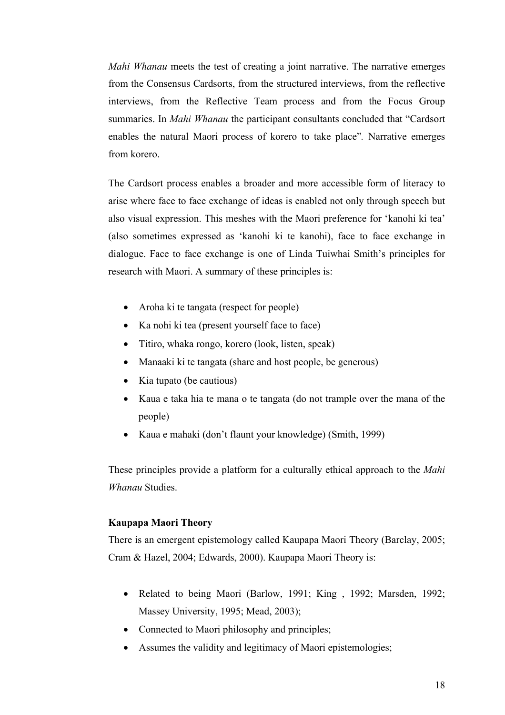*Mahi Whanau* meets the test of creating a joint narrative. The narrative emerges from the Consensus Cardsorts, from the structured interviews, from the reflective interviews, from the Reflective Team process and from the Focus Group summaries. In *Mahi Whanau* the participant consultants concluded that "Cardsort enables the natural Maori process of korero to take place"*.* Narrative emerges from korero.

The Cardsort process enables a broader and more accessible form of literacy to arise where face to face exchange of ideas is enabled not only through speech but also visual expression. This meshes with the Maori preference for 'kanohi ki tea' (also sometimes expressed as 'kanohi ki te kanohi), face to face exchange in dialogue. Face to face exchange is one of Linda Tuiwhai Smith's principles for research with Maori. A summary of these principles is:

- Aroha ki te tangata (respect for people)
- Ka nohi ki tea (present yourself face to face)
- Titiro, whaka rongo, korero (look, listen, speak)
- Manaaki ki te tangata (share and host people, be generous)
- Kia tupato (be cautious)
- Kaua e taka hia te mana o te tangata (do not trample over the mana of the people)
- Kaua e mahaki (don't flaunt your knowledge) (Smith, 1999)

These principles provide a platform for a culturally ethical approach to the *Mahi Whanau* Studies.

# **Kaupapa Maori Theory**

There is an emergent epistemology called Kaupapa Maori Theory (Barclay, 2005; Cram & Hazel, 2004; Edwards, 2000). Kaupapa Maori Theory is:

- Related to being Maori (Barlow, 1991; King, 1992; Marsden, 1992; Massey University, 1995; Mead, 2003);
- Connected to Maori philosophy and principles;
- Assumes the validity and legitimacy of Maori epistemologies;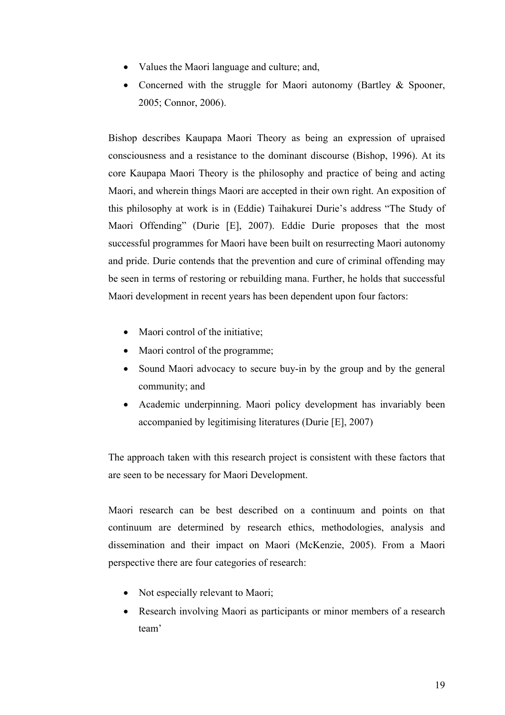- Values the Maori language and culture; and,
- Concerned with the struggle for Maori autonomy (Bartley & Spooner, 2005; Connor, 2006).

Bishop describes Kaupapa Maori Theory as being an expression of upraised consciousness and a resistance to the dominant discourse (Bishop, 1996). At its core Kaupapa Maori Theory is the philosophy and practice of being and acting Maori, and wherein things Maori are accepted in their own right. An exposition of this philosophy at work is in (Eddie) Taihakurei Durie's address "The Study of Maori Offending" (Durie [E], 2007). Eddie Durie proposes that the most successful programmes for Maori have been built on resurrecting Maori autonomy and pride. Durie contends that the prevention and cure of criminal offending may be seen in terms of restoring or rebuilding mana. Further, he holds that successful Maori development in recent years has been dependent upon four factors:

- Maori control of the initiative;
- Maori control of the programme;
- Sound Maori advocacy to secure buy-in by the group and by the general community; and
- Academic underpinning. Maori policy development has invariably been accompanied by legitimising literatures (Durie [E], 2007)

The approach taken with this research project is consistent with these factors that are seen to be necessary for Maori Development.

Maori research can be best described on a continuum and points on that continuum are determined by research ethics, methodologies, analysis and dissemination and their impact on Maori (McKenzie, 2005). From a Maori perspective there are four categories of research:

- Not especially relevant to Maori;
- Research involving Maori as participants or minor members of a research team'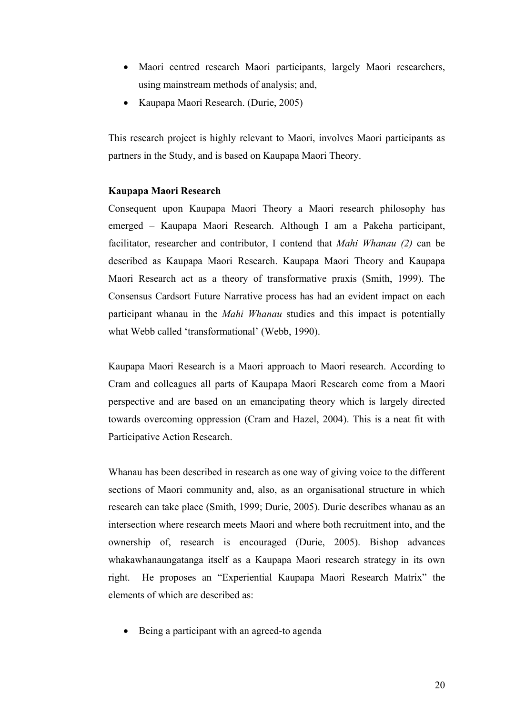- Maori centred research Maori participants, largely Maori researchers, using mainstream methods of analysis; and,
- Kaupapa Maori Research. (Durie, 2005)

This research project is highly relevant to Maori, involves Maori participants as partners in the Study, and is based on Kaupapa Maori Theory.

## **Kaupapa Maori Research**

Consequent upon Kaupapa Maori Theory a Maori research philosophy has emerged – Kaupapa Maori Research. Although I am a Pakeha participant, facilitator, researcher and contributor, I contend that *Mahi Whanau (2)* can be described as Kaupapa Maori Research. Kaupapa Maori Theory and Kaupapa Maori Research act as a theory of transformative praxis (Smith, 1999). The Consensus Cardsort Future Narrative process has had an evident impact on each participant whanau in the *Mahi Whanau* studies and this impact is potentially what Webb called 'transformational' (Webb, 1990).

Kaupapa Maori Research is a Maori approach to Maori research. According to Cram and colleagues all parts of Kaupapa Maori Research come from a Maori perspective and are based on an emancipating theory which is largely directed towards overcoming oppression (Cram and Hazel, 2004). This is a neat fit with Participative Action Research.

Whanau has been described in research as one way of giving voice to the different sections of Maori community and, also, as an organisational structure in which research can take place (Smith, 1999; Durie, 2005). Durie describes whanau as an intersection where research meets Maori and where both recruitment into, and the ownership of, research is encouraged (Durie, 2005). Bishop advances whakawhanaungatanga itself as a Kaupapa Maori research strategy in its own right. He proposes an "Experiential Kaupapa Maori Research Matrix" the elements of which are described as:

Being a participant with an agreed-to agenda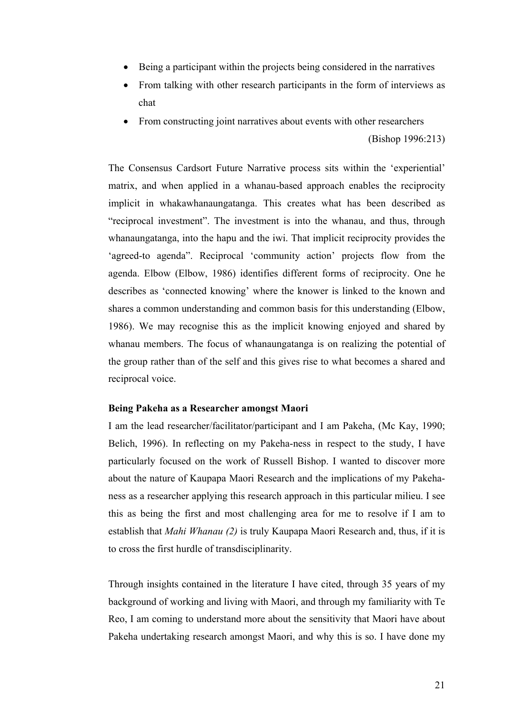- Being a participant within the projects being considered in the narratives
- From talking with other research participants in the form of interviews as chat
- From constructing joint narratives about events with other researchers

(Bishop 1996:213)

The Consensus Cardsort Future Narrative process sits within the 'experiential' matrix, and when applied in a whanau-based approach enables the reciprocity implicit in whakawhanaungatanga. This creates what has been described as "reciprocal investment". The investment is into the whanau, and thus, through whanaungatanga, into the hapu and the iwi. That implicit reciprocity provides the 'agreed-to agenda". Reciprocal 'community action' projects flow from the agenda. Elbow (Elbow, 1986) identifies different forms of reciprocity. One he describes as 'connected knowing' where the knower is linked to the known and shares a common understanding and common basis for this understanding (Elbow, 1986). We may recognise this as the implicit knowing enjoyed and shared by whanau members. The focus of whanaungatanga is on realizing the potential of the group rather than of the self and this gives rise to what becomes a shared and reciprocal voice.

#### **Being Pakeha as a Researcher amongst Maori**

I am the lead researcher/facilitator/participant and I am Pakeha, (Mc Kay, 1990; Belich, 1996). In reflecting on my Pakeha-ness in respect to the study, I have particularly focused on the work of Russell Bishop. I wanted to discover more about the nature of Kaupapa Maori Research and the implications of my Pakehaness as a researcher applying this research approach in this particular milieu. I see this as being the first and most challenging area for me to resolve if I am to establish that *Mahi Whanau (2)* is truly Kaupapa Maori Research and, thus, if it is to cross the first hurdle of transdisciplinarity.

Through insights contained in the literature I have cited, through 35 years of my background of working and living with Maori, and through my familiarity with Te Reo, I am coming to understand more about the sensitivity that Maori have about Pakeha undertaking research amongst Maori, and why this is so. I have done my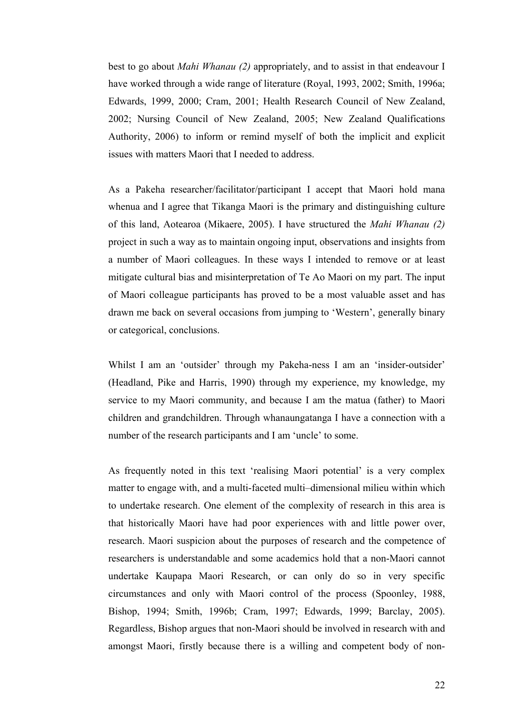best to go about *Mahi Whanau (2)* appropriately, and to assist in that endeavour I have worked through a wide range of literature (Royal, 1993, 2002; Smith, 1996a; Edwards, 1999, 2000; Cram, 2001; Health Research Council of New Zealand, 2002; Nursing Council of New Zealand, 2005; New Zealand Qualifications Authority, 2006) to inform or remind myself of both the implicit and explicit issues with matters Maori that I needed to address.

As a Pakeha researcher/facilitator/participant I accept that Maori hold mana whenua and I agree that Tikanga Maori is the primary and distinguishing culture of this land, Aotearoa (Mikaere, 2005). I have structured the *Mahi Whanau (2)* project in such a way as to maintain ongoing input, observations and insights from a number of Maori colleagues. In these ways I intended to remove or at least mitigate cultural bias and misinterpretation of Te Ao Maori on my part. The input of Maori colleague participants has proved to be a most valuable asset and has drawn me back on several occasions from jumping to 'Western', generally binary or categorical, conclusions.

Whilst I am an 'outsider' through my Pakeha-ness I am an 'insider-outsider' (Headland, Pike and Harris, 1990) through my experience, my knowledge, my service to my Maori community, and because I am the matua (father) to Maori children and grandchildren. Through whanaungatanga I have a connection with a number of the research participants and I am 'uncle' to some.

As frequently noted in this text 'realising Maori potential' is a very complex matter to engage with, and a multi-faceted multi–dimensional milieu within which to undertake research. One element of the complexity of research in this area is that historically Maori have had poor experiences with and little power over, research. Maori suspicion about the purposes of research and the competence of researchers is understandable and some academics hold that a non-Maori cannot undertake Kaupapa Maori Research, or can only do so in very specific circumstances and only with Maori control of the process (Spoonley, 1988, Bishop, 1994; Smith, 1996b; Cram, 1997; Edwards, 1999; Barclay, 2005). Regardless, Bishop argues that non-Maori should be involved in research with and amongst Maori, firstly because there is a willing and competent body of non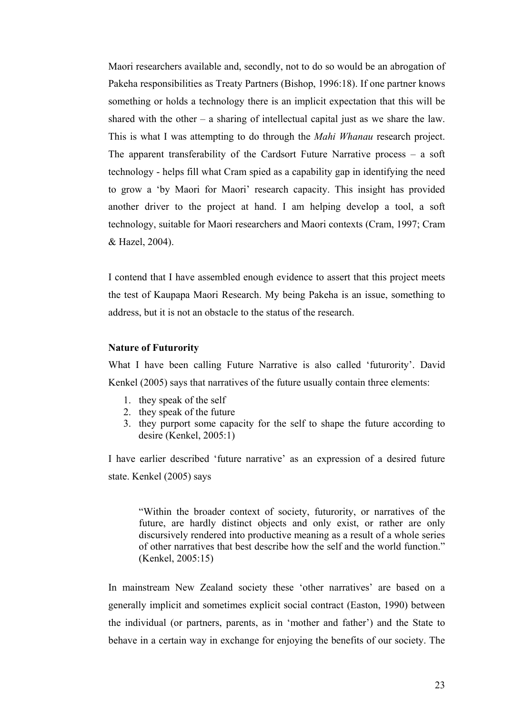Maori researchers available and, secondly, not to do so would be an abrogation of Pakeha responsibilities as Treaty Partners (Bishop, 1996:18). If one partner knows something or holds a technology there is an implicit expectation that this will be shared with the other – a sharing of intellectual capital just as we share the law. This is what I was attempting to do through the *Mahi Whanau* research project. The apparent transferability of the Cardsort Future Narrative process – a soft technology - helps fill what Cram spied as a capability gap in identifying the need to grow a 'by Maori for Maori' research capacity. This insight has provided another driver to the project at hand. I am helping develop a tool, a soft technology, suitable for Maori researchers and Maori contexts (Cram, 1997; Cram & Hazel, 2004).

I contend that I have assembled enough evidence to assert that this project meets the test of Kaupapa Maori Research. My being Pakeha is an issue, something to address, but it is not an obstacle to the status of the research.

#### **Nature of Futurority**

What I have been calling Future Narrative is also called 'futurority'. David Kenkel (2005) says that narratives of the future usually contain three elements:

- 1. they speak of the self
- 2. they speak of the future
- 3. they purport some capacity for the self to shape the future according to desire (Kenkel, 2005:1)

I have earlier described 'future narrative' as an expression of a desired future state. Kenkel (2005) says

"Within the broader context of society, futurority, or narratives of the future, are hardly distinct objects and only exist, or rather are only discursively rendered into productive meaning as a result of a whole series of other narratives that best describe how the self and the world function." (Kenkel, 2005:15)

In mainstream New Zealand society these 'other narratives' are based on a generally implicit and sometimes explicit social contract (Easton, 1990) between the individual (or partners, parents, as in 'mother and father') and the State to behave in a certain way in exchange for enjoying the benefits of our society. The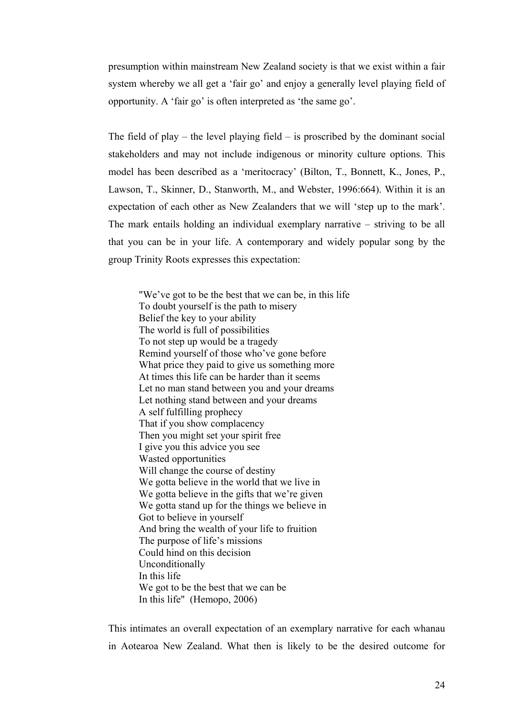presumption within mainstream New Zealand society is that we exist within a fair system whereby we all get a 'fair go' and enjoy a generally level playing field of opportunity. A 'fair go' is often interpreted as 'the same go'.

The field of play – the level playing field – is proscribed by the dominant social stakeholders and may not include indigenous or minority culture options. This model has been described as a 'meritocracy' (Bilton, T., Bonnett, K., Jones, P., Lawson, T., Skinner, D., Stanworth, M., and Webster, 1996:664). Within it is an expectation of each other as New Zealanders that we will 'step up to the mark'. The mark entails holding an individual exemplary narrative – striving to be all that you can be in your life. A contemporary and widely popular song by the group Trinity Roots expresses this expectation:

"We've got to be the best that we can be, in this life To doubt yourself is the path to misery Belief the key to your ability The world is full of possibilities To not step up would be a tragedy Remind yourself of those who've gone before What price they paid to give us something more At times this life can be harder than it seems Let no man stand between you and your dreams Let nothing stand between and your dreams A self fulfilling prophecy That if you show complacency Then you might set your spirit free I give you this advice you see Wasted opportunities Will change the course of destiny We gotta believe in the world that we live in We gotta believe in the gifts that we're given We gotta stand up for the things we believe in Got to believe in yourself And bring the wealth of your life to fruition The purpose of life's missions Could hind on this decision Unconditionally In this life We got to be the best that we can be In this life" (Hemopo, 2006)

This intimates an overall expectation of an exemplary narrative for each whanau in Aotearoa New Zealand. What then is likely to be the desired outcome for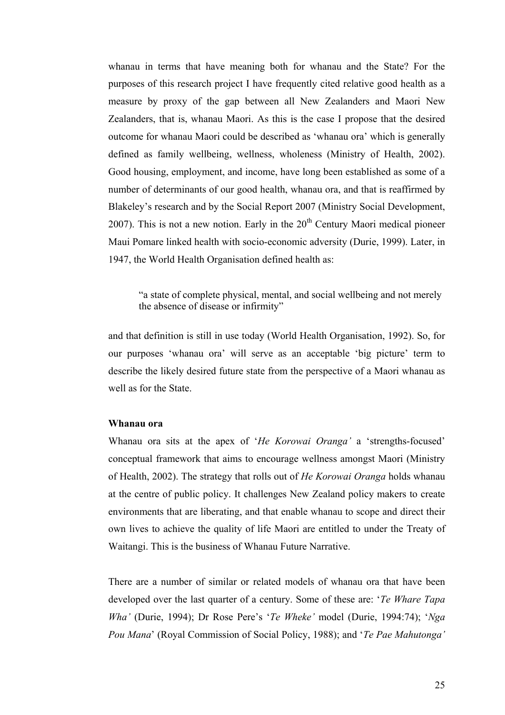whanau in terms that have meaning both for whanau and the State? For the purposes of this research project I have frequently cited relative good health as a measure by proxy of the gap between all New Zealanders and Maori New Zealanders, that is, whanau Maori. As this is the case I propose that the desired outcome for whanau Maori could be described as 'whanau ora' which is generally defined as family wellbeing, wellness, wholeness (Ministry of Health, 2002). Good housing, employment, and income, have long been established as some of a number of determinants of our good health, whanau ora, and that is reaffirmed by Blakeley's research and by the Social Report 2007 (Ministry Social Development, 2007). This is not a new notion. Early in the  $20<sup>th</sup>$  Century Maori medical pioneer Maui Pomare linked health with socio-economic adversity (Durie, 1999). Later, in 1947, the World Health Organisation defined health as:

"a state of complete physical, mental, and social wellbeing and not merely the absence of disease or infirmity"

and that definition is still in use today (World Health Organisation, 1992). So, for our purposes 'whanau ora' will serve as an acceptable 'big picture' term to describe the likely desired future state from the perspective of a Maori whanau as well as for the State.

#### **Whanau ora**

Whanau ora sits at the apex of '*He Korowai Oranga'* a 'strengths-focused' conceptual framework that aims to encourage wellness amongst Maori (Ministry of Health, 2002). The strategy that rolls out of *He Korowai Oranga* holds whanau at the centre of public policy. It challenges New Zealand policy makers to create environments that are liberating, and that enable whanau to scope and direct their own lives to achieve the quality of life Maori are entitled to under the Treaty of Waitangi. This is the business of Whanau Future Narrative.

There are a number of similar or related models of whanau ora that have been developed over the last quarter of a century. Some of these are: '*Te Whare Tapa Wha'* (Durie, 1994); Dr Rose Pere's '*Te Wheke'* model (Durie, 1994:74); '*Nga Pou Mana*' (Royal Commission of Social Policy, 1988); and '*Te Pae Mahutonga'*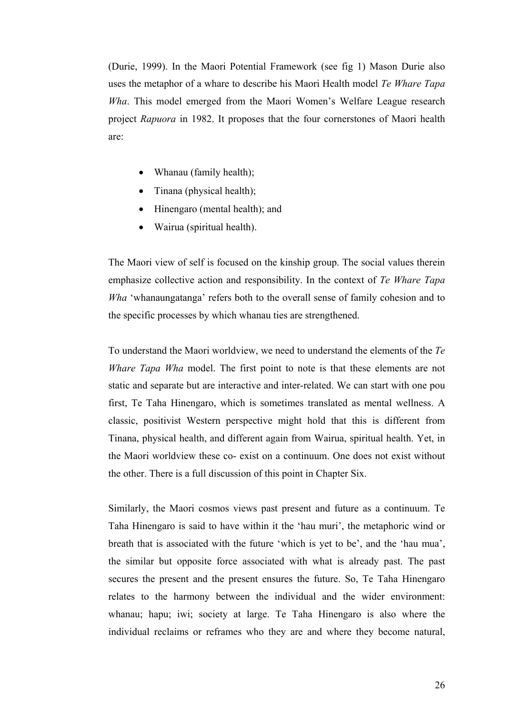(Durie, 1999). In the Maori Potential Framework (see fig 1) Mason Durie also uses the metaphor of a whare to describe his Maori Health model *Te Whare Tapa Wha*. This model emerged from the Maori Women's Welfare League research project *Rapuora* in 1982. It proposes that the four cornerstones of Maori health are:

- Whanau (family health);
- Tinana (physical health);
- Hinengaro (mental health); and
- Wairua (spiritual health).

The Maori view of self is focused on the kinship group. The social values therein emphasize collective action and responsibility. In the context of *Te Whare Tapa Wha* 'whanaungatanga' refers both to the overall sense of family cohesion and to the specific processes by which whanau ties are strengthened.

To understand the Maori worldview, we need to understand the elements of the *Te Whare Tapa Wha* model. The first point to note is that these elements are not static and separate but are interactive and inter-related. We can start with one pou first, Te Taha Hinengaro, which is sometimes translated as mental wellness. A classic, positivist Western perspective might hold that this is different from Tinana, physical health, and different again from Wairua, spiritual health. Yet, in the Maori worldview these co- exist on a continuum. One does not exist without the other. There is a full discussion of this point in Chapter Six.

Similarly, the Maori cosmos views past present and future as a continuum. Te Taha Hinengaro is said to have within it the 'hau muri', the metaphoric wind or breath that is associated with the future 'which is yet to be', and the 'hau mua', the similar but opposite force associated with what is already past. The past secures the present and the present ensures the future. So, Te Taha Hinengaro relates to the harmony between the individual and the wider environment: whanau; hapu; iwi; society at large. Te Taha Hinengaro is also where the individual reclaims or reframes who they are and where they become natural,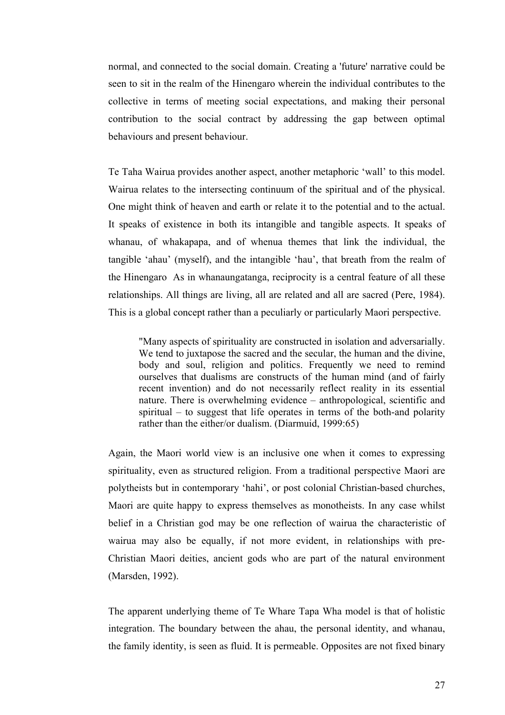normal, and connected to the social domain. Creating a 'future' narrative could be seen to sit in the realm of the Hinengaro wherein the individual contributes to the collective in terms of meeting social expectations, and making their personal contribution to the social contract by addressing the gap between optimal behaviours and present behaviour.

Te Taha Wairua provides another aspect, another metaphoric 'wall' to this model. Wairua relates to the intersecting continuum of the spiritual and of the physical. One might think of heaven and earth or relate it to the potential and to the actual. It speaks of existence in both its intangible and tangible aspects. It speaks of whanau, of whakapapa, and of whenua themes that link the individual, the tangible 'ahau' (myself), and the intangible 'hau', that breath from the realm of the Hinengaro As in whanaungatanga, reciprocity is a central feature of all these relationships. All things are living, all are related and all are sacred (Pere, 1984). This is a global concept rather than a peculiarly or particularly Maori perspective.

"Many aspects of spirituality are constructed in isolation and adversarially. We tend to juxtapose the sacred and the secular, the human and the divine, body and soul, religion and politics. Frequently we need to remind ourselves that dualisms are constructs of the human mind (and of fairly recent invention) and do not necessarily reflect reality in its essential nature. There is overwhelming evidence – anthropological, scientific and spiritual – to suggest that life operates in terms of the both-and polarity rather than the either/or dualism. (Diarmuid, 1999:65)

Again, the Maori world view is an inclusive one when it comes to expressing spirituality, even as structured religion. From a traditional perspective Maori are polytheists but in contemporary 'hahi', or post colonial Christian-based churches, Maori are quite happy to express themselves as monotheists. In any case whilst belief in a Christian god may be one reflection of wairua the characteristic of wairua may also be equally, if not more evident, in relationships with pre-Christian Maori deities, ancient gods who are part of the natural environment (Marsden, 1992).

The apparent underlying theme of Te Whare Tapa Wha model is that of holistic integration. The boundary between the ahau, the personal identity, and whanau, the family identity, is seen as fluid. It is permeable. Opposites are not fixed binary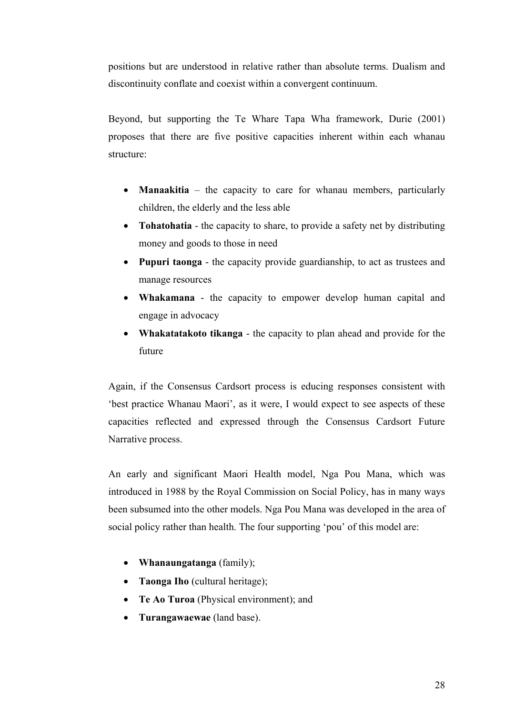positions but are understood in relative rather than absolute terms. Dualism and discontinuity conflate and coexist within a convergent continuum.

Beyond, but supporting the Te Whare Tapa Wha framework, Durie (2001) proposes that there are five positive capacities inherent within each whanau structure:

- **Manaakitia** the capacity to care for whanau members, particularly children, the elderly and the less able
- **Tohatohatia** the capacity to share, to provide a safety net by distributing money and goods to those in need
- **Pupuri taonga** the capacity provide guardianship, to act as trustees and manage resources
- **Whakamana**  the capacity to empower develop human capital and engage in advocacy
- **Whakatatakoto tikanga** the capacity to plan ahead and provide for the future

Again, if the Consensus Cardsort process is educing responses consistent with 'best practice Whanau Maori', as it were, I would expect to see aspects of these capacities reflected and expressed through the Consensus Cardsort Future Narrative process.

An early and significant Maori Health model, Nga Pou Mana, which was introduced in 1988 by the Royal Commission on Social Policy, has in many ways been subsumed into the other models. Nga Pou Mana was developed in the area of social policy rather than health. The four supporting 'pou' of this model are:

- **Whanaungatanga** (family);
- **Taonga Iho** (cultural heritage);
- **Te Ao Turoa** (Physical environment); and
- **Turangawaewae** (land base).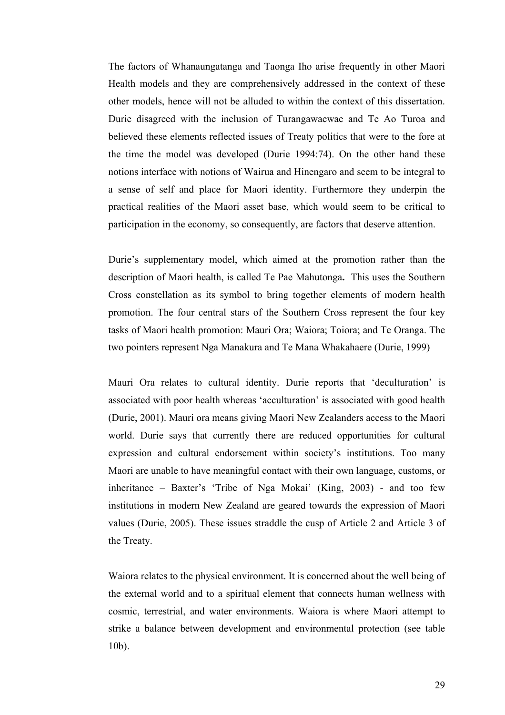The factors of Whanaungatanga and Taonga Iho arise frequently in other Maori Health models and they are comprehensively addressed in the context of these other models, hence will not be alluded to within the context of this dissertation. Durie disagreed with the inclusion of Turangawaewae and Te Ao Turoa and believed these elements reflected issues of Treaty politics that were to the fore at the time the model was developed (Durie 1994:74). On the other hand these notions interface with notions of Wairua and Hinengaro and seem to be integral to a sense of self and place for Maori identity. Furthermore they underpin the practical realities of the Maori asset base, which would seem to be critical to participation in the economy, so consequently, are factors that deserve attention.

Durie's supplementary model, which aimed at the promotion rather than the description of Maori health, is called Te Pae Mahutonga**.** This uses the Southern Cross constellation as its symbol to bring together elements of modern health promotion. The four central stars of the Southern Cross represent the four key tasks of Maori health promotion: Mauri Ora; Waiora; Toiora; and Te Oranga. The two pointers represent Nga Manakura and Te Mana Whakahaere (Durie, 1999)

Mauri Ora relates to cultural identity. Durie reports that 'deculturation' is associated with poor health whereas 'acculturation' is associated with good health (Durie, 2001). Mauri ora means giving Maori New Zealanders access to the Maori world. Durie says that currently there are reduced opportunities for cultural expression and cultural endorsement within society's institutions. Too many Maori are unable to have meaningful contact with their own language, customs, or inheritance – Baxter's 'Tribe of Nga Mokai' (King, 2003) - and too few institutions in modern New Zealand are geared towards the expression of Maori values (Durie, 2005). These issues straddle the cusp of Article 2 and Article 3 of the Treaty.

Waiora relates to the physical environment. It is concerned about the well being of the external world and to a spiritual element that connects human wellness with cosmic, terrestrial, and water environments. Waiora is where Maori attempt to strike a balance between development and environmental protection (see table 10b).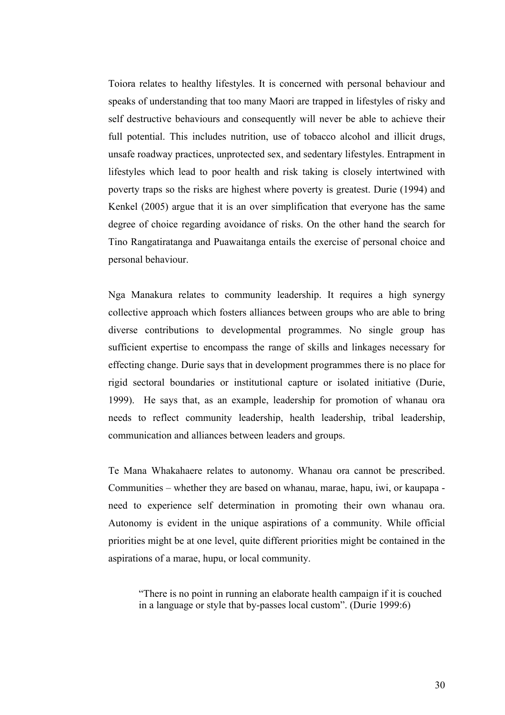Toiora relates to healthy lifestyles. It is concerned with personal behaviour and speaks of understanding that too many Maori are trapped in lifestyles of risky and self destructive behaviours and consequently will never be able to achieve their full potential. This includes nutrition, use of tobacco alcohol and illicit drugs, unsafe roadway practices, unprotected sex, and sedentary lifestyles. Entrapment in lifestyles which lead to poor health and risk taking is closely intertwined with poverty traps so the risks are highest where poverty is greatest. Durie (1994) and Kenkel (2005) argue that it is an over simplification that everyone has the same degree of choice regarding avoidance of risks. On the other hand the search for Tino Rangatiratanga and Puawaitanga entails the exercise of personal choice and personal behaviour.

Nga Manakura relates to community leadership. It requires a high synergy collective approach which fosters alliances between groups who are able to bring diverse contributions to developmental programmes. No single group has sufficient expertise to encompass the range of skills and linkages necessary for effecting change. Durie says that in development programmes there is no place for rigid sectoral boundaries or institutional capture or isolated initiative (Durie, 1999). He says that, as an example, leadership for promotion of whanau ora needs to reflect community leadership, health leadership, tribal leadership, communication and alliances between leaders and groups.

Te Mana Whakahaere relates to autonomy. Whanau ora cannot be prescribed. Communities – whether they are based on whanau, marae, hapu, iwi, or kaupapa need to experience self determination in promoting their own whanau ora. Autonomy is evident in the unique aspirations of a community. While official priorities might be at one level, quite different priorities might be contained in the aspirations of a marae, hupu, or local community.

"There is no point in running an elaborate health campaign if it is couched in a language or style that by-passes local custom". (Durie 1999:6)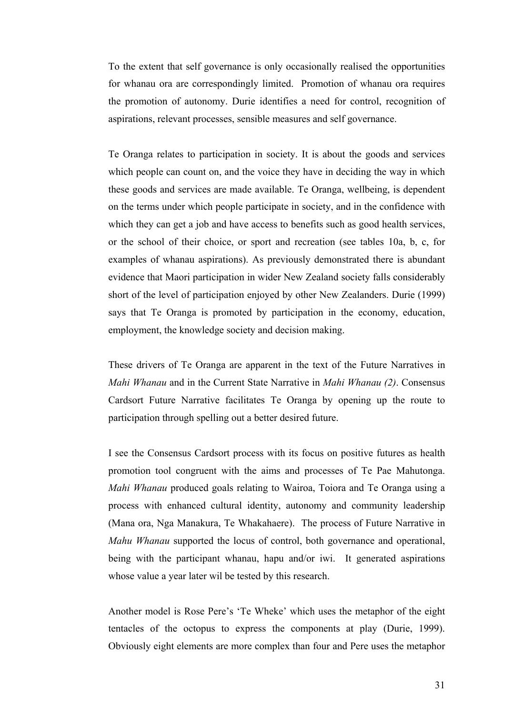To the extent that self governance is only occasionally realised the opportunities for whanau ora are correspondingly limited. Promotion of whanau ora requires the promotion of autonomy. Durie identifies a need for control, recognition of aspirations, relevant processes, sensible measures and self governance.

Te Oranga relates to participation in society. It is about the goods and services which people can count on, and the voice they have in deciding the way in which these goods and services are made available. Te Oranga, wellbeing, is dependent on the terms under which people participate in society, and in the confidence with which they can get a job and have access to benefits such as good health services, or the school of their choice, or sport and recreation (see tables 10a, b, c, for examples of whanau aspirations). As previously demonstrated there is abundant evidence that Maori participation in wider New Zealand society falls considerably short of the level of participation enjoyed by other New Zealanders. Durie (1999) says that Te Oranga is promoted by participation in the economy, education, employment, the knowledge society and decision making.

These drivers of Te Oranga are apparent in the text of the Future Narratives in *Mahi Whanau* and in the Current State Narrative in *Mahi Whanau (2)*. Consensus Cardsort Future Narrative facilitates Te Oranga by opening up the route to participation through spelling out a better desired future.

I see the Consensus Cardsort process with its focus on positive futures as health promotion tool congruent with the aims and processes of Te Pae Mahutonga. *Mahi Whanau* produced goals relating to Wairoa, Toiora and Te Oranga using a process with enhanced cultural identity, autonomy and community leadership (Mana ora, Nga Manakura, Te Whakahaere). The process of Future Narrative in *Mahu Whanau* supported the locus of control, both governance and operational, being with the participant whanau, hapu and/or iwi. It generated aspirations whose value a year later wil be tested by this research.

Another model is Rose Pere's 'Te Wheke' which uses the metaphor of the eight tentacles of the octopus to express the components at play (Durie, 1999). Obviously eight elements are more complex than four and Pere uses the metaphor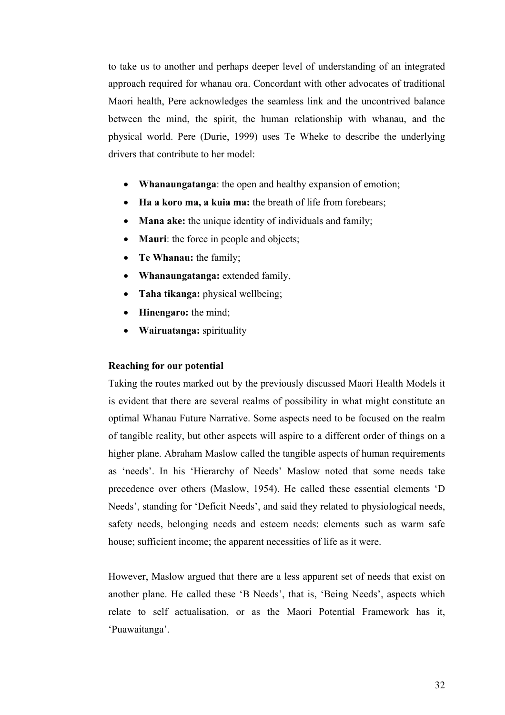to take us to another and perhaps deeper level of understanding of an integrated approach required for whanau ora. Concordant with other advocates of traditional Maori health, Pere acknowledges the seamless link and the uncontrived balance between the mind, the spirit, the human relationship with whanau, and the physical world. Pere (Durie, 1999) uses Te Wheke to describe the underlying drivers that contribute to her model:

- **Whanaungatanga**: the open and healthy expansion of emotion;
- **Ha a koro ma, a kuia ma:** the breath of life from forebears;
- **Mana ake:** the unique identity of individuals and family;
- **Mauri**: the force in people and objects;
- **Te Whanau:** the family;
- **Whanaungatanga:** extended family,
- **Taha tikanga:** physical wellbeing;
- **Hinengaro:** the mind;
- **Wairuatanga:** spirituality

## **Reaching for our potential**

Taking the routes marked out by the previously discussed Maori Health Models it is evident that there are several realms of possibility in what might constitute an optimal Whanau Future Narrative. Some aspects need to be focused on the realm of tangible reality, but other aspects will aspire to a different order of things on a higher plane. Abraham Maslow called the tangible aspects of human requirements as 'needs'. In his 'Hierarchy of Needs' Maslow noted that some needs take precedence over others (Maslow, 1954). He called these essential elements 'D Needs', standing for 'Deficit Needs', and said they related to physiological needs, safety needs, belonging needs and esteem needs: elements such as warm safe house; sufficient income; the apparent necessities of life as it were.

However, Maslow argued that there are a less apparent set of needs that exist on another plane. He called these 'B Needs', that is, 'Being Needs', aspects which relate to self actualisation, or as the Maori Potential Framework has it, 'Puawaitanga'.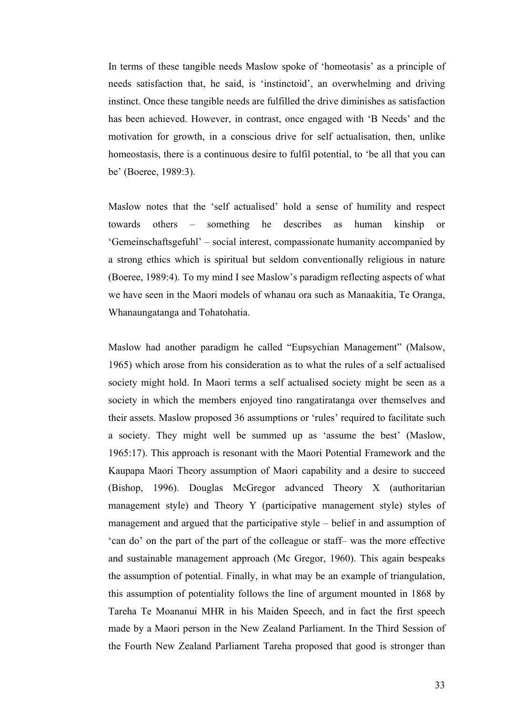In terms of these tangible needs Maslow spoke of 'homeotasis' as a principle of needs satisfaction that, he said, is 'instinctoid', an overwhelming and driving instinct. Once these tangible needs are fulfilled the drive diminishes as satisfaction has been achieved. However, in contrast, once engaged with 'B Needs' and the motivation for growth, in a conscious drive for self actualisation, then, unlike homeostasis, there is a continuous desire to fulfil potential, to 'be all that you can be' (Boeree, 1989:3).

Maslow notes that the 'self actualised' hold a sense of humility and respect towards others – something he describes as human kinship or 'Gemeinschaftsgefuhl' – social interest, compassionate humanity accompanied by a strong ethics which is spiritual but seldom conventionally religious in nature (Boeree, 1989:4). To my mind I see Maslow's paradigm reflecting aspects of what we have seen in the Maori models of whanau ora such as Manaakitia, Te Oranga, Whanaungatanga and Tohatohatia.

Maslow had another paradigm he called "Eupsychian Management" (Malsow, 1965) which arose from his consideration as to what the rules of a self actualised society might hold. In Maori terms a self actualised society might be seen as a society in which the members enjoyed tino rangatiratanga over themselves and their assets. Maslow proposed 36 assumptions or 'rules' required to facilitate such a society. They might well be summed up as 'assume the best' (Maslow, 1965:17). This approach is resonant with the Maori Potential Framework and the Kaupapa Maori Theory assumption of Maori capability and a desire to succeed (Bishop, 1996). Douglas McGregor advanced Theory X (authoritarian management style) and Theory Y (participative management style) styles of management and argued that the participative style – belief in and assumption of 'can do' on the part of the part of the colleague or staff– was the more effective and sustainable management approach (Mc Gregor, 1960). This again bespeaks the assumption of potential. Finally, in what may be an example of triangulation, this assumption of potentiality follows the line of argument mounted in 1868 by Tareha Te Moananui MHR in his Maiden Speech, and in fact the first speech made by a Maori person in the New Zealand Parliament. In the Third Session of the Fourth New Zealand Parliament Tareha proposed that good is stronger than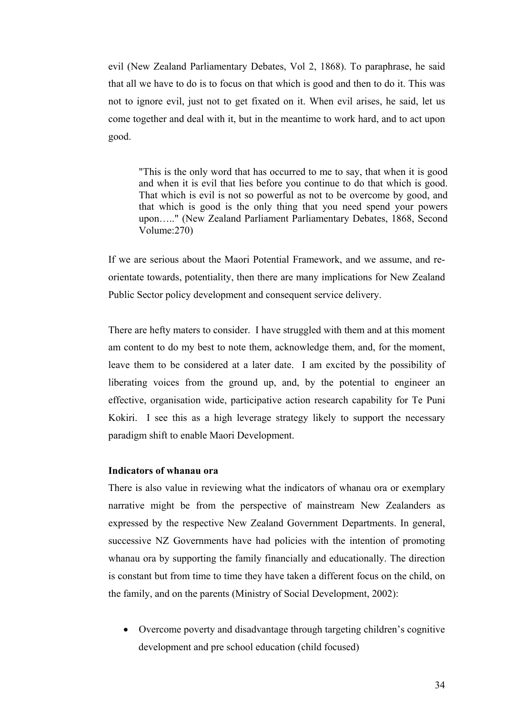evil (New Zealand Parliamentary Debates, Vol 2, 1868). To paraphrase, he said that all we have to do is to focus on that which is good and then to do it. This was not to ignore evil, just not to get fixated on it. When evil arises, he said, let us come together and deal with it, but in the meantime to work hard, and to act upon good.

"This is the only word that has occurred to me to say, that when it is good and when it is evil that lies before you continue to do that which is good. That which is evil is not so powerful as not to be overcome by good, and that which is good is the only thing that you need spend your powers upon....." (New Zealand Parliament Parliamentary Debates, 1868, Second Volume:270)

If we are serious about the Maori Potential Framework, and we assume, and reorientate towards, potentiality, then there are many implications for New Zealand Public Sector policy development and consequent service delivery.

There are hefty maters to consider. I have struggled with them and at this moment am content to do my best to note them, acknowledge them, and, for the moment, leave them to be considered at a later date. I am excited by the possibility of liberating voices from the ground up, and, by the potential to engineer an effective, organisation wide, participative action research capability for Te Puni Kokiri. I see this as a high leverage strategy likely to support the necessary paradigm shift to enable Maori Development.

## **Indicators of whanau ora**

There is also value in reviewing what the indicators of whanau ora or exemplary narrative might be from the perspective of mainstream New Zealanders as expressed by the respective New Zealand Government Departments. In general, successive NZ Governments have had policies with the intention of promoting whanau ora by supporting the family financially and educationally. The direction is constant but from time to time they have taken a different focus on the child, on the family, and on the parents (Ministry of Social Development, 2002):

• Overcome poverty and disadvantage through targeting children's cognitive development and pre school education (child focused)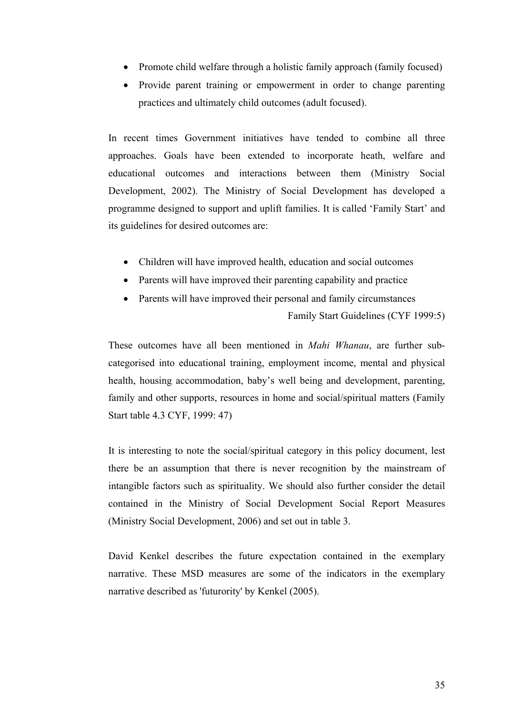- Promote child welfare through a holistic family approach (family focused)
- Provide parent training or empowerment in order to change parenting practices and ultimately child outcomes (adult focused).

In recent times Government initiatives have tended to combine all three approaches. Goals have been extended to incorporate heath, welfare and educational outcomes and interactions between them (Ministry Social Development, 2002). The Ministry of Social Development has developed a programme designed to support and uplift families. It is called 'Family Start' and its guidelines for desired outcomes are:

- Children will have improved health, education and social outcomes
- Parents will have improved their parenting capability and practice
- Parents will have improved their personal and family circumstances Family Start Guidelines (CYF 1999:5)

These outcomes have all been mentioned in *Mahi Whanau*, are further subcategorised into educational training, employment income, mental and physical health, housing accommodation, baby's well being and development, parenting, family and other supports, resources in home and social/spiritual matters (Family Start table 4.3 CYF, 1999: 47)

It is interesting to note the social/spiritual category in this policy document, lest there be an assumption that there is never recognition by the mainstream of intangible factors such as spirituality. We should also further consider the detail contained in the Ministry of Social Development Social Report Measures (Ministry Social Development, 2006) and set out in table 3.

David Kenkel describes the future expectation contained in the exemplary narrative. These MSD measures are some of the indicators in the exemplary narrative described as 'futurority' by Kenkel (2005).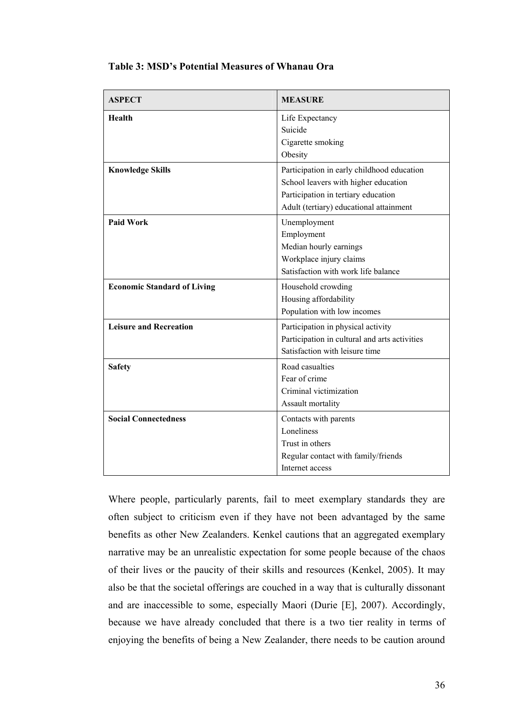| <b>ASPECT</b>                      | <b>MEASURE</b>                                                                                                                                                       |
|------------------------------------|----------------------------------------------------------------------------------------------------------------------------------------------------------------------|
| <b>Health</b>                      | Life Expectancy<br>Suicide<br>Cigarette smoking<br>Obesity                                                                                                           |
| <b>Knowledge Skills</b>            | Participation in early childhood education<br>School leavers with higher education<br>Participation in tertiary education<br>Adult (tertiary) educational attainment |
| <b>Paid Work</b>                   | Unemployment<br>Employment<br>Median hourly earnings<br>Workplace injury claims<br>Satisfaction with work life balance                                               |
| <b>Economic Standard of Living</b> | Household crowding<br>Housing affordability<br>Population with low incomes                                                                                           |
| <b>Leisure and Recreation</b>      | Participation in physical activity<br>Participation in cultural and arts activities<br>Satisfaction with leisure time                                                |
| <b>Safety</b>                      | Road casualties<br>Fear of crime<br>Criminal victimization<br>Assault mortality                                                                                      |
| <b>Social Connectedness</b>        | Contacts with parents<br>Loneliness<br>Trust in others<br>Regular contact with family/friends<br>Internet access                                                     |

## **Table 3: MSD's Potential Measures of Whanau Ora**

Where people, particularly parents, fail to meet exemplary standards they are often subject to criticism even if they have not been advantaged by the same benefits as other New Zealanders. Kenkel cautions that an aggregated exemplary narrative may be an unrealistic expectation for some people because of the chaos of their lives or the paucity of their skills and resources (Kenkel, 2005). It may also be that the societal offerings are couched in a way that is culturally dissonant and are inaccessible to some, especially Maori (Durie [E], 2007). Accordingly, because we have already concluded that there is a two tier reality in terms of enjoying the benefits of being a New Zealander, there needs to be caution around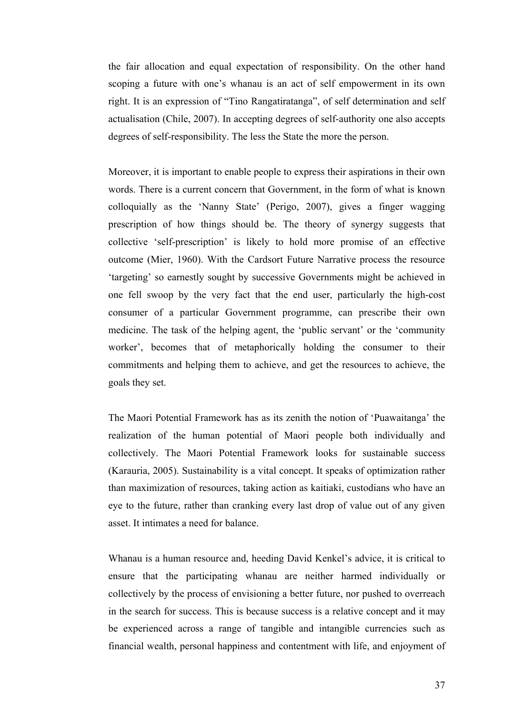the fair allocation and equal expectation of responsibility. On the other hand scoping a future with one's whanau is an act of self empowerment in its own right. It is an expression of "Tino Rangatiratanga", of self determination and self actualisation (Chile, 2007). In accepting degrees of self-authority one also accepts degrees of self-responsibility. The less the State the more the person.

Moreover, it is important to enable people to express their aspirations in their own words. There is a current concern that Government, in the form of what is known colloquially as the 'Nanny State' (Perigo, 2007), gives a finger wagging prescription of how things should be. The theory of synergy suggests that collective 'self-prescription' is likely to hold more promise of an effective outcome (Mier, 1960). With the Cardsort Future Narrative process the resource 'targeting' so earnestly sought by successive Governments might be achieved in one fell swoop by the very fact that the end user, particularly the high-cost consumer of a particular Government programme, can prescribe their own medicine. The task of the helping agent, the 'public servant' or the 'community worker', becomes that of metaphorically holding the consumer to their commitments and helping them to achieve, and get the resources to achieve, the goals they set.

The Maori Potential Framework has as its zenith the notion of 'Puawaitanga' the realization of the human potential of Maori people both individually and collectively. The Maori Potential Framework looks for sustainable success (Karauria, 2005). Sustainability is a vital concept. It speaks of optimization rather than maximization of resources, taking action as kaitiaki, custodians who have an eye to the future, rather than cranking every last drop of value out of any given asset. It intimates a need for balance.

Whanau is a human resource and, heeding David Kenkel's advice, it is critical to ensure that the participating whanau are neither harmed individually or collectively by the process of envisioning a better future, nor pushed to overreach in the search for success. This is because success is a relative concept and it may be experienced across a range of tangible and intangible currencies such as financial wealth, personal happiness and contentment with life, and enjoyment of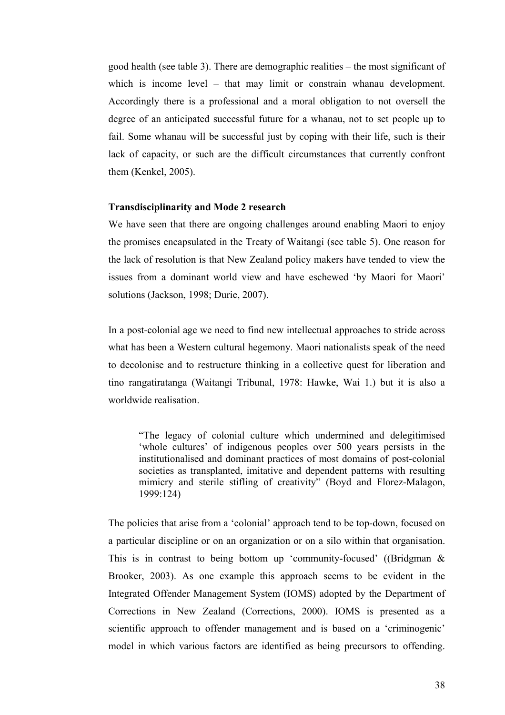good health (see table 3). There are demographic realities – the most significant of which is income level – that may limit or constrain whanau development. Accordingly there is a professional and a moral obligation to not oversell the degree of an anticipated successful future for a whanau, not to set people up to fail. Some whanau will be successful just by coping with their life, such is their lack of capacity, or such are the difficult circumstances that currently confront them (Kenkel, 2005).

### **Transdisciplinarity and Mode 2 research**

We have seen that there are ongoing challenges around enabling Maori to enjoy the promises encapsulated in the Treaty of Waitangi (see table 5). One reason for the lack of resolution is that New Zealand policy makers have tended to view the issues from a dominant world view and have eschewed 'by Maori for Maori' solutions (Jackson, 1998; Durie, 2007).

In a post-colonial age we need to find new intellectual approaches to stride across what has been a Western cultural hegemony. Maori nationalists speak of the need to decolonise and to restructure thinking in a collective quest for liberation and tino rangatiratanga (Waitangi Tribunal, 1978: Hawke, Wai 1.) but it is also a worldwide realisation.

"The legacy of colonial culture which undermined and delegitimised 'whole cultures' of indigenous peoples over 500 years persists in the institutionalised and dominant practices of most domains of post-colonial societies as transplanted, imitative and dependent patterns with resulting mimicry and sterile stifling of creativity" (Boyd and Florez-Malagon, 1999:124)

The policies that arise from a 'colonial' approach tend to be top-down, focused on a particular discipline or on an organization or on a silo within that organisation. This is in contrast to being bottom up 'community-focused' ((Bridgman & Brooker, 2003). As one example this approach seems to be evident in the Integrated Offender Management System (IOMS) adopted by the Department of Corrections in New Zealand (Corrections, 2000). IOMS is presented as a scientific approach to offender management and is based on a 'criminogenic' model in which various factors are identified as being precursors to offending.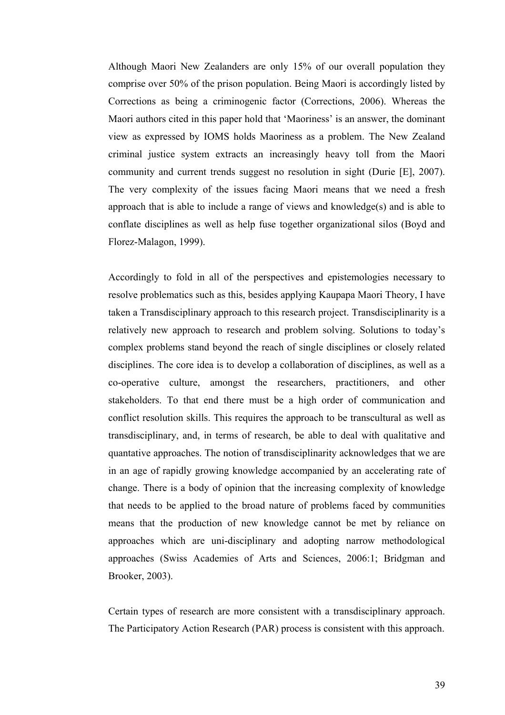Although Maori New Zealanders are only 15% of our overall population they comprise over 50% of the prison population. Being Maori is accordingly listed by Corrections as being a criminogenic factor (Corrections, 2006). Whereas the Maori authors cited in this paper hold that 'Maoriness' is an answer, the dominant view as expressed by IOMS holds Maoriness as a problem. The New Zealand criminal justice system extracts an increasingly heavy toll from the Maori community and current trends suggest no resolution in sight (Durie [E], 2007). The very complexity of the issues facing Maori means that we need a fresh approach that is able to include a range of views and knowledge(s) and is able to conflate disciplines as well as help fuse together organizational silos (Boyd and Florez-Malagon, 1999).

Accordingly to fold in all of the perspectives and epistemologies necessary to resolve problematics such as this, besides applying Kaupapa Maori Theory, I have taken a Transdisciplinary approach to this research project. Transdisciplinarity is a relatively new approach to research and problem solving. Solutions to today's complex problems stand beyond the reach of single disciplines or closely related disciplines. The core idea is to develop a collaboration of disciplines, as well as a co-operative culture, amongst the researchers, practitioners, and other stakeholders. To that end there must be a high order of communication and conflict resolution skills. This requires the approach to be transcultural as well as transdisciplinary, and, in terms of research, be able to deal with qualitative and quantative approaches. The notion of transdisciplinarity acknowledges that we are in an age of rapidly growing knowledge accompanied by an accelerating rate of change. There is a body of opinion that the increasing complexity of knowledge that needs to be applied to the broad nature of problems faced by communities means that the production of new knowledge cannot be met by reliance on approaches which are uni-disciplinary and adopting narrow methodological approaches (Swiss Academies of Arts and Sciences, 2006:1; Bridgman and Brooker, 2003).

Certain types of research are more consistent with a transdisciplinary approach. The Participatory Action Research (PAR) process is consistent with this approach.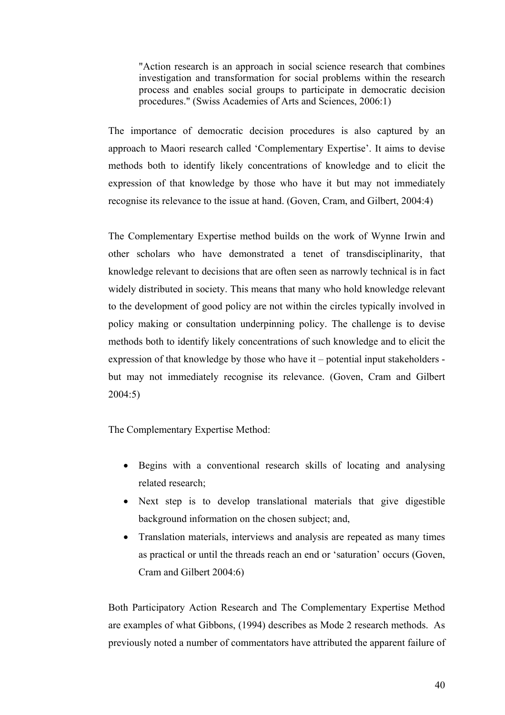"Action research is an approach in social science research that combines investigation and transformation for social problems within the research process and enables social groups to participate in democratic decision procedures." (Swiss Academies of Arts and Sciences, 2006:1)

The importance of democratic decision procedures is also captured by an approach to Maori research called 'Complementary Expertise'. It aims to devise methods both to identify likely concentrations of knowledge and to elicit the expression of that knowledge by those who have it but may not immediately recognise its relevance to the issue at hand. (Goven, Cram, and Gilbert, 2004:4)

The Complementary Expertise method builds on the work of Wynne Irwin and other scholars who have demonstrated a tenet of transdisciplinarity, that knowledge relevant to decisions that are often seen as narrowly technical is in fact widely distributed in society. This means that many who hold knowledge relevant to the development of good policy are not within the circles typically involved in policy making or consultation underpinning policy. The challenge is to devise methods both to identify likely concentrations of such knowledge and to elicit the expression of that knowledge by those who have it – potential input stakeholders but may not immediately recognise its relevance. (Goven, Cram and Gilbert 2004:5)

The Complementary Expertise Method:

- Begins with a conventional research skills of locating and analysing related research;
- Next step is to develop translational materials that give digestible background information on the chosen subject; and,
- Translation materials, interviews and analysis are repeated as many times as practical or until the threads reach an end or 'saturation' occurs (Goven, Cram and Gilbert 2004:6)

Both Participatory Action Research and The Complementary Expertise Method are examples of what Gibbons, (1994) describes as Mode 2 research methods. As previously noted a number of commentators have attributed the apparent failure of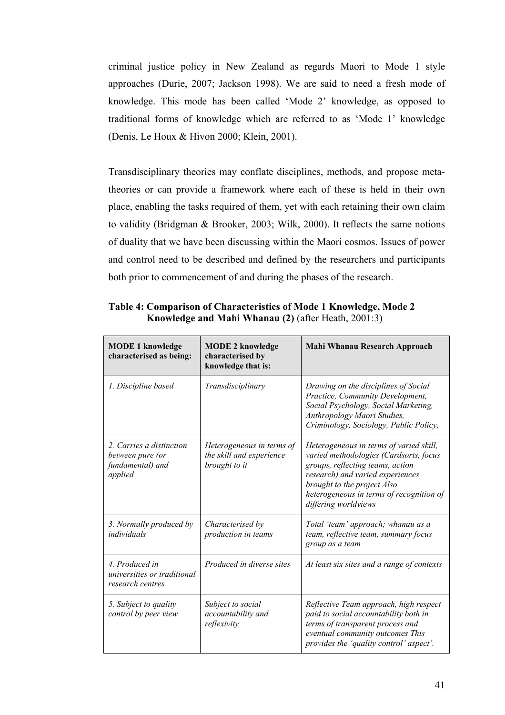criminal justice policy in New Zealand as regards Maori to Mode 1 style approaches (Durie, 2007; Jackson 1998). We are said to need a fresh mode of knowledge. This mode has been called 'Mode 2' knowledge, as opposed to traditional forms of knowledge which are referred to as 'Mode 1' knowledge (Denis, Le Houx & Hivon 2000; Klein, 2001).

Transdisciplinary theories may conflate disciplines, methods, and propose metatheories or can provide a framework where each of these is held in their own place, enabling the tasks required of them, yet with each retaining their own claim to validity (Bridgman & Brooker, 2003; Wilk, 2000). It reflects the same notions of duality that we have been discussing within the Maori cosmos. Issues of power and control need to be described and defined by the researchers and participants both prior to commencement of and during the phases of the research.

| <b>MODE 1 knowledge</b><br>characterised as being:                          | <b>MODE 2 knowledge</b><br>characterised by<br>knowledge that is:      | <b>Mahi Whanau Research Approach</b>                                                                                                                                                                                                                         |
|-----------------------------------------------------------------------------|------------------------------------------------------------------------|--------------------------------------------------------------------------------------------------------------------------------------------------------------------------------------------------------------------------------------------------------------|
| 1. Discipline based                                                         | Transdisciplinary                                                      | Drawing on the disciplines of Social<br>Practice, Community Development,<br>Social Psychology, Social Marketing,<br>Anthropology Maori Studies,<br>Criminology, Sociology, Public Policy,                                                                    |
| 2. Carries a distinction<br>between pure (or<br>fundamental) and<br>applied | Heterogeneous in terms of<br>the skill and experience<br>brought to it | Heterogeneous in terms of varied skill,<br>varied methodologies (Cardsorts, focus<br>groups, reflecting teams, action<br>research) and varied experiences<br>brought to the project Also<br>heterogeneous in terms of recognition of<br>differing worldviews |
| 3. Normally produced by<br>individuals                                      | Characterised by<br>production in teams                                | Total 'team' approach; whanau as a<br>team, reflective team, summary focus<br>group as a team                                                                                                                                                                |
| 4. Produced in<br>universities or traditional<br>research centres           | Produced in diverse sites                                              | At least six sites and a range of contexts                                                                                                                                                                                                                   |
| 5. Subject to quality<br>control by peer view                               | Subject to social<br>accountability and<br>reflexivity                 | Reflective Team approach, high respect<br>paid to social accountability both in<br>terms of transparent process and<br>eventual community outcomes This<br>provides the 'quality control' aspect'.                                                           |

**Table 4: Comparison of Characteristics of Mode 1 Knowledge, Mode 2 Knowledge and Mahi Whanau (2)** (after Heath, 2001:3)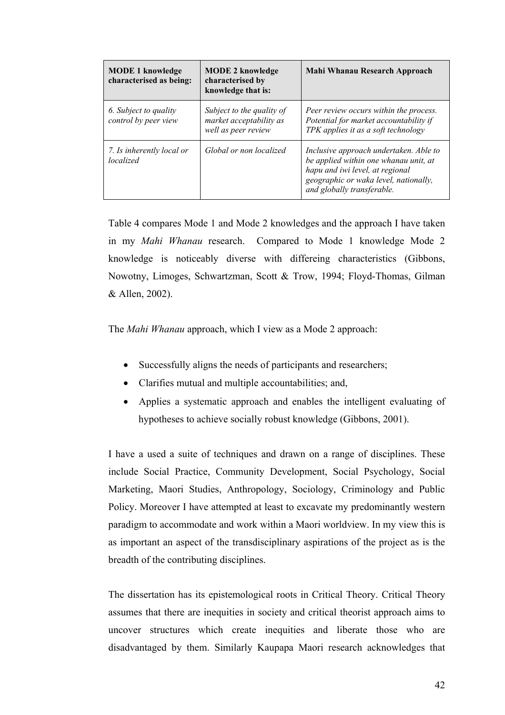| <b>MODE 1 knowledge</b><br>characterised as being: | <b>MODE 2 knowledge</b><br>characterised by<br>knowledge that is:           | Mahi Whanau Research Approach                                                                                                                                                             |
|----------------------------------------------------|-----------------------------------------------------------------------------|-------------------------------------------------------------------------------------------------------------------------------------------------------------------------------------------|
| 6. Subject to quality<br>control by peer view      | Subject to the quality of<br>market acceptability as<br>well as peer review | Peer review occurs within the process.<br>Potential for market accountability if<br>TPK applies it as a soft technology                                                                   |
| 7. Is inherently local or<br>localized             | Global or non localized                                                     | Inclusive approach undertaken. Able to<br>be applied within one whanau unit, at<br>hapu and iwi level, at regional<br>geographic or waka level, nationally,<br>and globally transferable. |

Table 4 compares Mode 1 and Mode 2 knowledges and the approach I have taken in my *Mahi Whanau* research. Compared to Mode 1 knowledge Mode 2 knowledge is noticeably diverse with differeing characteristics (Gibbons, Nowotny, Limoges, Schwartzman, Scott & Trow, 1994; Floyd-Thomas, Gilman & Allen, 2002).

The *Mahi Whanau* approach, which I view as a Mode 2 approach:

- Successfully aligns the needs of participants and researchers;
- Clarifies mutual and multiple accountabilities; and,
- Applies a systematic approach and enables the intelligent evaluating of hypotheses to achieve socially robust knowledge (Gibbons, 2001).

I have a used a suite of techniques and drawn on a range of disciplines. These include Social Practice, Community Development, Social Psychology, Social Marketing, Maori Studies, Anthropology, Sociology, Criminology and Public Policy. Moreover I have attempted at least to excavate my predominantly western paradigm to accommodate and work within a Maori worldview. In my view this is as important an aspect of the transdisciplinary aspirations of the project as is the breadth of the contributing disciplines.

The dissertation has its epistemological roots in Critical Theory. Critical Theory assumes that there are inequities in society and critical theorist approach aims to uncover structures which create inequities and liberate those who are disadvantaged by them. Similarly Kaupapa Maori research acknowledges that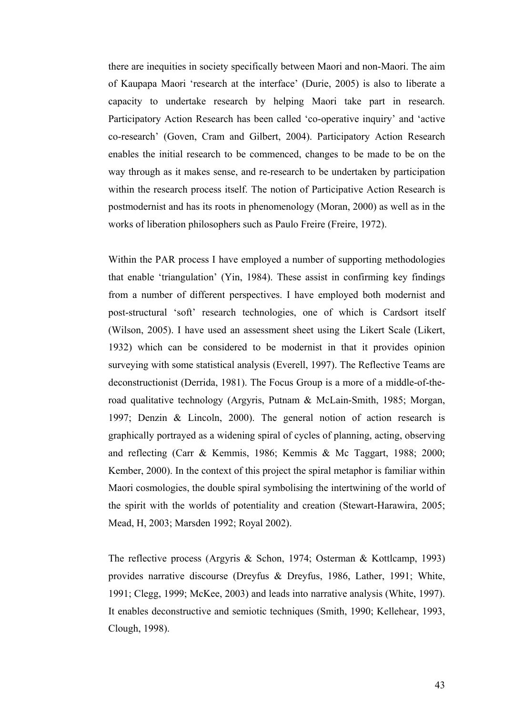there are inequities in society specifically between Maori and non-Maori. The aim of Kaupapa Maori 'research at the interface' (Durie, 2005) is also to liberate a capacity to undertake research by helping Maori take part in research. Participatory Action Research has been called 'co-operative inquiry' and 'active co-research' (Goven, Cram and Gilbert, 2004). Participatory Action Research enables the initial research to be commenced, changes to be made to be on the way through as it makes sense, and re-research to be undertaken by participation within the research process itself. The notion of Participative Action Research is postmodernist and has its roots in phenomenology (Moran, 2000) as well as in the works of liberation philosophers such as Paulo Freire (Freire, 1972).

Within the PAR process I have employed a number of supporting methodologies that enable 'triangulation' (Yin, 1984). These assist in confirming key findings from a number of different perspectives. I have employed both modernist and post-structural 'soft' research technologies, one of which is Cardsort itself (Wilson, 2005). I have used an assessment sheet using the Likert Scale (Likert, 1932) which can be considered to be modernist in that it provides opinion surveying with some statistical analysis (Everell, 1997). The Reflective Teams are deconstructionist (Derrida, 1981). The Focus Group is a more of a middle-of-theroad qualitative technology (Argyris, Putnam & McLain-Smith, 1985; Morgan, 1997; Denzin & Lincoln, 2000). The general notion of action research is graphically portrayed as a widening spiral of cycles of planning, acting, observing and reflecting (Carr & Kemmis, 1986; Kemmis & Mc Taggart, 1988; 2000; Kember, 2000). In the context of this project the spiral metaphor is familiar within Maori cosmologies, the double spiral symbolising the intertwining of the world of the spirit with the worlds of potentiality and creation (Stewart-Harawira, 2005; Mead, H, 2003; Marsden 1992; Royal 2002).

The reflective process (Argyris & Schon, 1974; Osterman & Kottlcamp, 1993) provides narrative discourse (Dreyfus & Dreyfus, 1986, Lather, 1991; White, 1991; Clegg, 1999; McKee, 2003) and leads into narrative analysis (White, 1997). It enables deconstructive and semiotic techniques (Smith, 1990; Kellehear, 1993, Clough, 1998).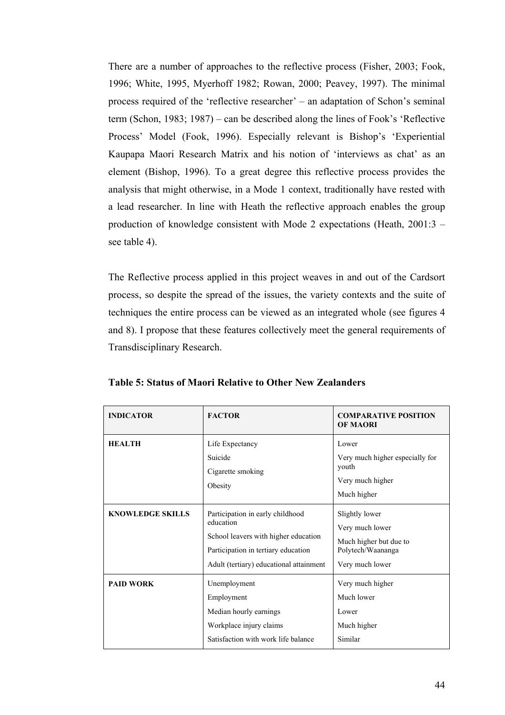There are a number of approaches to the reflective process (Fisher, 2003; Fook, 1996; White, 1995, Myerhoff 1982; Rowan, 2000; Peavey, 1997). The minimal process required of the 'reflective researcher' – an adaptation of Schon's seminal term (Schon, 1983; 1987) – can be described along the lines of Fook's 'Reflective Process' Model (Fook, 1996). Especially relevant is Bishop's 'Experiential Kaupapa Maori Research Matrix and his notion of 'interviews as chat' as an element (Bishop, 1996). To a great degree this reflective process provides the analysis that might otherwise, in a Mode 1 context, traditionally have rested with a lead researcher. In line with Heath the reflective approach enables the group production of knowledge consistent with Mode 2 expectations (Heath, 2001:3 – see table 4).

The Reflective process applied in this project weaves in and out of the Cardsort process, so despite the spread of the issues, the variety contexts and the suite of techniques the entire process can be viewed as an integrated whole (see figures 4 and 8). I propose that these features collectively meet the general requirements of Transdisciplinary Research.

| <b>INDICATOR</b>        | <b>FACTOR</b>                                                                                                                                                           | <b>COMPARATIVE POSITION</b><br><b>OF MAORI</b>                                                      |
|-------------------------|-------------------------------------------------------------------------------------------------------------------------------------------------------------------------|-----------------------------------------------------------------------------------------------------|
| <b>HEALTH</b>           | Life Expectancy<br>Suicide<br>Cigarette smoking<br>Obesity                                                                                                              | Lower<br>Very much higher especially for<br>youth<br>Very much higher<br>Much higher                |
| <b>KNOWLEDGE SKILLS</b> | Participation in early childhood<br>education<br>School leavers with higher education<br>Participation in tertiary education<br>Adult (tertiary) educational attainment | Slightly lower<br>Very much lower<br>Much higher but due to<br>Polytech/Waananga<br>Very much lower |
| <b>PAID WORK</b>        | Unemployment<br>Employment<br>Median hourly earnings<br>Workplace injury claims<br>Satisfaction with work life balance                                                  | Very much higher<br>Much lower<br>Lower<br>Much higher<br>Similar                                   |

**Table 5: Status of Maori Relative to Other New Zealanders**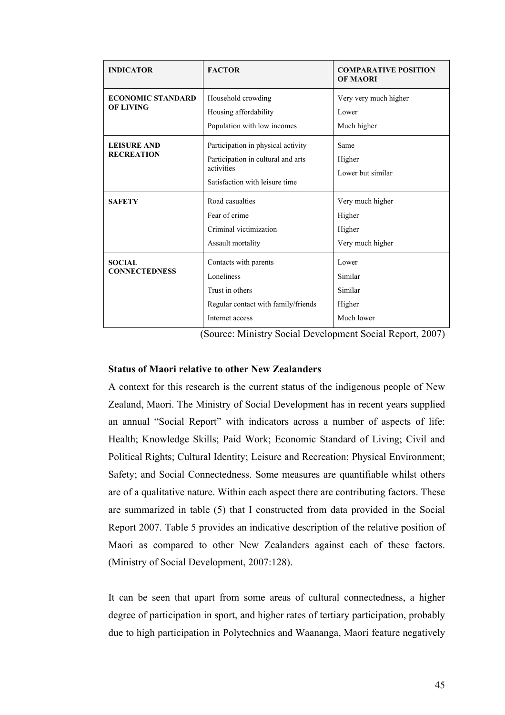| <b>INDICATOR</b>                             | <b>FACTOR</b>                                                                                                            | <b>COMPARATIVE POSITION</b><br><b>OF MAORI</b>           |
|----------------------------------------------|--------------------------------------------------------------------------------------------------------------------------|----------------------------------------------------------|
| <b>ECONOMIC STANDARD</b><br><b>OF LIVING</b> | Household crowding<br>Housing affordability<br>Population with low incomes                                               | Very very much higher<br>Lower<br>Much higher            |
| <b>LEISURE AND</b><br><b>RECREATION</b>      | Participation in physical activity<br>Participation in cultural and arts<br>activities<br>Satisfaction with leisure time | Same<br>Higher<br>Lower but similar                      |
| <b>SAFETY</b>                                | Road casualties<br>Fear of crime<br>Criminal victimization<br>Assault mortality                                          | Very much higher<br>Higher<br>Higher<br>Very much higher |
| <b>SOCIAL</b><br><b>CONNECTEDNESS</b>        | Contacts with parents<br>Loneliness<br>Trust in others<br>Regular contact with family/friends<br>Internet access         | Lower<br>Similar<br>Similar<br>Higher<br>Much lower      |

(Source: Ministry Social Development Social Report, 2007)

## **Status of Maori relative to other New Zealanders**

A context for this research is the current status of the indigenous people of New Zealand, Maori. The Ministry of Social Development has in recent years supplied an annual "Social Report" with indicators across a number of aspects of life: Health; Knowledge Skills; Paid Work; Economic Standard of Living; Civil and Political Rights; Cultural Identity; Leisure and Recreation; Physical Environment; Safety; and Social Connectedness. Some measures are quantifiable whilst others are of a qualitative nature. Within each aspect there are contributing factors. These are summarized in table (5) that I constructed from data provided in the Social Report 2007. Table 5 provides an indicative description of the relative position of Maori as compared to other New Zealanders against each of these factors. (Ministry of Social Development, 2007:128).

It can be seen that apart from some areas of cultural connectedness, a higher degree of participation in sport, and higher rates of tertiary participation, probably due to high participation in Polytechnics and Waananga, Maori feature negatively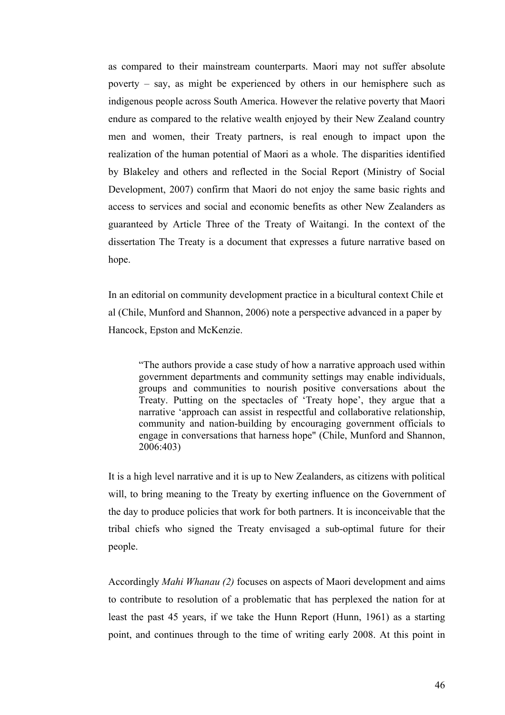as compared to their mainstream counterparts. Maori may not suffer absolute poverty – say, as might be experienced by others in our hemisphere such as indigenous people across South America. However the relative poverty that Maori endure as compared to the relative wealth enjoyed by their New Zealand country men and women, their Treaty partners, is real enough to impact upon the realization of the human potential of Maori as a whole. The disparities identified by Blakeley and others and reflected in the Social Report (Ministry of Social Development, 2007) confirm that Maori do not enjoy the same basic rights and access to services and social and economic benefits as other New Zealanders as guaranteed by Article Three of the Treaty of Waitangi. In the context of the dissertation The Treaty is a document that expresses a future narrative based on hope.

In an editorial on community development practice in a bicultural context Chile et al (Chile, Munford and Shannon, 2006) note a perspective advanced in a paper by Hancock, Epston and McKenzie.

"The authors provide a case study of how a narrative approach used within government departments and community settings may enable individuals, groups and communities to nourish positive conversations about the Treaty. Putting on the spectacles of 'Treaty hope', they argue that a narrative 'approach can assist in respectful and collaborative relationship, community and nation-building by encouraging government officials to engage in conversations that harness hope" (Chile, Munford and Shannon, 2006:403)

It is a high level narrative and it is up to New Zealanders, as citizens with political will, to bring meaning to the Treaty by exerting influence on the Government of the day to produce policies that work for both partners. It is inconceivable that the tribal chiefs who signed the Treaty envisaged a sub-optimal future for their people.

Accordingly *Mahi Whanau (2)* focuses on aspects of Maori development and aims to contribute to resolution of a problematic that has perplexed the nation for at least the past 45 years, if we take the Hunn Report (Hunn, 1961) as a starting point, and continues through to the time of writing early 2008. At this point in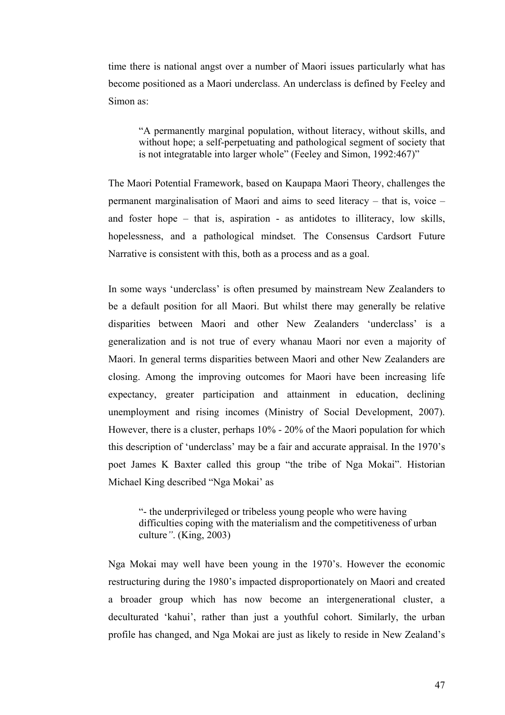time there is national angst over a number of Maori issues particularly what has become positioned as a Maori underclass. An underclass is defined by Feeley and Simon as:

"A permanently marginal population, without literacy, without skills, and without hope; a self-perpetuating and pathological segment of society that is not integratable into larger whole" (Feeley and Simon, 1992:467)"

The Maori Potential Framework, based on Kaupapa Maori Theory, challenges the permanent marginalisation of Maori and aims to seed literacy – that is, voice – and foster hope – that is, aspiration - as antidotes to illiteracy, low skills, hopelessness, and a pathological mindset. The Consensus Cardsort Future Narrative is consistent with this, both as a process and as a goal.

In some ways 'underclass' is often presumed by mainstream New Zealanders to be a default position for all Maori. But whilst there may generally be relative disparities between Maori and other New Zealanders 'underclass' is a generalization and is not true of every whanau Maori nor even a majority of Maori. In general terms disparities between Maori and other New Zealanders are closing. Among the improving outcomes for Maori have been increasing life expectancy, greater participation and attainment in education, declining unemployment and rising incomes (Ministry of Social Development, 2007). However, there is a cluster, perhaps 10% - 20% of the Maori population for which this description of 'underclass' may be a fair and accurate appraisal. In the 1970's poet James K Baxter called this group "the tribe of Nga Mokai". Historian Michael King described "Nga Mokai' as

"- the underprivileged or tribeless young people who were having difficulties coping with the materialism and the competitiveness of urban culture*"*. (King, 2003)

Nga Mokai may well have been young in the 1970's. However the economic restructuring during the 1980's impacted disproportionately on Maori and created a broader group which has now become an intergenerational cluster, a deculturated 'kahui', rather than just a youthful cohort. Similarly, the urban profile has changed, and Nga Mokai are just as likely to reside in New Zealand's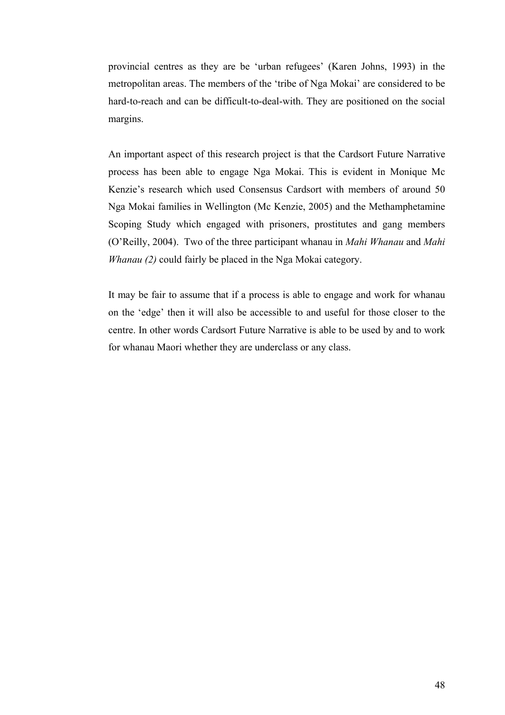provincial centres as they are be 'urban refugees' (Karen Johns, 1993) in the metropolitan areas. The members of the 'tribe of Nga Mokai' are considered to be hard-to-reach and can be difficult-to-deal-with. They are positioned on the social margins.

An important aspect of this research project is that the Cardsort Future Narrative process has been able to engage Nga Mokai. This is evident in Monique Mc Kenzie's research which used Consensus Cardsort with members of around 50 Nga Mokai families in Wellington (Mc Kenzie, 2005) and the Methamphetamine Scoping Study which engaged with prisoners, prostitutes and gang members (O'Reilly, 2004). Two of the three participant whanau in *Mahi Whanau* and *Mahi Whanau (2)* could fairly be placed in the Nga Mokai category.

It may be fair to assume that if a process is able to engage and work for whanau on the 'edge' then it will also be accessible to and useful for those closer to the centre. In other words Cardsort Future Narrative is able to be used by and to work for whanau Maori whether they are underclass or any class.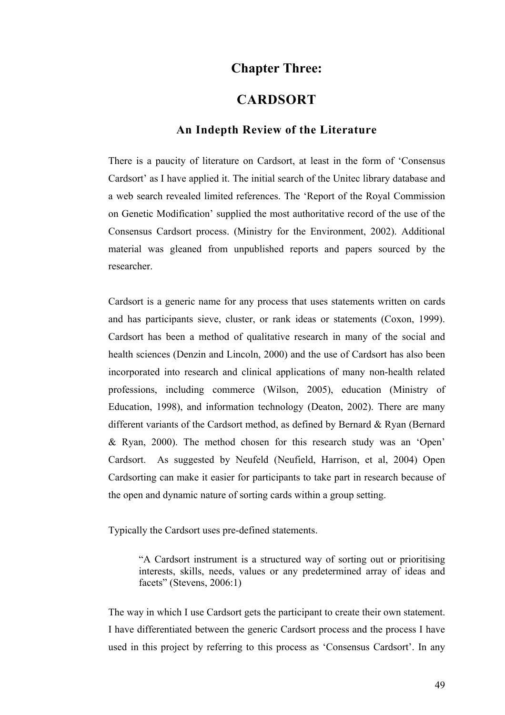# **Chapter Three:**

## **CARDSORT**

## **An Indepth Review of the Literature**

There is a paucity of literature on Cardsort, at least in the form of 'Consensus Cardsort' as I have applied it. The initial search of the Unitec library database and a web search revealed limited references. The 'Report of the Royal Commission on Genetic Modification' supplied the most authoritative record of the use of the Consensus Cardsort process. (Ministry for the Environment, 2002). Additional material was gleaned from unpublished reports and papers sourced by the researcher.

Cardsort is a generic name for any process that uses statements written on cards and has participants sieve, cluster, or rank ideas or statements (Coxon, 1999). Cardsort has been a method of qualitative research in many of the social and health sciences (Denzin and Lincoln, 2000) and the use of Cardsort has also been incorporated into research and clinical applications of many non-health related professions, including commerce (Wilson, 2005), education (Ministry of Education, 1998), and information technology (Deaton, 2002). There are many different variants of the Cardsort method, as defined by Bernard & Ryan (Bernard & Ryan, 2000). The method chosen for this research study was an 'Open' Cardsort. As suggested by Neufeld (Neufield, Harrison, et al, 2004) Open Cardsorting can make it easier for participants to take part in research because of the open and dynamic nature of sorting cards within a group setting.

Typically the Cardsort uses pre-defined statements.

"A Cardsort instrument is a structured way of sorting out or prioritising interests, skills, needs, values or any predetermined array of ideas and facets" (Stevens, 2006:1)

The way in which I use Cardsort gets the participant to create their own statement. I have differentiated between the generic Cardsort process and the process I have used in this project by referring to this process as 'Consensus Cardsort'. In any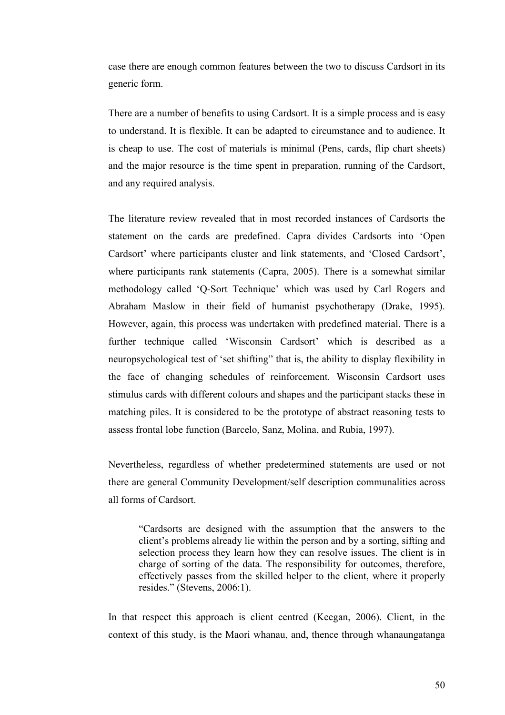case there are enough common features between the two to discuss Cardsort in its generic form.

There are a number of benefits to using Cardsort. It is a simple process and is easy to understand. It is flexible. It can be adapted to circumstance and to audience. It is cheap to use. The cost of materials is minimal (Pens, cards, flip chart sheets) and the major resource is the time spent in preparation, running of the Cardsort, and any required analysis.

The literature review revealed that in most recorded instances of Cardsorts the statement on the cards are predefined. Capra divides Cardsorts into 'Open Cardsort' where participants cluster and link statements, and 'Closed Cardsort', where participants rank statements (Capra, 2005). There is a somewhat similar methodology called 'Q-Sort Technique' which was used by Carl Rogers and Abraham Maslow in their field of humanist psychotherapy (Drake, 1995). However, again, this process was undertaken with predefined material. There is a further technique called 'Wisconsin Cardsort' which is described as a neuropsychological test of 'set shifting" that is, the ability to display flexibility in the face of changing schedules of reinforcement. Wisconsin Cardsort uses stimulus cards with different colours and shapes and the participant stacks these in matching piles. It is considered to be the prototype of abstract reasoning tests to assess frontal lobe function (Barcelo, Sanz, Molina, and Rubia, 1997).

Nevertheless, regardless of whether predetermined statements are used or not there are general Community Development/self description communalities across all forms of Cardsort.

"Cardsorts are designed with the assumption that the answers to the client's problems already lie within the person and by a sorting, sifting and selection process they learn how they can resolve issues. The client is in charge of sorting of the data. The responsibility for outcomes, therefore, effectively passes from the skilled helper to the client, where it properly resides." (Stevens, 2006:1).

In that respect this approach is client centred (Keegan, 2006). Client, in the context of this study, is the Maori whanau, and, thence through whanaungatanga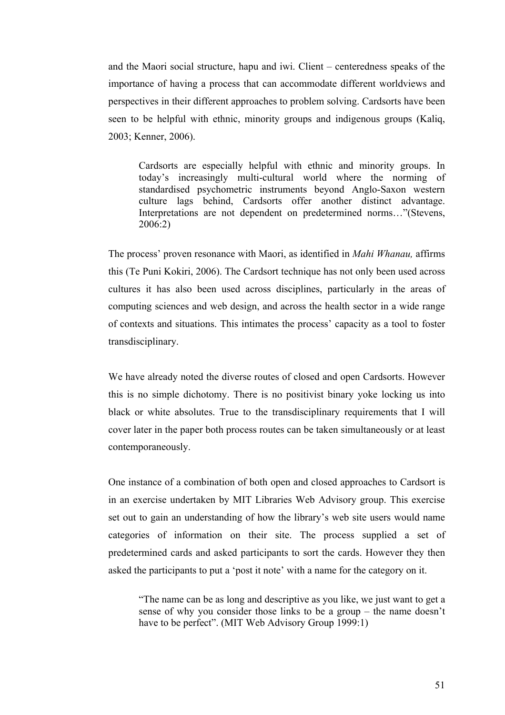and the Maori social structure, hapu and iwi. Client – centeredness speaks of the importance of having a process that can accommodate different worldviews and perspectives in their different approaches to problem solving. Cardsorts have been seen to be helpful with ethnic, minority groups and indigenous groups (Kaliq, 2003; Kenner, 2006).

Cardsorts are especially helpful with ethnic and minority groups. In today's increasingly multi-cultural world where the norming of standardised psychometric instruments beyond Anglo-Saxon western culture lags behind, Cardsorts offer another distinct advantage. Interpretations are not dependent on predetermined norms…"(Stevens, 2006:2)

The process' proven resonance with Maori, as identified in *Mahi Whanau,* affirms this (Te Puni Kokiri, 2006). The Cardsort technique has not only been used across cultures it has also been used across disciplines, particularly in the areas of computing sciences and web design, and across the health sector in a wide range of contexts and situations. This intimates the process' capacity as a tool to foster transdisciplinary.

We have already noted the diverse routes of closed and open Cardsorts. However this is no simple dichotomy. There is no positivist binary yoke locking us into black or white absolutes. True to the transdisciplinary requirements that I will cover later in the paper both process routes can be taken simultaneously or at least contemporaneously.

One instance of a combination of both open and closed approaches to Cardsort is in an exercise undertaken by MIT Libraries Web Advisory group. This exercise set out to gain an understanding of how the library's web site users would name categories of information on their site. The process supplied a set of predetermined cards and asked participants to sort the cards. However they then asked the participants to put a 'post it note' with a name for the category on it.

"The name can be as long and descriptive as you like, we just want to get a sense of why you consider those links to be a group – the name doesn't have to be perfect". (MIT Web Advisory Group 1999:1)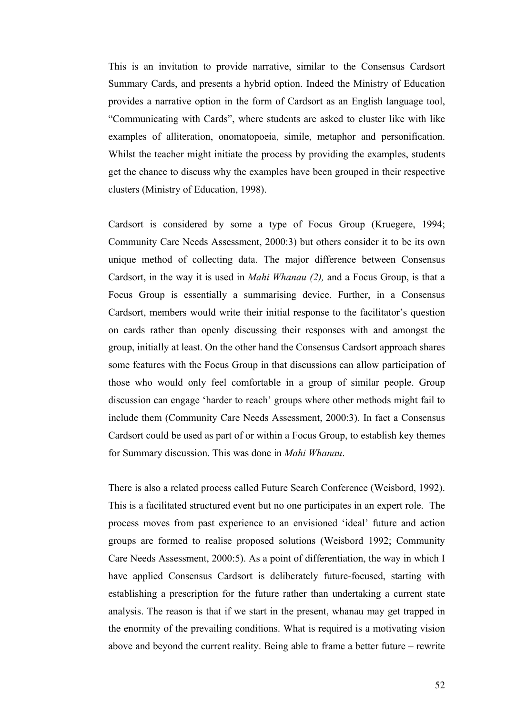This is an invitation to provide narrative, similar to the Consensus Cardsort Summary Cards, and presents a hybrid option. Indeed the Ministry of Education provides a narrative option in the form of Cardsort as an English language tool, "Communicating with Cards", where students are asked to cluster like with like examples of alliteration, onomatopoeia, simile, metaphor and personification. Whilst the teacher might initiate the process by providing the examples, students get the chance to discuss why the examples have been grouped in their respective clusters (Ministry of Education, 1998).

Cardsort is considered by some a type of Focus Group (Kruegere, 1994; Community Care Needs Assessment, 2000:3) but others consider it to be its own unique method of collecting data. The major difference between Consensus Cardsort, in the way it is used in *Mahi Whanau (2),* and a Focus Group, is that a Focus Group is essentially a summarising device. Further, in a Consensus Cardsort, members would write their initial response to the facilitator's question on cards rather than openly discussing their responses with and amongst the group, initially at least. On the other hand the Consensus Cardsort approach shares some features with the Focus Group in that discussions can allow participation of those who would only feel comfortable in a group of similar people. Group discussion can engage 'harder to reach' groups where other methods might fail to include them (Community Care Needs Assessment, 2000:3). In fact a Consensus Cardsort could be used as part of or within a Focus Group, to establish key themes for Summary discussion. This was done in *Mahi Whanau*.

There is also a related process called Future Search Conference (Weisbord, 1992). This is a facilitated structured event but no one participates in an expert role. The process moves from past experience to an envisioned 'ideal' future and action groups are formed to realise proposed solutions (Weisbord 1992; Community Care Needs Assessment, 2000:5). As a point of differentiation, the way in which I have applied Consensus Cardsort is deliberately future-focused, starting with establishing a prescription for the future rather than undertaking a current state analysis. The reason is that if we start in the present, whanau may get trapped in the enormity of the prevailing conditions. What is required is a motivating vision above and beyond the current reality. Being able to frame a better future – rewrite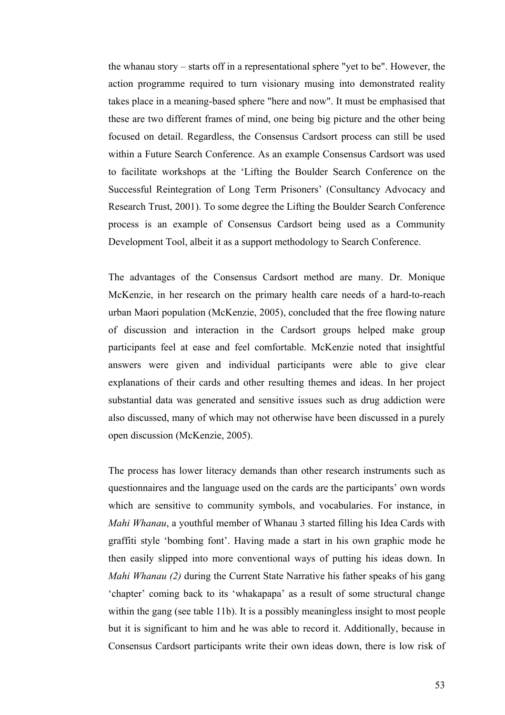the whanau story – starts off in a representational sphere "yet to be". However, the action programme required to turn visionary musing into demonstrated reality takes place in a meaning-based sphere "here and now". It must be emphasised that these are two different frames of mind, one being big picture and the other being focused on detail. Regardless, the Consensus Cardsort process can still be used within a Future Search Conference. As an example Consensus Cardsort was used to facilitate workshops at the 'Lifting the Boulder Search Conference on the Successful Reintegration of Long Term Prisoners' (Consultancy Advocacy and Research Trust, 2001). To some degree the Lifting the Boulder Search Conference process is an example of Consensus Cardsort being used as a Community Development Tool, albeit it as a support methodology to Search Conference.

The advantages of the Consensus Cardsort method are many. Dr. Monique McKenzie, in her research on the primary health care needs of a hard-to-reach urban Maori population (McKenzie, 2005), concluded that the free flowing nature of discussion and interaction in the Cardsort groups helped make group participants feel at ease and feel comfortable. McKenzie noted that insightful answers were given and individual participants were able to give clear explanations of their cards and other resulting themes and ideas. In her project substantial data was generated and sensitive issues such as drug addiction were also discussed, many of which may not otherwise have been discussed in a purely open discussion (McKenzie, 2005).

The process has lower literacy demands than other research instruments such as questionnaires and the language used on the cards are the participants' own words which are sensitive to community symbols, and vocabularies. For instance, in *Mahi Whanau*, a youthful member of Whanau 3 started filling his Idea Cards with graffiti style 'bombing font'. Having made a start in his own graphic mode he then easily slipped into more conventional ways of putting his ideas down. In *Mahi Whanau (2)* during the Current State Narrative his father speaks of his gang 'chapter' coming back to its 'whakapapa' as a result of some structural change within the gang (see table 11b). It is a possibly meaningless insight to most people but it is significant to him and he was able to record it. Additionally, because in Consensus Cardsort participants write their own ideas down, there is low risk of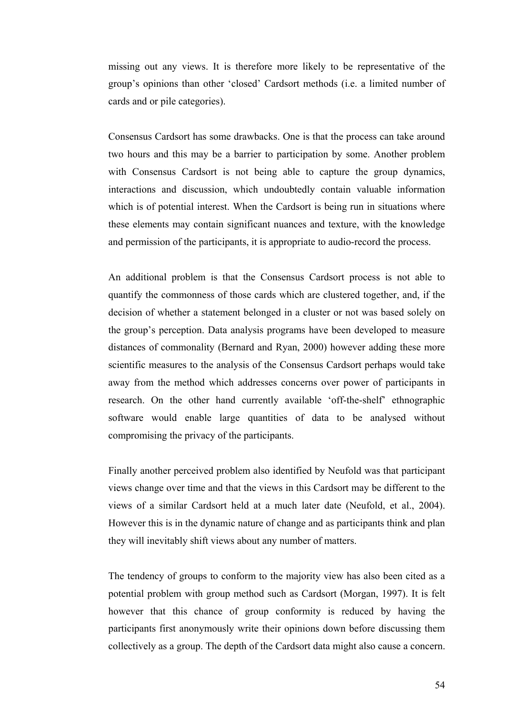missing out any views. It is therefore more likely to be representative of the group's opinions than other 'closed' Cardsort methods (i.e. a limited number of cards and or pile categories).

Consensus Cardsort has some drawbacks. One is that the process can take around two hours and this may be a barrier to participation by some. Another problem with Consensus Cardsort is not being able to capture the group dynamics, interactions and discussion, which undoubtedly contain valuable information which is of potential interest. When the Cardsort is being run in situations where these elements may contain significant nuances and texture, with the knowledge and permission of the participants, it is appropriate to audio-record the process.

An additional problem is that the Consensus Cardsort process is not able to quantify the commonness of those cards which are clustered together, and, if the decision of whether a statement belonged in a cluster or not was based solely on the group's perception. Data analysis programs have been developed to measure distances of commonality (Bernard and Ryan, 2000) however adding these more scientific measures to the analysis of the Consensus Cardsort perhaps would take away from the method which addresses concerns over power of participants in research. On the other hand currently available 'off-the-shelf' ethnographic software would enable large quantities of data to be analysed without compromising the privacy of the participants.

Finally another perceived problem also identified by Neufold was that participant views change over time and that the views in this Cardsort may be different to the views of a similar Cardsort held at a much later date (Neufold, et al., 2004). However this is in the dynamic nature of change and as participants think and plan they will inevitably shift views about any number of matters.

The tendency of groups to conform to the majority view has also been cited as a potential problem with group method such as Cardsort (Morgan, 1997). It is felt however that this chance of group conformity is reduced by having the participants first anonymously write their opinions down before discussing them collectively as a group. The depth of the Cardsort data might also cause a concern.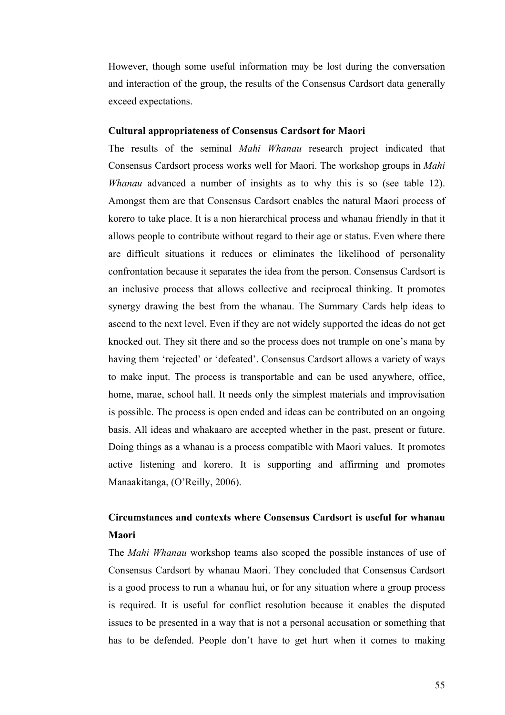However, though some useful information may be lost during the conversation and interaction of the group, the results of the Consensus Cardsort data generally exceed expectations.

#### **Cultural appropriateness of Consensus Cardsort for Maori**

The results of the seminal *Mahi Whanau* research project indicated that Consensus Cardsort process works well for Maori. The workshop groups in *Mahi Whanau* advanced a number of insights as to why this is so (see table 12). Amongst them are that Consensus Cardsort enables the natural Maori process of korero to take place. It is a non hierarchical process and whanau friendly in that it allows people to contribute without regard to their age or status. Even where there are difficult situations it reduces or eliminates the likelihood of personality confrontation because it separates the idea from the person. Consensus Cardsort is an inclusive process that allows collective and reciprocal thinking. It promotes synergy drawing the best from the whanau. The Summary Cards help ideas to ascend to the next level. Even if they are not widely supported the ideas do not get knocked out. They sit there and so the process does not trample on one's mana by having them 'rejected' or 'defeated'. Consensus Cardsort allows a variety of ways to make input. The process is transportable and can be used anywhere, office, home, marae, school hall. It needs only the simplest materials and improvisation is possible. The process is open ended and ideas can be contributed on an ongoing basis. All ideas and whakaaro are accepted whether in the past, present or future. Doing things as a whanau is a process compatible with Maori values. It promotes active listening and korero. It is supporting and affirming and promotes Manaakitanga, (O'Reilly, 2006).

## **Circumstances and contexts where Consensus Cardsort is useful for whanau Maori**

The *Mahi Whanau* workshop teams also scoped the possible instances of use of Consensus Cardsort by whanau Maori. They concluded that Consensus Cardsort is a good process to run a whanau hui, or for any situation where a group process is required. It is useful for conflict resolution because it enables the disputed issues to be presented in a way that is not a personal accusation or something that has to be defended. People don't have to get hurt when it comes to making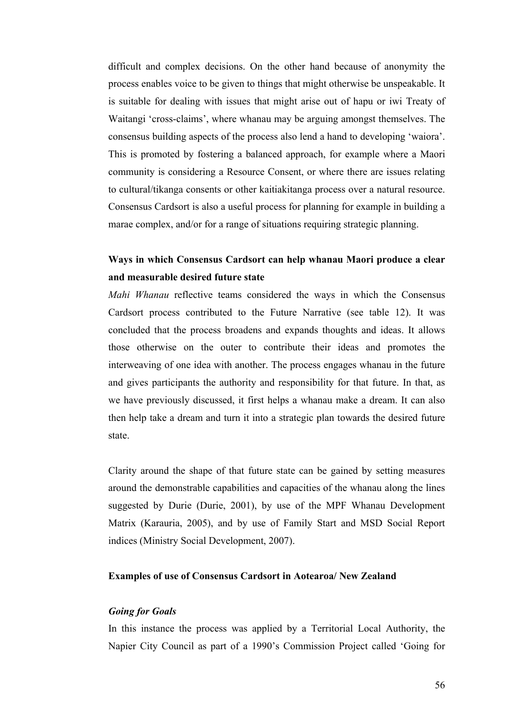difficult and complex decisions. On the other hand because of anonymity the process enables voice to be given to things that might otherwise be unspeakable. It is suitable for dealing with issues that might arise out of hapu or iwi Treaty of Waitangi 'cross-claims', where whanau may be arguing amongst themselves. The consensus building aspects of the process also lend a hand to developing 'waiora'. This is promoted by fostering a balanced approach, for example where a Maori community is considering a Resource Consent, or where there are issues relating to cultural/tikanga consents or other kaitiakitanga process over a natural resource. Consensus Cardsort is also a useful process for planning for example in building a marae complex, and/or for a range of situations requiring strategic planning.

## **Ways in which Consensus Cardsort can help whanau Maori produce a clear and measurable desired future state**

*Mahi Whanau* reflective teams considered the ways in which the Consensus Cardsort process contributed to the Future Narrative (see table 12). It was concluded that the process broadens and expands thoughts and ideas. It allows those otherwise on the outer to contribute their ideas and promotes the interweaving of one idea with another. The process engages whanau in the future and gives participants the authority and responsibility for that future. In that, as we have previously discussed, it first helps a whanau make a dream. It can also then help take a dream and turn it into a strategic plan towards the desired future state.

Clarity around the shape of that future state can be gained by setting measures around the demonstrable capabilities and capacities of the whanau along the lines suggested by Durie (Durie, 2001), by use of the MPF Whanau Development Matrix (Karauria, 2005), and by use of Family Start and MSD Social Report indices (Ministry Social Development, 2007).

#### **Examples of use of Consensus Cardsort in Aotearoa/ New Zealand**

### *Going for Goals*

In this instance the process was applied by a Territorial Local Authority, the Napier City Council as part of a 1990's Commission Project called 'Going for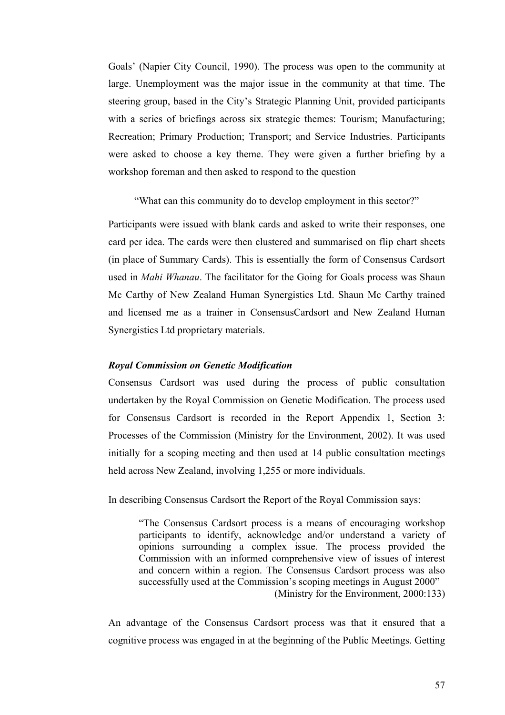Goals' (Napier City Council, 1990). The process was open to the community at large. Unemployment was the major issue in the community at that time. The steering group, based in the City's Strategic Planning Unit, provided participants with a series of briefings across six strategic themes: Tourism; Manufacturing; Recreation; Primary Production; Transport; and Service Industries. Participants were asked to choose a key theme. They were given a further briefing by a workshop foreman and then asked to respond to the question

"What can this community do to develop employment in this sector?"

Participants were issued with blank cards and asked to write their responses, one card per idea. The cards were then clustered and summarised on flip chart sheets (in place of Summary Cards). This is essentially the form of Consensus Cardsort used in *Mahi Whanau*. The facilitator for the Going for Goals process was Shaun Mc Carthy of New Zealand Human Synergistics Ltd. Shaun Mc Carthy trained and licensed me as a trainer in ConsensusCardsort and New Zealand Human Synergistics Ltd proprietary materials.

### *Royal Commission on Genetic Modification*

Consensus Cardsort was used during the process of public consultation undertaken by the Royal Commission on Genetic Modification. The process used for Consensus Cardsort is recorded in the Report Appendix 1, Section 3: Processes of the Commission (Ministry for the Environment, 2002). It was used initially for a scoping meeting and then used at 14 public consultation meetings held across New Zealand, involving 1,255 or more individuals.

In describing Consensus Cardsort the Report of the Royal Commission says:

"The Consensus Cardsort process is a means of encouraging workshop participants to identify, acknowledge and/or understand a variety of opinions surrounding a complex issue. The process provided the Commission with an informed comprehensive view of issues of interest and concern within a region. The Consensus Cardsort process was also successfully used at the Commission's scoping meetings in August 2000" (Ministry for the Environment, 2000:133)

An advantage of the Consensus Cardsort process was that it ensured that a cognitive process was engaged in at the beginning of the Public Meetings. Getting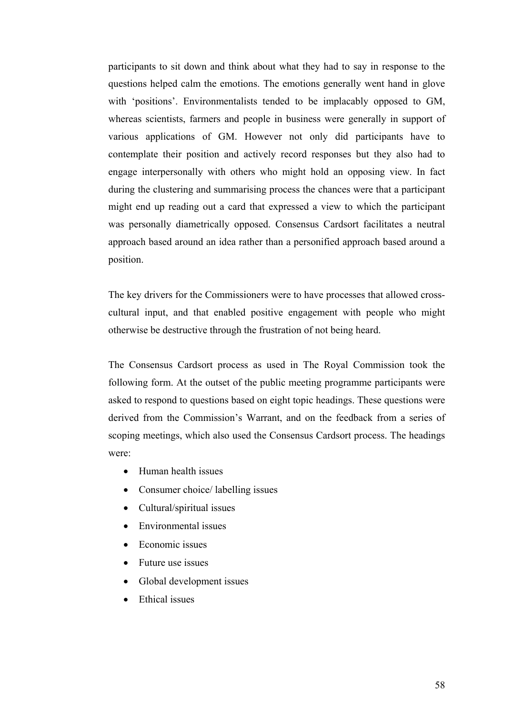participants to sit down and think about what they had to say in response to the questions helped calm the emotions. The emotions generally went hand in glove with 'positions'. Environmentalists tended to be implacably opposed to GM, whereas scientists, farmers and people in business were generally in support of various applications of GM. However not only did participants have to contemplate their position and actively record responses but they also had to engage interpersonally with others who might hold an opposing view. In fact during the clustering and summarising process the chances were that a participant might end up reading out a card that expressed a view to which the participant was personally diametrically opposed. Consensus Cardsort facilitates a neutral approach based around an idea rather than a personified approach based around a position.

The key drivers for the Commissioners were to have processes that allowed crosscultural input, and that enabled positive engagement with people who might otherwise be destructive through the frustration of not being heard.

The Consensus Cardsort process as used in The Royal Commission took the following form. At the outset of the public meeting programme participants were asked to respond to questions based on eight topic headings. These questions were derived from the Commission's Warrant, and on the feedback from a series of scoping meetings, which also used the Consensus Cardsort process. The headings were:

- Human health issues
- Consumer choice/ labelling issues
- Cultural/spiritual issues
- Environmental issues
- Economic issues
- Future use issues
- Global development issues
- Ethical issues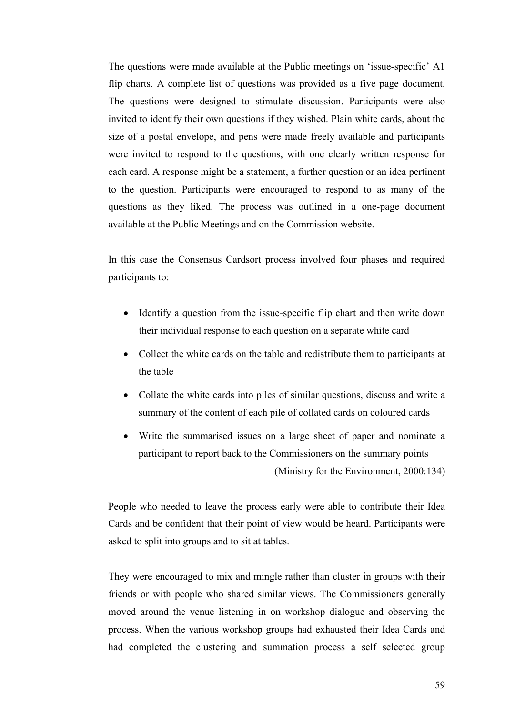The questions were made available at the Public meetings on 'issue-specific' A1 flip charts. A complete list of questions was provided as a five page document. The questions were designed to stimulate discussion. Participants were also invited to identify their own questions if they wished. Plain white cards, about the size of a postal envelope, and pens were made freely available and participants were invited to respond to the questions, with one clearly written response for each card. A response might be a statement, a further question or an idea pertinent to the question. Participants were encouraged to respond to as many of the questions as they liked. The process was outlined in a one-page document available at the Public Meetings and on the Commission website.

In this case the Consensus Cardsort process involved four phases and required participants to:

- Identify a question from the issue-specific flip chart and then write down their individual response to each question on a separate white card
- Collect the white cards on the table and redistribute them to participants at the table
- Collate the white cards into piles of similar questions, discuss and write a summary of the content of each pile of collated cards on coloured cards
- Write the summarised issues on a large sheet of paper and nominate a participant to report back to the Commissioners on the summary points (Ministry for the Environment, 2000:134)

People who needed to leave the process early were able to contribute their Idea Cards and be confident that their point of view would be heard. Participants were asked to split into groups and to sit at tables.

They were encouraged to mix and mingle rather than cluster in groups with their friends or with people who shared similar views. The Commissioners generally moved around the venue listening in on workshop dialogue and observing the process. When the various workshop groups had exhausted their Idea Cards and had completed the clustering and summation process a self selected group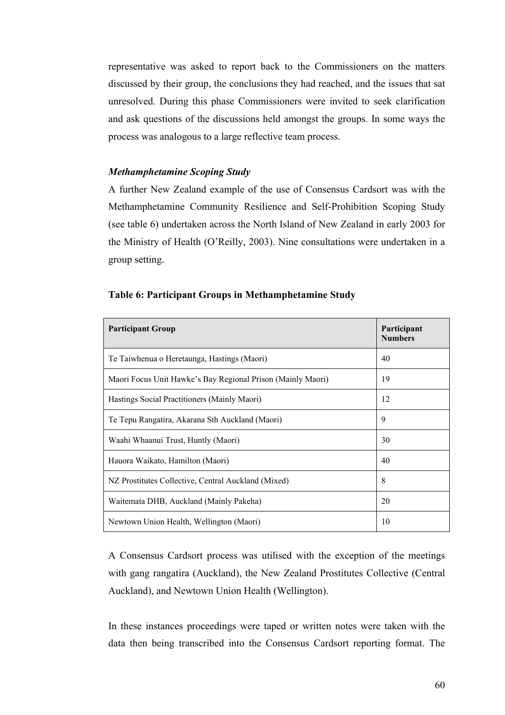representative was asked to report back to the Commissioners on the matters discussed by their group, the conclusions they had reached, and the issues that sat unresolved. During this phase Commissioners were invited to seek clarification and ask questions of the discussions held amongst the groups. In some ways the process was analogous to a large reflective team process.

## *Methamphetamine Scoping Study*

A further New Zealand example of the use of Consensus Cardsort was with the Methamphetamine Community Resilience and Self-Prohibition Scoping Study (see table 6) undertaken across the North Island of New Zealand in early 2003 for the Ministry of Health (O'Reilly, 2003). Nine consultations were undertaken in a group setting.

| <b>Participant Group</b>                                    | Participant<br><b>Numbers</b> |
|-------------------------------------------------------------|-------------------------------|
| Te Taiwhenua o Heretaunga, Hastings (Maori)                 | 40                            |
| Maori Focus Unit Hawke's Bay Regional Prison (Mainly Maori) | 19                            |
| Hastings Social Practitioners (Mainly Maori)                | 12                            |
| Te Tepu Rangatira, Akarana Sth Auckland (Maori)             | 9                             |
| Waahi Whaanui Trust, Huntly (Maori)                         | 30                            |
| Hauora Waikato, Hamilton (Maori)                            | 40                            |
| NZ Prostitutes Collective, Central Auckland (Mixed)         | 8                             |
| Waitemata DHB, Auckland (Mainly Pakeha)                     | 20                            |
| Newtown Union Health, Wellington (Maori)                    | 10                            |

A Consensus Cardsort process was utilised with the exception of the meetings with gang rangatira (Auckland), the New Zealand Prostitutes Collective (Central Auckland), and Newtown Union Health (Wellington).

In these instances proceedings were taped or written notes were taken with the data then being transcribed into the Consensus Cardsort reporting format. The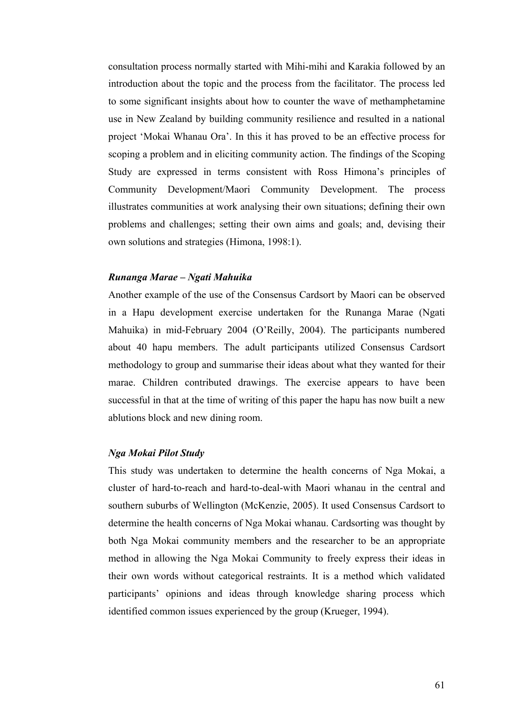consultation process normally started with Mihi-mihi and Karakia followed by an introduction about the topic and the process from the facilitator. The process led to some significant insights about how to counter the wave of methamphetamine use in New Zealand by building community resilience and resulted in a national project 'Mokai Whanau Ora'. In this it has proved to be an effective process for scoping a problem and in eliciting community action. The findings of the Scoping Study are expressed in terms consistent with Ross Himona's principles of Community Development/Maori Community Development. The process illustrates communities at work analysing their own situations; defining their own problems and challenges; setting their own aims and goals; and, devising their own solutions and strategies (Himona, 1998:1).

#### *Runanga Marae – Ngati Mahuika*

Another example of the use of the Consensus Cardsort by Maori can be observed in a Hapu development exercise undertaken for the Runanga Marae (Ngati Mahuika) in mid-February 2004 (O'Reilly, 2004). The participants numbered about 40 hapu members. The adult participants utilized Consensus Cardsort methodology to group and summarise their ideas about what they wanted for their marae. Children contributed drawings. The exercise appears to have been successful in that at the time of writing of this paper the hapu has now built a new ablutions block and new dining room.

### *Nga Mokai Pilot Study*

This study was undertaken to determine the health concerns of Nga Mokai, a cluster of hard-to-reach and hard-to-deal-with Maori whanau in the central and southern suburbs of Wellington (McKenzie, 2005). It used Consensus Cardsort to determine the health concerns of Nga Mokai whanau. Cardsorting was thought by both Nga Mokai community members and the researcher to be an appropriate method in allowing the Nga Mokai Community to freely express their ideas in their own words without categorical restraints. It is a method which validated participants' opinions and ideas through knowledge sharing process which identified common issues experienced by the group (Krueger, 1994).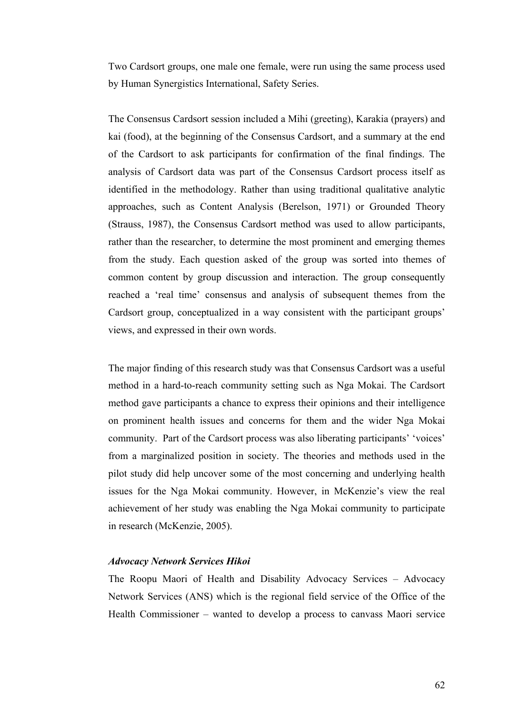Two Cardsort groups, one male one female, were run using the same process used by Human Synergistics International, Safety Series.

The Consensus Cardsort session included a Mihi (greeting), Karakia (prayers) and kai (food), at the beginning of the Consensus Cardsort, and a summary at the end of the Cardsort to ask participants for confirmation of the final findings. The analysis of Cardsort data was part of the Consensus Cardsort process itself as identified in the methodology. Rather than using traditional qualitative analytic approaches, such as Content Analysis (Berelson, 1971) or Grounded Theory (Strauss, 1987), the Consensus Cardsort method was used to allow participants, rather than the researcher, to determine the most prominent and emerging themes from the study. Each question asked of the group was sorted into themes of common content by group discussion and interaction. The group consequently reached a 'real time' consensus and analysis of subsequent themes from the Cardsort group, conceptualized in a way consistent with the participant groups' views, and expressed in their own words.

The major finding of this research study was that Consensus Cardsort was a useful method in a hard-to-reach community setting such as Nga Mokai. The Cardsort method gave participants a chance to express their opinions and their intelligence on prominent health issues and concerns for them and the wider Nga Mokai community. Part of the Cardsort process was also liberating participants' 'voices' from a marginalized position in society. The theories and methods used in the pilot study did help uncover some of the most concerning and underlying health issues for the Nga Mokai community. However, in McKenzie's view the real achievement of her study was enabling the Nga Mokai community to participate in research (McKenzie, 2005).

### *Advocacy Network Services Hikoi*

The Roopu Maori of Health and Disability Advocacy Services – Advocacy Network Services (ANS) which is the regional field service of the Office of the Health Commissioner – wanted to develop a process to canvass Maori service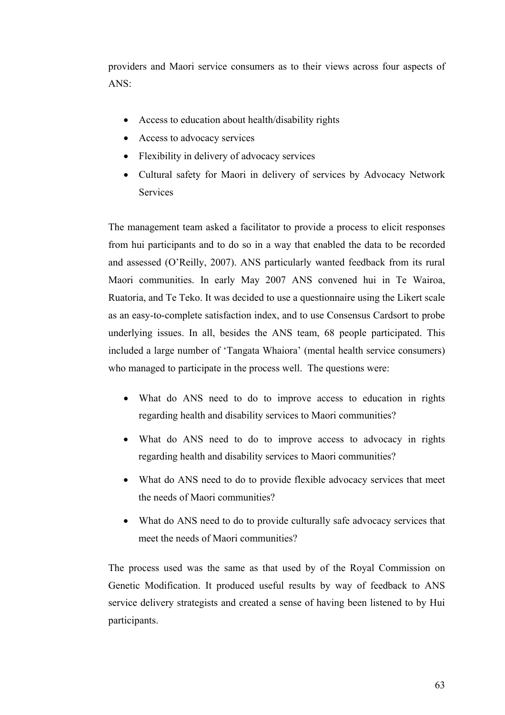providers and Maori service consumers as to their views across four aspects of ANS:

- Access to education about health/disability rights
- Access to advocacy services
- Flexibility in delivery of advocacy services
- Cultural safety for Maori in delivery of services by Advocacy Network **Services**

The management team asked a facilitator to provide a process to elicit responses from hui participants and to do so in a way that enabled the data to be recorded and assessed (O'Reilly, 2007). ANS particularly wanted feedback from its rural Maori communities. In early May 2007 ANS convened hui in Te Wairoa, Ruatoria, and Te Teko. It was decided to use a questionnaire using the Likert scale as an easy-to-complete satisfaction index, and to use Consensus Cardsort to probe underlying issues. In all, besides the ANS team, 68 people participated. This included a large number of 'Tangata Whaiora' (mental health service consumers) who managed to participate in the process well. The questions were:

- What do ANS need to do to improve access to education in rights regarding health and disability services to Maori communities?
- What do ANS need to do to improve access to advocacy in rights regarding health and disability services to Maori communities?
- What do ANS need to do to provide flexible advocacy services that meet the needs of Maori communities?
- What do ANS need to do to provide culturally safe advocacy services that meet the needs of Maori communities?

The process used was the same as that used by of the Royal Commission on Genetic Modification. It produced useful results by way of feedback to ANS service delivery strategists and created a sense of having been listened to by Hui participants.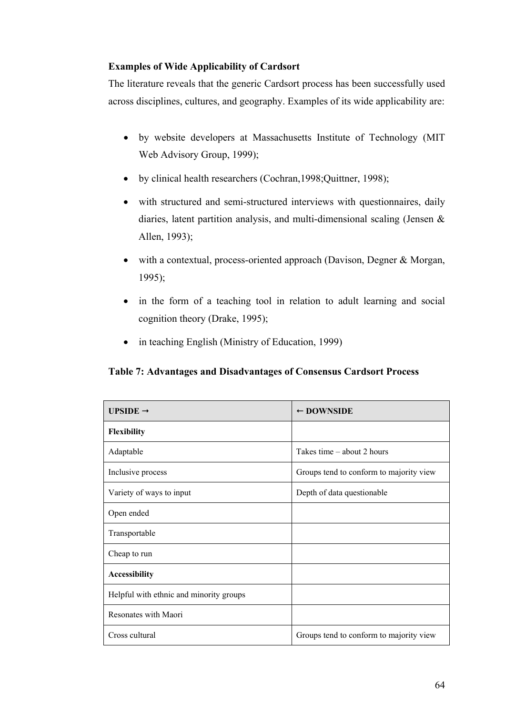#### **Examples of Wide Applicability of Cardsort**

The literature reveals that the generic Cardsort process has been successfully used across disciplines, cultures, and geography. Examples of its wide applicability are:

- by website developers at Massachusetts Institute of Technology (MIT Web Advisory Group, 1999);
- by clinical health researchers (Cochran,1998;Quittner, 1998);
- with structured and semi-structured interviews with questionnaires, daily diaries, latent partition analysis, and multi-dimensional scaling (Jensen & Allen, 1993);
- with a contextual, process-oriented approach (Davison, Degner & Morgan, 1995);
- in the form of a teaching tool in relation to adult learning and social cognition theory (Drake, 1995);
- in teaching English (Ministry of Education, 1999)

**Table 7: Advantages and Disadvantages of Consensus Cardsort Process** 

| UPSIDE $\rightarrow$                    | $\leftarrow$ DOWNSIDE                   |
|-----------------------------------------|-----------------------------------------|
| <b>Flexibility</b>                      |                                         |
| Adaptable                               | Takes time - about 2 hours              |
| Inclusive process                       | Groups tend to conform to majority view |
| Variety of ways to input                | Depth of data questionable              |
| Open ended                              |                                         |
| Transportable                           |                                         |
| Cheap to run                            |                                         |
| <b>Accessibility</b>                    |                                         |
| Helpful with ethnic and minority groups |                                         |
| Resonates with Maori                    |                                         |
| Cross cultural                          | Groups tend to conform to majority view |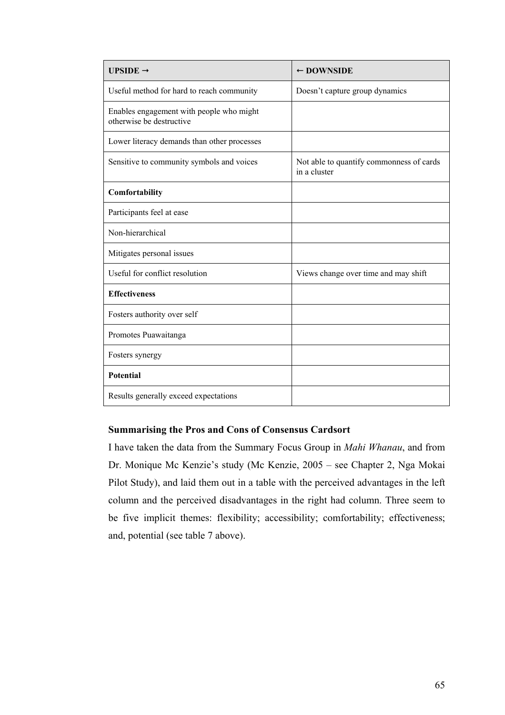| UPSIDE $\rightarrow$                                                 | $\leftarrow$ DOWNSIDE                                    |
|----------------------------------------------------------------------|----------------------------------------------------------|
| Useful method for hard to reach community                            | Doesn't capture group dynamics                           |
| Enables engagement with people who might<br>otherwise be destructive |                                                          |
| Lower literacy demands than other processes                          |                                                          |
| Sensitive to community symbols and voices                            | Not able to quantify commonness of cards<br>in a cluster |
| Comfortability                                                       |                                                          |
| Participants feel at ease                                            |                                                          |
| Non-hierarchical                                                     |                                                          |
| Mitigates personal issues                                            |                                                          |
| Useful for conflict resolution                                       | Views change over time and may shift                     |
| <b>Effectiveness</b>                                                 |                                                          |
| Fosters authority over self                                          |                                                          |
| Promotes Puawaitanga                                                 |                                                          |
| Fosters synergy                                                      |                                                          |
| <b>Potential</b>                                                     |                                                          |
| Results generally exceed expectations                                |                                                          |

#### **Summarising the Pros and Cons of Consensus Cardsort**

I have taken the data from the Summary Focus Group in *Mahi Whanau*, and from Dr. Monique Mc Kenzie's study (Mc Kenzie, 2005 – see Chapter 2, Nga Mokai Pilot Study), and laid them out in a table with the perceived advantages in the left column and the perceived disadvantages in the right had column. Three seem to be five implicit themes: flexibility; accessibility; comfortability; effectiveness; and, potential (see table 7 above).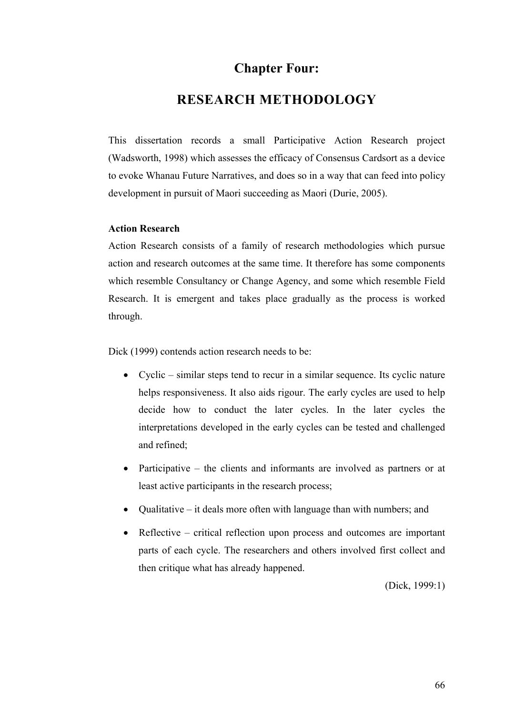## **Chapter Four:**

### **RESEARCH METHODOLOGY**

This dissertation records a small Participative Action Research project (Wadsworth, 1998) which assesses the efficacy of Consensus Cardsort as a device to evoke Whanau Future Narratives, and does so in a way that can feed into policy development in pursuit of Maori succeeding as Maori (Durie, 2005).

#### **Action Research**

Action Research consists of a family of research methodologies which pursue action and research outcomes at the same time. It therefore has some components which resemble Consultancy or Change Agency, and some which resemble Field Research. It is emergent and takes place gradually as the process is worked through.

Dick (1999) contends action research needs to be:

- Cyclic similar steps tend to recur in a similar sequence. Its cyclic nature helps responsiveness. It also aids rigour. The early cycles are used to help decide how to conduct the later cycles. In the later cycles the interpretations developed in the early cycles can be tested and challenged and refined;
- Participative the clients and informants are involved as partners or at least active participants in the research process;
- Qualitative it deals more often with language than with numbers; and
- Reflective critical reflection upon process and outcomes are important parts of each cycle. The researchers and others involved first collect and then critique what has already happened.

(Dick, 1999:1)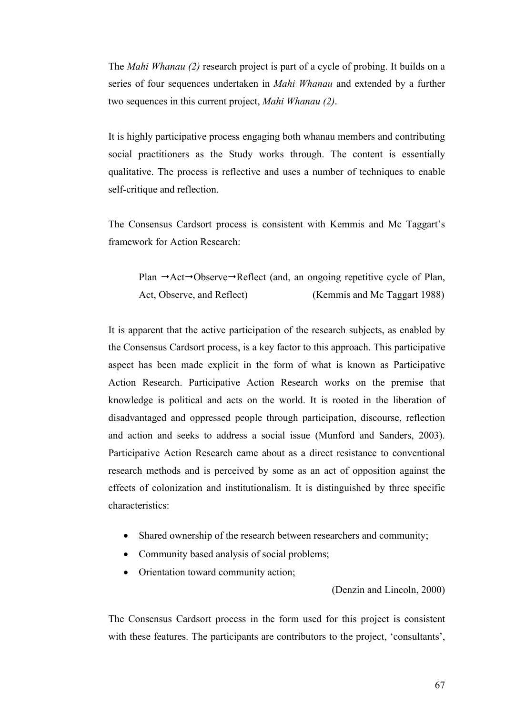The *Mahi Whanau (2)* research project is part of a cycle of probing. It builds on a series of four sequences undertaken in *Mahi Whanau* and extended by a further two sequences in this current project, *Mahi Whanau (2)*.

It is highly participative process engaging both whanau members and contributing social practitioners as the Study works through. The content is essentially qualitative. The process is reflective and uses a number of techniques to enable self-critique and reflection.

The Consensus Cardsort process is consistent with Kemmis and Mc Taggart's framework for Action Research:

Plan  $\rightarrow$ Act $\rightarrow$ Observe $\rightarrow$ Reflect (and, an ongoing repetitive cycle of Plan, Act, Observe, and Reflect) (Kemmis and Mc Taggart 1988)

It is apparent that the active participation of the research subjects, as enabled by the Consensus Cardsort process, is a key factor to this approach. This participative aspect has been made explicit in the form of what is known as Participative Action Research. Participative Action Research works on the premise that knowledge is political and acts on the world. It is rooted in the liberation of disadvantaged and oppressed people through participation, discourse, reflection and action and seeks to address a social issue (Munford and Sanders, 2003). Participative Action Research came about as a direct resistance to conventional research methods and is perceived by some as an act of opposition against the effects of colonization and institutionalism. It is distinguished by three specific characteristics:

- Shared ownership of the research between researchers and community;
- Community based analysis of social problems;
- Orientation toward community action;

(Denzin and Lincoln, 2000)

The Consensus Cardsort process in the form used for this project is consistent with these features. The participants are contributors to the project, 'consultants',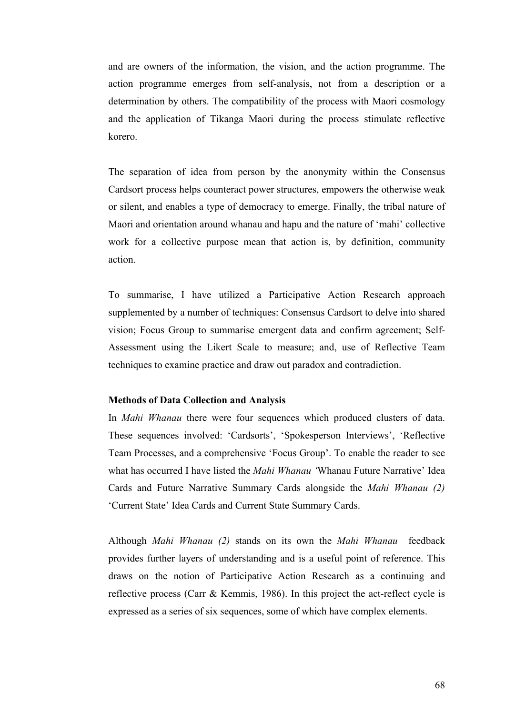and are owners of the information, the vision, and the action programme. The action programme emerges from self-analysis, not from a description or a determination by others. The compatibility of the process with Maori cosmology and the application of Tikanga Maori during the process stimulate reflective korero.

The separation of idea from person by the anonymity within the Consensus Cardsort process helps counteract power structures, empowers the otherwise weak or silent, and enables a type of democracy to emerge. Finally, the tribal nature of Maori and orientation around whanau and hapu and the nature of 'mahi' collective work for a collective purpose mean that action is, by definition, community action.

To summarise, I have utilized a Participative Action Research approach supplemented by a number of techniques: Consensus Cardsort to delve into shared vision; Focus Group to summarise emergent data and confirm agreement; Self-Assessment using the Likert Scale to measure; and, use of Reflective Team techniques to examine practice and draw out paradox and contradiction.

#### **Methods of Data Collection and Analysis**

In *Mahi Whanau* there were four sequences which produced clusters of data. These sequences involved: 'Cardsorts', 'Spokesperson Interviews', 'Reflective Team Processes, and a comprehensive 'Focus Group'. To enable the reader to see what has occurred I have listed the *Mahi Whanau '*Whanau Future Narrative' Idea Cards and Future Narrative Summary Cards alongside the *Mahi Whanau (2)* 'Current State' Idea Cards and Current State Summary Cards.

Although *Mahi Whanau (2)* stands on its own the *Mahi Whanau* feedback provides further layers of understanding and is a useful point of reference. This draws on the notion of Participative Action Research as a continuing and reflective process (Carr & Kemmis, 1986). In this project the act-reflect cycle is expressed as a series of six sequences, some of which have complex elements.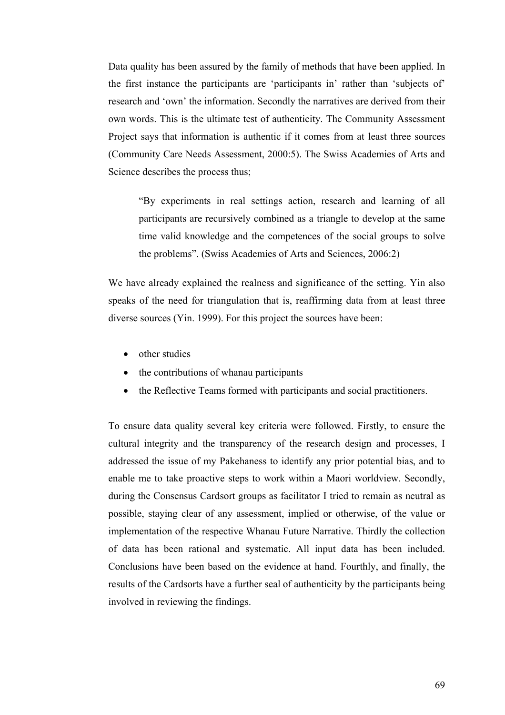Data quality has been assured by the family of methods that have been applied. In the first instance the participants are 'participants in' rather than 'subjects of' research and 'own' the information. Secondly the narratives are derived from their own words. This is the ultimate test of authenticity. The Community Assessment Project says that information is authentic if it comes from at least three sources (Community Care Needs Assessment, 2000:5). The Swiss Academies of Arts and Science describes the process thus;

"By experiments in real settings action, research and learning of all participants are recursively combined as a triangle to develop at the same time valid knowledge and the competences of the social groups to solve the problems". (Swiss Academies of Arts and Sciences, 2006:2)

We have already explained the realness and significance of the setting. Yin also speaks of the need for triangulation that is, reaffirming data from at least three diverse sources (Yin. 1999). For this project the sources have been:

- other studies
- the contributions of whanau participants
- the Reflective Teams formed with participants and social practitioners.

To ensure data quality several key criteria were followed. Firstly, to ensure the cultural integrity and the transparency of the research design and processes, I addressed the issue of my Pakehaness to identify any prior potential bias, and to enable me to take proactive steps to work within a Maori worldview. Secondly, during the Consensus Cardsort groups as facilitator I tried to remain as neutral as possible, staying clear of any assessment, implied or otherwise, of the value or implementation of the respective Whanau Future Narrative. Thirdly the collection of data has been rational and systematic. All input data has been included. Conclusions have been based on the evidence at hand. Fourthly, and finally, the results of the Cardsorts have a further seal of authenticity by the participants being involved in reviewing the findings.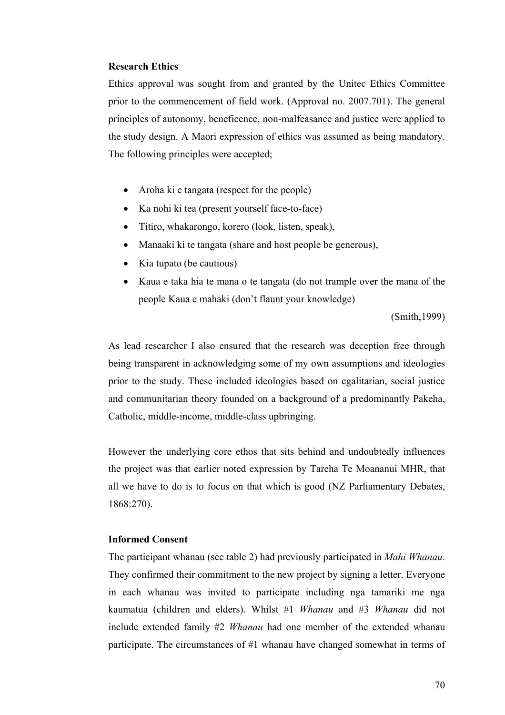#### **Research Ethics**

Ethics approval was sought from and granted by the Unitec Ethics Committee prior to the commencement of field work. (Approval no. 2007.701). The general principles of autonomy, beneficence, non-malfeasance and justice were applied to the study design. A Maori expression of ethics was assumed as being mandatory. The following principles were accepted;

- Aroha ki e tangata (respect for the people)
- Ka nohi ki tea (present yourself face-to-face)
- Titiro, whakarongo, korero (look, listen, speak),
- Manaaki ki te tangata (share and host people be generous),
- Kia tupato (be cautious)
- Kaua e taka hia te mana o te tangata (do not trample over the mana of the people Kaua e mahaki (don't flaunt your knowledge)

(Smith,1999)

As lead researcher I also ensured that the research was deception free through being transparent in acknowledging some of my own assumptions and ideologies prior to the study. These included ideologies based on egalitarian, social justice and communitarian theory founded on a background of a predominantly Pakeha, Catholic, middle-income, middle-class upbringing.

However the underlying core ethos that sits behind and undoubtedly influences the project was that earlier noted expression by Tareha Te Moananui MHR, that all we have to do is to focus on that which is good (NZ Parliamentary Debates, 1868:270).

#### **Informed Consent**

The participant whanau (see table 2) had previously participated in *Mahi Whanau*. They confirmed their commitment to the new project by signing a letter. Everyone in each whanau was invited to participate including nga tamariki me nga kaumatua (children and elders). Whilst #1 *Whanau* and #3 *Whanau* did not include extended family #2 *Whanau* had one member of the extended whanau participate. The circumstances of #1 whanau have changed somewhat in terms of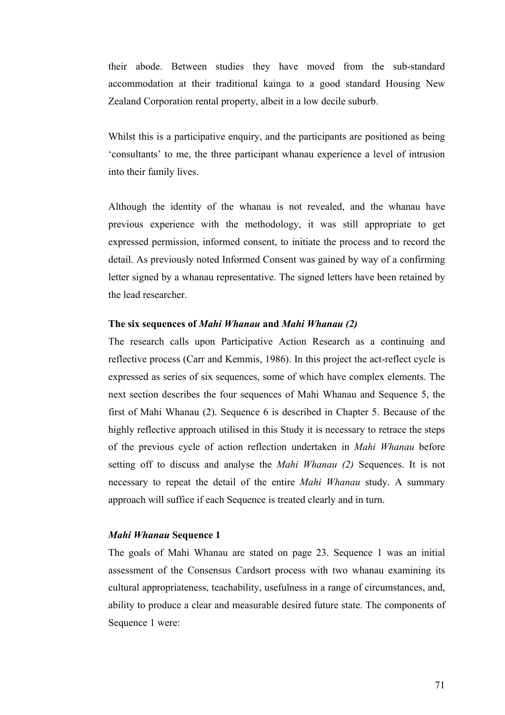their abode. Between studies they have moved from the sub-standard accommodation at their traditional kainga to a good standard Housing New Zealand Corporation rental property, albeit in a low decile suburb.

Whilst this is a participative enquiry, and the participants are positioned as being 'consultants' to me, the three participant whanau experience a level of intrusion into their family lives.

Although the identity of the whanau is not revealed, and the whanau have previous experience with the methodology, it was still appropriate to get expressed permission, informed consent, to initiate the process and to record the detail. As previously noted Informed Consent was gained by way of a confirming letter signed by a whanau representative. The signed letters have been retained by the lead researcher.

#### **The six sequences of** *Mahi Whanau* **and** *Mahi Whanau (2)*

The research calls upon Participative Action Research as a continuing and reflective process (Carr and Kemmis, 1986). In this project the act-reflect cycle is expressed as series of six sequences, some of which have complex elements. The next section describes the four sequences of Mahi Whanau and Sequence 5, the first of Mahi Whanau (2). Sequence 6 is described in Chapter 5. Because of the highly reflective approach utilised in this Study it is necessary to retrace the steps of the previous cycle of action reflection undertaken in *Mahi Whanau* before setting off to discuss and analyse the *Mahi Whanau (2)* Sequences. It is not necessary to repeat the detail of the entire *Mahi Whanau* study. A summary approach will suffice if each Sequence is treated clearly and in turn.

#### *Mahi Whanau* **Sequence 1**

The goals of Mahi Whanau are stated on page 23. Sequence 1 was an initial assessment of the Consensus Cardsort process with two whanau examining its cultural appropriateness, teachability, usefulness in a range of circumstances, and, ability to produce a clear and measurable desired future state. The components of Sequence 1 were: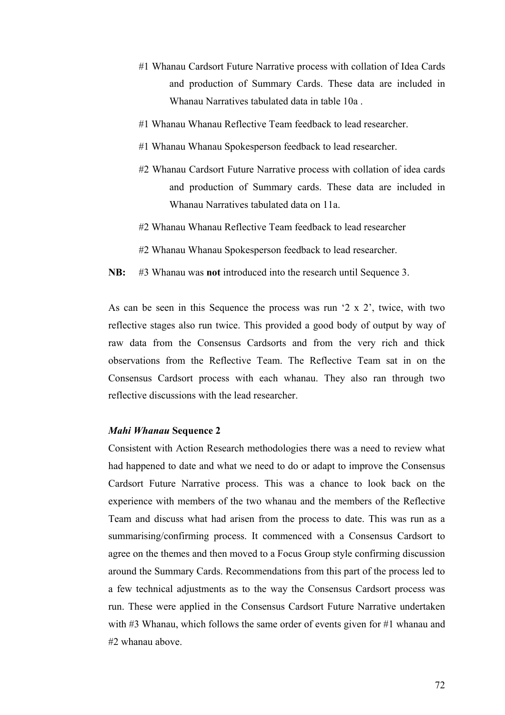- #1 Whanau Cardsort Future Narrative process with collation of Idea Cards and production of Summary Cards. These data are included in Whanau Narratives tabulated data in table 10a .
- #1 Whanau Whanau Reflective Team feedback to lead researcher.
- #1 Whanau Whanau Spokesperson feedback to lead researcher.
- #2 Whanau Cardsort Future Narrative process with collation of idea cards and production of Summary cards. These data are included in Whanau Narratives tabulated data on 11a.
- #2 Whanau Whanau Reflective Team feedback to lead researcher
- #2 Whanau Whanau Spokesperson feedback to lead researcher.
- **NB:** #3 Whanau was **not** introduced into the research until Sequence 3.

As can be seen in this Sequence the process was run '2 x 2', twice, with two reflective stages also run twice. This provided a good body of output by way of raw data from the Consensus Cardsorts and from the very rich and thick observations from the Reflective Team. The Reflective Team sat in on the Consensus Cardsort process with each whanau. They also ran through two reflective discussions with the lead researcher.

#### *Mahi Whanau* **Sequence 2**

Consistent with Action Research methodologies there was a need to review what had happened to date and what we need to do or adapt to improve the Consensus Cardsort Future Narrative process. This was a chance to look back on the experience with members of the two whanau and the members of the Reflective Team and discuss what had arisen from the process to date. This was run as a summarising/confirming process. It commenced with a Consensus Cardsort to agree on the themes and then moved to a Focus Group style confirming discussion around the Summary Cards. Recommendations from this part of the process led to a few technical adjustments as to the way the Consensus Cardsort process was run. These were applied in the Consensus Cardsort Future Narrative undertaken with #3 Whanau, which follows the same order of events given for #1 whanau and #2 whanau above.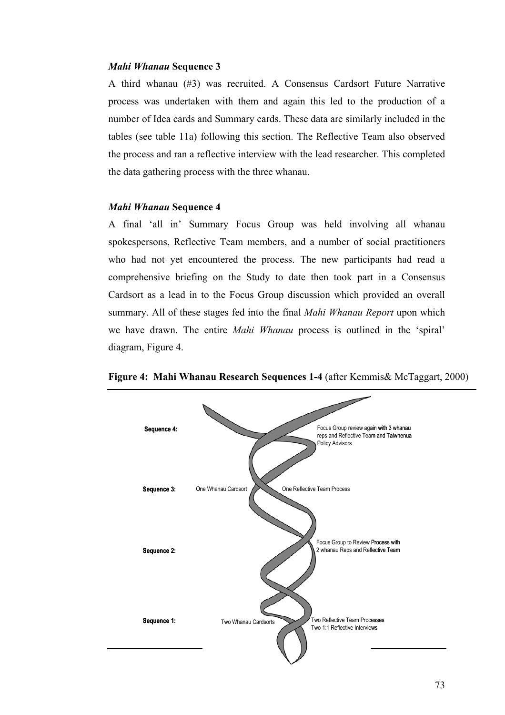#### *Mahi Whanau* **Sequence 3**

A third whanau (#3) was recruited. A Consensus Cardsort Future Narrative process was undertaken with them and again this led to the production of a number of Idea cards and Summary cards. These data are similarly included in the tables (see table 11a) following this section. The Reflective Team also observed the process and ran a reflective interview with the lead researcher. This completed the data gathering process with the three whanau.

#### *Mahi Whanau* **Sequence 4**

A final 'all in' Summary Focus Group was held involving all whanau spokespersons, Reflective Team members, and a number of social practitioners who had not yet encountered the process. The new participants had read a comprehensive briefing on the Study to date then took part in a Consensus Cardsort as a lead in to the Focus Group discussion which provided an overall summary. All of these stages fed into the final *Mahi Whanau Report* upon which we have drawn. The entire *Mahi Whanau* process is outlined in the 'spiral' diagram, Figure 4.



**Figure 4: Mahi Whanau Research Sequences 1-4** (after Kemmis& McTaggart, 2000)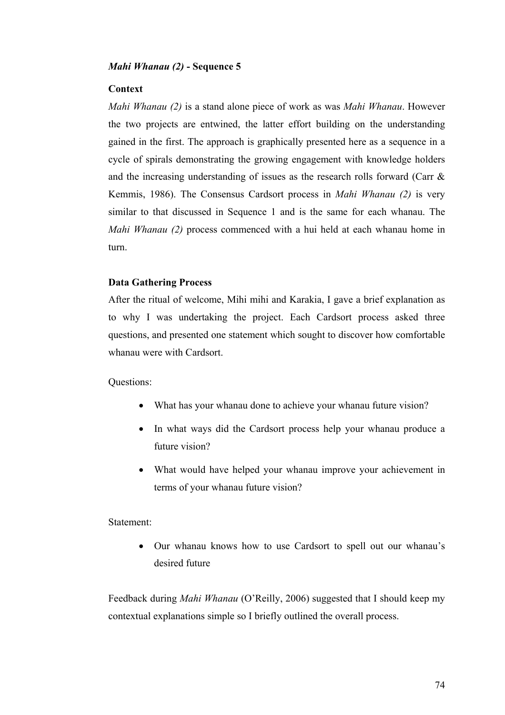#### *Mahi Whanau (2)* **- Sequence 5**

#### **Context**

*Mahi Whanau (2)* is a stand alone piece of work as was *Mahi Whanau*. However the two projects are entwined, the latter effort building on the understanding gained in the first. The approach is graphically presented here as a sequence in a cycle of spirals demonstrating the growing engagement with knowledge holders and the increasing understanding of issues as the research rolls forward (Carr & Kemmis, 1986). The Consensus Cardsort process in *Mahi Whanau (2)* is very similar to that discussed in Sequence 1 and is the same for each whanau. The *Mahi Whanau (2)* process commenced with a hui held at each whanau home in turn.

#### **Data Gathering Process**

After the ritual of welcome, Mihi mihi and Karakia, I gave a brief explanation as to why I was undertaking the project. Each Cardsort process asked three questions, and presented one statement which sought to discover how comfortable whanau were with Cardsort.

#### Questions:

- What has your whanau done to achieve your whanau future vision?
- In what ways did the Cardsort process help your whanau produce a future vision?
- What would have helped your whanau improve your achievement in terms of your whanau future vision?

#### Statement:

• Our whanau knows how to use Cardsort to spell out our whanau's desired future

Feedback during *Mahi Whanau* (O'Reilly, 2006) suggested that I should keep my contextual explanations simple so I briefly outlined the overall process.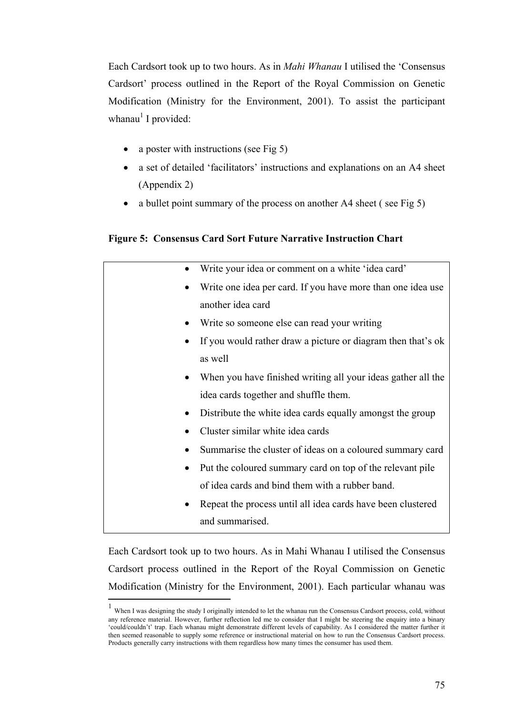Each Cardsort took up to two hours. As in *Mahi Whanau* I utilised the 'Consensus Cardsort' process outlined in the Report of the Royal Commission on Genetic Modification (Ministry for the Environment, 2001). To assist the participant whanau<sup>1</sup> I provided:

- a poster with instructions (see Fig 5)
- a set of detailed 'facilitators' instructions and explanations on an A4 sheet (Appendix 2)
- a bullet point summary of the process on another A4 sheet (see Fig 5)

#### **Figure 5: Consensus Card Sort Future Narrative Instruction Chart**

|           | Write your idea or comment on a white 'idea card'            |
|-----------|--------------------------------------------------------------|
|           | Write one idea per card. If you have more than one idea use  |
|           | another idea card                                            |
|           | Write so someone else can read your writing                  |
|           | If you would rather draw a picture or diagram then that's ok |
|           | as well                                                      |
|           | When you have finished writing all your ideas gather all the |
|           | idea cards together and shuffle them.                        |
|           | Distribute the white idea cards equally amongst the group    |
|           | Cluster similar white idea cards                             |
|           | Summarise the cluster of ideas on a coloured summary card    |
| $\bullet$ | Put the coloured summary card on top of the relevant pile    |
|           | of idea cards and bind them with a rubber band.              |
| $\bullet$ | Repeat the process until all idea cards have been clustered  |
|           | and summarised.                                              |

Each Cardsort took up to two hours. As in Mahi Whanau I utilised the Consensus Cardsort process outlined in the Report of the Royal Commission on Genetic Modification (Ministry for the Environment, 2001). Each particular whanau was

 $\overline{a}$ 

<sup>1</sup> When I was designing the study I originally intended to let the whanau run the Consensus Cardsort process, cold, without any reference material. However, further reflection led me to consider that I might be steering the enquiry into a binary 'could/couldn't' trap. Each whanau might demonstrate different levels of capability. As I considered the matter further it then seemed reasonable to supply some reference or instructional material on how to run the Consensus Cardsort process. Products generally carry instructions with them regardless how many times the consumer has used them.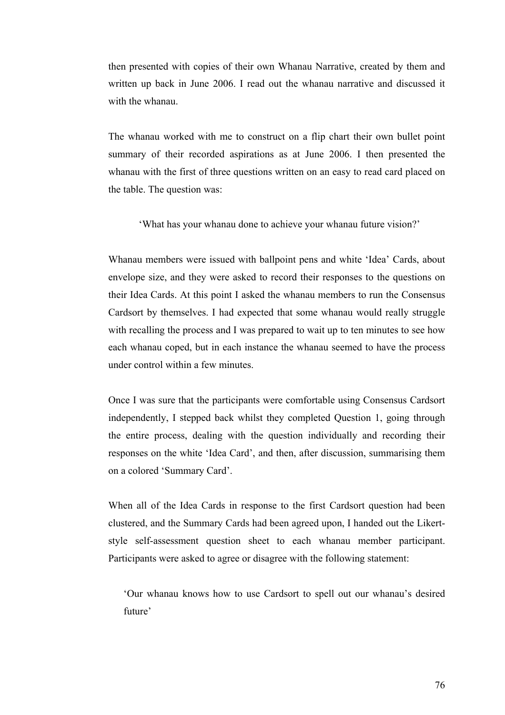then presented with copies of their own Whanau Narrative, created by them and written up back in June 2006. I read out the whanau narrative and discussed it with the whanau

The whanau worked with me to construct on a flip chart their own bullet point summary of their recorded aspirations as at June 2006. I then presented the whanau with the first of three questions written on an easy to read card placed on the table. The question was:

'What has your whanau done to achieve your whanau future vision?'

Whanau members were issued with ballpoint pens and white 'Idea' Cards, about envelope size, and they were asked to record their responses to the questions on their Idea Cards. At this point I asked the whanau members to run the Consensus Cardsort by themselves. I had expected that some whanau would really struggle with recalling the process and I was prepared to wait up to ten minutes to see how each whanau coped, but in each instance the whanau seemed to have the process under control within a few minutes.

Once I was sure that the participants were comfortable using Consensus Cardsort independently, I stepped back whilst they completed Question 1, going through the entire process, dealing with the question individually and recording their responses on the white 'Idea Card', and then, after discussion, summarising them on a colored 'Summary Card'.

When all of the Idea Cards in response to the first Cardsort question had been clustered, and the Summary Cards had been agreed upon, I handed out the Likertstyle self-assessment question sheet to each whanau member participant. Participants were asked to agree or disagree with the following statement:

'Our whanau knows how to use Cardsort to spell out our whanau's desired future'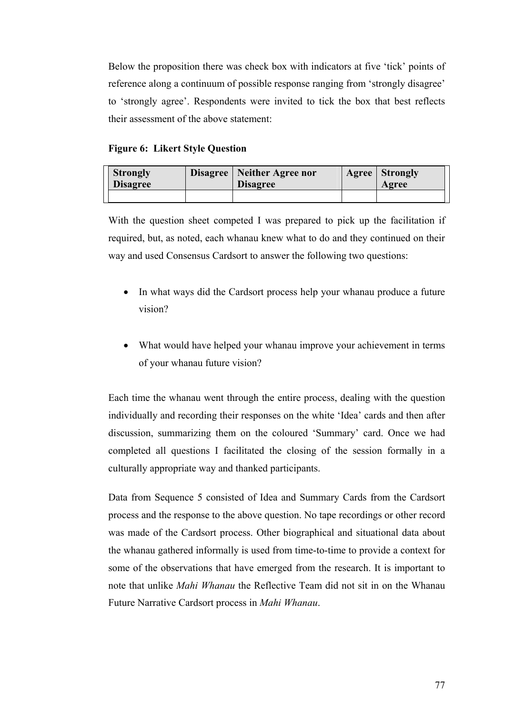Below the proposition there was check box with indicators at five 'tick' points of reference along a continuum of possible response ranging from 'strongly disagree' to 'strongly agree'. Respondents were invited to tick the box that best reflects their assessment of the above statement:

#### **Figure 6: Likert Style Question**

| <b>Strongly</b><br><b>Disagree</b> | Disagree   Neither Agree nor<br><b>Disagree</b> | <b>Agree</b> Strongly<br>Agree |
|------------------------------------|-------------------------------------------------|--------------------------------|
|                                    |                                                 |                                |

With the question sheet competed I was prepared to pick up the facilitation if required, but, as noted, each whanau knew what to do and they continued on their way and used Consensus Cardsort to answer the following two questions:

- In what ways did the Cardsort process help your whanau produce a future vision?
- What would have helped your whanau improve your achievement in terms of your whanau future vision?

Each time the whanau went through the entire process, dealing with the question individually and recording their responses on the white 'Idea' cards and then after discussion, summarizing them on the coloured 'Summary' card. Once we had completed all questions I facilitated the closing of the session formally in a culturally appropriate way and thanked participants.

Data from Sequence 5 consisted of Idea and Summary Cards from the Cardsort process and the response to the above question. No tape recordings or other record was made of the Cardsort process. Other biographical and situational data about the whanau gathered informally is used from time-to-time to provide a context for some of the observations that have emerged from the research. It is important to note that unlike *Mahi Whanau* the Reflective Team did not sit in on the Whanau Future Narrative Cardsort process in *Mahi Whanau*.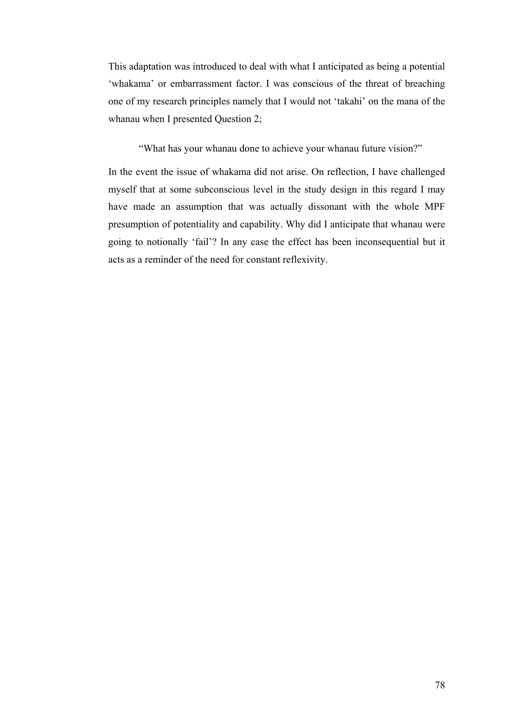This adaptation was introduced to deal with what I anticipated as being a potential 'whakama' or embarrassment factor. I was conscious of the threat of breaching one of my research principles namely that I would not 'takahi' on the mana of the whanau when I presented Question 2;

"What has your whanau done to achieve your whanau future vision?"

In the event the issue of whakama did not arise. On reflection, I have challenged myself that at some subconscious level in the study design in this regard I may have made an assumption that was actually dissonant with the whole MPF presumption of potentiality and capability. Why did I anticipate that whanau were going to notionally 'fail'? In any case the effect has been inconsequential but it acts as a reminder of the need for constant reflexivity.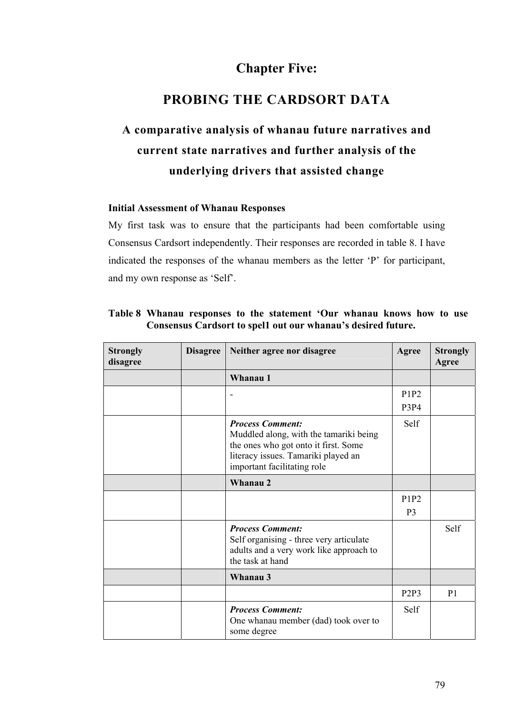### **Chapter Five:**

### **PROBING THE CARDSORT DATA**

# **A comparative analysis of whanau future narratives and current state narratives and further analysis of the underlying drivers that assisted change**

#### **Initial Assessment of Whanau Responses**

My first task was to ensure that the participants had been comfortable using Consensus Cardsort independently. Their responses are recorded in table 8. I have indicated the responses of the whanau members as the letter 'P' for participant, and my own response as 'Self'.

| <b>Strongly</b><br>disagree | <b>Disagree</b> | Neither agree nor disagree                                                                                                                                                      | Agree                         | <b>Strongly</b><br>Agree |
|-----------------------------|-----------------|---------------------------------------------------------------------------------------------------------------------------------------------------------------------------------|-------------------------------|--------------------------|
|                             |                 | Whanau 1                                                                                                                                                                        |                               |                          |
|                             |                 |                                                                                                                                                                                 | P1P2                          |                          |
|                             |                 |                                                                                                                                                                                 | <b>P3P4</b>                   |                          |
|                             |                 | <b>Process Comment:</b><br>Muddled along, with the tamariki being<br>the ones who got onto it first. Some<br>literacy issues. Tamariki played an<br>important facilitating role | <b>Self</b>                   |                          |
|                             |                 | Whanau 2                                                                                                                                                                        |                               |                          |
|                             |                 |                                                                                                                                                                                 | P1P2                          |                          |
|                             |                 |                                                                                                                                                                                 | P <sub>3</sub>                |                          |
|                             |                 | <b>Process Comment:</b><br>Self organising - three very articulate<br>adults and a very work like approach to<br>the task at hand                                               |                               | Self                     |
|                             |                 | Whanau 3                                                                                                                                                                        |                               |                          |
|                             |                 |                                                                                                                                                                                 | P <sub>2</sub> P <sub>3</sub> | P <sub>1</sub>           |
|                             |                 | <b>Process Comment:</b><br>One whanau member (dad) took over to<br>some degree                                                                                                  | Self                          |                          |

#### **Table 8 Whanau responses to the statement 'Our whanau knows how to use Consensus Cardsort to spel1 out our whanau's desired future.**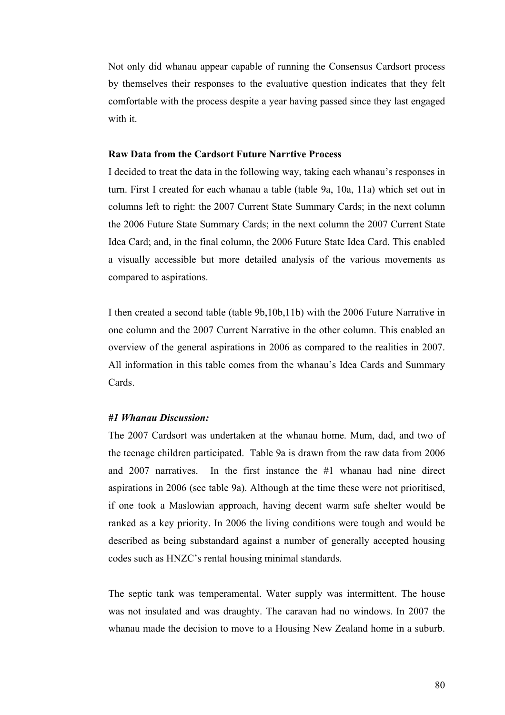Not only did whanau appear capable of running the Consensus Cardsort process by themselves their responses to the evaluative question indicates that they felt comfortable with the process despite a year having passed since they last engaged with it.

#### **Raw Data from the Cardsort Future Narrtive Process**

I decided to treat the data in the following way, taking each whanau's responses in turn. First I created for each whanau a table (table 9a, 10a, 11a) which set out in columns left to right: the 2007 Current State Summary Cards; in the next column the 2006 Future State Summary Cards; in the next column the 2007 Current State Idea Card; and, in the final column, the 2006 Future State Idea Card. This enabled a visually accessible but more detailed analysis of the various movements as compared to aspirations.

I then created a second table (table 9b,10b,11b) with the 2006 Future Narrative in one column and the 2007 Current Narrative in the other column. This enabled an overview of the general aspirations in 2006 as compared to the realities in 2007. All information in this table comes from the whanau's Idea Cards and Summary Cards.

#### *#1 Whanau Discussion:*

The 2007 Cardsort was undertaken at the whanau home. Mum, dad, and two of the teenage children participated. Table 9a is drawn from the raw data from 2006 and 2007 narratives. In the first instance the #1 whanau had nine direct aspirations in 2006 (see table 9a). Although at the time these were not prioritised, if one took a Maslowian approach, having decent warm safe shelter would be ranked as a key priority. In 2006 the living conditions were tough and would be described as being substandard against a number of generally accepted housing codes such as HNZC's rental housing minimal standards.

The septic tank was temperamental. Water supply was intermittent. The house was not insulated and was draughty. The caravan had no windows. In 2007 the whanau made the decision to move to a Housing New Zealand home in a suburb.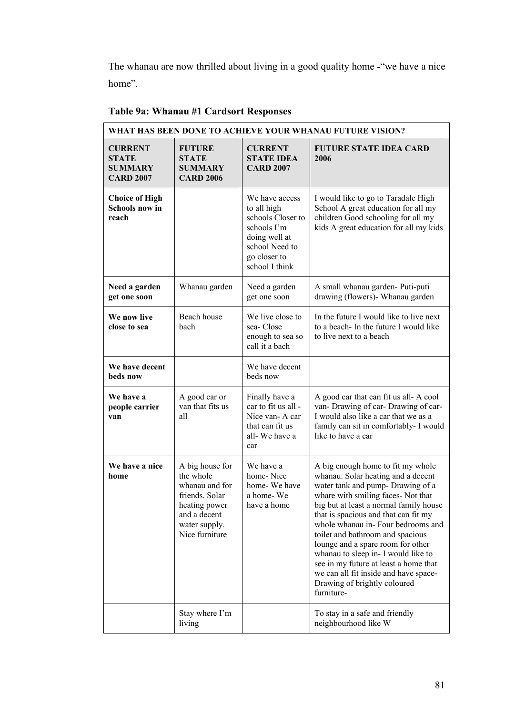The whanau are now thrilled about living in a good quality home -"we have a nice home".

| WHAT HAS BEEN DONE TO ACHIEVE YOUR WHANAU FUTURE VISION?             |                                                                                                                                      |                                                                                                                                        |                                                                                                                                                                                                                                                                                                                                                                                                                                                                                                                          |  |
|----------------------------------------------------------------------|--------------------------------------------------------------------------------------------------------------------------------------|----------------------------------------------------------------------------------------------------------------------------------------|--------------------------------------------------------------------------------------------------------------------------------------------------------------------------------------------------------------------------------------------------------------------------------------------------------------------------------------------------------------------------------------------------------------------------------------------------------------------------------------------------------------------------|--|
| <b>CURRENT</b><br><b>STATE</b><br><b>SUMMARY</b><br><b>CARD 2007</b> | <b>FUTURE</b><br><b>STATE</b><br><b>SUMMARY</b><br><b>CARD 2006</b>                                                                  | <b>CURRENT</b><br><b>STATE IDEA</b><br><b>CARD 2007</b>                                                                                | <b>FUTURE STATE IDEA CARD</b><br>2006                                                                                                                                                                                                                                                                                                                                                                                                                                                                                    |  |
| <b>Choice of High</b><br>Schools now in<br>reach                     |                                                                                                                                      | We have access<br>to all high<br>schools Closer to<br>schools I'm<br>doing well at<br>school Need to<br>go closer to<br>school I think | I would like to go to Taradale High<br>School A great education for all my<br>children Good schooling for all my<br>kids A great education for all my kids                                                                                                                                                                                                                                                                                                                                                               |  |
| Need a garden<br>get one soon                                        | Whanau garden                                                                                                                        | Need a garden<br>get one soon                                                                                                          | A small whanau garden- Puti-puti<br>drawing (flowers)- Whanau garden                                                                                                                                                                                                                                                                                                                                                                                                                                                     |  |
| We now live<br>close to sea                                          | Beach house<br>bach                                                                                                                  | We live close to<br>sea-Close<br>enough to sea so<br>call it a bach                                                                    | In the future I would like to live next<br>to a beach- In the future I would like<br>to live next to a beach                                                                                                                                                                                                                                                                                                                                                                                                             |  |
| We have decent<br>beds now                                           |                                                                                                                                      | We have decent<br>beds now                                                                                                             |                                                                                                                                                                                                                                                                                                                                                                                                                                                                                                                          |  |
| We have a<br>people carrier<br>van                                   | A good car or<br>van that fits us<br>all                                                                                             | Finally have a<br>car to fit us all -<br>Nice van-A car<br>that can fit us<br>all-We have a<br>car                                     | A good car that can fit us all-A cool<br>van-Drawing of car-Drawing of car-<br>I would also like a car that we as a<br>family can sit in comfortably- I would<br>like to have a car                                                                                                                                                                                                                                                                                                                                      |  |
| We have a nice<br>home                                               | A big house for<br>the whole<br>whanau and for<br>friends. Solar<br>heating power<br>and a decent<br>water supply.<br>Nice furniture | We have a<br>home-Nice<br>home-We have<br>a home-We<br>have a home                                                                     | A big enough home to fit my whole<br>whanau. Solar heating and a decent<br>water tank and pump- Drawing of a<br>whare with smiling faces-Not that<br>big but at least a normal family house<br>that is spacious and that can fit my<br>whole whanau in-Four bedrooms and<br>toilet and bathroom and spacious<br>lounge and a spare room for other<br>whanau to sleep in- I would like to<br>see in my future at least a home that<br>we can all fit inside and have space-<br>Drawing of brightly coloured<br>furniture- |  |
|                                                                      | Stay where I'm<br>living                                                                                                             |                                                                                                                                        | To stay in a safe and friendly<br>neighbourhood like W                                                                                                                                                                                                                                                                                                                                                                                                                                                                   |  |

### **Table 9a: Whanau #1 Cardsort Responses**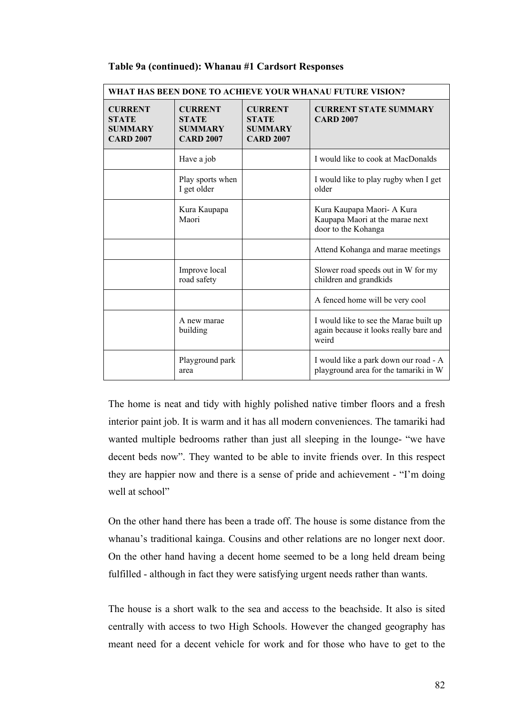| WHAT HAS BEEN DONE TO ACHIEVE YOUR WHANAU FUTURE VISION?             |                                                                      |                                                                      |                                                                                           |  |
|----------------------------------------------------------------------|----------------------------------------------------------------------|----------------------------------------------------------------------|-------------------------------------------------------------------------------------------|--|
| <b>CURRENT</b><br><b>STATE</b><br><b>SUMMARY</b><br><b>CARD 2007</b> | <b>CURRENT</b><br><b>STATE</b><br><b>SUMMARY</b><br><b>CARD 2007</b> | <b>CURRENT</b><br><b>STATE</b><br><b>SUMMARY</b><br><b>CARD 2007</b> | <b>CURRENT STATE SUMMARY</b><br><b>CARD 2007</b>                                          |  |
|                                                                      | Have a job                                                           |                                                                      | I would like to cook at MacDonalds                                                        |  |
|                                                                      | Play sports when<br>I get older                                      |                                                                      | I would like to play rugby when I get<br>older                                            |  |
|                                                                      | Kura Kaupapa<br>Maori                                                |                                                                      | Kura Kaupapa Maori- A Kura<br>Kaupapa Maori at the marae next<br>door to the Kohanga      |  |
|                                                                      |                                                                      |                                                                      | Attend Kohanga and marae meetings                                                         |  |
|                                                                      | Improve local<br>road safety                                         |                                                                      | Slower road speeds out in W for my<br>children and grandkids                              |  |
|                                                                      |                                                                      |                                                                      | A fenced home will be very cool                                                           |  |
|                                                                      | A new marae<br>building                                              |                                                                      | I would like to see the Marae built up<br>again because it looks really bare and<br>weird |  |
|                                                                      | Playground park<br>area                                              |                                                                      | I would like a park down our road - A<br>playground area for the tamariki in W            |  |

#### **Table 9a (continued): Whanau #1 Cardsort Responses**

The home is neat and tidy with highly polished native timber floors and a fresh interior paint job. It is warm and it has all modern conveniences. The tamariki had wanted multiple bedrooms rather than just all sleeping in the lounge- "we have decent beds now". They wanted to be able to invite friends over. In this respect they are happier now and there is a sense of pride and achievement - "I'm doing well at school"

On the other hand there has been a trade off. The house is some distance from the whanau's traditional kainga. Cousins and other relations are no longer next door. On the other hand having a decent home seemed to be a long held dream being fulfilled - although in fact they were satisfying urgent needs rather than wants.

The house is a short walk to the sea and access to the beachside. It also is sited centrally with access to two High Schools. However the changed geography has meant need for a decent vehicle for work and for those who have to get to the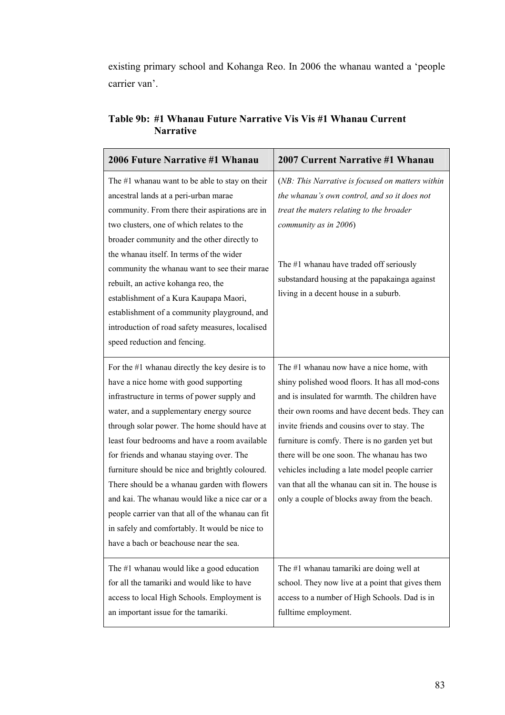existing primary school and Kohanga Reo. In 2006 the whanau wanted a 'people carrier van'.

| 2006 Future Narrative #1 Whanau                                                                                                                                                                                                                                                                                                                                                                                                                                                                                                                                                                                                          | 2007 Current Narrative #1 Whanau                                                                                                                                                                                                                                                                                                                                                                                                                                                                      |
|------------------------------------------------------------------------------------------------------------------------------------------------------------------------------------------------------------------------------------------------------------------------------------------------------------------------------------------------------------------------------------------------------------------------------------------------------------------------------------------------------------------------------------------------------------------------------------------------------------------------------------------|-------------------------------------------------------------------------------------------------------------------------------------------------------------------------------------------------------------------------------------------------------------------------------------------------------------------------------------------------------------------------------------------------------------------------------------------------------------------------------------------------------|
| The $#1$ whanau want to be able to stay on their<br>ancestral lands at a peri-urban marae<br>community. From there their aspirations are in<br>two clusters, one of which relates to the<br>broader community and the other directly to<br>the whanau itself. In terms of the wider<br>community the whanau want to see their marae<br>rebuilt, an active kohanga reo, the<br>establishment of a Kura Kaupapa Maori,<br>establishment of a community playground, and<br>introduction of road safety measures, localised<br>speed reduction and fencing.                                                                                  | (NB: This Narrative is focused on matters within<br>the whanau's own control, and so it does not<br>treat the maters relating to the broader<br>community as in 2006)<br>The #1 whanau have traded off seriously<br>substandard housing at the papakainga against<br>living in a decent house in a suburb.                                                                                                                                                                                            |
| For the $#1$ whanau directly the key desire is to<br>have a nice home with good supporting<br>infrastructure in terms of power supply and<br>water, and a supplementary energy source<br>through solar power. The home should have at<br>least four bedrooms and have a room available<br>for friends and whanau staying over. The<br>furniture should be nice and brightly coloured.<br>There should be a whanau garden with flowers<br>and kai. The whanau would like a nice car or a<br>people carrier van that all of the whanau can fit<br>in safely and comfortably. It would be nice to<br>have a bach or beachouse near the sea. | The #1 whanau now have a nice home, with<br>shiny polished wood floors. It has all mod-cons<br>and is insulated for warmth. The children have<br>their own rooms and have decent beds. They can<br>invite friends and cousins over to stay. The<br>furniture is comfy. There is no garden yet but<br>there will be one soon. The whanau has two<br>vehicles including a late model people carrier<br>van that all the whanau can sit in. The house is<br>only a couple of blocks away from the beach. |
| The #1 whanau would like a good education<br>for all the tamariki and would like to have<br>access to local High Schools. Employment is<br>an important issue for the tamariki.                                                                                                                                                                                                                                                                                                                                                                                                                                                          | The #1 whanau tamariki are doing well at<br>school. They now live at a point that gives them<br>access to a number of High Schools. Dad is in<br>fulltime employment.                                                                                                                                                                                                                                                                                                                                 |

### **Table 9b: #1 Whanau Future Narrative Vis Vis #1 Whanau Current Narrative**

 $\overline{\mathbf{1}}$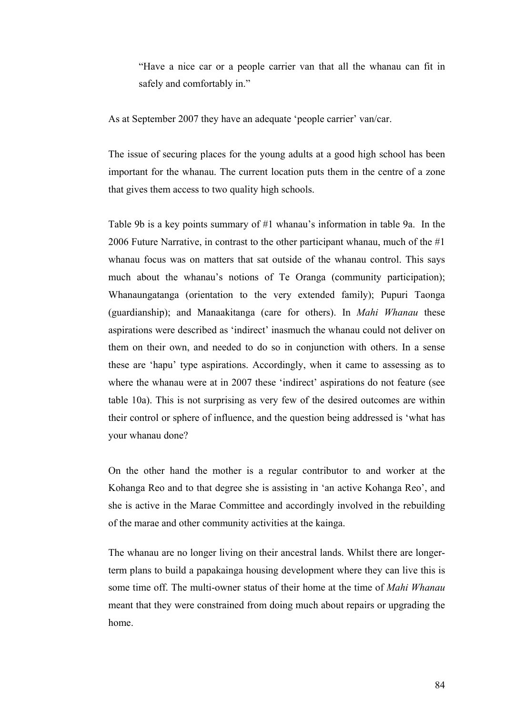"Have a nice car or a people carrier van that all the whanau can fit in safely and comfortably in."

As at September 2007 they have an adequate 'people carrier' van/car.

The issue of securing places for the young adults at a good high school has been important for the whanau. The current location puts them in the centre of a zone that gives them access to two quality high schools.

Table 9b is a key points summary of #1 whanau's information in table 9a. In the 2006 Future Narrative, in contrast to the other participant whanau, much of the #1 whanau focus was on matters that sat outside of the whanau control. This says much about the whanau's notions of Te Oranga (community participation); Whanaungatanga (orientation to the very extended family); Pupuri Taonga (guardianship); and Manaakitanga (care for others). In *Mahi Whanau* these aspirations were described as 'indirect' inasmuch the whanau could not deliver on them on their own, and needed to do so in conjunction with others. In a sense these are 'hapu' type aspirations. Accordingly, when it came to assessing as to where the whanau were at in 2007 these 'indirect' aspirations do not feature (see table 10a). This is not surprising as very few of the desired outcomes are within their control or sphere of influence, and the question being addressed is 'what has your whanau done?

On the other hand the mother is a regular contributor to and worker at the Kohanga Reo and to that degree she is assisting in 'an active Kohanga Reo', and she is active in the Marae Committee and accordingly involved in the rebuilding of the marae and other community activities at the kainga.

The whanau are no longer living on their ancestral lands. Whilst there are longerterm plans to build a papakainga housing development where they can live this is some time off. The multi-owner status of their home at the time of *Mahi Whanau* meant that they were constrained from doing much about repairs or upgrading the home.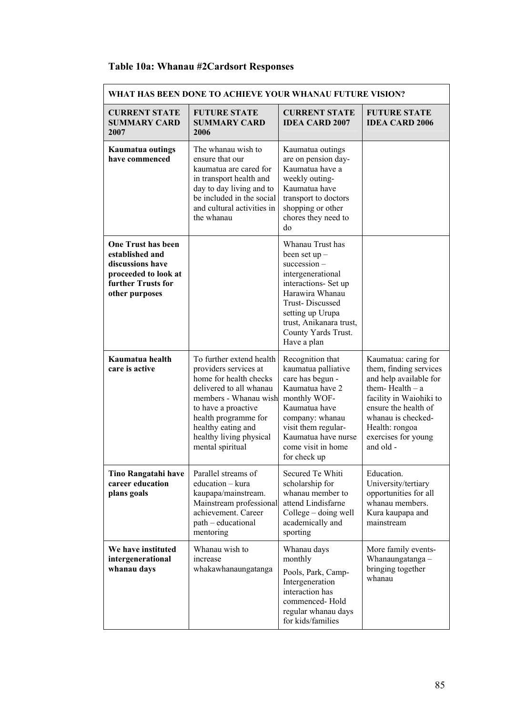## **Table 10a: Whanau #2Cardsort Responses**

| WHAT HAS BEEN DONE TO ACHIEVE YOUR WHANAU FUTURE VISION?                                                                         |                                                                                                                                                                                                                                                     |                                                                                                                                                                                                                                      |                                                                                                                                                                                                                              |  |
|----------------------------------------------------------------------------------------------------------------------------------|-----------------------------------------------------------------------------------------------------------------------------------------------------------------------------------------------------------------------------------------------------|--------------------------------------------------------------------------------------------------------------------------------------------------------------------------------------------------------------------------------------|------------------------------------------------------------------------------------------------------------------------------------------------------------------------------------------------------------------------------|--|
| <b>CURRENT STATE</b><br><b>SUMMARY CARD</b><br>2007                                                                              | <b>FUTURE STATE</b><br><b>SUMMARY CARD</b><br>2006                                                                                                                                                                                                  | <b>CURRENT STATE</b><br><b>IDEA CARD 2007</b>                                                                                                                                                                                        | <b>FUTURE STATE</b><br><b>IDEA CARD 2006</b>                                                                                                                                                                                 |  |
| <b>Kaumatua outings</b><br>have commenced                                                                                        | The whanau wish to<br>ensure that our<br>kaumatua are cared for<br>in transport health and<br>day to day living and to<br>be included in the social<br>and cultural activities in<br>the whanau                                                     | Kaumatua outings<br>are on pension day-<br>Kaumatua have a<br>weekly outing-<br>Kaumatua have<br>transport to doctors<br>shopping or other<br>chores they need to<br>do                                                              |                                                                                                                                                                                                                              |  |
| <b>One Trust has been</b><br>established and<br>discussions have<br>proceeded to look at<br>further Trusts for<br>other purposes |                                                                                                                                                                                                                                                     | Whanau Trust has<br>been set $up$ –<br>$succession -$<br>intergenerational<br>interactions- Set up<br>Harawira Whanau<br><b>Trust-Discussed</b><br>setting up Urupa<br>trust, Anikanara trust,<br>County Yards Trust.<br>Have a plan |                                                                                                                                                                                                                              |  |
| Kaumatua health<br>care is active                                                                                                | To further extend health<br>providers services at<br>home for health checks<br>delivered to all whanau<br>members - Whanau wish<br>to have a proactive<br>health programme for<br>healthy eating and<br>healthy living physical<br>mental spiritual | Recognition that<br>kaumatua palliative<br>care has begun -<br>Kaumatua have 2<br>monthly WOF-<br>Kaumatua have<br>company: whanau<br>visit them regular-<br>Kaumatua have nurse<br>come visit in home<br>for check up               | Kaumatua: caring for<br>them, finding services<br>and help available for<br>them-Health $-$ a<br>facility in Waiohiki to<br>ensure the health of<br>whanau is checked-<br>Health: rongoa<br>exercises for young<br>and old - |  |
| <b>Tino Rangatahi have</b><br>career education<br>plans goals                                                                    | Parallel streams of<br>education - kura<br>kaupapa/mainstream.<br>Mainstream professional<br>achievement. Career<br>path – educational<br>mentoring                                                                                                 | Secured Te Whiti<br>scholarship for<br>whanau member to<br>attend Lindisfarne<br>College – doing well<br>academically and<br>sporting                                                                                                | Education.<br>University/tertiary<br>opportunities for all<br>whanau members.<br>Kura kaupapa and<br>mainstream                                                                                                              |  |
| We have instituted<br>intergenerational<br>whanau days                                                                           | Whanau wish to<br>increase<br>whakawhanaungatanga                                                                                                                                                                                                   | Whanau days<br>monthly<br>Pools, Park, Camp-<br>Intergeneration<br>interaction has<br>commenced-Hold<br>regular whanau days<br>for kids/families                                                                                     | More family events-<br>Whanaungatanga -<br>bringing together<br>whanau                                                                                                                                                       |  |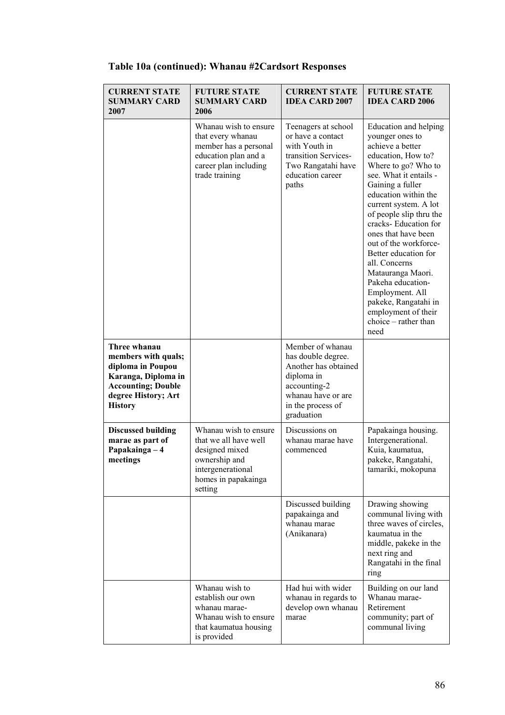| <b>CURRENT STATE</b><br><b>SUMMARY CARD</b><br>2007                                                                                                   | <b>FUTURE STATE</b><br><b>SUMMARY CARD</b><br>2006                                                                                       | <b>CURRENT STATE</b><br><b>IDEA CARD 2007</b>                                                                                                         | <b>FUTURE STATE</b><br><b>IDEA CARD 2006</b>                                                                                                                                                                                                                                                                                                                                                                                                                                                      |
|-------------------------------------------------------------------------------------------------------------------------------------------------------|------------------------------------------------------------------------------------------------------------------------------------------|-------------------------------------------------------------------------------------------------------------------------------------------------------|---------------------------------------------------------------------------------------------------------------------------------------------------------------------------------------------------------------------------------------------------------------------------------------------------------------------------------------------------------------------------------------------------------------------------------------------------------------------------------------------------|
|                                                                                                                                                       | Whanau wish to ensure<br>that every whanau<br>member has a personal<br>education plan and a<br>career plan including<br>trade training   | Teenagers at school<br>or have a contact<br>with Youth in<br>transition Services-<br>Two Rangatahi have<br>education career<br>paths                  | Education and helping<br>younger ones to<br>achieve a better<br>education, How to?<br>Where to go? Who to<br>see. What it entails -<br>Gaining a fuller<br>education within the<br>current system. A lot<br>of people slip thru the<br>cracks- Education for<br>ones that have been<br>out of the workforce-<br>Better education for<br>all. Concerns<br>Matauranga Maori.<br>Pakeha education-<br>Employment. All<br>pakeke, Rangatahi in<br>employment of their<br>choice - rather than<br>need |
| Three whanau<br>members with quals;<br>diploma in Poupou<br>Karanga, Diploma in<br><b>Accounting; Double</b><br>degree History; Art<br><b>History</b> |                                                                                                                                          | Member of whanau<br>has double degree.<br>Another has obtained<br>diploma in<br>accounting-2<br>whanau have or are<br>in the process of<br>graduation |                                                                                                                                                                                                                                                                                                                                                                                                                                                                                                   |
| <b>Discussed building</b><br>marae as part of<br>Papakainga - 4<br>meetings                                                                           | Whanau wish to ensure<br>that we all have well<br>designed mixed<br>ownership and<br>intergenerational<br>homes in papakainga<br>setting | Discussions on<br>whanau marae have<br>commenced                                                                                                      | Papakainga housing.<br>Intergenerational.<br>Kuia, kaumatua,<br>pakeke, Rangatahi,<br>tamariki, mokopuna                                                                                                                                                                                                                                                                                                                                                                                          |
|                                                                                                                                                       |                                                                                                                                          | Discussed building<br>papakainga and<br>whanau marae<br>(Anikanara)                                                                                   | Drawing showing<br>communal living with<br>three waves of circles,<br>kaumatua in the<br>middle, pakeke in the<br>next ring and<br>Rangatahi in the final<br>ring                                                                                                                                                                                                                                                                                                                                 |
|                                                                                                                                                       | Whanau wish to<br>establish our own<br>whanau marae-<br>Whanau wish to ensure<br>that kaumatua housing<br>is provided                    | Had hui with wider<br>whanau in regards to<br>develop own whanau<br>marae                                                                             | Building on our land<br>Whanau marae-<br>Retirement<br>community; part of<br>communal living                                                                                                                                                                                                                                                                                                                                                                                                      |

## **Table 10a (continued): Whanau #2Cardsort Responses**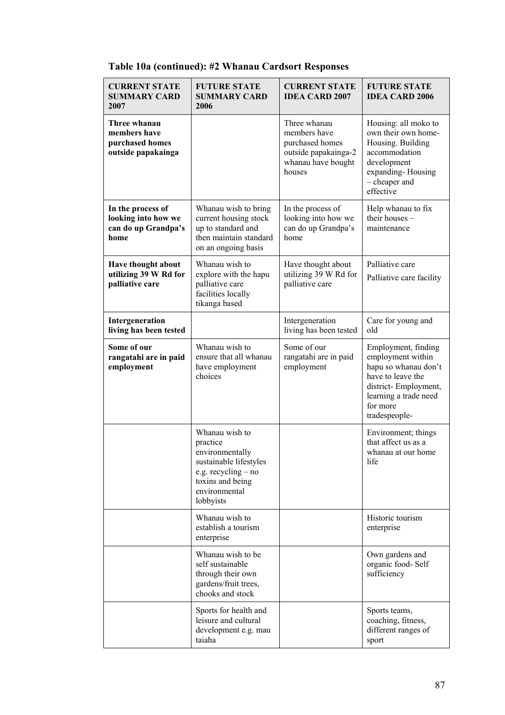| <b>CURRENT STATE</b><br><b>SUMMARY CARD</b><br>2007                     | <b>FUTURE STATE</b><br><b>SUMMARY CARD</b><br>2006                                                                                               | <b>CURRENT STATE</b><br><b>IDEA CARD 2007</b>                                                           | <b>FUTURE STATE</b><br><b>IDEA CARD 2006</b>                                                                                                                        |
|-------------------------------------------------------------------------|--------------------------------------------------------------------------------------------------------------------------------------------------|---------------------------------------------------------------------------------------------------------|---------------------------------------------------------------------------------------------------------------------------------------------------------------------|
| Three whanau<br>members have<br>purchased homes<br>outside papakainga   |                                                                                                                                                  | Three whanau<br>members have<br>purchased homes<br>outside papakainga-2<br>whanau have bought<br>houses | Housing: all moko to<br>own their own home-<br>Housing. Building<br>accommodation<br>development<br>expanding-Housing<br>- cheaper and<br>effective                 |
| In the process of<br>looking into how we<br>can do up Grandpa's<br>home | Whanau wish to bring<br>current housing stock<br>up to standard and<br>then maintain standard<br>on an ongoing basis                             | In the process of<br>looking into how we<br>can do up Grandpa's<br>home                                 | Help whanau to fix<br>their houses -<br>maintenance                                                                                                                 |
| Have thought about<br>utilizing 39 W Rd for<br>palliative care          | Whanau wish to<br>explore with the hapu<br>palliative care<br>facilities locally<br>tikanga based                                                | Have thought about<br>utilizing 39 W Rd for<br>palliative care                                          | Palliative care<br>Palliative care facility                                                                                                                         |
| Intergeneration<br>living has been tested                               |                                                                                                                                                  | Intergeneration<br>living has been tested                                                               | Care for young and<br>old                                                                                                                                           |
| Some of our<br>rangatahi are in paid<br>employment                      | Whanau wish to<br>ensure that all whanau<br>have employment<br>choices                                                                           | Some of our<br>rangatahi are in paid<br>employment                                                      | Employment, finding<br>employment within<br>hapu so whanau don't<br>have to leave the<br>district-Employment,<br>learning a trade need<br>for more<br>tradespeople- |
|                                                                         | Whanau wish to<br>practice<br>environmentally<br>sustainable lifestyles<br>e.g. recycling – no<br>toxins and being<br>environmental<br>lobbyists |                                                                                                         | Environment; things<br>that affect us as a<br>whanau at our home<br>life                                                                                            |
|                                                                         | Whanau wish to<br>establish a tourism<br>enterprise                                                                                              |                                                                                                         | Historic tourism<br>enterprise                                                                                                                                      |
|                                                                         | Whanau wish to be<br>self sustainable<br>through their own<br>gardens/fruit trees,<br>chooks and stock                                           |                                                                                                         | Own gardens and<br>organic food-Self<br>sufficiency                                                                                                                 |
|                                                                         | Sports for health and<br>leisure and cultural<br>development e.g. mau<br>taiaha                                                                  |                                                                                                         | Sports teams,<br>coaching, fitness,<br>different ranges of<br>sport                                                                                                 |

## **Table 10a (continued): #2 Whanau Cardsort Responses**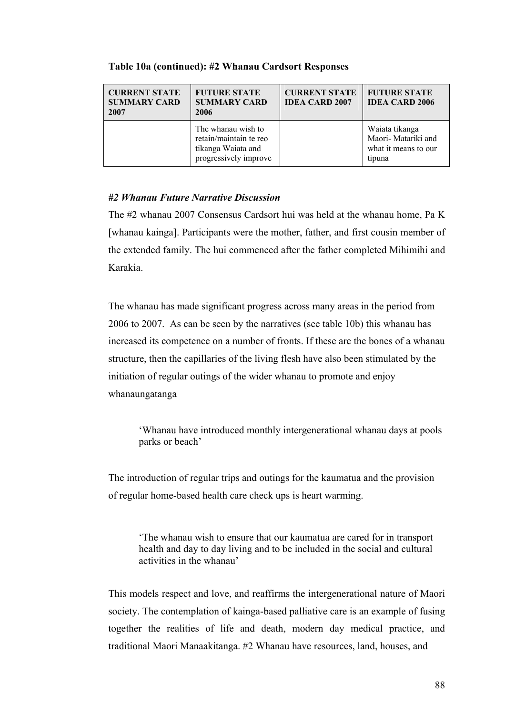| <b>CURRENT STATE</b><br><b>SUMMARY CARD</b><br>2007 | <b>FUTURE STATE</b><br><b>SUMMARY CARD</b><br>2006                                          | <b>CURRENT STATE</b><br><b>IDEA CARD 2007</b> | <b>FUTURE STATE</b><br><b>IDEA CARD 2006</b>                            |
|-----------------------------------------------------|---------------------------------------------------------------------------------------------|-----------------------------------------------|-------------------------------------------------------------------------|
|                                                     | The whanau wish to<br>retain/maintain te reo<br>tikanga Waiata and<br>progressively improve |                                               | Waiata tikanga<br>Maori- Matariki and<br>what it means to our<br>tipuna |

#### **Table 10a (continued): #2 Whanau Cardsort Responses**

#### *#2 Whanau Future Narrative Discussion*

The #2 whanau 2007 Consensus Cardsort hui was held at the whanau home, Pa K [whanau kainga]. Participants were the mother, father, and first cousin member of the extended family. The hui commenced after the father completed Mihimihi and Karakia.

The whanau has made significant progress across many areas in the period from 2006 to 2007. As can be seen by the narratives (see table 10b) this whanau has increased its competence on a number of fronts. If these are the bones of a whanau structure, then the capillaries of the living flesh have also been stimulated by the initiation of regular outings of the wider whanau to promote and enjoy whanaungatanga

'Whanau have introduced monthly intergenerational whanau days at pools parks or beach'

The introduction of regular trips and outings for the kaumatua and the provision of regular home-based health care check ups is heart warming.

'The whanau wish to ensure that our kaumatua are cared for in transport health and day to day living and to be included in the social and cultural activities in the whanau'

This models respect and love, and reaffirms the intergenerational nature of Maori society. The contemplation of kainga-based palliative care is an example of fusing together the realities of life and death, modern day medical practice, and traditional Maori Manaakitanga. #2 Whanau have resources, land, houses, and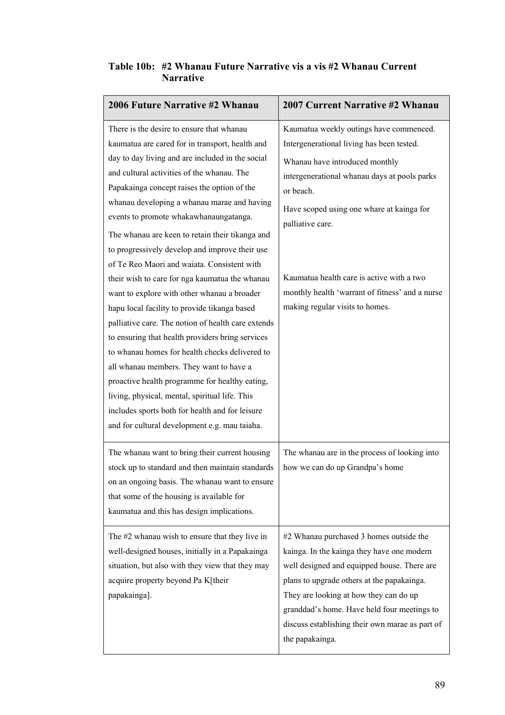| Table 10b: #2 Whanau Future Narrative vis a vis #2 Whanau Current |
|-------------------------------------------------------------------|
| <b>Narrative</b>                                                  |

| 2006 Future Narrative #2 Whanau                                                                                                                                                                                                                                                                                                                                                                                                                                                                                                                                                                                                                                                                                                                                                                                                                                                                                                                                                                                                                            | 2007 Current Narrative #2 Whanau                                                                                                                                                                                                                                                                                                                                                        |
|------------------------------------------------------------------------------------------------------------------------------------------------------------------------------------------------------------------------------------------------------------------------------------------------------------------------------------------------------------------------------------------------------------------------------------------------------------------------------------------------------------------------------------------------------------------------------------------------------------------------------------------------------------------------------------------------------------------------------------------------------------------------------------------------------------------------------------------------------------------------------------------------------------------------------------------------------------------------------------------------------------------------------------------------------------|-----------------------------------------------------------------------------------------------------------------------------------------------------------------------------------------------------------------------------------------------------------------------------------------------------------------------------------------------------------------------------------------|
| There is the desire to ensure that whanau<br>kaumatua are cared for in transport, health and<br>day to day living and are included in the social<br>and cultural activities of the whanau. The<br>Papakainga concept raises the option of the<br>whanau developing a whanau marae and having<br>events to promote whakawhanaungatanga.<br>The whanau are keen to retain their tikanga and<br>to progressively develop and improve their use<br>of Te Reo Maori and waiata. Consistent with<br>their wish to care for nga kaumatua the whanau<br>want to explore with other whanau a broader<br>hapu local facility to provide tikanga based<br>palliative care. The notion of health care extends<br>to ensuring that health providers bring services<br>to whanau homes for health checks delivered to<br>all whanau members. They want to have a<br>proactive health programme for healthy eating,<br>living, physical, mental, spiritual life. This<br>includes sports both for health and for leisure<br>and for cultural development e.g. mau taiaha. | Kaumatua weekly outings have commenced.<br>Intergenerational living has been tested.<br>Whanau have introduced monthly<br>intergenerational whanau days at pools parks<br>or beach.<br>Have scoped using one whare at kainga for<br>palliative care.<br>Kaumatua health care is active with a two<br>monthly health 'warrant of fitness' and a nurse<br>making regular visits to homes. |
| The whanau want to bring their current housing<br>stock up to standard and then maintain standards<br>on an ongoing basis. The whanau want to ensure<br>that some of the housing is available for<br>kaumatua and this has design implications.                                                                                                                                                                                                                                                                                                                                                                                                                                                                                                                                                                                                                                                                                                                                                                                                            | The whanau are in the process of looking into<br>how we can do up Grandpa's home                                                                                                                                                                                                                                                                                                        |
| The #2 whanau wish to ensure that they live in<br>well-designed houses, initially in a Papakainga<br>situation, but also with they view that they may<br>acquire property beyond Pa K[their<br>papakainga].                                                                                                                                                                                                                                                                                                                                                                                                                                                                                                                                                                                                                                                                                                                                                                                                                                                | #2 Whanau purchased 3 homes outside the<br>kainga. In the kainga they have one modern<br>well designed and equipped house. There are<br>plans to upgrade others at the papakainga.<br>They are looking at how they can do up<br>granddad's home. Have held four meetings to<br>discuss establishing their own marae as part of<br>the papakainga.                                       |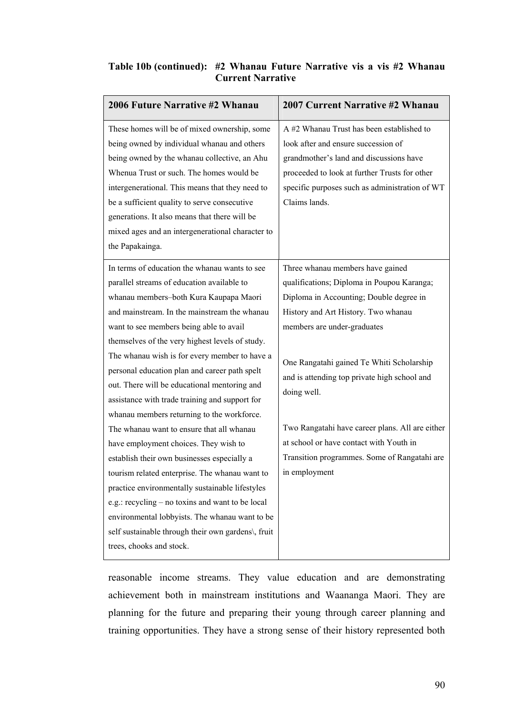#### **Table 10b (continued): #2 Whanau Future Narrative vis a vis #2 Whanau Current Narrative**

| 2006 Future Narrative #2 Whanau                    | 2007 Current Narrative #2 Whanau                |
|----------------------------------------------------|-------------------------------------------------|
| These homes will be of mixed ownership, some       | A #2 Whanau Trust has been established to       |
| being owned by individual whanau and others        | look after and ensure succession of             |
| being owned by the whanau collective, an Ahu       | grandmother's land and discussions have         |
| Whenua Trust or such. The homes would be           | proceeded to look at further Trusts for other   |
| intergenerational. This means that they need to    | specific purposes such as administration of WT  |
| be a sufficient quality to serve consecutive       | Claims lands.                                   |
| generations. It also means that there will be      |                                                 |
| mixed ages and an intergenerational character to   |                                                 |
| the Papakainga.                                    |                                                 |
| In terms of education the whanau wants to see      | Three whanau members have gained                |
| parallel streams of education available to         | qualifications; Diploma in Poupou Karanga;      |
| whanau members-both Kura Kaupapa Maori             | Diploma in Accounting; Double degree in         |
| and mainstream. In the mainstream the whanau       | History and Art History. Two whanau             |
| want to see members being able to avail            | members are under-graduates                     |
| themselves of the very highest levels of study.    |                                                 |
| The whanau wish is for every member to have a      | One Rangatahi gained Te Whiti Scholarship       |
| personal education plan and career path spelt      | and is attending top private high school and    |
| out. There will be educational mentoring and       | doing well.                                     |
| assistance with trade training and support for     |                                                 |
| whanau members returning to the workforce.         |                                                 |
| The whanau want to ensure that all whanau          | Two Rangatahi have career plans. All are either |
| have employment choices. They wish to              | at school or have contact with Youth in         |
| establish their own businesses especially a        | Transition programmes. Some of Rangatahi are    |
| tourism related enterprise. The whanau want to     | in employment                                   |
| practice environmentally sustainable lifestyles    |                                                 |
| e.g.: recycling – no toxins and want to be local   |                                                 |
| environmental lobbyists. The whanau want to be     |                                                 |
| self sustainable through their own gardens\, fruit |                                                 |
| trees, chooks and stock.                           |                                                 |

reasonable income streams. They value education and are demonstrating achievement both in mainstream institutions and Waananga Maori. They are planning for the future and preparing their young through career planning and training opportunities. They have a strong sense of their history represented both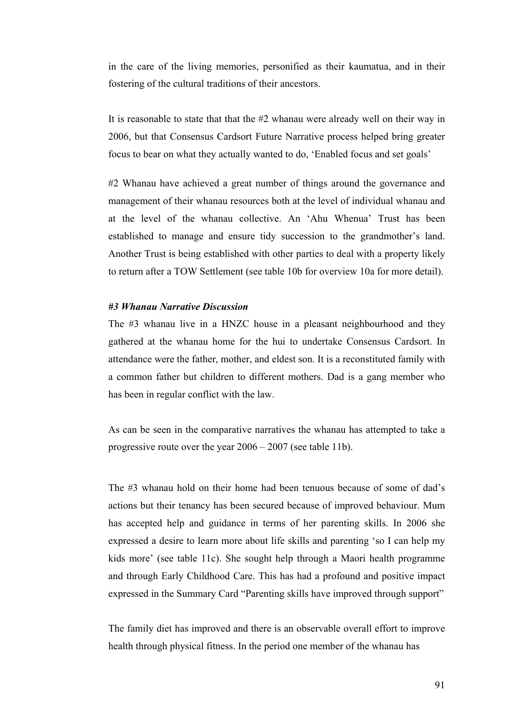in the care of the living memories, personified as their kaumatua, and in their fostering of the cultural traditions of their ancestors.

It is reasonable to state that that the #2 whanau were already well on their way in 2006, but that Consensus Cardsort Future Narrative process helped bring greater focus to bear on what they actually wanted to do, 'Enabled focus and set goals'

#2 Whanau have achieved a great number of things around the governance and management of their whanau resources both at the level of individual whanau and at the level of the whanau collective. An 'Ahu Whenua' Trust has been established to manage and ensure tidy succession to the grandmother's land. Another Trust is being established with other parties to deal with a property likely to return after a TOW Settlement (see table 10b for overview 10a for more detail).

#### *#3 Whanau Narrative Discussion*

The #3 whanau live in a HNZC house in a pleasant neighbourhood and they gathered at the whanau home for the hui to undertake Consensus Cardsort. In attendance were the father, mother, and eldest son. It is a reconstituted family with a common father but children to different mothers. Dad is a gang member who has been in regular conflict with the law.

As can be seen in the comparative narratives the whanau has attempted to take a progressive route over the year 2006 – 2007 (see table 11b).

The #3 whanau hold on their home had been tenuous because of some of dad's actions but their tenancy has been secured because of improved behaviour. Mum has accepted help and guidance in terms of her parenting skills. In 2006 she expressed a desire to learn more about life skills and parenting 'so I can help my kids more' (see table 11c). She sought help through a Maori health programme and through Early Childhood Care. This has had a profound and positive impact expressed in the Summary Card "Parenting skills have improved through support"

The family diet has improved and there is an observable overall effort to improve health through physical fitness. In the period one member of the whanau has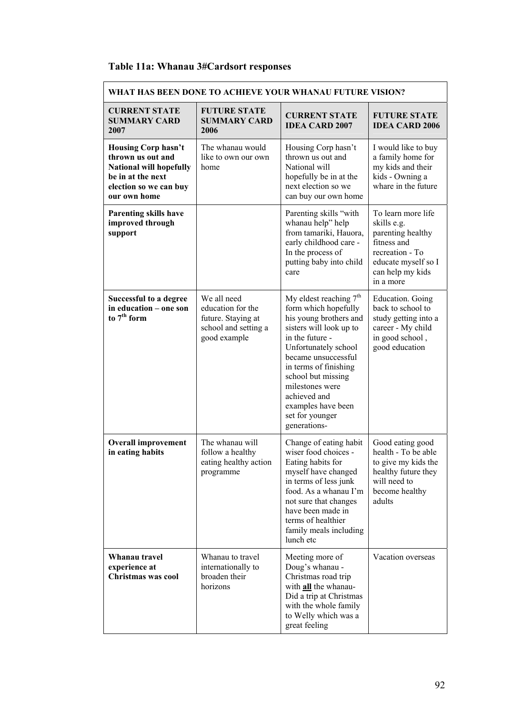## **Table 11a: Whanau 3#Cardsort responses**

| WHAT HAS BEEN DONE TO ACHIEVE YOUR WHANAU FUTURE VISION?                                                                                         |                                                                                                |                                                                                                                                                                                                                                                                                                                    |                                                                                                                                                  |
|--------------------------------------------------------------------------------------------------------------------------------------------------|------------------------------------------------------------------------------------------------|--------------------------------------------------------------------------------------------------------------------------------------------------------------------------------------------------------------------------------------------------------------------------------------------------------------------|--------------------------------------------------------------------------------------------------------------------------------------------------|
| <b>CURRENT STATE</b><br><b>SUMMARY CARD</b><br>2007                                                                                              | <b>FUTURE STATE</b><br><b>SUMMARY CARD</b><br>2006                                             | <b>CURRENT STATE</b><br><b>IDEA CARD 2007</b>                                                                                                                                                                                                                                                                      | <b>FUTURE STATE</b><br><b>IDEA CARD 2006</b>                                                                                                     |
| <b>Housing Corp hasn't</b><br>thrown us out and<br><b>National will hopefully</b><br>be in at the next<br>election so we can buy<br>our own home | The whanau would<br>like to own our own<br>home                                                | Housing Corp hasn't<br>thrown us out and<br>National will<br>hopefully be in at the<br>next election so we<br>can buy our own home                                                                                                                                                                                 | I would like to buy<br>a family home for<br>my kids and their<br>kids - Owning a<br>whare in the future                                          |
| <b>Parenting skills have</b><br>improved through<br>support                                                                                      |                                                                                                | Parenting skills "with<br>whanau help" help<br>from tamariki, Hauora,<br>early childhood care -<br>In the process of<br>putting baby into child<br>care                                                                                                                                                            | To learn more life<br>skills e.g.<br>parenting healthy<br>fitness and<br>recreation - To<br>educate myself so I<br>can help my kids<br>in a more |
| Successful to a degree<br>in education - one son<br>to $7th$ form                                                                                | We all need<br>education for the<br>future. Staying at<br>school and setting a<br>good example | My eldest reaching $7th$<br>form which hopefully<br>his young brothers and<br>sisters will look up to<br>in the future -<br>Unfortunately school<br>became unsuccessful<br>in terms of finishing<br>school but missing<br>milestones were<br>achieved and<br>examples have been<br>set for younger<br>generations- | Education. Going<br>back to school to<br>study getting into a<br>career - My child<br>in good school,<br>good education                          |
| <b>Overall improvement</b><br>in eating habits                                                                                                   | The whanau will<br>follow a healthy<br>eating healthy action<br>programme                      | Change of eating habit<br>wiser food choices -<br>Eating habits for<br>myself have changed<br>in terms of less junk<br>food. As a whanau I'm<br>not sure that changes<br>have been made in<br>terms of healthier<br>family meals including<br>lunch etc                                                            | Good eating good<br>health - To be able<br>to give my kids the<br>healthy future they<br>will need to<br>become healthy<br>adults                |
| Whanau travel<br>experience at<br>Christmas was cool                                                                                             | Whanau to travel<br>internationally to<br>broaden their<br>horizons                            | Meeting more of<br>Doug's whanau -<br>Christmas road trip<br>with <b>all</b> the whanau-<br>Did a trip at Christmas<br>with the whole family<br>to Welly which was a<br>great feeling                                                                                                                              | Vacation overseas                                                                                                                                |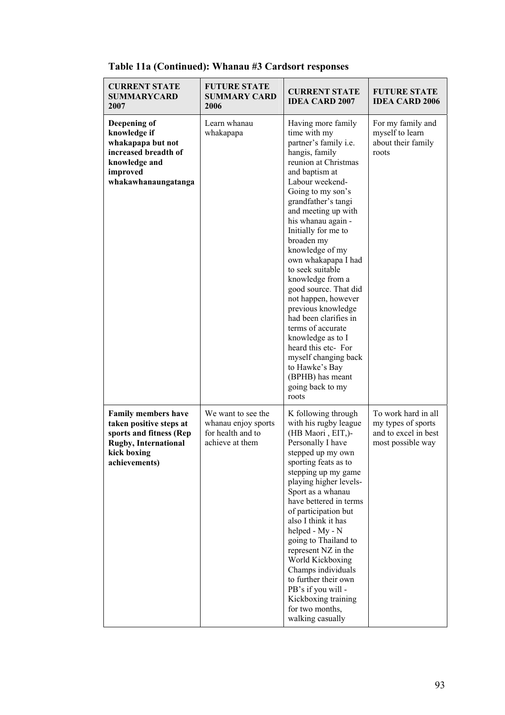| <b>CURRENT STATE</b><br><b>SUMMARYCARD</b><br>2007                                                                                               | <b>FUTURE STATE</b><br><b>SUMMARY CARD</b><br>2006                                | <b>CURRENT STATE</b><br><b>IDEA CARD 2007</b>                                                                                                                                                                                                                                                                                                                                                                                                                                                                                                                                                                         | <b>FUTURE STATE</b><br><b>IDEA CARD 2006</b>                                           |
|--------------------------------------------------------------------------------------------------------------------------------------------------|-----------------------------------------------------------------------------------|-----------------------------------------------------------------------------------------------------------------------------------------------------------------------------------------------------------------------------------------------------------------------------------------------------------------------------------------------------------------------------------------------------------------------------------------------------------------------------------------------------------------------------------------------------------------------------------------------------------------------|----------------------------------------------------------------------------------------|
| Deepening of<br>knowledge if<br>whakapapa but not<br>increased breadth of<br>knowledge and<br>improved<br>whakawhanaungatanga                    | Learn whanau<br>whakapapa                                                         | Having more family<br>time with my<br>partner's family i.e.<br>hangis, family<br>reunion at Christmas<br>and baptism at<br>Labour weekend-<br>Going to my son's<br>grandfather's tangi<br>and meeting up with<br>his whanau again -<br>Initially for me to<br>broaden my<br>knowledge of my<br>own whakapapa I had<br>to seek suitable<br>knowledge from a<br>good source. That did<br>not happen, however<br>previous knowledge<br>had been clarifies in<br>terms of accurate<br>knowledge as to I<br>heard this etc- For<br>myself changing back<br>to Hawke's Bay<br>(BPHB) has meant<br>going back to my<br>roots | For my family and<br>myself to learn<br>about their family<br>roots                    |
| <b>Family members have</b><br>taken positive steps at<br>sports and fitness (Rep)<br><b>Rugby, International</b><br>kick boxing<br>achievements) | We want to see the<br>whanau enjoy sports<br>for health and to<br>achieve at them | K following through<br>with his rugby league<br>(HB Maori, EIT,)-<br>Personally I have<br>stepped up my own<br>sporting feats as to<br>stepping up my game<br>playing higher levels-<br>Sport as a whanau<br>have bettered in terms<br>of participation but<br>also I think it has<br>helped - My - N<br>going to Thailand to<br>represent NZ in the<br>World Kickboxing<br>Champs individuals<br>to further their own<br>PB's if you will -<br>Kickboxing training<br>for two months,<br>walking casually                                                                                                            | To work hard in all<br>my types of sports<br>and to excel in best<br>most possible way |

## **Table 11a (Continued): Whanau #3 Cardsort responses**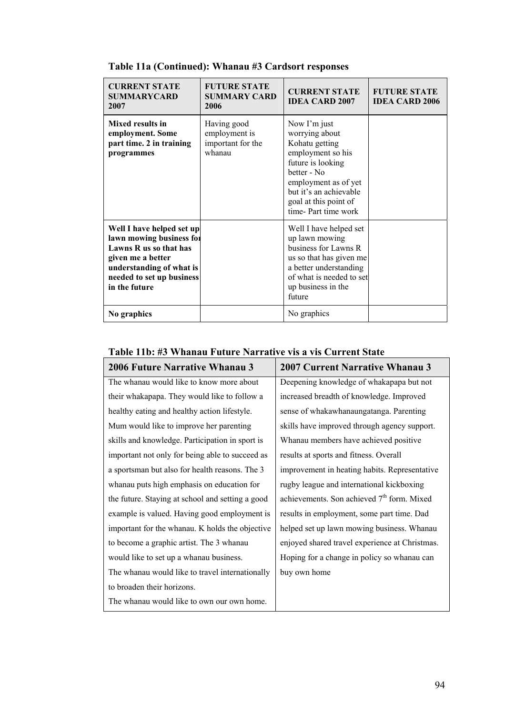| <b>CURRENT STATE</b><br><b>SUMMARYCARD</b><br>2007                                                                                                                             | <b>FUTURE STATE</b><br><b>SUMMARY CARD</b><br>2006          | <b>CURRENT STATE</b><br><b>IDEA CARD 2007</b>                                                                                                                                                               | <b>FUTURE STATE</b><br><b>IDEA CARD 2006</b> |
|--------------------------------------------------------------------------------------------------------------------------------------------------------------------------------|-------------------------------------------------------------|-------------------------------------------------------------------------------------------------------------------------------------------------------------------------------------------------------------|----------------------------------------------|
| Mixed results in<br>employment. Some<br>part time. 2 in training<br>programmes                                                                                                 | Having good<br>employment is<br>important for the<br>whanau | Now I'm just<br>worrying about<br>Kohatu getting<br>employment so his<br>future is looking<br>better - No<br>employment as of yet<br>but it's an achievable<br>goal at this point of<br>time-Part time work |                                              |
| Well I have helped set up<br>lawn mowing business for<br>Lawns R us so that has<br>given me a better<br>understanding of what is<br>needed to set up business<br>in the future |                                                             | Well I have helped set<br>up lawn mowing<br>business for Lawns R<br>us so that has given me<br>a better understanding<br>of what is needed to set<br>up business in the<br>future                           |                                              |
| No graphics                                                                                                                                                                    |                                                             | No graphics                                                                                                                                                                                                 |                                              |

### **Table 11a (Continued): Whanau #3 Cardsort responses**

## **Table 11b: #3 Whanau Future Narrative vis a vis Current State**

| 2006 Future Narrative Whanau 3                   | <b>2007 Current Narrative Whanau 3</b>         |  |
|--------------------------------------------------|------------------------------------------------|--|
| The whanau would like to know more about         | Deepening knowledge of whakapapa but not       |  |
| their whakapapa. They would like to follow a     | increased breadth of knowledge. Improved       |  |
| healthy eating and healthy action lifestyle.     | sense of whakawhanaungatanga. Parenting        |  |
| Mum would like to improve her parenting          | skills have improved through agency support.   |  |
| skills and knowledge. Participation in sport is  | Whanau members have achieved positive          |  |
| important not only for being able to succeed as  | results at sports and fitness. Overall         |  |
| a sportsman but also for health reasons. The 3   | improvement in heating habits. Representative  |  |
| whanau puts high emphasis on education for       | rugby league and international kickboxing      |  |
| the future. Staying at school and setting a good | achievements. Son achieved $7th$ form. Mixed   |  |
| example is valued. Having good employment is     | results in employment, some part time. Dad     |  |
| important for the whanau. K holds the objective  | helped set up lawn mowing business. Whanau     |  |
| to become a graphic artist. The 3 whanau         | enjoyed shared travel experience at Christmas. |  |
| would like to set up a whanau business.          | Hoping for a change in policy so whanau can    |  |
| The whanau would like to travel internationally  | buy own home                                   |  |
| to broaden their horizons.                       |                                                |  |
| The whanau would like to own our own home.       |                                                |  |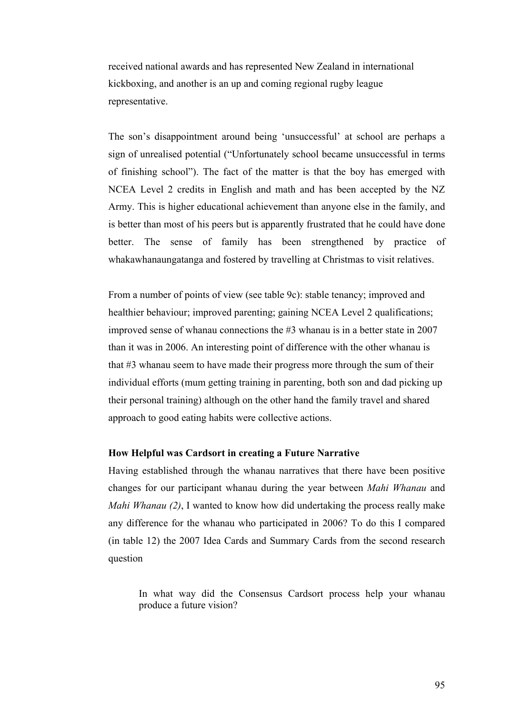received national awards and has represented New Zealand in international kickboxing, and another is an up and coming regional rugby league representative.

The son's disappointment around being 'unsuccessful' at school are perhaps a sign of unrealised potential ("Unfortunately school became unsuccessful in terms of finishing school"). The fact of the matter is that the boy has emerged with NCEA Level 2 credits in English and math and has been accepted by the NZ Army. This is higher educational achievement than anyone else in the family, and is better than most of his peers but is apparently frustrated that he could have done better. The sense of family has been strengthened by practice of whakawhanaungatanga and fostered by travelling at Christmas to visit relatives.

From a number of points of view (see table 9c): stable tenancy; improved and healthier behaviour; improved parenting; gaining NCEA Level 2 qualifications; improved sense of whanau connections the #3 whanau is in a better state in 2007 than it was in 2006. An interesting point of difference with the other whanau is that #3 whanau seem to have made their progress more through the sum of their individual efforts (mum getting training in parenting, both son and dad picking up their personal training) although on the other hand the family travel and shared approach to good eating habits were collective actions.

#### **How Helpful was Cardsort in creating a Future Narrative**

Having established through the whanau narratives that there have been positive changes for our participant whanau during the year between *Mahi Whanau* and *Mahi Whanau (2)*, I wanted to know how did undertaking the process really make any difference for the whanau who participated in 2006? To do this I compared (in table 12) the 2007 Idea Cards and Summary Cards from the second research question

In what way did the Consensus Cardsort process help your whanau produce a future vision?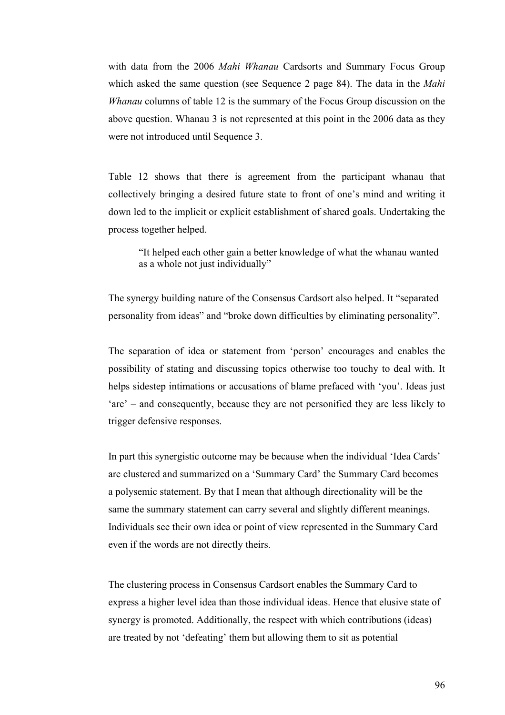with data from the 2006 *Mahi Whanau* Cardsorts and Summary Focus Group which asked the same question (see Sequence 2 page 84). The data in the *Mahi Whanau* columns of table 12 is the summary of the Focus Group discussion on the above question. Whanau 3 is not represented at this point in the 2006 data as they were not introduced until Sequence 3.

Table 12 shows that there is agreement from the participant whanau that collectively bringing a desired future state to front of one's mind and writing it down led to the implicit or explicit establishment of shared goals. Undertaking the process together helped.

"It helped each other gain a better knowledge of what the whanau wanted as a whole not just individually"

The synergy building nature of the Consensus Cardsort also helped. It "separated personality from ideas" and "broke down difficulties by eliminating personality".

The separation of idea or statement from 'person' encourages and enables the possibility of stating and discussing topics otherwise too touchy to deal with. It helps sidestep intimations or accusations of blame prefaced with 'you'. Ideas just 'are' – and consequently, because they are not personified they are less likely to trigger defensive responses.

In part this synergistic outcome may be because when the individual 'Idea Cards' are clustered and summarized on a 'Summary Card' the Summary Card becomes a polysemic statement. By that I mean that although directionality will be the same the summary statement can carry several and slightly different meanings. Individuals see their own idea or point of view represented in the Summary Card even if the words are not directly theirs.

The clustering process in Consensus Cardsort enables the Summary Card to express a higher level idea than those individual ideas. Hence that elusive state of synergy is promoted. Additionally, the respect with which contributions (ideas) are treated by not 'defeating' them but allowing them to sit as potential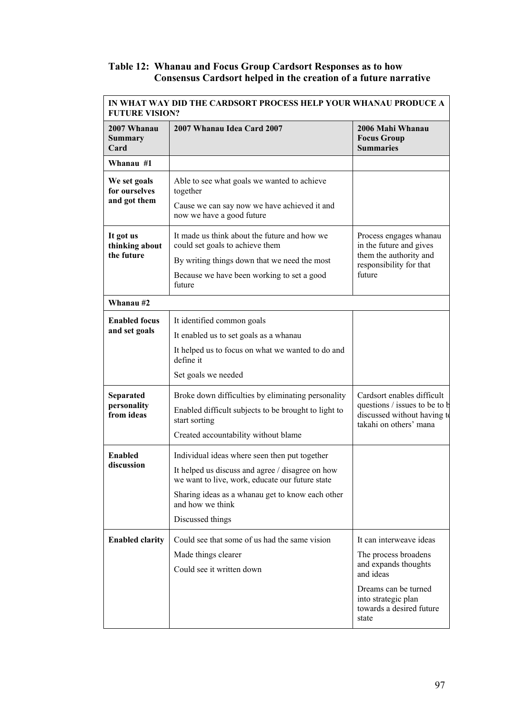#### **Table 12: Whanau and Focus Group Cardsort Responses as to how Consensus Cardsort helped in the creation of a future narrative**

| IN WHAT WAY DID THE CARDSORT PROCESS HELP YOUR WHANAU PRODUCE A<br><b>FUTURE VISION?</b> |                                                                                                                                                                                                                                                  |                                                                                                                                                                          |  |
|------------------------------------------------------------------------------------------|--------------------------------------------------------------------------------------------------------------------------------------------------------------------------------------------------------------------------------------------------|--------------------------------------------------------------------------------------------------------------------------------------------------------------------------|--|
| 2007 Whanau<br><b>Summary</b><br>Card                                                    | 2007 Whanau Idea Card 2007                                                                                                                                                                                                                       | 2006 Mahi Whanau<br><b>Focus Group</b><br><b>Summaries</b>                                                                                                               |  |
| Whanau #1                                                                                |                                                                                                                                                                                                                                                  |                                                                                                                                                                          |  |
| We set goals<br>for ourselves<br>and got them                                            | Able to see what goals we wanted to achieve<br>together<br>Cause we can say now we have achieved it and<br>now we have a good future                                                                                                             |                                                                                                                                                                          |  |
| It got us<br>thinking about<br>the future                                                | It made us think about the future and how we<br>could set goals to achieve them<br>By writing things down that we need the most<br>Because we have been working to set a good<br>future                                                          | Process engages whanau<br>in the future and gives<br>them the authority and<br>responsibility for that<br>future                                                         |  |
| Whanau #2                                                                                |                                                                                                                                                                                                                                                  |                                                                                                                                                                          |  |
| <b>Enabled focus</b><br>and set goals                                                    | It identified common goals<br>It enabled us to set goals as a whanau<br>It helped us to focus on what we wanted to do and<br>define it<br>Set goals we needed                                                                                    |                                                                                                                                                                          |  |
| <b>Separated</b><br>personality<br>from ideas                                            | Broke down difficulties by eliminating personality<br>Enabled difficult subjects to be brought to light to<br>start sorting<br>Created accountability without blame                                                                              | Cardsort enables difficult<br>questions / issues to be to b<br>discussed without having to<br>takahi on others' mana                                                     |  |
| <b>Enabled</b><br>discussion                                                             | Individual ideas where seen then put together<br>It helped us discuss and agree / disagree on how<br>we want to live, work, educate our future state<br>Sharing ideas as a whanau get to know each other<br>and how we think<br>Discussed things |                                                                                                                                                                          |  |
| <b>Enabled clarity</b>                                                                   | Could see that some of us had the same vision<br>Made things clearer<br>Could see it written down                                                                                                                                                | It can interweave ideas<br>The process broadens<br>and expands thoughts<br>and ideas<br>Dreams can be turned<br>into strategic plan<br>towards a desired future<br>state |  |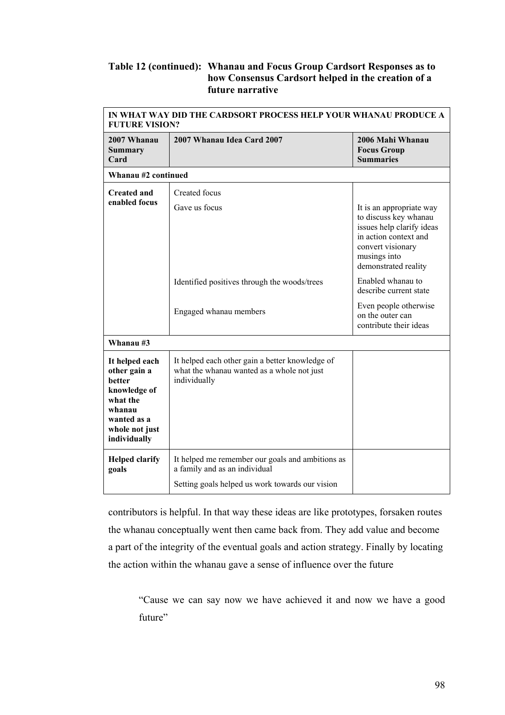#### **Table 12 (continued): Whanau and Focus Group Cardsort Responses as to how Consensus Cardsort helped in the creation of a future narrative**

| IN WHAT WAY DID THE CARDSORT PROCESS HELP YOUR WHANAU PRODUCE A<br><b>FUTURE VISION?</b>                                               |                                                                                                               |                                                                                                                                                                      |  |
|----------------------------------------------------------------------------------------------------------------------------------------|---------------------------------------------------------------------------------------------------------------|----------------------------------------------------------------------------------------------------------------------------------------------------------------------|--|
| 2007 Whanau<br><b>Summary</b><br>Card                                                                                                  | 2007 Whanau Idea Card 2007                                                                                    | 2006 Mahi Whanau<br><b>Focus Group</b><br><b>Summaries</b>                                                                                                           |  |
| Whanau #2 continued                                                                                                                    |                                                                                                               |                                                                                                                                                                      |  |
| <b>Created and</b>                                                                                                                     | <b>Created</b> focus                                                                                          |                                                                                                                                                                      |  |
| enabled focus                                                                                                                          | Gave us focus                                                                                                 | It is an appropriate way<br>to discuss key whanau<br>issues help clarify ideas<br>in action context and<br>convert visionary<br>musings into<br>demonstrated reality |  |
|                                                                                                                                        | Identified positives through the woods/trees                                                                  | Enabled whanau to<br>describe current state                                                                                                                          |  |
|                                                                                                                                        | Engaged whanau members                                                                                        | Even people otherwise<br>on the outer can<br>contribute their ideas                                                                                                  |  |
| Whanau #3                                                                                                                              |                                                                                                               |                                                                                                                                                                      |  |
| It helped each<br>other gain a<br><b>better</b><br>knowledge of<br>what the<br>whanau<br>wanted as a<br>whole not just<br>individually | It helped each other gain a better knowledge of<br>what the whanau wanted as a whole not just<br>individually |                                                                                                                                                                      |  |
| <b>Helped clarify</b><br>goals                                                                                                         | It helped me remember our goals and ambitions as<br>a family and as an individual                             |                                                                                                                                                                      |  |
|                                                                                                                                        | Setting goals helped us work towards our vision                                                               |                                                                                                                                                                      |  |

contributors is helpful. In that way these ideas are like prototypes, forsaken routes the whanau conceptually went then came back from. They add value and become a part of the integrity of the eventual goals and action strategy. Finally by locating the action within the whanau gave a sense of influence over the future

"Cause we can say now we have achieved it and now we have a good future"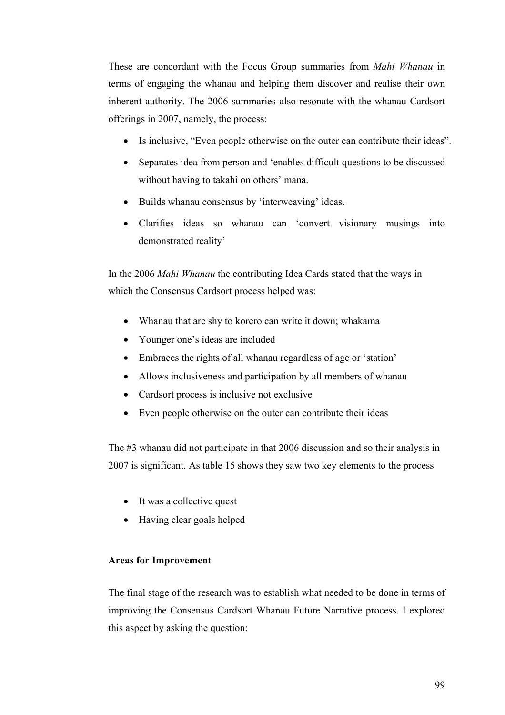These are concordant with the Focus Group summaries from *Mahi Whanau* in terms of engaging the whanau and helping them discover and realise their own inherent authority. The 2006 summaries also resonate with the whanau Cardsort offerings in 2007, namely, the process:

- Is inclusive, "Even people otherwise on the outer can contribute their ideas".
- Separates idea from person and 'enables difficult questions to be discussed without having to takahi on others' mana.
- Builds whanau consensus by 'interweaving' ideas.
- Clarifies ideas so whanau can 'convert visionary musings into demonstrated reality'

In the 2006 *Mahi Whanau* the contributing Idea Cards stated that the ways in which the Consensus Cardsort process helped was:

- Whanau that are shy to korero can write it down; whakama
- Younger one's ideas are included
- Embraces the rights of all whanau regardless of age or 'station'
- Allows inclusiveness and participation by all members of whanau
- Cardsort process is inclusive not exclusive
- Even people otherwise on the outer can contribute their ideas

The #3 whanau did not participate in that 2006 discussion and so their analysis in 2007 is significant. As table 15 shows they saw two key elements to the process

- It was a collective quest
- Having clear goals helped

#### **Areas for Improvement**

The final stage of the research was to establish what needed to be done in terms of improving the Consensus Cardsort Whanau Future Narrative process. I explored this aspect by asking the question: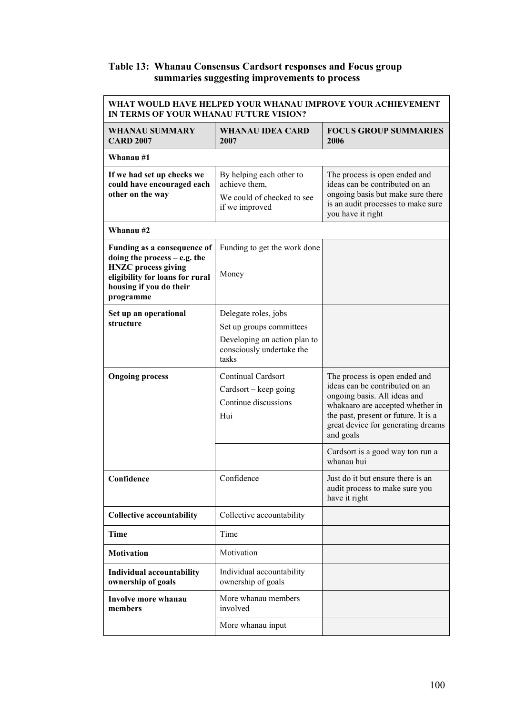## **Table 13: Whanau Consensus Cardsort responses and Focus group summaries suggesting improvements to process**

| WHAT WOULD HAVE HELPED YOUR WHANAU IMPROVE YOUR ACHIEVEMENT<br>IN TERMS OF YOUR WHANAU FUTURE VISION?                                   |                                                                    |                                                                                                                             |  |
|-----------------------------------------------------------------------------------------------------------------------------------------|--------------------------------------------------------------------|-----------------------------------------------------------------------------------------------------------------------------|--|
| <b>WHANAU SUMMARY</b><br><b>CARD 2007</b>                                                                                               | <b>WHANAU IDEA CARD</b><br>2007                                    | <b>FOCUS GROUP SUMMARIES</b><br>2006                                                                                        |  |
| Whanau #1                                                                                                                               |                                                                    |                                                                                                                             |  |
| If we had set up checks we<br>could have encouraged each                                                                                | By helping each other to<br>achieve them.                          | The process is open ended and<br>ideas can be contributed on an                                                             |  |
| other on the way                                                                                                                        | We could of checked to see<br>if we improved                       | ongoing basis but make sure there<br>is an audit processes to make sure<br>you have it right                                |  |
| Whanau #2                                                                                                                               |                                                                    |                                                                                                                             |  |
| Funding as a consequence of                                                                                                             | Funding to get the work done                                       |                                                                                                                             |  |
| doing the process $-$ e.g. the<br><b>HNZC</b> process giving<br>eligibility for loans for rural<br>housing if you do their<br>programme | Money                                                              |                                                                                                                             |  |
| Set up an operational                                                                                                                   | Delegate roles, jobs                                               |                                                                                                                             |  |
| structure                                                                                                                               | Set up groups committees                                           |                                                                                                                             |  |
|                                                                                                                                         | Developing an action plan to<br>consciously undertake the<br>tasks |                                                                                                                             |  |
| <b>Ongoing process</b>                                                                                                                  | <b>Continual Cardsort</b>                                          | The process is open ended and<br>ideas can be contributed on an                                                             |  |
|                                                                                                                                         | Cardsort – keep going<br>Continue discussions                      | ongoing basis. All ideas and                                                                                                |  |
|                                                                                                                                         | Hui                                                                | whakaaro are accepted whether in<br>the past, present or future. It is a<br>great device for generating dreams<br>and goals |  |
|                                                                                                                                         |                                                                    | Cardsort is a good way ton run a<br>whanau hui                                                                              |  |
| Confidence                                                                                                                              | Confidence                                                         | Just do it but ensure there is an<br>audit process to make sure you<br>have it right                                        |  |
| <b>Collective accountability</b>                                                                                                        | Collective accountability                                          |                                                                                                                             |  |
| Time                                                                                                                                    | Time                                                               |                                                                                                                             |  |
| <b>Motivation</b>                                                                                                                       | Motivation                                                         |                                                                                                                             |  |
| <b>Individual accountability</b><br>ownership of goals                                                                                  | Individual accountability<br>ownership of goals                    |                                                                                                                             |  |
| <b>Involve more whanau</b><br>members                                                                                                   | More whanau members<br>involved                                    |                                                                                                                             |  |
|                                                                                                                                         | More whanau input                                                  |                                                                                                                             |  |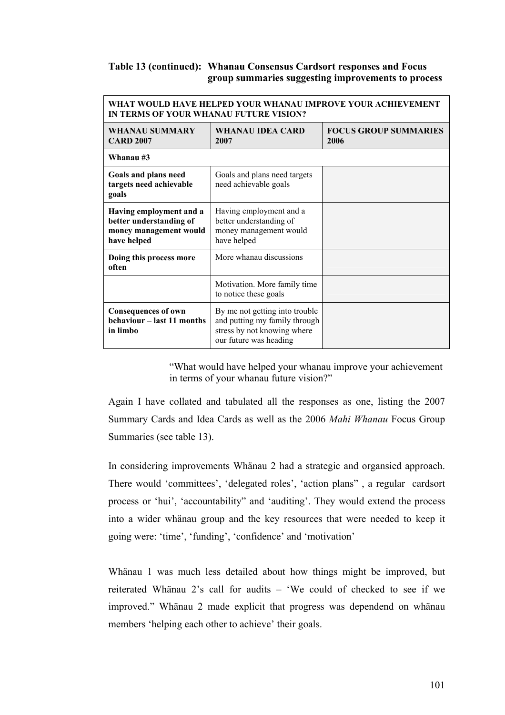## **Table 13 (continued): Whanau Consensus Cardsort responses and Focus group summaries suggesting improvements to process**

| WHAT WOULD HAVE HELPED YOUR WHANAU IMPROVE YOUR ACHIEVEMENT<br>IN TERMS OF YOUR WHANAU FUTURE VISION? |                                                                                                                          |                                      |  |
|-------------------------------------------------------------------------------------------------------|--------------------------------------------------------------------------------------------------------------------------|--------------------------------------|--|
| WHANAU SUMMARY<br><b>CARD 2007</b>                                                                    | <b>WHANAU IDEA CARD</b><br>2007                                                                                          | <b>FOCUS GROUP SUMMARIES</b><br>2006 |  |
| Whanau #3                                                                                             |                                                                                                                          |                                      |  |
| Goals and plans need<br>targets need achievable<br>goals                                              | Goals and plans need targets<br>need achievable goals                                                                    |                                      |  |
| Having employment and a<br>better understanding of<br>money management would<br>have helped           | Having employment and a<br>better understanding of<br>money management would<br>have helped                              |                                      |  |
| Doing this process more<br>often                                                                      | More whanau discussions                                                                                                  |                                      |  |
|                                                                                                       | Motivation. More family time<br>to notice these goals                                                                    |                                      |  |
| <b>Consequences of own</b><br>behaviour – last 11 months<br>in limbo                                  | By me not getting into trouble<br>and putting my family through<br>stress by not knowing where<br>our future was heading |                                      |  |

"What would have helped your whanau improve your achievement in terms of your whanau future vision?"

Again I have collated and tabulated all the responses as one, listing the 2007 Summary Cards and Idea Cards as well as the 2006 *Mahi Whanau* Focus Group Summaries (see table 13).

In considering improvements Whänau 2 had a strategic and organsied approach. There would 'committees', 'delegated roles', 'action plans" , a regular cardsort process or 'hui', 'accountability" and 'auditing'. They would extend the process into a wider whänau group and the key resources that were needed to keep it going were: 'time', 'funding', 'confidence' and 'motivation'

Whänau 1 was much less detailed about how things might be improved, but reiterated Whänau 2's call for audits – 'We could of checked to see if we improved." Whänau 2 made explicit that progress was dependend on whänau members 'helping each other to achieve' their goals.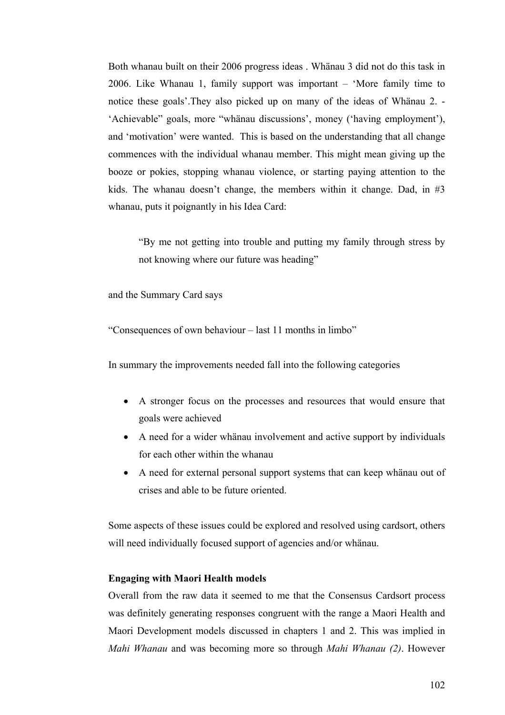Both whanau built on their 2006 progress ideas . Whänau 3 did not do this task in 2006. Like Whanau 1, family support was important – 'More family time to notice these goals'.They also picked up on many of the ideas of Whänau 2. - 'Achievable" goals, more "whänau discussions', money ('having employment'), and 'motivation' were wanted. This is based on the understanding that all change commences with the individual whanau member. This might mean giving up the booze or pokies, stopping whanau violence, or starting paying attention to the kids. The whanau doesn't change, the members within it change. Dad, in #3 whanau, puts it poignantly in his Idea Card:

"By me not getting into trouble and putting my family through stress by not knowing where our future was heading"

and the Summary Card says

"Consequences of own behaviour – last 11 months in limbo"

In summary the improvements needed fall into the following categories

- A stronger focus on the processes and resources that would ensure that goals were achieved
- A need for a wider whänau involvement and active support by individuals for each other within the whanau
- A need for external personal support systems that can keep whänau out of crises and able to be future oriented.

Some aspects of these issues could be explored and resolved using cardsort, others will need individually focused support of agencies and/or whänau.

### **Engaging with Maori Health models**

Overall from the raw data it seemed to me that the Consensus Cardsort process was definitely generating responses congruent with the range a Maori Health and Maori Development models discussed in chapters 1 and 2. This was implied in *Mahi Whanau* and was becoming more so through *Mahi Whanau (2)*. However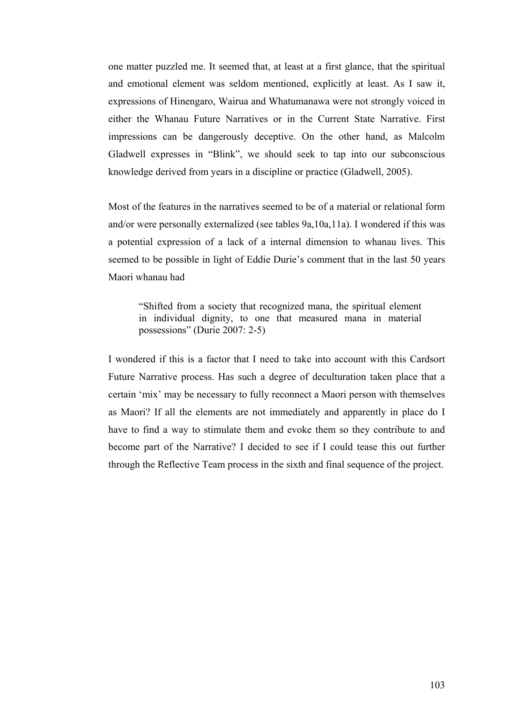one matter puzzled me. It seemed that, at least at a first glance, that the spiritual and emotional element was seldom mentioned, explicitly at least. As I saw it, expressions of Hinengaro, Wairua and Whatumanawa were not strongly voiced in either the Whanau Future Narratives or in the Current State Narrative. First impressions can be dangerously deceptive. On the other hand, as Malcolm Gladwell expresses in "Blink", we should seek to tap into our subconscious knowledge derived from years in a discipline or practice (Gladwell, 2005).

Most of the features in the narratives seemed to be of a material or relational form and/or were personally externalized (see tables 9a,10a,11a). I wondered if this was a potential expression of a lack of a internal dimension to whanau lives. This seemed to be possible in light of Eddie Durie's comment that in the last 50 years Maori whanau had

"Shifted from a society that recognized mana, the spiritual element in individual dignity, to one that measured mana in material possessions" (Durie 2007: 2-5)

I wondered if this is a factor that I need to take into account with this Cardsort Future Narrative process. Has such a degree of deculturation taken place that a certain 'mix' may be necessary to fully reconnect a Maori person with themselves as Maori? If all the elements are not immediately and apparently in place do I have to find a way to stimulate them and evoke them so they contribute to and become part of the Narrative? I decided to see if I could tease this out further through the Reflective Team process in the sixth and final sequence of the project.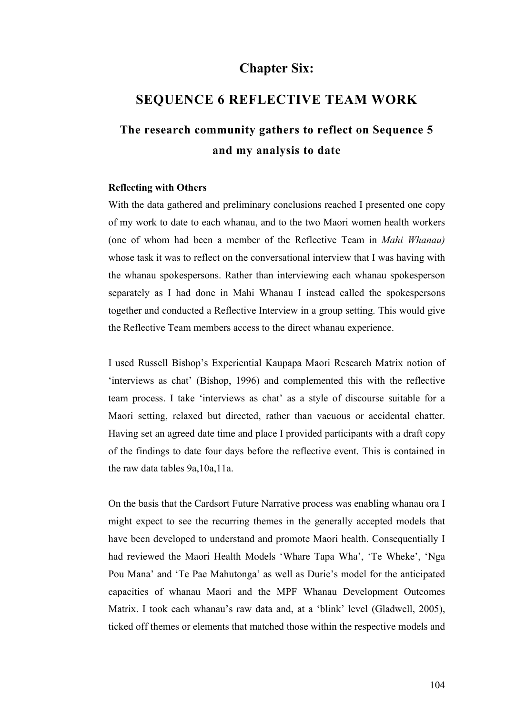# **Chapter Six:**

## **SEQUENCE 6 REFLECTIVE TEAM WORK**

# **The research community gathers to reflect on Sequence 5 and my analysis to date**

#### **Reflecting with Others**

With the data gathered and preliminary conclusions reached I presented one copy of my work to date to each whanau, and to the two Maori women health workers (one of whom had been a member of the Reflective Team in *Mahi Whanau)* whose task it was to reflect on the conversational interview that I was having with the whanau spokespersons. Rather than interviewing each whanau spokesperson separately as I had done in Mahi Whanau I instead called the spokespersons together and conducted a Reflective Interview in a group setting. This would give the Reflective Team members access to the direct whanau experience.

I used Russell Bishop's Experiential Kaupapa Maori Research Matrix notion of 'interviews as chat' (Bishop, 1996) and complemented this with the reflective team process. I take 'interviews as chat' as a style of discourse suitable for a Maori setting, relaxed but directed, rather than vacuous or accidental chatter. Having set an agreed date time and place I provided participants with a draft copy of the findings to date four days before the reflective event. This is contained in the raw data tables 9a,10a,11a.

On the basis that the Cardsort Future Narrative process was enabling whanau ora I might expect to see the recurring themes in the generally accepted models that have been developed to understand and promote Maori health. Consequentially I had reviewed the Maori Health Models 'Whare Tapa Wha', 'Te Wheke', 'Nga Pou Mana' and 'Te Pae Mahutonga' as well as Durie's model for the anticipated capacities of whanau Maori and the MPF Whanau Development Outcomes Matrix. I took each whanau's raw data and, at a 'blink' level (Gladwell, 2005), ticked off themes or elements that matched those within the respective models and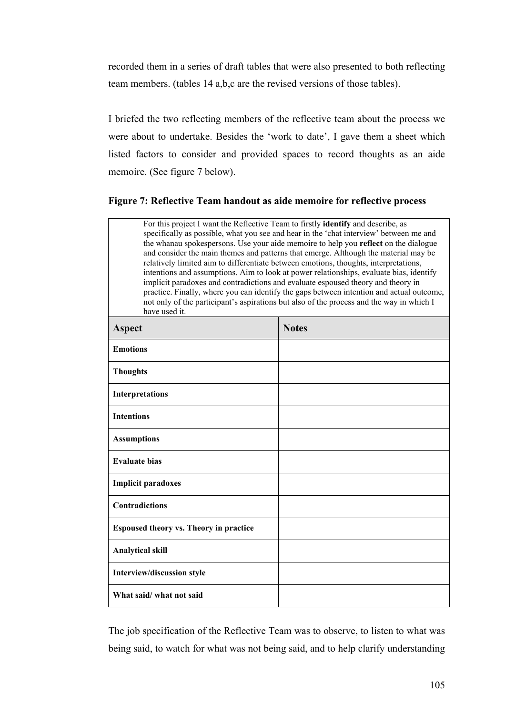recorded them in a series of draft tables that were also presented to both reflecting team members. (tables 14 a,b,c are the revised versions of those tables).

I briefed the two reflecting members of the reflective team about the process we were about to undertake. Besides the 'work to date', I gave them a sheet which listed factors to consider and provided spaces to record thoughts as an aide memoire. (See figure 7 below).

## **Figure 7: Reflective Team handout as aide memoire for reflective process**

| For this project I want the Reflective Team to firstly identify and describe, as<br>specifically as possible, what you see and hear in the 'chat interview' between me and<br>the whanau spokespersons. Use your aide memoire to help you reflect on the dialogue<br>and consider the main themes and patterns that emerge. Although the material may be<br>relatively limited aim to differentiate between emotions, thoughts, interpretations,<br>intentions and assumptions. Aim to look at power relationships, evaluate bias, identify<br>implicit paradoxes and contradictions and evaluate espoused theory and theory in<br>practice. Finally, where you can identify the gaps between intention and actual outcome,<br>not only of the participant's aspirations but also of the process and the way in which I<br>have used it. |              |  |
|------------------------------------------------------------------------------------------------------------------------------------------------------------------------------------------------------------------------------------------------------------------------------------------------------------------------------------------------------------------------------------------------------------------------------------------------------------------------------------------------------------------------------------------------------------------------------------------------------------------------------------------------------------------------------------------------------------------------------------------------------------------------------------------------------------------------------------------|--------------|--|
| <b>Aspect</b>                                                                                                                                                                                                                                                                                                                                                                                                                                                                                                                                                                                                                                                                                                                                                                                                                            | <b>Notes</b> |  |
| <b>Emotions</b>                                                                                                                                                                                                                                                                                                                                                                                                                                                                                                                                                                                                                                                                                                                                                                                                                          |              |  |
| <b>Thoughts</b>                                                                                                                                                                                                                                                                                                                                                                                                                                                                                                                                                                                                                                                                                                                                                                                                                          |              |  |
| <b>Interpretations</b>                                                                                                                                                                                                                                                                                                                                                                                                                                                                                                                                                                                                                                                                                                                                                                                                                   |              |  |
| <b>Intentions</b>                                                                                                                                                                                                                                                                                                                                                                                                                                                                                                                                                                                                                                                                                                                                                                                                                        |              |  |
| <b>Assumptions</b>                                                                                                                                                                                                                                                                                                                                                                                                                                                                                                                                                                                                                                                                                                                                                                                                                       |              |  |
| <b>Evaluate bias</b>                                                                                                                                                                                                                                                                                                                                                                                                                                                                                                                                                                                                                                                                                                                                                                                                                     |              |  |
| <b>Implicit paradoxes</b>                                                                                                                                                                                                                                                                                                                                                                                                                                                                                                                                                                                                                                                                                                                                                                                                                |              |  |
| <b>Contradictions</b>                                                                                                                                                                                                                                                                                                                                                                                                                                                                                                                                                                                                                                                                                                                                                                                                                    |              |  |
| <b>Espoused theory vs. Theory in practice</b>                                                                                                                                                                                                                                                                                                                                                                                                                                                                                                                                                                                                                                                                                                                                                                                            |              |  |
| <b>Analytical skill</b>                                                                                                                                                                                                                                                                                                                                                                                                                                                                                                                                                                                                                                                                                                                                                                                                                  |              |  |
| Interview/discussion style                                                                                                                                                                                                                                                                                                                                                                                                                                                                                                                                                                                                                                                                                                                                                                                                               |              |  |
| What said/what not said                                                                                                                                                                                                                                                                                                                                                                                                                                                                                                                                                                                                                                                                                                                                                                                                                  |              |  |

The job specification of the Reflective Team was to observe, to listen to what was being said, to watch for what was not being said, and to help clarify understanding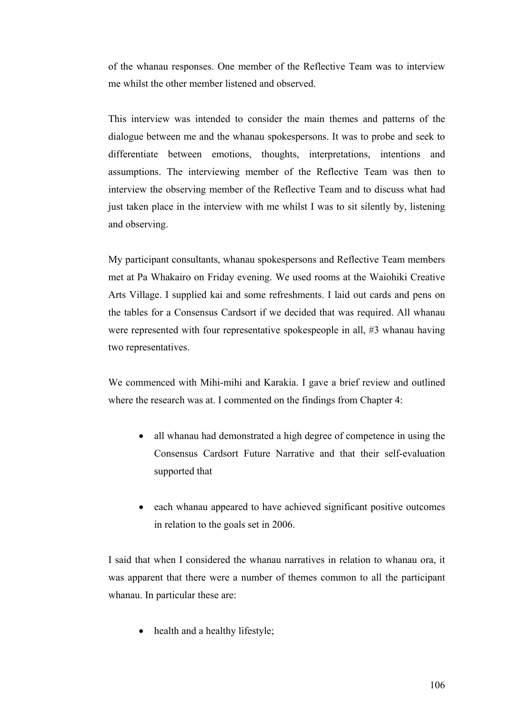of the whanau responses. One member of the Reflective Team was to interview me whilst the other member listened and observed.

This interview was intended to consider the main themes and patterns of the dialogue between me and the whanau spokespersons. It was to probe and seek to differentiate between emotions, thoughts, interpretations, intentions and assumptions. The interviewing member of the Reflective Team was then to interview the observing member of the Reflective Team and to discuss what had just taken place in the interview with me whilst I was to sit silently by, listening and observing.

My participant consultants, whanau spokespersons and Reflective Team members met at Pa Whakairo on Friday evening. We used rooms at the Waiohiki Creative Arts Village. I supplied kai and some refreshments. I laid out cards and pens on the tables for a Consensus Cardsort if we decided that was required. All whanau were represented with four representative spokespeople in all, #3 whanau having two representatives.

We commenced with Mihi-mihi and Karakia. I gave a brief review and outlined where the research was at. I commented on the findings from Chapter 4:

- all whanau had demonstrated a high degree of competence in using the Consensus Cardsort Future Narrative and that their self-evaluation supported that
- each whanau appeared to have achieved significant positive outcomes in relation to the goals set in 2006.

I said that when I considered the whanau narratives in relation to whanau ora, it was apparent that there were a number of themes common to all the participant whanau. In particular these are:

health and a healthy lifestyle;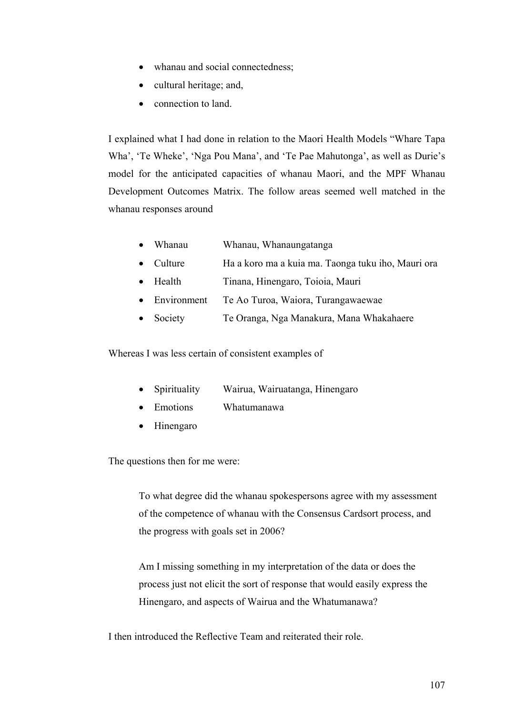- whanau and social connectedness;
- cultural heritage; and,
- connection to land.

I explained what I had done in relation to the Maori Health Models "Whare Tapa Wha', 'Te Wheke', 'Nga Pou Mana', and 'Te Pae Mahutonga', as well as Durie's model for the anticipated capacities of whanau Maori, and the MPF Whanau Development Outcomes Matrix. The follow areas seemed well matched in the whanau responses around

- Whanau Whanau, Whanaungatanga
- Culture Ha a koro ma a kuia ma. Taonga tuku iho, Mauri ora
- Health Tinana, Hinengaro, Toioia, Mauri
- Environment Te Ao Turoa, Waiora, Turangawaewae
- Society Te Oranga, Nga Manakura, Mana Whakahaere

Whereas I was less certain of consistent examples of

- Spirituality Wairua, Wairuatanga, Hinengaro
- Emotions Whatumanawa
- Hinengaro

The questions then for me were:

To what degree did the whanau spokespersons agree with my assessment of the competence of whanau with the Consensus Cardsort process, and the progress with goals set in 2006?

Am I missing something in my interpretation of the data or does the process just not elicit the sort of response that would easily express the Hinengaro, and aspects of Wairua and the Whatumanawa?

I then introduced the Reflective Team and reiterated their role.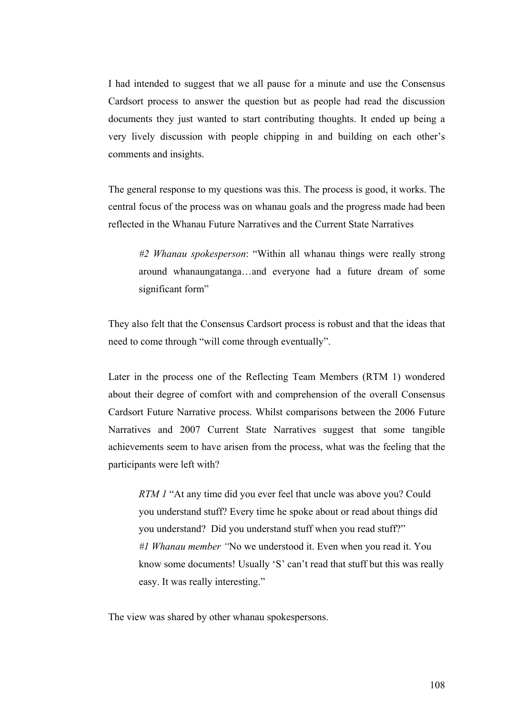I had intended to suggest that we all pause for a minute and use the Consensus Cardsort process to answer the question but as people had read the discussion documents they just wanted to start contributing thoughts. It ended up being a very lively discussion with people chipping in and building on each other's comments and insights.

The general response to my questions was this. The process is good, it works. The central focus of the process was on whanau goals and the progress made had been reflected in the Whanau Future Narratives and the Current State Narratives

*#2 Whanau spokesperson*: "Within all whanau things were really strong around whanaungatanga…and everyone had a future dream of some significant form"

They also felt that the Consensus Cardsort process is robust and that the ideas that need to come through "will come through eventually".

Later in the process one of the Reflecting Team Members (RTM 1) wondered about their degree of comfort with and comprehension of the overall Consensus Cardsort Future Narrative process. Whilst comparisons between the 2006 Future Narratives and 2007 Current State Narratives suggest that some tangible achievements seem to have arisen from the process, what was the feeling that the participants were left with?

*RTM 1* "At any time did you ever feel that uncle was above you? Could you understand stuff? Every time he spoke about or read about things did you understand? Did you understand stuff when you read stuff?" *#1 Whanau member "*No we understood it. Even when you read it. You know some documents! Usually 'S' can't read that stuff but this was really easy. It was really interesting."

The view was shared by other whanau spokespersons.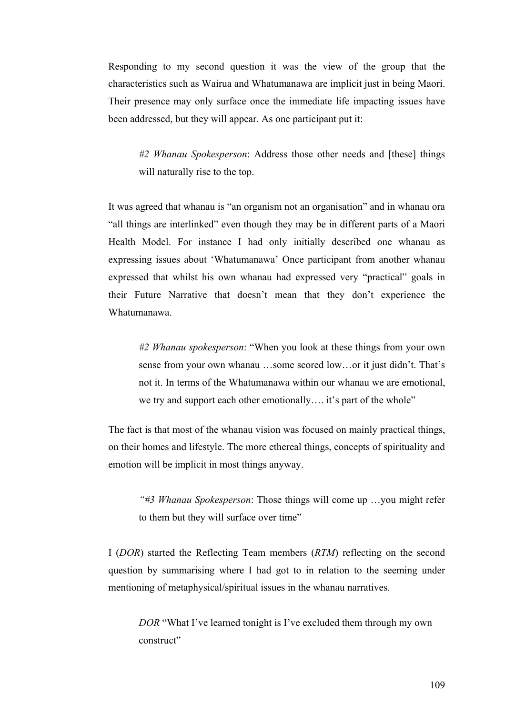Responding to my second question it was the view of the group that the characteristics such as Wairua and Whatumanawa are implicit just in being Maori. Their presence may only surface once the immediate life impacting issues have been addressed, but they will appear. As one participant put it:

*#2 Whanau Spokesperson*: Address those other needs and [these] things will naturally rise to the top.

It was agreed that whanau is "an organism not an organisation" and in whanau ora "all things are interlinked" even though they may be in different parts of a Maori Health Model. For instance I had only initially described one whanau as expressing issues about 'Whatumanawa' Once participant from another whanau expressed that whilst his own whanau had expressed very "practical" goals in their Future Narrative that doesn't mean that they don't experience the Whatumanawa.

*#2 Whanau spokesperson*: "When you look at these things from your own sense from your own whanau …some scored low…or it just didn't. That's not it. In terms of the Whatumanawa within our whanau we are emotional, we try and support each other emotionally…. it's part of the whole"

The fact is that most of the whanau vision was focused on mainly practical things, on their homes and lifestyle. The more ethereal things, concepts of spirituality and emotion will be implicit in most things anyway.

*"#3 Whanau Spokesperson*: Those things will come up …you might refer to them but they will surface over time"

I (*DOR*) started the Reflecting Team members (*RTM*) reflecting on the second question by summarising where I had got to in relation to the seeming under mentioning of metaphysical/spiritual issues in the whanau narratives.

*DOR* "What I've learned tonight is I've excluded them through my own construct"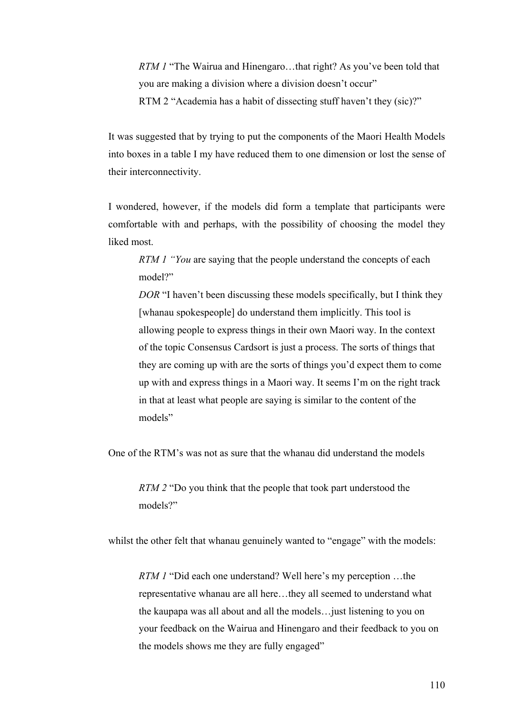*RTM 1* "The Wairua and Hinengaro...that right? As you've been told that you are making a division where a division doesn't occur" RTM 2 "Academia has a habit of dissecting stuff haven't they (sic)?"

It was suggested that by trying to put the components of the Maori Health Models into boxes in a table I my have reduced them to one dimension or lost the sense of their interconnectivity.

I wondered, however, if the models did form a template that participants were comfortable with and perhaps, with the possibility of choosing the model they liked most.

*RTM 1 "You* are saying that the people understand the concepts of each model?"

*DOR* "I haven't been discussing these models specifically, but I think they [whanau spokespeople] do understand them implicitly. This tool is allowing people to express things in their own Maori way. In the context of the topic Consensus Cardsort is just a process. The sorts of things that they are coming up with are the sorts of things you'd expect them to come up with and express things in a Maori way. It seems I'm on the right track in that at least what people are saying is similar to the content of the models"

One of the RTM's was not as sure that the whanau did understand the models

*RTM 2* "Do you think that the people that took part understood the models?"

whilst the other felt that whanau genuinely wanted to "engage" with the models:

*RTM 1* "Did each one understand? Well here's my perception …the representative whanau are all here…they all seemed to understand what the kaupapa was all about and all the models…just listening to you on your feedback on the Wairua and Hinengaro and their feedback to you on the models shows me they are fully engaged"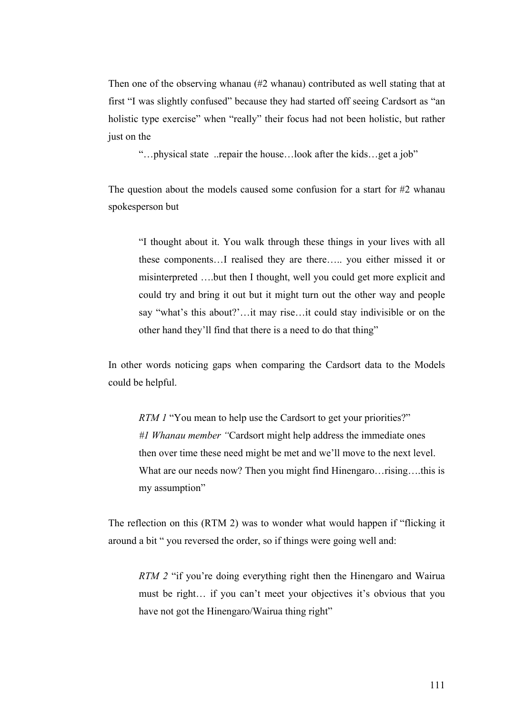Then one of the observing whanau (#2 whanau) contributed as well stating that at first "I was slightly confused" because they had started off seeing Cardsort as "an holistic type exercise" when "really" their focus had not been holistic, but rather just on the

"…physical state ..repair the house…look after the kids…get a job"

The question about the models caused some confusion for a start for #2 whanau spokesperson but

"I thought about it. You walk through these things in your lives with all these components…I realised they are there….. you either missed it or misinterpreted ….but then I thought, well you could get more explicit and could try and bring it out but it might turn out the other way and people say "what's this about?'…it may rise…it could stay indivisible or on the other hand they'll find that there is a need to do that thing"

In other words noticing gaps when comparing the Cardsort data to the Models could be helpful.

*RTM 1* "You mean to help use the Cardsort to get your priorities?" *#1 Whanau member "*Cardsort might help address the immediate ones then over time these need might be met and we'll move to the next level. What are our needs now? Then you might find Hinengaro... rising.... this is my assumption"

The reflection on this (RTM 2) was to wonder what would happen if "flicking it around a bit " you reversed the order, so if things were going well and:

*RTM 2* "if you're doing everything right then the Hinengaro and Wairua must be right… if you can't meet your objectives it's obvious that you have not got the Hinengaro/Wairua thing right"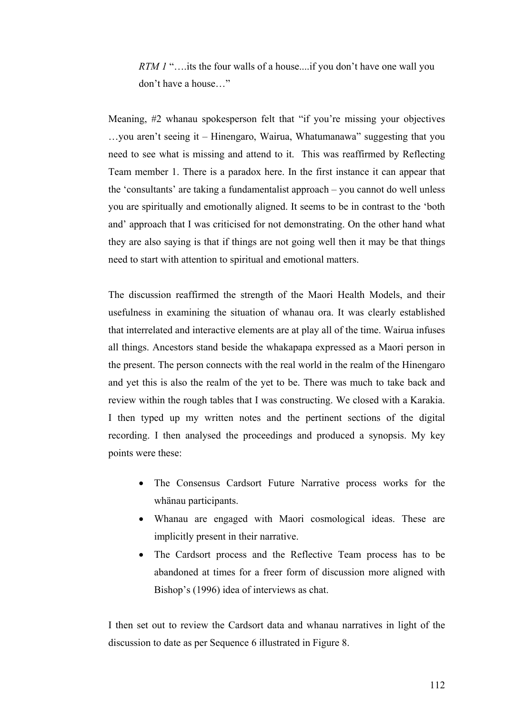*RTM 1* "....its the four walls of a house....if you don't have one wall you don't have a house…"

Meaning, #2 whanau spokesperson felt that "if you're missing your objectives …you aren't seeing it – Hinengaro, Wairua, Whatumanawa" suggesting that you need to see what is missing and attend to it. This was reaffirmed by Reflecting Team member 1. There is a paradox here. In the first instance it can appear that the 'consultants' are taking a fundamentalist approach – you cannot do well unless you are spiritually and emotionally aligned. It seems to be in contrast to the 'both and' approach that I was criticised for not demonstrating. On the other hand what they are also saying is that if things are not going well then it may be that things need to start with attention to spiritual and emotional matters.

The discussion reaffirmed the strength of the Maori Health Models, and their usefulness in examining the situation of whanau ora. It was clearly established that interrelated and interactive elements are at play all of the time. Wairua infuses all things. Ancestors stand beside the whakapapa expressed as a Maori person in the present. The person connects with the real world in the realm of the Hinengaro and yet this is also the realm of the yet to be. There was much to take back and review within the rough tables that I was constructing. We closed with a Karakia. I then typed up my written notes and the pertinent sections of the digital recording. I then analysed the proceedings and produced a synopsis. My key points were these:

- The Consensus Cardsort Future Narrative process works for the whänau participants.
- Whanau are engaged with Maori cosmological ideas. These are implicitly present in their narrative.
- The Cardsort process and the Reflective Team process has to be abandoned at times for a freer form of discussion more aligned with Bishop's (1996) idea of interviews as chat.

I then set out to review the Cardsort data and whanau narratives in light of the discussion to date as per Sequence 6 illustrated in Figure 8.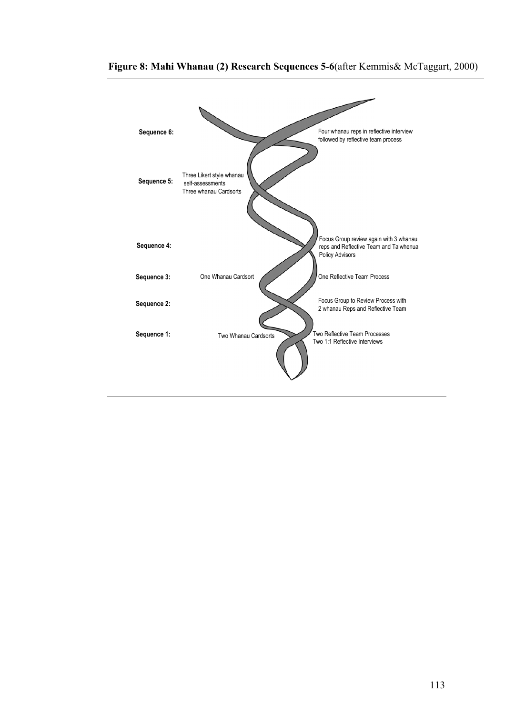

## **Figure 8: Mahi Whanau (2) Research Sequences 5-6**(after Kemmis& McTaggart, 2000)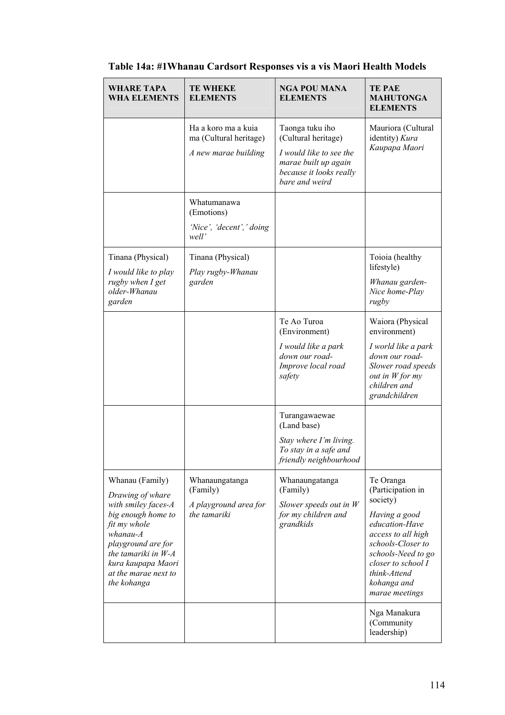| <b>WHARE TAPA</b><br><b>WHA ELEMENTS</b>                                                                                                                                                                                   | <b>TE WHEKE</b><br><b>ELEMENTS</b>                                    | <b>NGA POU MANA</b><br><b>ELEMENTS</b>                                                                                                 | <b>TE PAE</b><br><b>MAHUTONGA</b><br><b>ELEMENTS</b>                                                                                                                                                                  |
|----------------------------------------------------------------------------------------------------------------------------------------------------------------------------------------------------------------------------|-----------------------------------------------------------------------|----------------------------------------------------------------------------------------------------------------------------------------|-----------------------------------------------------------------------------------------------------------------------------------------------------------------------------------------------------------------------|
|                                                                                                                                                                                                                            | Ha a koro ma a kuja<br>ma (Cultural heritage)<br>A new marae building | Taonga tuku iho<br>(Cultural heritage)<br>I would like to see the<br>marae built up again<br>because it looks really<br>bare and weird | Mauriora (Cultural<br>identity) Kura<br>Kaupapa Maori                                                                                                                                                                 |
|                                                                                                                                                                                                                            | Whatumanawa<br>(Emotions)<br>'Nice', 'decent',' doing<br>well'        |                                                                                                                                        |                                                                                                                                                                                                                       |
| Tinana (Physical)<br>I would like to play<br>rugby when I get<br>older-Whanau<br>garden                                                                                                                                    | Tinana (Physical)<br>Play rugby-Whanau<br>garden                      |                                                                                                                                        | Toioia (healthy<br>lifestyle)<br>Whanau garden-<br>Nice home-Play<br>rugby                                                                                                                                            |
|                                                                                                                                                                                                                            |                                                                       | Te Ao Turoa<br>(Environment)<br>I would like a park<br>down our road-<br>Improve local road<br>safety                                  | Waiora (Physical<br>environment)<br>I world like a park<br>down our road-<br>Slower road speeds<br>out in $W$ for my<br>children and<br>grandchildren                                                                 |
|                                                                                                                                                                                                                            |                                                                       | Turangawaewae<br>(Land base)<br>Stay where I'm living.<br>To stay in a safe and<br>friendly neighbourhood                              |                                                                                                                                                                                                                       |
| Whanau (Family)<br>Drawing of whare<br>with smiley faces-A<br>big enough home to<br>fit my whole<br>$whanau-A$<br>playground are for<br>the tamariki in $W-A$<br>kura kaupapa Maori<br>at the marae next to<br>the kohanga | Whanaungatanga<br>(Family)<br>A playground area for<br>the tamariki   | Whanaungatanga<br>(Family)<br>Slower speeds out in $W$<br>for my children and<br>grandkids                                             | Te Oranga<br>(Participation in<br>society)<br>Having a good<br>education-Have<br>access to all high<br>schools-Closer to<br>schools-Need to go<br>closer to school I<br>think-Attend<br>kohanga and<br>marae meetings |
|                                                                                                                                                                                                                            |                                                                       |                                                                                                                                        | Nga Manakura<br>(Community<br>leadership)                                                                                                                                                                             |

# **Table 14a: #1Whanau Cardsort Responses vis a vis Maori Health Models**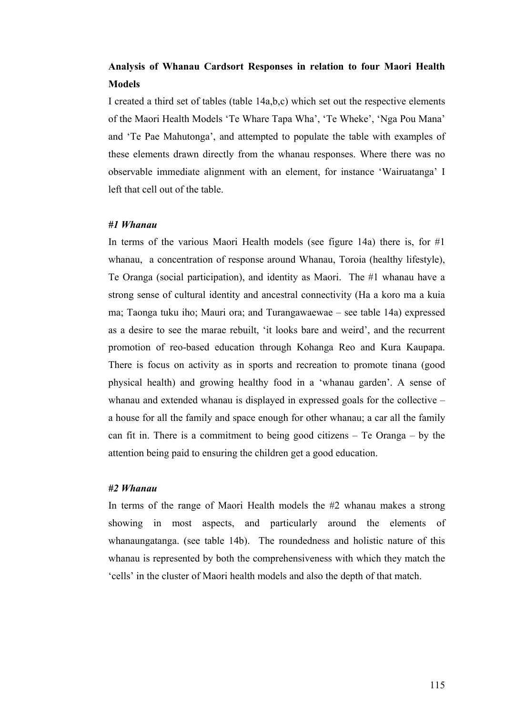## **Analysis of Whanau Cardsort Responses in relation to four Maori Health Models**

I created a third set of tables (table 14a,b,c) which set out the respective elements of the Maori Health Models 'Te Whare Tapa Wha', 'Te Wheke', 'Nga Pou Mana' and 'Te Pae Mahutonga', and attempted to populate the table with examples of these elements drawn directly from the whanau responses. Where there was no observable immediate alignment with an element, for instance 'Wairuatanga' I left that cell out of the table.

#### *#1 Whanau*

In terms of the various Maori Health models (see figure 14a) there is, for  $#1$ whanau, a concentration of response around Whanau, Toroia (healthy lifestyle), Te Oranga (social participation), and identity as Maori. The #1 whanau have a strong sense of cultural identity and ancestral connectivity (Ha a koro ma a kuia ma; Taonga tuku iho; Mauri ora; and Turangawaewae – see table 14a) expressed as a desire to see the marae rebuilt, 'it looks bare and weird', and the recurrent promotion of reo-based education through Kohanga Reo and Kura Kaupapa. There is focus on activity as in sports and recreation to promote tinana (good physical health) and growing healthy food in a 'whanau garden'. A sense of whanau and extended whanau is displayed in expressed goals for the collective – a house for all the family and space enough for other whanau; a car all the family can fit in. There is a commitment to being good citizens – Te Oranga – by the attention being paid to ensuring the children get a good education.

#### *#2 Whanau*

In terms of the range of Maori Health models the #2 whanau makes a strong showing in most aspects, and particularly around the elements of whanaungatanga. (see table 14b). The roundedness and holistic nature of this whanau is represented by both the comprehensiveness with which they match the 'cells' in the cluster of Maori health models and also the depth of that match.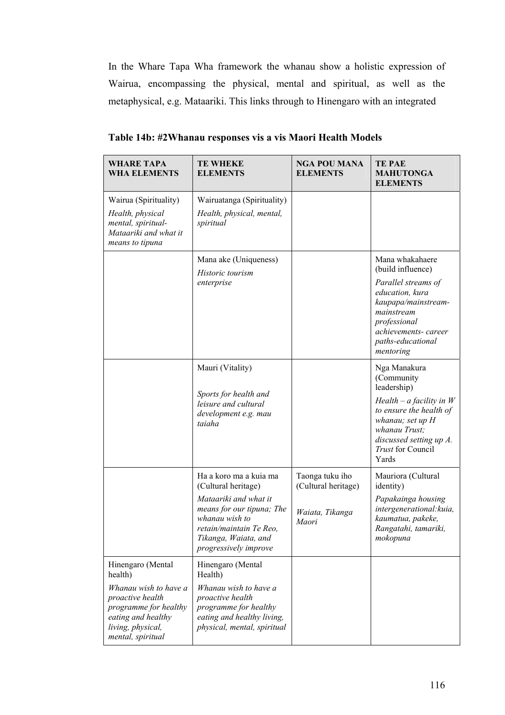In the Whare Tapa Wha framework the whanau show a holistic expression of Wairua, encompassing the physical, mental and spiritual, as well as the metaphysical, e.g. Mataariki. This links through to Hinengaro with an integrated

| <b>WHARE TAPA</b><br><b>WHA ELEMENTS</b>                                                                                                                           | <b>TE WHEKE</b><br><b>ELEMENTS</b>                                                                                                                                                                | <b>NGA POU MANA</b><br><b>ELEMENTS</b>                             | <b>TE PAE</b><br><b>MAHUTONGA</b><br><b>ELEMENTS</b>                                                                                                                                           |
|--------------------------------------------------------------------------------------------------------------------------------------------------------------------|---------------------------------------------------------------------------------------------------------------------------------------------------------------------------------------------------|--------------------------------------------------------------------|------------------------------------------------------------------------------------------------------------------------------------------------------------------------------------------------|
| Wairua (Spirituality)<br>Health, physical<br>mental, spiritual-<br>Mataariki and what it<br>means to tipuna                                                        | Wairuatanga (Spirituality)<br>Health, physical, mental,<br>spiritual                                                                                                                              |                                                                    |                                                                                                                                                                                                |
|                                                                                                                                                                    | Mana ake (Uniqueness)<br>Historic tourism<br>enterprise                                                                                                                                           |                                                                    | Mana whakahaere<br>(build influence)<br>Parallel streams of<br>education, kura<br>kaupapa/mainstream-<br>mainstream<br>professional<br>achievements-career<br>paths-educational<br>mentoring   |
|                                                                                                                                                                    | Mauri (Vitality)<br>Sports for health and<br>leisure and cultural<br>development e.g. mau<br>taiaha                                                                                               |                                                                    | Nga Manakura<br>(Community<br>leadership)<br>$Health-a facility in W$<br>to ensure the health of<br>whanau; set up H<br>whanau Trust;<br>discussed setting up A.<br>Trust for Council<br>Yards |
|                                                                                                                                                                    | Ha a koro ma a kuia ma<br>(Cultural heritage)<br>Mataariki and what it<br>means for our tipuna; The<br>whanau wish to<br>retain/maintain Te Reo,<br>Tikanga, Waiata, and<br>progressively improve | Taonga tuku iho<br>(Cultural heritage)<br>Waiata, Tikanga<br>Maori | Mauriora (Cultural<br>identity)<br>Papakainga housing<br>intergenerational: kuia,<br>kaumatua, pakeke,<br>Rangatahi, tamariki,<br>mokopuna                                                     |
| Hinengaro (Mental<br>health)<br>Whanau wish to have a<br>proactive health<br>programme for healthy<br>eating and healthy<br>living, physical,<br>mental, spiritual | Hinengaro (Mental<br>Health)<br>Whanau wish to have a<br>proactive health<br>programme for healthy<br>eating and healthy living,<br>physical, mental, spiritual                                   |                                                                    |                                                                                                                                                                                                |

**Table 14b: #2Whanau responses vis a vis Maori Health Models**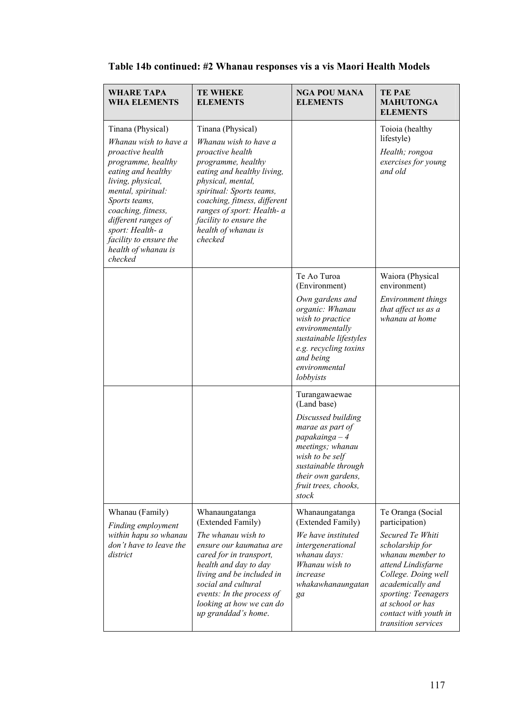| <b>WHARE TAPA</b><br><b>WHA ELEMENTS</b>                                                                                                                                                                                                                                                            | <b>TE WHEKE</b><br><b>ELEMENTS</b>                                                                                                                                                                                                                                                            | <b>NGA POU MANA</b><br><b>ELEMENTS</b>                                                                                                                                                                        | <b>TE PAE</b><br><b>MAHUTONGA</b><br><b>ELEMENTS</b>                                                                                                                                                                                                       |
|-----------------------------------------------------------------------------------------------------------------------------------------------------------------------------------------------------------------------------------------------------------------------------------------------------|-----------------------------------------------------------------------------------------------------------------------------------------------------------------------------------------------------------------------------------------------------------------------------------------------|---------------------------------------------------------------------------------------------------------------------------------------------------------------------------------------------------------------|------------------------------------------------------------------------------------------------------------------------------------------------------------------------------------------------------------------------------------------------------------|
| Tinana (Physical)<br>Whanau wish to have a<br>proactive health<br>programme, healthy<br>eating and healthy<br>living, physical,<br>mental, spiritual:<br>Sports teams,<br>coaching, fitness,<br>different ranges of<br>sport: Health- a<br>facility to ensure the<br>health of whanau is<br>checked | Tinana (Physical)<br>Whanau wish to have a<br>proactive health<br>programme, healthy<br>eating and healthy living,<br>physical, mental,<br>spiritual: Sports teams,<br>coaching, fitness, different<br>ranges of sport: Health- a<br>facility to ensure the<br>health of whanau is<br>checked |                                                                                                                                                                                                               | Toioia (healthy<br>lifestyle)<br>Health; rongoa<br>exercises for young<br>and old                                                                                                                                                                          |
|                                                                                                                                                                                                                                                                                                     |                                                                                                                                                                                                                                                                                               | Te Ao Turoa<br>(Environment)<br>Own gardens and<br>organic: Whanau<br>wish to practice<br>environmentally<br>sustainable lifestyles<br>e.g. recycling toxins<br>and being<br>environmental<br>lobbyists       | Waiora (Physical<br>environment)<br>Environment things<br>that affect us as a<br>whanau at home                                                                                                                                                            |
|                                                                                                                                                                                                                                                                                                     |                                                                                                                                                                                                                                                                                               | Turangawaewae<br>(Land base)<br>Discussed building<br>marae as part of<br>$papakainga-4$<br>meetings; whanau<br>wish to be self<br>sustainable through<br>their own gardens,<br>fruit trees, chooks,<br>stock |                                                                                                                                                                                                                                                            |
| Whanau (Family)<br>Finding employment<br>within hapu so whanau<br>don't have to leave the<br>district                                                                                                                                                                                               | Whanaungatanga<br>(Extended Family)<br>The whanau wish to<br>ensure our kaumatua are<br>cared for in transport,<br>health and day to day<br>living and be included in<br>social and cultural<br>events: In the process of<br>looking at how we can do<br>up granddad's home.                  | Whanaungatanga<br>(Extended Family)<br>We have instituted<br>intergenerational<br>whanau days:<br>Whanau wish to<br>increase<br>whakawhanaungatan<br>ga                                                       | Te Oranga (Social<br>participation)<br>Secured Te Whiti<br>scholarship for<br>whanau member to<br>attend Lindisfarne<br>College. Doing well<br>academically and<br>sporting: Teenagers<br>at school or has<br>contact with youth in<br>transition services |

# **Table 14b continued: #2 Whanau responses vis a vis Maori Health Models**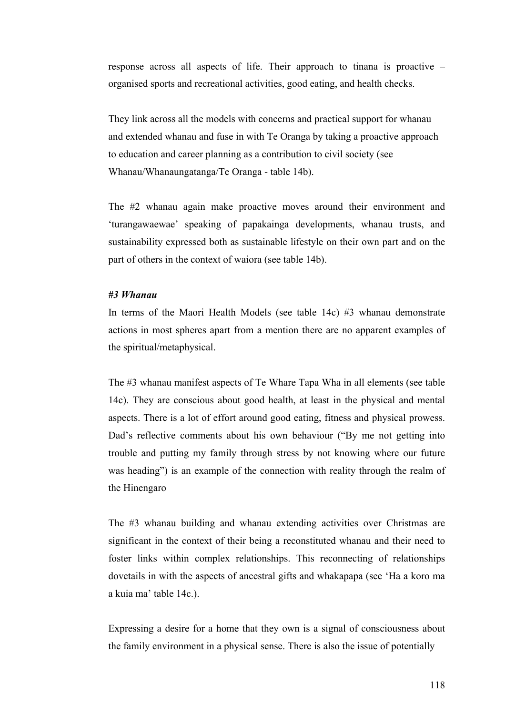response across all aspects of life. Their approach to tinana is proactive – organised sports and recreational activities, good eating, and health checks.

They link across all the models with concerns and practical support for whanau and extended whanau and fuse in with Te Oranga by taking a proactive approach to education and career planning as a contribution to civil society (see Whanau/Whanaungatanga/Te Oranga - table 14b).

The #2 whanau again make proactive moves around their environment and 'turangawaewae' speaking of papakainga developments, whanau trusts, and sustainability expressed both as sustainable lifestyle on their own part and on the part of others in the context of waiora (see table 14b).

### *#3 Whanau*

In terms of the Maori Health Models (see table 14c) #3 whanau demonstrate actions in most spheres apart from a mention there are no apparent examples of the spiritual/metaphysical.

The #3 whanau manifest aspects of Te Whare Tapa Wha in all elements (see table 14c). They are conscious about good health, at least in the physical and mental aspects. There is a lot of effort around good eating, fitness and physical prowess. Dad's reflective comments about his own behaviour ("By me not getting into trouble and putting my family through stress by not knowing where our future was heading") is an example of the connection with reality through the realm of the Hinengaro

The #3 whanau building and whanau extending activities over Christmas are significant in the context of their being a reconstituted whanau and their need to foster links within complex relationships. This reconnecting of relationships dovetails in with the aspects of ancestral gifts and whakapapa (see 'Ha a koro ma a kuia ma' table 14c.).

Expressing a desire for a home that they own is a signal of consciousness about the family environment in a physical sense. There is also the issue of potentially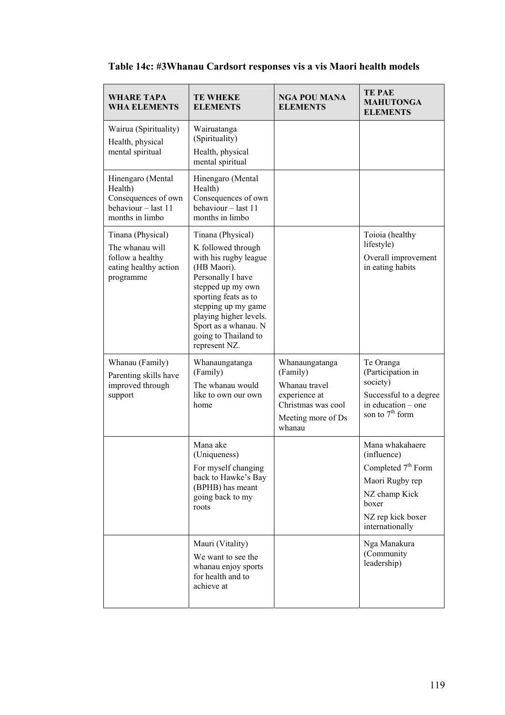| <b>WHARE TAPA</b><br><b>WHA ELEMENTS</b>                                                       | <b>TE WHEKE</b><br><b>ELEMENTS</b>                                                                                                                                                                                                                                  | <b>NGA POU MANA</b><br><b>ELEMENTS</b>                                                                             | <b>TE PAE</b><br><b>MAHUTONGA</b><br><b>ELEMENTS</b>                                                                                                                                 |
|------------------------------------------------------------------------------------------------|---------------------------------------------------------------------------------------------------------------------------------------------------------------------------------------------------------------------------------------------------------------------|--------------------------------------------------------------------------------------------------------------------|--------------------------------------------------------------------------------------------------------------------------------------------------------------------------------------|
| Wairua (Spirituality)<br>Health, physical<br>mental spiritual                                  | Wairuatanga<br>(Spirituality)<br>Health, physical<br>mental spiritual                                                                                                                                                                                               |                                                                                                                    |                                                                                                                                                                                      |
| Hinengaro (Mental<br>Health)<br>Consequences of own<br>behaviour - last 11<br>months in limbo  | Hinengaro (Mental<br>Health)<br>Consequences of own<br>behaviour - last 11<br>months in limbo                                                                                                                                                                       |                                                                                                                    |                                                                                                                                                                                      |
| Tinana (Physical)<br>The whanau will<br>follow a healthy<br>eating healthy action<br>programme | Tinana (Physical)<br>K followed through<br>with his rugby league<br>(HB Maori).<br>Personally I have<br>stepped up my own<br>sporting feats as to<br>stepping up my game<br>playing higher levels.<br>Sport as a whanau. N<br>going to Thailand to<br>represent NZ. |                                                                                                                    | Toioia (healthy<br>lifestyle)<br>Overall improvement<br>in eating habits                                                                                                             |
| Whanau (Family)<br>Parenting skills have<br>improved through<br>support                        | Whanaungatanga<br>(Family)<br>The whanau would<br>like to own our own<br>home                                                                                                                                                                                       | Whanaungatanga<br>(Family)<br>Whanau travel<br>experience at<br>Christmas was cool<br>Meeting more of Ds<br>whanau | Te Oranga<br>(Participation in<br>society)<br>Successful to a degree<br>in education – one<br>son to $7th$ form                                                                      |
|                                                                                                | Mana ake<br>(Uniqueness)<br>For myself changing<br>back to Hawke's Bay<br>(BPHB) has meant<br>going back to my<br>roots<br>Mauri (Vitality)<br>We want to see the                                                                                                   |                                                                                                                    | Mana whakahaere<br>(influence)<br>Completed 7 <sup>th</sup> Form<br>Maori Rugby rep<br>NZ champ Kick<br>boxer<br>NZ rep kick boxer<br>internationally<br>Nga Manakura<br>(Community) |
|                                                                                                | whanau enjoy sports<br>for health and to<br>achieve at                                                                                                                                                                                                              |                                                                                                                    | leadership)                                                                                                                                                                          |

# **Table 14c: #3Whanau Cardsort responses vis a vis Maori health models**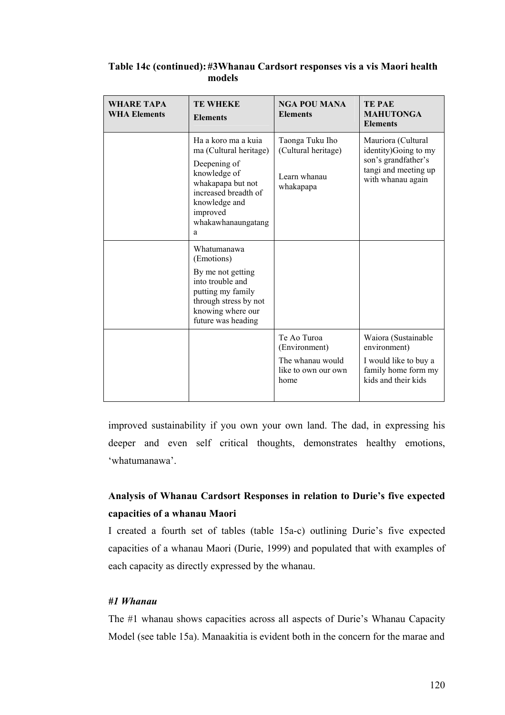| WHARE TAPA<br><b>WHA Elements</b> | <b>TE WHEKE</b><br><b>Elements</b>                                                                                                                                                 | <b>NGA POU MANA</b><br><b>Elements</b>                                          | <b>TEPAE</b><br><b>MAHUTONGA</b><br><b>Elements</b>                                                             |
|-----------------------------------|------------------------------------------------------------------------------------------------------------------------------------------------------------------------------------|---------------------------------------------------------------------------------|-----------------------------------------------------------------------------------------------------------------|
|                                   | Ha a koro ma a kuia<br>ma (Cultural heritage)<br>Deepening of<br>knowledge of<br>whakapapa but not<br>increased breadth of<br>knowledge and<br>improved<br>whakawhanaungatang<br>a | Taonga Tuku Iho<br>(Cultural heritage)<br>Learn whanau<br>whakapapa             | Mauriora (Cultural<br>identity) Going to my<br>son's grandfather's<br>tangi and meeting up<br>with whanau again |
|                                   | Whatumanawa<br>(Emotions)<br>By me not getting<br>into trouble and<br>putting my family<br>through stress by not<br>knowing where our<br>future was heading                        |                                                                                 |                                                                                                                 |
|                                   |                                                                                                                                                                                    | Te Ao Turoa<br>(Environment)<br>The whanau would<br>like to own our own<br>home | Waiora (Sustainable<br>environment)<br>I would like to buy a<br>family home form my<br>kids and their kids      |

## **Table 14c (continued): #3Whanau Cardsort responses vis a vis Maori health models**

improved sustainability if you own your own land. The dad, in expressing his deeper and even self critical thoughts, demonstrates healthy emotions, 'whatumanawa'.

# **Analysis of Whanau Cardsort Responses in relation to Durie's five expected capacities of a whanau Maori**

I created a fourth set of tables (table 15a-c) outlining Durie's five expected capacities of a whanau Maori (Durie, 1999) and populated that with examples of each capacity as directly expressed by the whanau.

## *#1 Whanau*

The #1 whanau shows capacities across all aspects of Durie's Whanau Capacity Model (see table 15a). Manaakitia is evident both in the concern for the marae and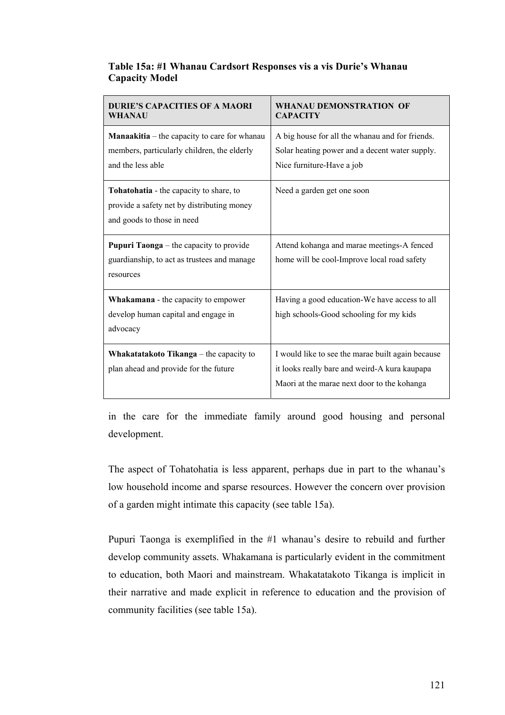| <b>DURIE'S CAPACITIES OF A MAORI</b><br>WHANAU                                                                          | <b>WHANAU DEMONSTRATION OF</b><br><b>CAPACITY</b>                                                                                                 |
|-------------------------------------------------------------------------------------------------------------------------|---------------------------------------------------------------------------------------------------------------------------------------------------|
| <b>Manaakitia</b> – the capacity to care for whanau<br>members, particularly children, the elderly<br>and the less able | A big house for all the whanau and for friends.<br>Solar heating power and a decent water supply.<br>Nice furniture-Have a job                    |
| Tohatohatia - the capacity to share, to<br>provide a safety net by distributing money<br>and goods to those in need     | Need a garden get one soon                                                                                                                        |
| <b>Pupuri Taonga</b> – the capacity to provide<br>guardianship, to act as trustees and manage<br>resources              | Attend kohanga and marae meetings-A fenced<br>home will be cool-Improve local road safety                                                         |
| <b>Whakamana</b> - the capacity to empower<br>develop human capital and engage in<br>advocacy                           | Having a good education-We have access to all<br>high schools-Good schooling for my kids                                                          |
| Whakatatakoto Tikanga – the capacity to<br>plan ahead and provide for the future                                        | I would like to see the marae built again because<br>it looks really bare and weird-A kura kaupapa<br>Maori at the marae next door to the kohanga |

## **Table 15a: #1 Whanau Cardsort Responses vis a vis Durie's Whanau Capacity Model**

in the care for the immediate family around good housing and personal development.

The aspect of Tohatohatia is less apparent, perhaps due in part to the whanau's low household income and sparse resources. However the concern over provision of a garden might intimate this capacity (see table 15a).

Pupuri Taonga is exemplified in the #1 whanau's desire to rebuild and further develop community assets. Whakamana is particularly evident in the commitment to education, both Maori and mainstream. Whakatatakoto Tikanga is implicit in their narrative and made explicit in reference to education and the provision of community facilities (see table 15a).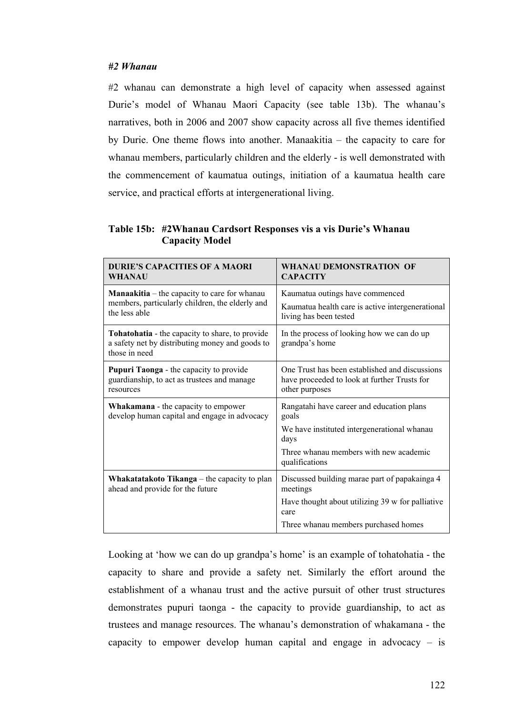## *#2 Whanau*

#2 whanau can demonstrate a high level of capacity when assessed against Durie's model of Whanau Maori Capacity (see table 13b). The whanau's narratives, both in 2006 and 2007 show capacity across all five themes identified by Durie. One theme flows into another. Manaakitia – the capacity to care for whanau members, particularly children and the elderly - is well demonstrated with the commencement of kaumatua outings, initiation of a kaumatua health care service, and practical efforts at intergenerational living.

| Table 15b: #2Whanau Cardsort Responses vis a vis Durie's Whanau |
|-----------------------------------------------------------------|
| <b>Capacity Model</b>                                           |

| DURIE'S CAPACITIES OF A MAORI                                                                                       | <b>WHANAU DEMONSTRATION OF</b>                                                                                                                                        |
|---------------------------------------------------------------------------------------------------------------------|-----------------------------------------------------------------------------------------------------------------------------------------------------------------------|
| WHANAU                                                                                                              | <b>CAPACITY</b>                                                                                                                                                       |
| <b>Manaakitia</b> – the capacity to care for whanau                                                                 | Kaumatua outings have commenced                                                                                                                                       |
| members, particularly children, the elderly and                                                                     | Kaumatua health care is active intergenerational                                                                                                                      |
| the less able                                                                                                       | living has been tested                                                                                                                                                |
| Tohatohatia - the capacity to share, to provide<br>a safety net by distributing money and goods to<br>those in need | In the process of looking how we can do up<br>grandpa's home                                                                                                          |
| <b>Pupuri Taonga</b> - the capacity to provide                                                                      | One Trust has been established and discussions                                                                                                                        |
| guardianship, to act as trustees and manage                                                                         | have proceeded to look at further Trusts for                                                                                                                          |
| resources                                                                                                           | other purposes                                                                                                                                                        |
| Whakamana - the capacity to empower<br>develop human capital and engage in advocacy                                 | Rangatahi have career and education plans<br>goals<br>We have instituted intergenerational whanau<br>days<br>Three whanau members with new academic<br>qualifications |
| Whakatatakoto Tikanga – the capacity to plan<br>ahead and provide for the future                                    | Discussed building marae part of papakainga 4<br>meetings<br>Have thought about utilizing 39 w for palliative<br>care<br>Three whanau members purchased homes         |

Looking at 'how we can do up grandpa's home' is an example of tohatohatia - the capacity to share and provide a safety net. Similarly the effort around the establishment of a whanau trust and the active pursuit of other trust structures demonstrates pupuri taonga - the capacity to provide guardianship, to act as trustees and manage resources. The whanau's demonstration of whakamana - the capacity to empower develop human capital and engage in advocacy – is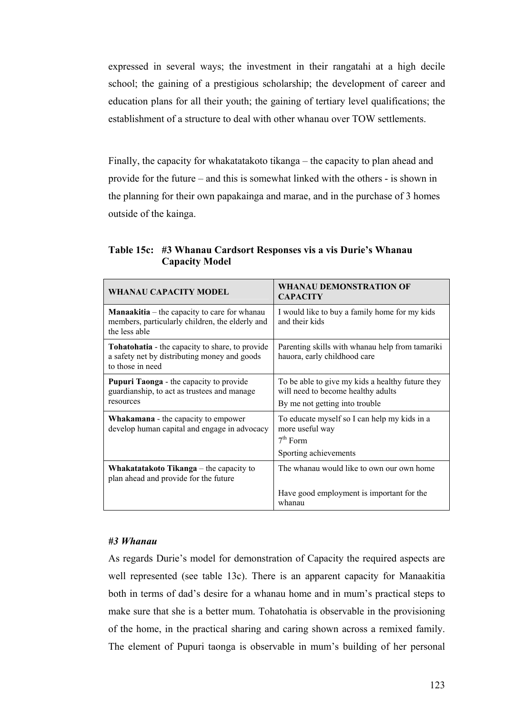expressed in several ways; the investment in their rangatahi at a high decile school; the gaining of a prestigious scholarship; the development of career and education plans for all their youth; the gaining of tertiary level qualifications; the establishment of a structure to deal with other whanau over TOW settlements.

Finally, the capacity for whakatatakoto tikanga – the capacity to plan ahead and provide for the future – and this is somewhat linked with the others - is shown in the planning for their own papakainga and marae, and in the purchase of 3 homes outside of the kainga.

**Table 15c: #3 Whanau Cardsort Responses vis a vis Durie's Whanau Capacity Model** 

| <b>WHANAU CAPACITY MODEL</b>                                                                                            | <b>WHANAU DEMONSTRATION OF</b><br><b>CAPACITY</b>                                                                        |
|-------------------------------------------------------------------------------------------------------------------------|--------------------------------------------------------------------------------------------------------------------------|
| <b>Manaakitia</b> – the capacity to care for whanau<br>members, particularly children, the elderly and<br>the less able | I would like to buy a family home for my kids<br>and their kids                                                          |
| Tohatohatia - the capacity to share, to provide<br>a safety net by distributing money and goods<br>to those in need     | Parenting skills with whanau help from tamariki<br>hauora, early childhood care                                          |
| <b>Pupuri Taonga</b> - the capacity to provide<br>guardianship, to act as trustees and manage<br>resources              | To be able to give my kids a healthy future they<br>will need to become healthy adults<br>By me not getting into trouble |
| <b>Whakamana</b> - the capacity to empower<br>develop human capital and engage in advocacy                              | To educate myself so I can help my kids in a<br>more useful way<br>$7th$ Form<br>Sporting achievements                   |
| <b>Whakatatakoto Tikanga</b> $-$ the capacity to<br>plan ahead and provide for the future                               | The whanau would like to own our own home                                                                                |
|                                                                                                                         | Have good employment is important for the<br>whanau                                                                      |

### *#3 Whanau*

As regards Durie's model for demonstration of Capacity the required aspects are well represented (see table 13c). There is an apparent capacity for Manaakitia both in terms of dad's desire for a whanau home and in mum's practical steps to make sure that she is a better mum. Tohatohatia is observable in the provisioning of the home, in the practical sharing and caring shown across a remixed family. The element of Pupuri taonga is observable in mum's building of her personal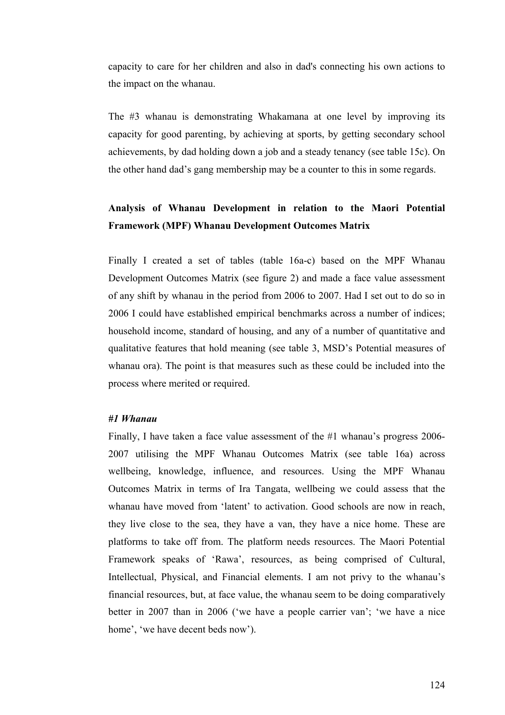capacity to care for her children and also in dad's connecting his own actions to the impact on the whanau.

The #3 whanau is demonstrating Whakamana at one level by improving its capacity for good parenting, by achieving at sports, by getting secondary school achievements, by dad holding down a job and a steady tenancy (see table 15c). On the other hand dad's gang membership may be a counter to this in some regards.

## **Analysis of Whanau Development in relation to the Maori Potential Framework (MPF) Whanau Development Outcomes Matrix**

Finally I created a set of tables (table 16a-c) based on the MPF Whanau Development Outcomes Matrix (see figure 2) and made a face value assessment of any shift by whanau in the period from 2006 to 2007. Had I set out to do so in 2006 I could have established empirical benchmarks across a number of indices; household income, standard of housing, and any of a number of quantitative and qualitative features that hold meaning (see table 3, MSD's Potential measures of whanau ora). The point is that measures such as these could be included into the process where merited or required.

### *#1 Whanau*

Finally, I have taken a face value assessment of the #1 whanau's progress 2006- 2007 utilising the MPF Whanau Outcomes Matrix (see table 16a) across wellbeing, knowledge, influence, and resources. Using the MPF Whanau Outcomes Matrix in terms of Ira Tangata, wellbeing we could assess that the whanau have moved from 'latent' to activation. Good schools are now in reach, they live close to the sea, they have a van, they have a nice home. These are platforms to take off from. The platform needs resources. The Maori Potential Framework speaks of 'Rawa', resources, as being comprised of Cultural, Intellectual, Physical, and Financial elements. I am not privy to the whanau's financial resources, but, at face value, the whanau seem to be doing comparatively better in 2007 than in 2006 ('we have a people carrier van'; 'we have a nice home', 'we have decent beds now').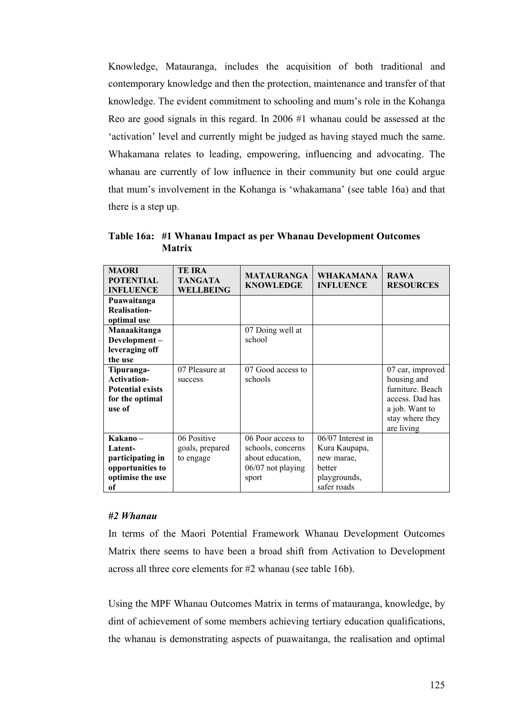Knowledge, Matauranga, includes the acquisition of both traditional and contemporary knowledge and then the protection, maintenance and transfer of that knowledge. The evident commitment to schooling and mum's role in the Kohanga Reo are good signals in this regard. In 2006 #1 whanau could be assessed at the 'activation' level and currently might be judged as having stayed much the same. Whakamana relates to leading, empowering, influencing and advocating. The whanau are currently of low influence in their community but one could argue that mum's involvement in the Kohanga is 'whakamana' (see table 16a) and that there is a step up.

**Table 16a: #1 Whanau Impact as per Whanau Development Outcomes Matrix** 

| <b>MAORI</b><br><b>POTENTIAL</b><br><b>INFLUENCE</b>                                     | TE IRA<br><b>TANGATA</b><br>WELLBEING       | <b>MATAURANGA</b><br><b>KNOWLEDGE</b>                                                      | <b>WHAKAMANA</b><br><b>INFLUENCE</b>                                                      | <b>RAWA</b><br><b>RESOURCES</b>                                                                                           |
|------------------------------------------------------------------------------------------|---------------------------------------------|--------------------------------------------------------------------------------------------|-------------------------------------------------------------------------------------------|---------------------------------------------------------------------------------------------------------------------------|
| Puawaitanga<br><b>Realisation-</b><br>optimal use                                        |                                             |                                                                                            |                                                                                           |                                                                                                                           |
| Manaakitanga<br>Development-<br>leveraging off<br>the use                                |                                             | 07 Doing well at<br>school                                                                 |                                                                                           |                                                                                                                           |
| Tipuranga-<br><b>Activation-</b><br><b>Potential exists</b><br>for the optimal<br>use of | 07 Pleasure at<br>success                   | 07 Good access to<br>schools                                                               |                                                                                           | 07 car, improved<br>housing and<br>furniture. Beach<br>access. Dad has<br>a job. Want to<br>stay where they<br>are living |
| Kakano –<br>Latent-<br>participating in<br>opportunities to<br>optimise the use<br>оf    | 06 Positive<br>goals, prepared<br>to engage | 06 Poor access to<br>schools, concerns<br>about education,<br>$06/07$ not playing<br>sport | 06/07 Interest in<br>Kura Kaupapa,<br>new marae,<br>better<br>playgrounds,<br>safer roads |                                                                                                                           |

### *#2 Whanau*

In terms of the Maori Potential Framework Whanau Development Outcomes Matrix there seems to have been a broad shift from Activation to Development across all three core elements for #2 whanau (see table 16b).

Using the MPF Whanau Outcomes Matrix in terms of matauranga, knowledge, by dint of achievement of some members achieving tertiary education qualifications, the whanau is demonstrating aspects of puawaitanga, the realisation and optimal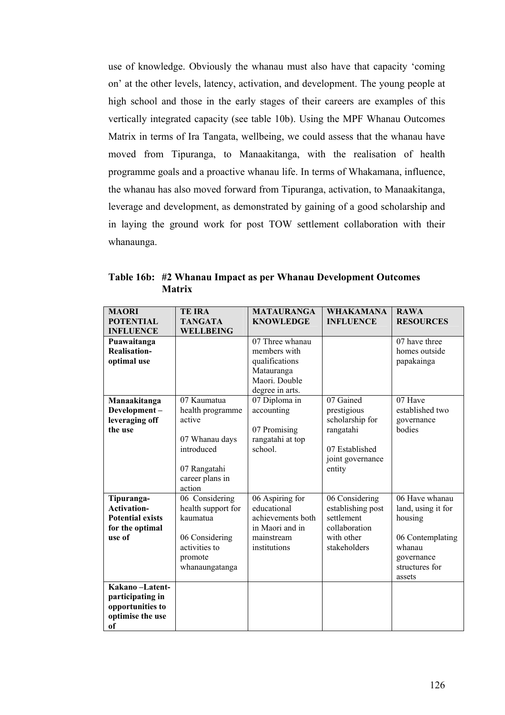use of knowledge. Obviously the whanau must also have that capacity 'coming on' at the other levels, latency, activation, and development. The young people at high school and those in the early stages of their careers are examples of this vertically integrated capacity (see table 10b). Using the MPF Whanau Outcomes Matrix in terms of Ira Tangata, wellbeing, we could assess that the whanau have moved from Tipuranga, to Manaakitanga, with the realisation of health programme goals and a proactive whanau life. In terms of Whakamana, influence, the whanau has also moved forward from Tipuranga, activation, to Manaakitanga, leverage and development, as demonstrated by gaining of a good scholarship and in laying the ground work for post TOW settlement collaboration with their whanaunga.

| <b>MAORI</b>            | <b>TE IRA</b>      | <b>MATAURANGA</b> | <b>WHAKAMANA</b>  | <b>RAWA</b>        |
|-------------------------|--------------------|-------------------|-------------------|--------------------|
| <b>POTENTIAL</b>        | <b>TANGATA</b>     | <b>KNOWLEDGE</b>  | <b>INFLUENCE</b>  | <b>RESOURCES</b>   |
| <b>INFLUENCE</b>        | <b>WELLBEING</b>   |                   |                   |                    |
| Puawaitanga             |                    | 07 Three whanau   |                   | 07 have three      |
| Realisation-            |                    | members with      |                   | homes outside      |
| optimal use             |                    | qualifications    |                   | papakainga         |
|                         |                    | Matauranga        |                   |                    |
|                         |                    | Maori. Double     |                   |                    |
|                         |                    | degree in arts.   |                   |                    |
| Manaakitanga            | 07 Kaumatua        | 07 Diploma in     | 07 Gained         | 07 Have            |
| Development-            | health programme   | accounting        | prestigious       | established two    |
| leveraging off          | active             |                   | scholarship for   | governance         |
| the use                 |                    | 07 Promising      | rangatahi         | bodies             |
|                         | 07 Whanau days     | rangatahi at top  |                   |                    |
|                         | introduced         | school.           | 07 Established    |                    |
|                         |                    |                   | joint governance  |                    |
|                         | 07 Rangatahi       |                   | entity            |                    |
|                         | career plans in    |                   |                   |                    |
|                         | action             |                   |                   |                    |
| Tipuranga-              | 06 Considering     | 06 Aspiring for   | 06 Considering    | 06 Have whanau     |
| <b>Activation-</b>      | health support for | educational       | establishing post | land, using it for |
| <b>Potential exists</b> | kaumatua           | achievements both | settlement        | housing            |
| for the optimal         |                    | in Maori and in   | collaboration     |                    |
| use of                  | 06 Considering     | mainstream        | with other        | 06 Contemplating   |
|                         | activities to      | institutions      | stakeholders      | whanau             |
|                         | promote            |                   |                   | governance         |
|                         | whanaungatanga     |                   |                   | structures for     |
|                         |                    |                   |                   | assets             |
| Kakano-Latent-          |                    |                   |                   |                    |
| participating in        |                    |                   |                   |                    |
| opportunities to        |                    |                   |                   |                    |
| optimise the use        |                    |                   |                   |                    |
| of                      |                    |                   |                   |                    |

**Table 16b: #2 Whanau Impact as per Whanau Development Outcomes Matrix**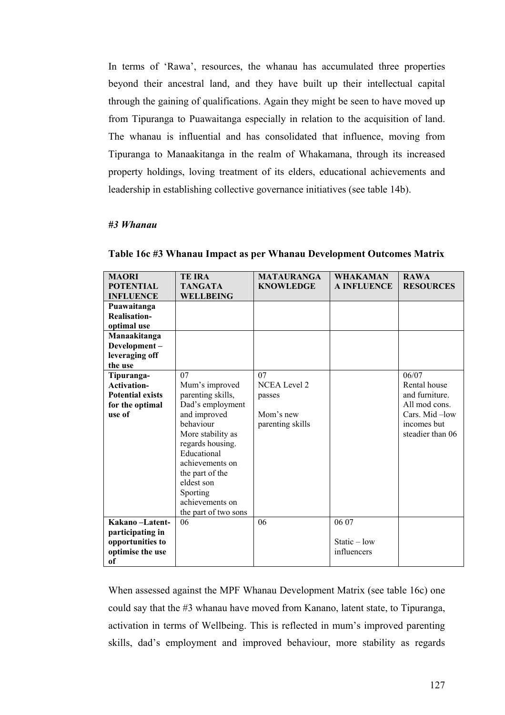In terms of 'Rawa', resources, the whanau has accumulated three properties beyond their ancestral land, and they have built up their intellectual capital through the gaining of qualifications. Again they might be seen to have moved up from Tipuranga to Puawaitanga especially in relation to the acquisition of land. The whanau is influential and has consolidated that influence, moving from Tipuranga to Manaakitanga in the realm of Whakamana, through its increased property holdings, loving treatment of its elders, educational achievements and leadership in establishing collective governance initiatives (see table 14b).

### *#3 Whanau*

| <b>MAORI</b>            | <b>TE IRA</b>        | <b>MATAURANGA</b>   | <b>WHAKAMAN</b>    | <b>RAWA</b>      |
|-------------------------|----------------------|---------------------|--------------------|------------------|
| <b>POTENTIAL</b>        | <b>TANGATA</b>       | <b>KNOWLEDGE</b>    | <b>A INFLUENCE</b> | <b>RESOURCES</b> |
| <b>INFLUENCE</b>        | <b>WELLBEING</b>     |                     |                    |                  |
|                         |                      |                     |                    |                  |
| Puawaitanga             |                      |                     |                    |                  |
| <b>Realisation-</b>     |                      |                     |                    |                  |
| optimal use             |                      |                     |                    |                  |
| Manaakitanga            |                      |                     |                    |                  |
| Development-            |                      |                     |                    |                  |
| leveraging off          |                      |                     |                    |                  |
| the use                 |                      |                     |                    |                  |
| Tipuranga-              | 07                   | 07                  |                    | 06/07            |
| <b>Activation-</b>      | Mum's improved       | <b>NCEA Level 2</b> |                    | Rental house     |
| <b>Potential exists</b> | parenting skills,    | passes              |                    | and furniture.   |
| for the optimal         | Dad's employment     |                     |                    | All mod cons.    |
| use of                  | and improved         | Mom's new           |                    | Cars. Mid-low    |
|                         | behaviour            | parenting skills    |                    | incomes but      |
|                         | More stability as    |                     |                    | steadier than 06 |
|                         | regards housing.     |                     |                    |                  |
|                         | Educational          |                     |                    |                  |
|                         | achievements on      |                     |                    |                  |
|                         | the part of the      |                     |                    |                  |
|                         | eldest son           |                     |                    |                  |
|                         |                      |                     |                    |                  |
|                         | Sporting             |                     |                    |                  |
|                         | achievements on      |                     |                    |                  |
|                         | the part of two sons |                     |                    |                  |
| Kakano-Latent-          | 06                   | 06                  | 06 07              |                  |
| participating in        |                      |                     |                    |                  |
| opportunities to        |                      |                     | Static $-$ low     |                  |
| optimise the use        |                      |                     | influencers        |                  |
| of                      |                      |                     |                    |                  |

**Table 16c #3 Whanau Impact as per Whanau Development Outcomes Matrix** 

When assessed against the MPF Whanau Development Matrix (see table 16c) one could say that the #3 whanau have moved from Kanano, latent state, to Tipuranga, activation in terms of Wellbeing. This is reflected in mum's improved parenting skills, dad's employment and improved behaviour, more stability as regards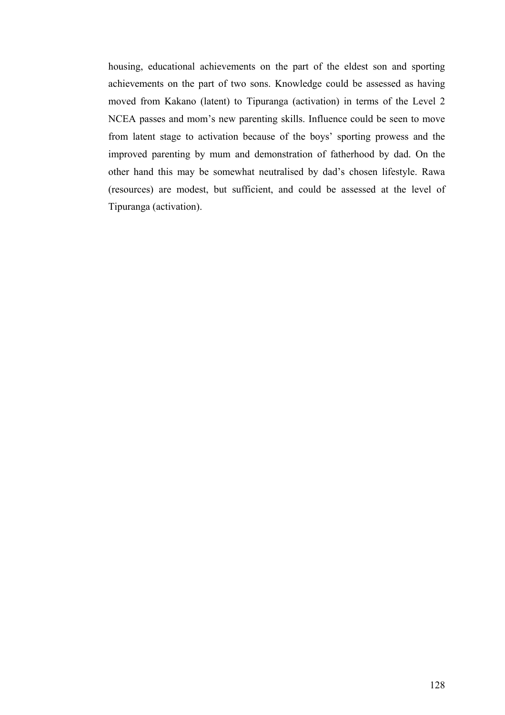housing, educational achievements on the part of the eldest son and sporting achievements on the part of two sons. Knowledge could be assessed as having moved from Kakano (latent) to Tipuranga (activation) in terms of the Level 2 NCEA passes and mom's new parenting skills. Influence could be seen to move from latent stage to activation because of the boys' sporting prowess and the improved parenting by mum and demonstration of fatherhood by dad. On the other hand this may be somewhat neutralised by dad's chosen lifestyle. Rawa (resources) are modest, but sufficient, and could be assessed at the level of Tipuranga (activation).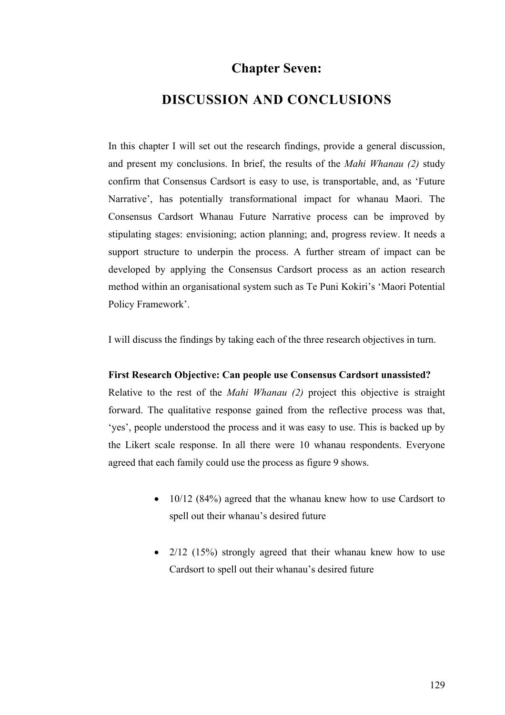# **Chapter Seven:**

## **DISCUSSION AND CONCLUSIONS**

In this chapter I will set out the research findings, provide a general discussion, and present my conclusions. In brief, the results of the *Mahi Whanau (2)* study confirm that Consensus Cardsort is easy to use, is transportable, and, as 'Future Narrative', has potentially transformational impact for whanau Maori. The Consensus Cardsort Whanau Future Narrative process can be improved by stipulating stages: envisioning; action planning; and, progress review. It needs a support structure to underpin the process. A further stream of impact can be developed by applying the Consensus Cardsort process as an action research method within an organisational system such as Te Puni Kokiri's 'Maori Potential Policy Framework'.

I will discuss the findings by taking each of the three research objectives in turn.

#### **First Research Objective: Can people use Consensus Cardsort unassisted?**

Relative to the rest of the *Mahi Whanau (2)* project this objective is straight forward. The qualitative response gained from the reflective process was that, 'yes', people understood the process and it was easy to use. This is backed up by the Likert scale response. In all there were 10 whanau respondents. Everyone agreed that each family could use the process as figure 9 shows.

- 10/12 (84%) agreed that the whanau knew how to use Cardsort to spell out their whanau's desired future
- 2/12 (15%) strongly agreed that their whanau knew how to use Cardsort to spell out their whanau's desired future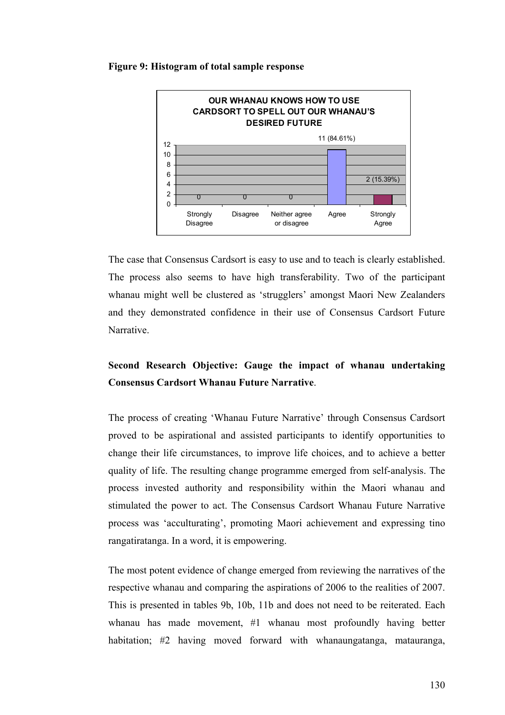#### **Figure 9: Histogram of total sample response**



The case that Consensus Cardsort is easy to use and to teach is clearly established. The process also seems to have high transferability. Two of the participant whanau might well be clustered as 'strugglers' amongst Maori New Zealanders and they demonstrated confidence in their use of Consensus Cardsort Future Narrative.

## **Second Research Objective: Gauge the impact of whanau undertaking Consensus Cardsort Whanau Future Narrative**.

The process of creating 'Whanau Future Narrative' through Consensus Cardsort proved to be aspirational and assisted participants to identify opportunities to change their life circumstances, to improve life choices, and to achieve a better quality of life. The resulting change programme emerged from self-analysis. The process invested authority and responsibility within the Maori whanau and stimulated the power to act. The Consensus Cardsort Whanau Future Narrative process was 'acculturating', promoting Maori achievement and expressing tino rangatiratanga. In a word, it is empowering.

The most potent evidence of change emerged from reviewing the narratives of the respective whanau and comparing the aspirations of 2006 to the realities of 2007. This is presented in tables 9b, 10b, 11b and does not need to be reiterated. Each whanau has made movement, #1 whanau most profoundly having better habitation; #2 having moved forward with whanaungatanga, matauranga,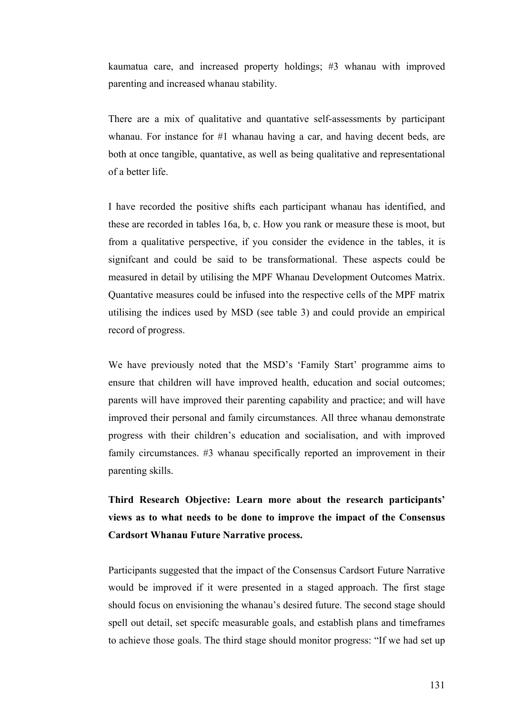kaumatua care, and increased property holdings; #3 whanau with improved parenting and increased whanau stability.

There are a mix of qualitative and quantative self-assessments by participant whanau. For instance for #1 whanau having a car, and having decent beds, are both at once tangible, quantative, as well as being qualitative and representational of a better life.

I have recorded the positive shifts each participant whanau has identified, and these are recorded in tables 16a, b, c. How you rank or measure these is moot, but from a qualitative perspective, if you consider the evidence in the tables, it is signifcant and could be said to be transformational. These aspects could be measured in detail by utilising the MPF Whanau Development Outcomes Matrix. Quantative measures could be infused into the respective cells of the MPF matrix utilising the indices used by MSD (see table 3) and could provide an empirical record of progress.

We have previously noted that the MSD's 'Family Start' programme aims to ensure that children will have improved health, education and social outcomes; parents will have improved their parenting capability and practice; and will have improved their personal and family circumstances. All three whanau demonstrate progress with their children's education and socialisation, and with improved family circumstances. #3 whanau specifically reported an improvement in their parenting skills.

**Third Research Objective: Learn more about the research participants' views as to what needs to be done to improve the impact of the Consensus Cardsort Whanau Future Narrative process.** 

Participants suggested that the impact of the Consensus Cardsort Future Narrative would be improved if it were presented in a staged approach. The first stage should focus on envisioning the whanau's desired future. The second stage should spell out detail, set specifc measurable goals, and establish plans and timeframes to achieve those goals. The third stage should monitor progress: "If we had set up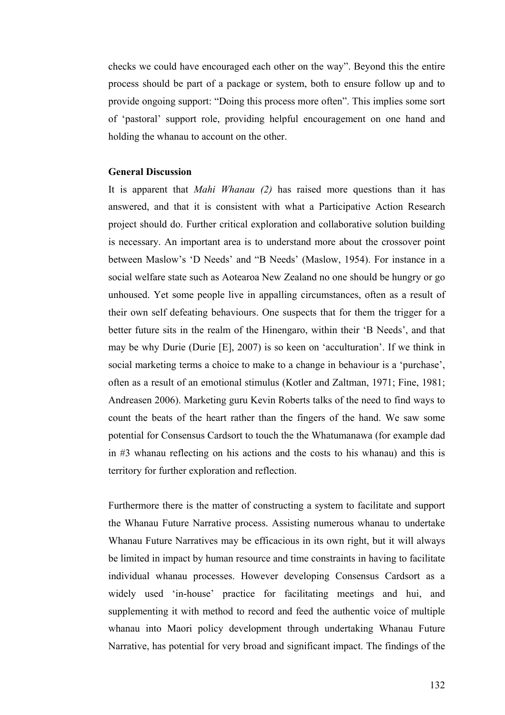checks we could have encouraged each other on the way". Beyond this the entire process should be part of a package or system, both to ensure follow up and to provide ongoing support: "Doing this process more often". This implies some sort of 'pastoral' support role, providing helpful encouragement on one hand and holding the whanau to account on the other.

#### **General Discussion**

It is apparent that *Mahi Whanau (2)* has raised more questions than it has answered, and that it is consistent with what a Participative Action Research project should do. Further critical exploration and collaborative solution building is necessary. An important area is to understand more about the crossover point between Maslow's 'D Needs' and "B Needs' (Maslow, 1954). For instance in a social welfare state such as Aotearoa New Zealand no one should be hungry or go unhoused. Yet some people live in appalling circumstances, often as a result of their own self defeating behaviours. One suspects that for them the trigger for a better future sits in the realm of the Hinengaro, within their 'B Needs', and that may be why Durie (Durie [E], 2007) is so keen on 'acculturation'. If we think in social marketing terms a choice to make to a change in behaviour is a 'purchase', often as a result of an emotional stimulus (Kotler and Zaltman, 1971; Fine, 1981; Andreasen 2006). Marketing guru Kevin Roberts talks of the need to find ways to count the beats of the heart rather than the fingers of the hand. We saw some potential for Consensus Cardsort to touch the the Whatumanawa (for example dad in #3 whanau reflecting on his actions and the costs to his whanau) and this is territory for further exploration and reflection.

Furthermore there is the matter of constructing a system to facilitate and support the Whanau Future Narrative process. Assisting numerous whanau to undertake Whanau Future Narratives may be efficacious in its own right, but it will always be limited in impact by human resource and time constraints in having to facilitate individual whanau processes. However developing Consensus Cardsort as a widely used 'in-house' practice for facilitating meetings and hui, and supplementing it with method to record and feed the authentic voice of multiple whanau into Maori policy development through undertaking Whanau Future Narrative, has potential for very broad and significant impact. The findings of the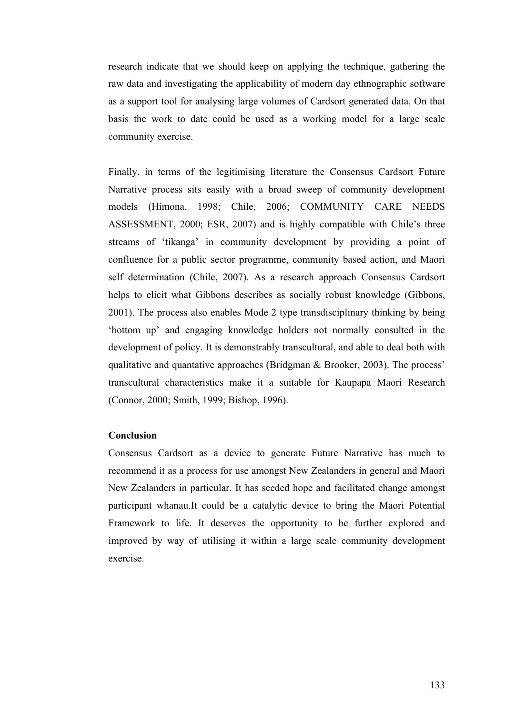research indicate that we should keep on applying the technique, gathering the raw data and investigating the applicability of modern day ethnographic software as a support tool for analysing large volumes of Cardsort generated data. On that basis the work to date could be used as a working model for a large scale community exercise.

Finally, in terms of the legitimising literature the Consensus Cardsort Future Narrative process sits easily with a broad sweep of community development models (Himona, 1998; Chile, 2006; COMMUNITY CARE NEEDS ASSESSMENT, 2000; ESR, 2007) and is highly compatible with Chile's three streams of 'tikanga' in community development by providing a point of confluence for a public sector programme, community based action, and Maori self determination (Chile, 2007). As a research approach Consensus Cardsort helps to elicit what Gibbons describes as socially robust knowledge (Gibbons, 2001). The process also enables Mode 2 type transdisciplinary thinking by being 'bottom up' and engaging knowledge holders not normally consulted in the development of policy. It is demonstrably transcultural, and able to deal both with qualitative and quantative approaches (Bridgman & Brooker, 2003). The process' transcultural characteristics make it a suitable for Kaupapa Maori Research (Connor, 2000; Smith, 1999; Bishop, 1996).

## **Conclusion**

Consensus Cardsort as a device to generate Future Narrative has much to recommend it as a process for use amongst New Zealanders in general and Maori New Zealanders in particular. It has seeded hope and facilitated change amongst participant whanau.It could be a catalytic device to bring the Maori Potential Framework to life. It deserves the opportunity to be further explored and improved by way of utilising it within a large scale community development exercise.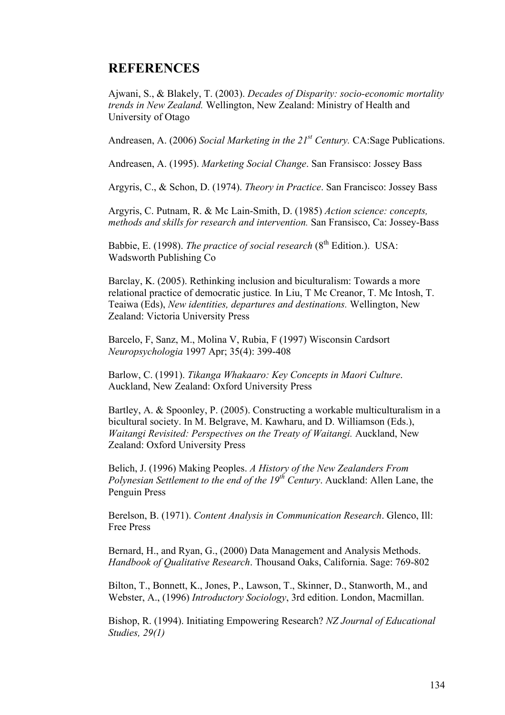## **REFERENCES**

Ajwani, S., & Blakely, T. (2003). *Decades of Disparity: socio-economic mortality trends in New Zealand.* Wellington, New Zealand: Ministry of Health and University of Otago

Andreasen, A. (2006) *Social Marketing in the 21st Century.* CA:Sage Publications.

Andreasen, A. (1995). *Marketing Social Change*. San Fransisco: Jossey Bass

Argyris, C., & Schon, D. (1974). *Theory in Practice*. San Francisco: Jossey Bass

Argyris, C. Putnam, R. & Mc Lain-Smith, D. (1985) *Action science: concepts, methods and skills for research and intervention.* San Fransisco, Ca: Jossey-Bass

Babbie, E. (1998). *The practice of social research* (8<sup>th</sup> Edition.). USA: Wadsworth Publishing Co

Barclay, K. (2005). Rethinking inclusion and biculturalism: Towards a more relational practice of democratic justice*.* In Liu, T Mc Creanor, T. Mc Intosh, T. Teaiwa (Eds), *New identities, departures and destinations.* Wellington, New Zealand: Victoria University Press

Barcelo, F, Sanz, M., Molina V, Rubia, F (1997) Wisconsin Cardsort *Neuropsychologia* 1997 Apr; 35(4): 399-408

Barlow, C. (1991). *Tikanga Whakaaro: Key Concepts in Maori Culture*. Auckland, New Zealand: Oxford University Press

Bartley, A. & Spoonley, P. (2005). Constructing a workable multiculturalism in a bicultural society. In M. Belgrave, M. Kawharu, and D. Williamson (Eds.), *Waitangi Revisited: Perspectives on the Treaty of Waitangi.* Auckland, New Zealand: Oxford University Press

Belich, J. (1996) Making Peoples. *A History of the New Zealanders From Polynesian Settlement to the end of the 19th Century*. Auckland: Allen Lane, the Penguin Press

Berelson, B. (1971). *Content Analysis in Communication Research*. Glenco, Ill: Free Press

Bernard, H., and Ryan, G., (2000) Data Management and Analysis Methods. *Handbook of Qualitative Research*. Thousand Oaks, California. Sage: 769-802

Bilton, T., Bonnett, K., Jones, P., Lawson, T., Skinner, D., Stanworth, M., and Webster, A., (1996) *Introductory Sociology*, 3rd edition. London, Macmillan.

Bishop, R. (1994). Initiating Empowering Research? *NZ Journal of Educational Studies, 29(1)*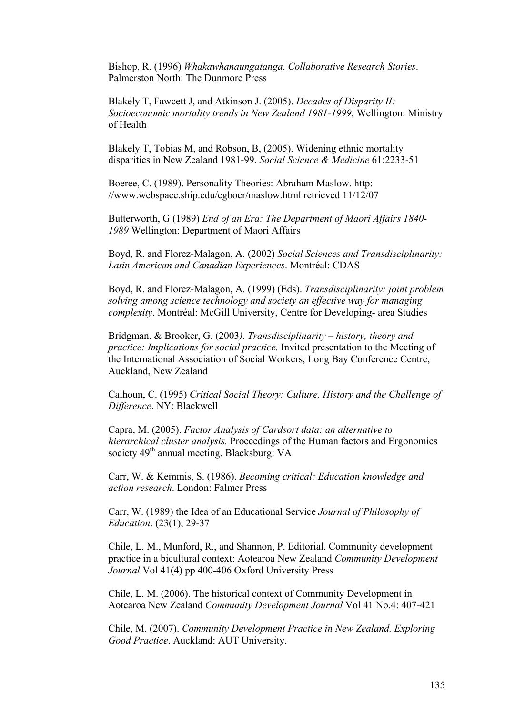Bishop, R. (1996) *Whakawhanaungatanga. Collaborative Research Stories*. Palmerston North: The Dunmore Press

Blakely T, Fawcett J, and Atkinson J. (2005). *Decades of Disparity II: Socioeconomic mortality trends in New Zealand 1981-1999*, Wellington: Ministry of Health

Blakely T, Tobias M, and Robson, B, (2005). Widening ethnic mortality disparities in New Zealand 1981-99. *Social Science & Medicine* 61:2233-51

Boeree, C. (1989). Personality Theories: Abraham Maslow. http: //www.webspace.ship.edu/cgboer/maslow.html retrieved 11/12/07

Butterworth, G (1989) *End of an Era: The Department of Maori Affairs 1840- 1989* Wellington: Department of Maori Affairs

Boyd, R. and Florez-Malagon, A. (2002) *Social Sciences and Transdisciplinarity: Latin American and Canadian Experiences*. Montréal: CDAS

Boyd, R. and Florez-Malagon, A. (1999) (Eds). *Transdisciplinarity: joint problem solving among science technology and society an effective way for managing complexity*. Montréal: McGill University, Centre for Developing- area Studies

Bridgman. & Brooker, G. (2003*). Transdisciplinarity – history, theory and practice: Implications for social practice.* Invited presentation to the Meeting of the International Association of Social Workers, Long Bay Conference Centre, Auckland, New Zealand

Calhoun, C. (1995) *Critical Social Theory: Culture, History and the Challenge of Difference*. NY: Blackwell

Capra, M. (2005). *Factor Analysis of Cardsort data: an alternative to hierarchical cluster analysis.* Proceedings of the Human factors and Ergonomics society 49<sup>th</sup> annual meeting. Blacksburg: VA.

Carr, W. & Kemmis, S. (1986). *Becoming critical: Education knowledge and action research*. London: Falmer Press

Carr, W. (1989) the Idea of an Educational Service *Journal of Philosophy of Education*. (23(1), 29-37

Chile, L. M., Munford, R., and Shannon, P. Editorial. Community development practice in a bicultural context: Aotearoa New Zealand *Community Development Journal* Vol 41(4) pp 400-406 Oxford University Press

Chile, L. M. (2006). The historical context of Community Development in Aotearoa New Zealand *Community Development Journal* Vol 41 No.4: 407-421

Chile, M. (2007). *Community Development Practice in New Zealand. Exploring Good Practice*. Auckland: AUT University.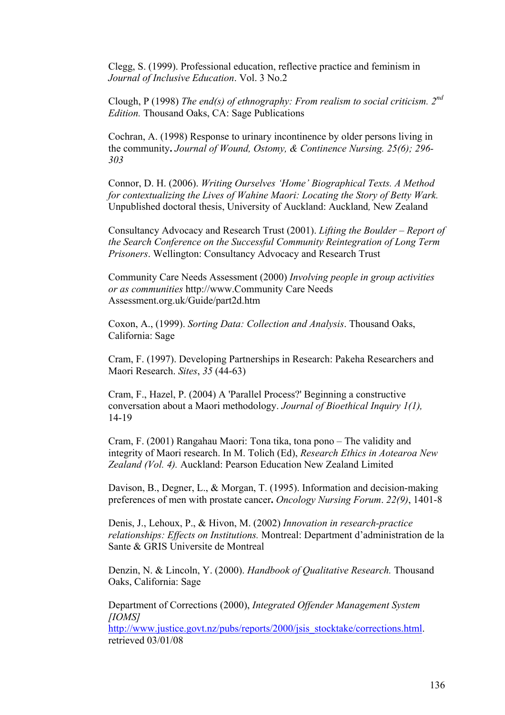Clegg, S. (1999). Professional education, reflective practice and feminism in *Journal of Inclusive Education*. Vol. 3 No.2

Clough, P (1998) *The end(s) of ethnography: From realism to social criticism. 2nd Edition.* Thousand Oaks, CA: Sage Publications

Cochran, A. (1998) Response to urinary incontinence by older persons living in the community**.** *Journal of Wound, Ostomy, & Continence Nursing. 25(6); 296- 303*

Connor, D. H. (2006). *Writing Ourselves 'Home' Biographical Texts. A Method for contextualizing the Lives of Wahine Maori: Locating the Story of Betty Wark.*  Unpublished doctoral thesis, University of Auckland: Auckland*,* New Zealand

Consultancy Advocacy and Research Trust (2001). *Lifting the Boulder – Report of the Search Conference on the Successful Community Reintegration of Long Term Prisoners*. Wellington: Consultancy Advocacy and Research Trust

Community Care Needs Assessment (2000) *Involving people in group activities or as communities* http://www.Community Care Needs Assessment.org.uk/Guide/part2d.htm

Coxon, A., (1999). *Sorting Data: Collection and Analysis*. Thousand Oaks, California: Sage

Cram, F. (1997). Developing Partnerships in Research: Pakeha Researchers and Maori Research. *Sites*, *35* (44-63)

Cram, F., Hazel, P. (2004) A 'Parallel Process?' Beginning a constructive conversation about a Maori methodology. *Journal of Bioethical Inquiry 1(1),*  14-19

Cram, F. (2001) Rangahau Maori: Tona tika, tona pono – The validity and integrity of Maori research. In M. Tolich (Ed), *Research Ethics in Aotearoa New Zealand (Vol. 4).* Auckland: Pearson Education New Zealand Limited

Davison, B., Degner, L., & Morgan, T. (1995). Information and decision-making preferences of men with prostate cancer**.** *Oncology Nursing Forum*. *22(9)*, 1401-8

Denis, J., Lehoux, P., & Hivon, M. (2002) *Innovation in research-practice relationships: Effects on Institutions.* Montreal: Department d'administration de la Sante & GRIS Universite de Montreal

Denzin, N. & Lincoln, Y. (2000). *Handbook of Qualitative Research.* Thousand Oaks, California: Sage

Department of Corrections (2000), *Integrated Offender Management System [IOMS]* 

http://www.justice.govt.nz/pubs/reports/2000/jsis\_stocktake/corrections.html. retrieved 03/01/08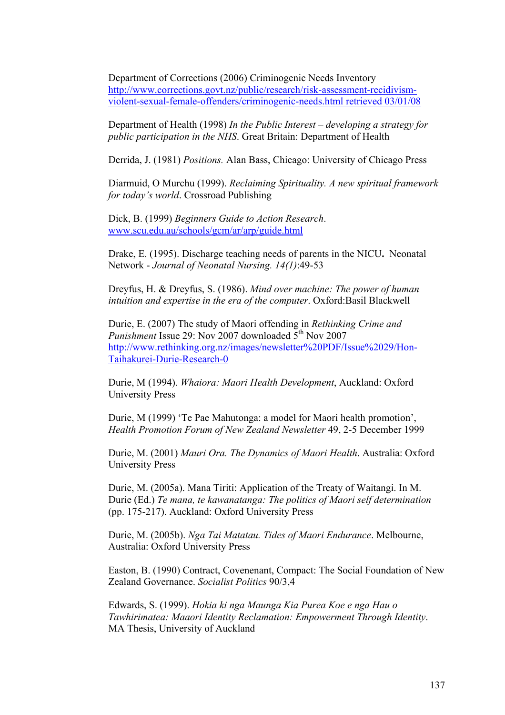Department of Corrections (2006) Criminogenic Needs Inventory http://www.corrections.govt.nz/public/research/risk-assessment-recidivismviolent-sexual-female-offenders/criminogenic-needs.html retrieved 03/01/08

Department of Health (1998) *In the Public Interest – developing a strategy for public participation in the NHS*. Great Britain: Department of Health

Derrida, J. (1981) *Positions.* Alan Bass, Chicago: University of Chicago Press

Diarmuid, O Murchu (1999). *Reclaiming Spirituality. A new spiritual framework for today's world*. Crossroad Publishing

Dick, B. (1999) *Beginners Guide to Action Research*. www.scu.edu.au/schools/gcm/ar/arp/guide.html

Drake, E. (1995). Discharge teaching needs of parents in the NICU**.** Neonatal Network - *Journal of Neonatal Nursing. 14(1)*:49-53

Dreyfus, H. & Dreyfus, S. (1986). *Mind over machine: The power of human intuition and expertise in the era of the computer*. Oxford:Basil Blackwell

Durie, E. (2007) The study of Maori offending in *Rethinking Crime and Punishment* Issue 29: Nov 2007 downloaded 5<sup>th</sup> Nov 2007 http://www.rethinking.org.nz/images/newsletter%20PDF/Issue%2029/Hon-Taihakurei-Durie-Research-0

Durie, M (1994). *Whaiora: Maori Health Development*, Auckland: Oxford University Press

Durie, M (1999) 'Te Pae Mahutonga: a model for Maori health promotion', *Health Promotion Forum of New Zealand Newsletter* 49, 2-5 December 1999

Durie, M. (2001) *Mauri Ora. The Dynamics of Maori Health*. Australia: Oxford University Press

Durie, M. (2005a). Mana Tiriti: Application of the Treaty of Waitangi. In M. Durie (Ed.) *Te mana, te kawanatanga: The politics of Maori self determination* (pp. 175-217). Auckland: Oxford University Press

Durie, M. (2005b). *Nga Tai Matatau. Tides of Maori Endurance*. Melbourne, Australia: Oxford University Press

Easton, B. (1990) Contract, Covenenant, Compact: The Social Foundation of New Zealand Governance. *Socialist Politics* 90/3,4

Edwards, S. (1999). *Hokia ki nga Maunga Kia Purea Koe e nga Hau o Tawhirimatea: Maaori Identity Reclamation: Empowerment Through Identity*. MA Thesis, University of Auckland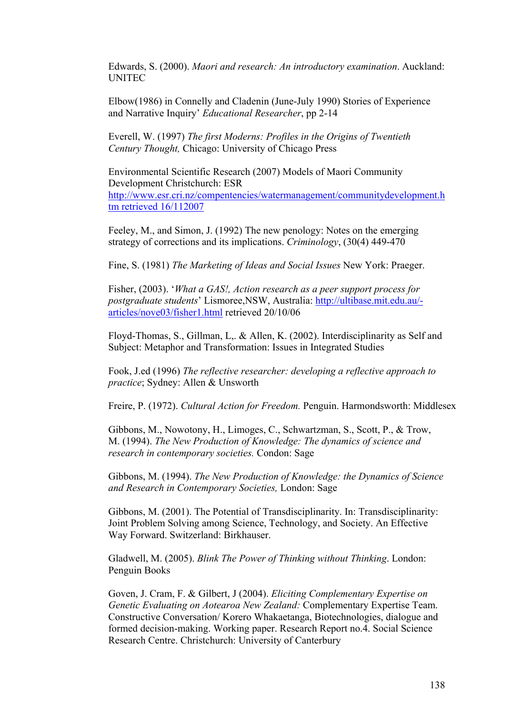Edwards, S. (2000). *Maori and research: An introductory examination*. Auckland: UNITEC

Elbow(1986) in Connelly and Cladenin (June-July 1990) Stories of Experience and Narrative Inquiry' *Educational Researcher*, pp 2-14

Everell, W. (1997) *The first Moderns: Profiles in the Origins of Twentieth Century Thought,* Chicago: University of Chicago Press

Environmental Scientific Research (2007) Models of Maori Community Development Christchurch: ESR http://www.esr.cri.nz/compentencies/watermanagement/communitydevelopment.h tm retrieved 16/112007

Feeley, M., and Simon, J. (1992) The new penology: Notes on the emerging strategy of corrections and its implications. *Criminology*, (30(4) 449-470

Fine, S. (1981) *The Marketing of Ideas and Social Issues* New York: Praeger.

Fisher, (2003). '*What a GAS!, Action research as a peer support process for postgraduate students*' Lismoree,NSW, Australia: http://ultibase.mit.edu.au/ articles/nove03/fisher1.html retrieved 20/10/06

Floyd-Thomas, S., Gillman, L,. & Allen, K. (2002). Interdisciplinarity as Self and Subject: Metaphor and Transformation: Issues in Integrated Studies

Fook, J.ed (1996) *The reflective researcher: developing a reflective approach to practice*; Sydney: Allen & Unsworth

Freire, P. (1972). *Cultural Action for Freedom.* Penguin. Harmondsworth: Middlesex

Gibbons, M., Nowotony, H., Limoges, C., Schwartzman, S., Scott, P., & Trow, M. (1994). *The New Production of Knowledge: The dynamics of science and research in contemporary societies.* Condon: Sage

Gibbons, M. (1994). *The New Production of Knowledge: the Dynamics of Science and Research in Contemporary Societies,* London: Sage

Gibbons, M. (2001). The Potential of Transdisciplinarity. In: Transdisciplinarity: Joint Problem Solving among Science, Technology, and Society. An Effective Way Forward. Switzerland: Birkhauser.

Gladwell, M. (2005). *Blink The Power of Thinking without Thinking*. London: Penguin Books

Goven, J. Cram, F. & Gilbert, J (2004). *Eliciting Complementary Expertise on Genetic Evaluating on Aotearoa New Zealand:* Complementary Expertise Team. Constructive Conversation/ Korero Whakaetanga, Biotechnologies, dialogue and formed decision-making. Working paper. Research Report no.4. Social Science Research Centre. Christchurch: University of Canterbury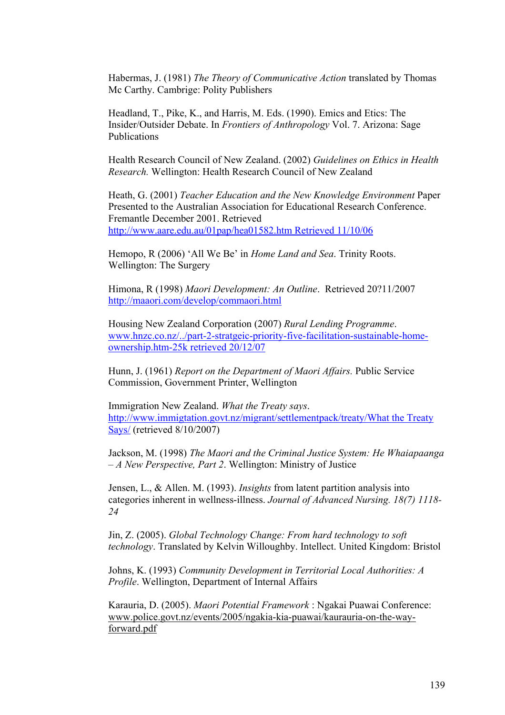Habermas, J. (1981) *The Theory of Communicative Action* translated by Thomas Mc Carthy. Cambrige: Polity Publishers

Headland, T., Pike, K., and Harris, M. Eds. (1990). Emics and Etics: The Insider/Outsider Debate. In *Frontiers of Anthropology* Vol. 7. Arizona: Sage Publications

Health Research Council of New Zealand. (2002) *Guidelines on Ethics in Health Research.* Wellington: Health Research Council of New Zealand

Heath, G. (2001) *Teacher Education and the New Knowledge Environment* Paper Presented to the Australian Association for Educational Research Conference. Fremantle December 2001. Retrieved http://www.aare.edu.au/01pap/hea01582.htm Retrieved 11/10/06

Hemopo, R (2006) 'All We Be' in *Home Land and Sea*. Trinity Roots. Wellington: The Surgery

Himona, R (1998) *Maori Development: An Outline*. Retrieved 20?11/2007 http://maaori.com/develop/commaori.html

Housing New Zealand Corporation (2007) *Rural Lending Programme*. www.hnzc.co.nz/../part-2-stratgeic-priority-five-facilitation-sustainable-homeownership.htm-25k retrieved 20/12/07

Hunn, J. (1961) *Report on the Department of Maori Affairs.* Public Service Commission, Government Printer, Wellington

Immigration New Zealand. *What the Treaty says*. http://www.immigtation.govt.nz/migrant/settlementpack/treaty/What the Treaty Says/ (retrieved 8/10/2007)

Jackson, M. (1998) *The Maori and the Criminal Justice System: He Whaiapaanga – A New Perspective, Part 2*. Wellington: Ministry of Justice

Jensen, L., & Allen. M. (1993). *Insights* from latent partition analysis into categories inherent in wellness-illness. *Journal of Advanced Nursing. 18(7) 1118- 24*

Jin, Z. (2005). *Global Technology Change: From hard technology to soft technology*. Translated by Kelvin Willoughby. Intellect. United Kingdom: Bristol

Johns, K. (1993) *Community Development in Territorial Local Authorities: A Profile*. Wellington, Department of Internal Affairs

Karauria, D. (2005). *Maori Potential Framework* : Ngakai Puawai Conference: www.police.govt.nz/events/2005/ngakia-kia-puawai/kaurauria-on-the-wayforward.pdf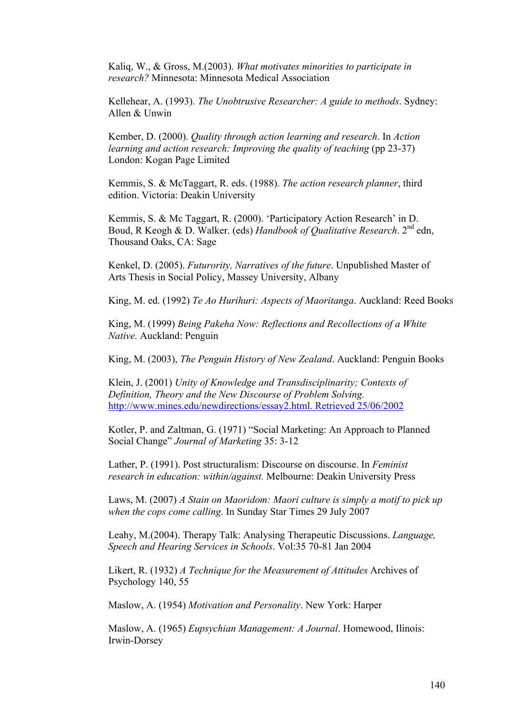Kaliq, W., & Gross, M.(2003). *What motivates minorities to participate in research?* Minnesota: Minnesota Medical Association

Kellehear, A. (1993). *The Unobtrusive Researcher: A guide to methods*. Sydney: Allen & Unwin

Kember, D. (2000). *Quality through action learning and research*. In *Action learning and action research: Improving the quality of teaching* (pp 23-37) London: Kogan Page Limited

Kemmis, S. & McTaggart, R. eds. (1988). *The action research planner*, third edition. Victoria: Deakin University

Kemmis, S. & Mc Taggart, R. (2000). 'Participatory Action Research' in D. Boud, R Keogh & D. Walker. (eds) *Handbook of Qualitative Research*. 2nd edn, Thousand Oaks, CA: Sage

Kenkel, D. (2005). *Futurority, Narratives of the future*. Unpublished Master of Arts Thesis in Social Policy, Massey University, Albany

King, M. ed. (1992) *Te Ao Hurihuri: Aspects of Maoritanga*. Auckland: Reed Books

King, M. (1999) *Being Pakeha Now: Reflections and Recollections of a White Native.* Auckland: Penguin

King, M. (2003), *The Penguin History of New Zealand*. Auckland: Penguin Books

Klein, J. (2001) *Unity of Knowledge and Transdisciplinarity; Contexts of Definition, Theory and the New Discourse of Problem Solving.*  http://www.mines.edu/newdirections/essay2.html. Retrieved 25/06/2002

Kotler, P. and Zaltman, G. (1971) "Social Marketing: An Approach to Planned Social Change" *Journal of Marketing* 35: 3-12

Lather, P. (1991). Post structuralism: Discourse on discourse. In *Feminist research in education: within/against.* Melbourne: Deakin University Press

Laws, M. (2007) *A Stain on Maoridom: Maori culture is simply a motif to pick up when the cops come calling*. In Sunday Star Times 29 July 2007

Leahy, M.(2004). Therapy Talk: Analysing Therapeutic Discussions. *Language, Speech and Hearing Services in Schools*. Vol:35 70-81 Jan 2004

Likert, R. (1932) *A Technique for the Measurement of Attitudes* Archives of Psychology 140, 55

Maslow, A. (1954) *Motivation and Personality*. New York: Harper

Maslow, A. (1965) *Eupsychian Management: A Journal*. Homewood, Ilinois: Irwin-Dorsey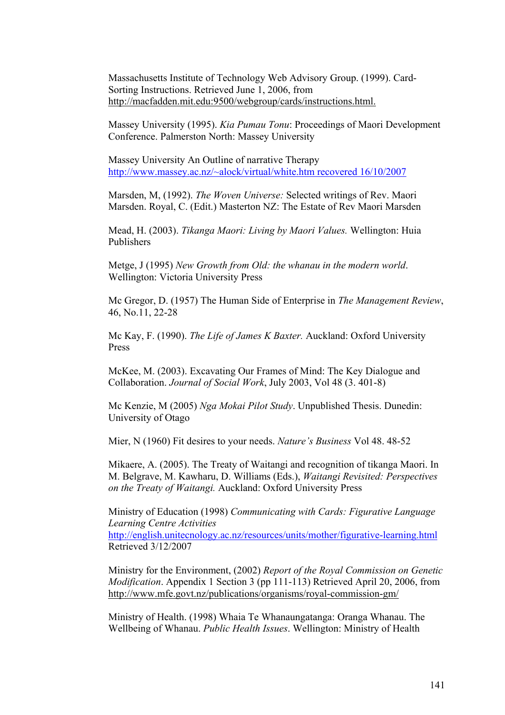Massachusetts Institute of Technology Web Advisory Group. (1999). Card-Sorting Instructions. Retrieved June 1, 2006, from http://macfadden.mit.edu:9500/webgroup/cards/instructions.html.

Massey University (1995). *Kia Pumau Tonu*: Proceedings of Maori Development Conference. Palmerston North: Massey University

Massey University An Outline of narrative Therapy http://www.massey.ac.nz/~alock/virtual/white.htm recovered 16/10/2007

Marsden, M, (1992). *The Woven Universe:* Selected writings of Rev. Maori Marsden. Royal, C. (Edit.) Masterton NZ: The Estate of Rev Maori Marsden

Mead, H. (2003). *Tikanga Maori: Living by Maori Values.* Wellington: Huia Publishers

Metge, J (1995) *New Growth from Old: the whanau in the modern world*. Wellington: Victoria University Press

Mc Gregor, D. (1957) The Human Side of Enterprise in *The Management Review*, 46, No.11, 22-28

Mc Kay, F. (1990). *The Life of James K Baxter.* Auckland: Oxford University Press

McKee, M. (2003). Excavating Our Frames of Mind: The Key Dialogue and Collaboration. *Journal of Social Work*, July 2003, Vol 48 (3. 401-8)

Mc Kenzie, M (2005) *Nga Mokai Pilot Study*. Unpublished Thesis. Dunedin: University of Otago

Mier, N (1960) Fit desires to your needs. *Nature's Business* Vol 48. 48-52

Mikaere, A. (2005). The Treaty of Waitangi and recognition of tikanga Maori. In M. Belgrave, M. Kawharu, D. Williams (Eds.), *Waitangi Revisited: Perspectives on the Treaty of Waitangi.* Auckland: Oxford University Press

Ministry of Education (1998) *Communicating with Cards: Figurative Language Learning Centre Activities* http://english.unitecnology.ac.nz/resources/units/mother/figurative-learning.html Retrieved 3/12/2007

Ministry for the Environment, (2002) *Report of the Royal Commission on Genetic Modification*. Appendix 1 Section 3 (pp 111-113) Retrieved April 20, 2006, from http://www.mfe.govt.nz/publications/organisms/royal-commission-gm/

Ministry of Health. (1998) Whaia Te Whanaungatanga: Oranga Whanau. The Wellbeing of Whanau. *Public Health Issues*. Wellington: Ministry of Health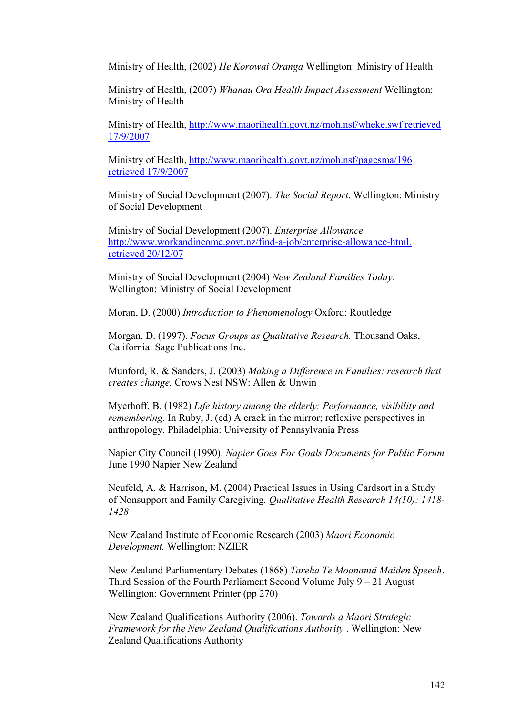Ministry of Health, (2002) *He Korowai Oranga* Wellington: Ministry of Health

Ministry of Health, (2007) *Whanau Ora Health Impact Assessment* Wellington: Ministry of Health

Ministry of Health, http://www.maorihealth.govt.nz/moh.nsf/wheke.swf retrieved 17/9/2007

Ministry of Health, http://www.maorihealth.govt.nz/moh.nsf/pagesma/196 retrieved 17/9/2007

Ministry of Social Development (2007). *The Social Report*. Wellington: Ministry of Social Development

Ministry of Social Development (2007). *Enterprise Allowance* http://www.workandincome.govt.nz/find-a-job/enterprise-allowance-html. retrieved 20/12/07

Ministry of Social Development (2004) *New Zealand Families Today*. Wellington: Ministry of Social Development

Moran, D. (2000) *Introduction to Phenomenology* Oxford: Routledge

Morgan, D. (1997). *Focus Groups as Qualitative Research.* Thousand Oaks, California: Sage Publications Inc.

Munford, R. & Sanders, J. (2003) *Making a Difference in Families: research that creates change.* Crows Nest NSW: Allen & Unwin

Myerhoff, B. (1982) *Life history among the elderly: Performance, visibility and remembering*. In Ruby, J. (ed) A crack in the mirror; reflexive perspectives in anthropology. Philadelphia: University of Pennsylvania Press

Napier City Council (1990). *Napier Goes For Goals Documents for Public Forum* June 1990 Napier New Zealand

Neufeld, A. & Harrison, M. (2004) Practical Issues in Using Cardsort in a Study of Nonsupport and Family Caregiving*. Qualitative Health Research 14(10): 1418- 1428*

New Zealand Institute of Economic Research (2003) *Maori Economic Development.* Wellington: NZIER

New Zealand Parliamentary Debates (1868) *Tareha Te Moananui Maiden Speech*. Third Session of the Fourth Parliament Second Volume July 9 – 21 August Wellington: Government Printer (pp 270)

New Zealand Qualifications Authority (2006). *Towards a Maori Strategic Framework for the New Zealand Qualifications Authority* . Wellington: New Zealand Qualifications Authority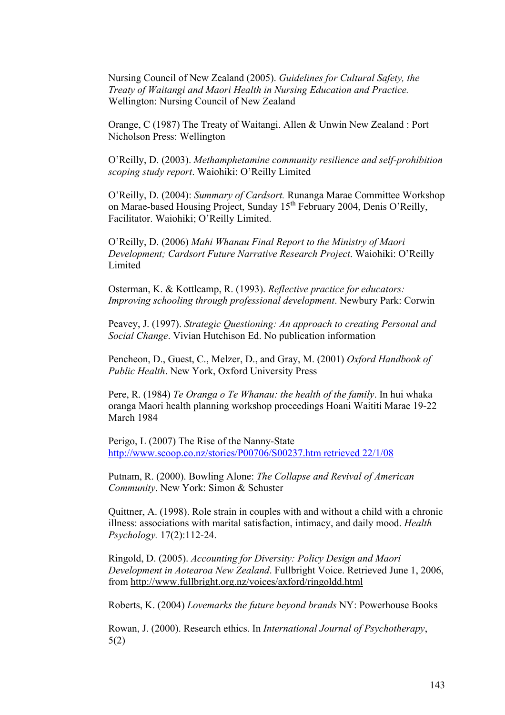Nursing Council of New Zealand (2005). *Guidelines for Cultural Safety, the Treaty of Waitangi and Maori Health in Nursing Education and Practice.*  Wellington: Nursing Council of New Zealand

Orange, C (1987) The Treaty of Waitangi. Allen & Unwin New Zealand : Port Nicholson Press: Wellington

O'Reilly, D. (2003). *Methamphetamine community resilience and self-prohibition scoping study report*. Waiohiki: O'Reilly Limited

O'Reilly, D. (2004): *Summary of Cardsort.* Runanga Marae Committee Workshop on Marae-based Housing Project, Sunday 15<sup>th</sup> February 2004, Denis O'Reilly, Facilitator. Waiohiki; O'Reilly Limited.

O'Reilly, D. (2006) *Mahi Whanau Final Report to the Ministry of Maori Development; Cardsort Future Narrative Research Project*. Waiohiki: O'Reilly Limited

Osterman, K. & Kottlcamp, R. (1993). *Reflective practice for educators: Improving schooling through professional development*. Newbury Park: Corwin

Peavey, J. (1997). *Strategic Questioning: An approach to creating Personal and Social Change*. Vivian Hutchison Ed. No publication information

Pencheon, D., Guest, C., Melzer, D., and Gray, M. (2001) *Oxford Handbook of Public Health*. New York, Oxford University Press

Pere, R. (1984) *Te Oranga o Te Whanau: the health of the family*. In hui whaka oranga Maori health planning workshop proceedings Hoani Waititi Marae 19-22 March 1984

Perigo, L (2007) The Rise of the Nanny-State http://www.scoop.co.nz/stories/P00706/S00237.htm retrieved 22/1/08

Putnam, R. (2000). Bowling Alone: *The Collapse and Revival of American Community*. New York: Simon & Schuster

Quittner, A. (1998). Role strain in couples with and without a child with a chronic illness: associations with marital satisfaction, intimacy, and daily mood. *Health Psychology.* 17(2):112-24.

Ringold, D. (2005). *Accounting for Diversity: Policy Design and Maori Development in Aotearoa New Zealand*. Fullbright Voice. Retrieved June 1, 2006, from http://www.fullbright.org.nz/voices/axford/ringoldd.html

Roberts, K. (2004) *Lovemarks the future beyond brands* NY: Powerhouse Books

Rowan, J. (2000). Research ethics. In *International Journal of Psychotherapy*, 5(2)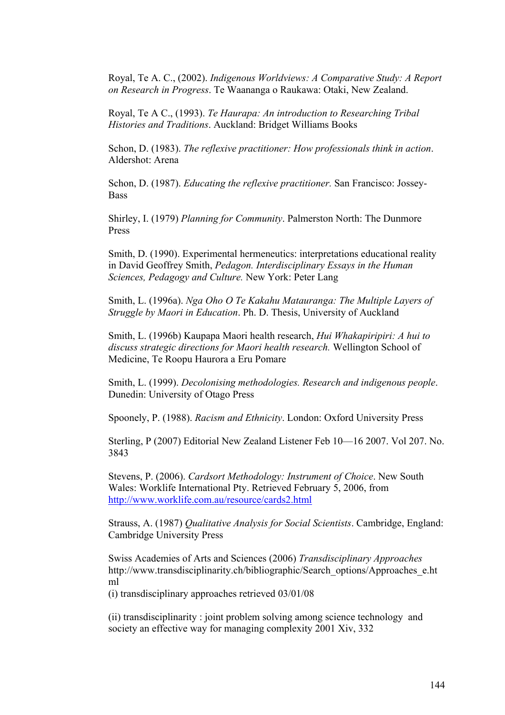Royal, Te A. C., (2002). *Indigenous Worldviews: A Comparative Study: A Report on Research in Progress*. Te Waananga o Raukawa: Otaki, New Zealand.

Royal, Te A C., (1993). *Te Haurapa: An introduction to Researching Tribal Histories and Traditions*. Auckland: Bridget Williams Books

Schon, D. (1983). *The reflexive practitioner: How professionals think in action*. Aldershot: Arena

Schon, D. (1987). *Educating the reflexive practitioner.* San Francisco: Jossey-Bass

Shirley, I. (1979) *Planning for Community*. Palmerston North: The Dunmore Press

Smith, D. (1990). Experimental hermeneutics: interpretations educational reality in David Geoffrey Smith, *Pedagon. Interdisciplinary Essays in the Human Sciences, Pedagogy and Culture.* New York: Peter Lang

Smith, L. (1996a). *Nga Oho O Te Kakahu Matauranga: The Multiple Layers of Struggle by Maori in Education*. Ph. D. Thesis, University of Auckland

Smith, L. (1996b) Kaupapa Maori health research, *Hui Whakapiripiri: A hui to discuss strategic directions for Maori health research.* Wellington School of Medicine, Te Roopu Haurora a Eru Pomare

Smith, L. (1999). *Decolonising methodologies. Research and indigenous people*. Dunedin: University of Otago Press

Spoonely, P. (1988). *Racism and Ethnicity*. London: Oxford University Press

Sterling, P (2007) Editorial New Zealand Listener Feb 10—16 2007. Vol 207. No. 3843

Stevens, P. (2006). *Cardsort Methodology: Instrument of Choice*. New South Wales: Worklife International Pty. Retrieved February 5, 2006, from http://www.worklife.com.au/resource/cards2.html

Strauss, A. (1987) *Qualitative Analysis for Social Scientists*. Cambridge, England: Cambridge University Press

Swiss Academies of Arts and Sciences (2006) *Transdisciplinary Approaches* http://www.transdisciplinarity.ch/bibliographic/Search\_options/Approaches\_e.ht ml

(i) transdisciplinary approaches retrieved 03/01/08

(ii) transdisciplinarity : joint problem solving among science technology and society an effective way for managing complexity 2001 Xiv, 332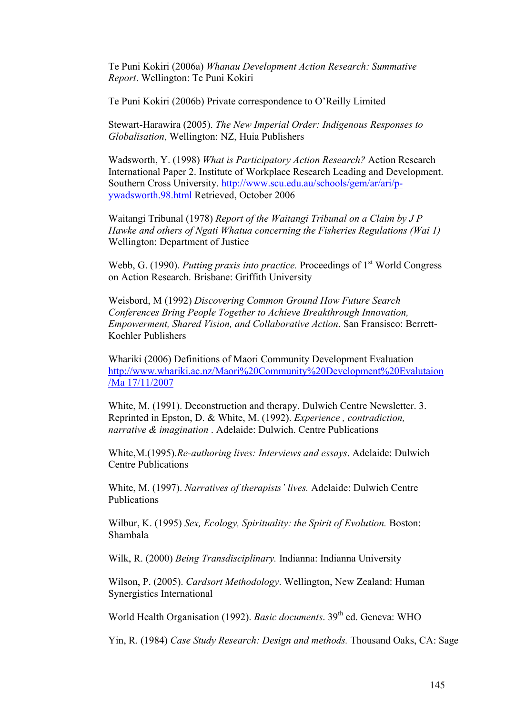Te Puni Kokiri (2006a) *Whanau Development Action Research: Summative Report*. Wellington: Te Puni Kokiri

Te Puni Kokiri (2006b) Private correspondence to O'Reilly Limited

Stewart-Harawira (2005). *The New Imperial Order: Indigenous Responses to Globalisation*, Wellington: NZ, Huia Publishers

Wadsworth, Y. (1998) *What is Participatory Action Research?* Action Research International Paper 2. Institute of Workplace Research Leading and Development. Southern Cross University. http://www.scu.edu.au/schools/gem/ar/ari/pywadsworth.98.html Retrieved, October 2006

Waitangi Tribunal (1978) *Report of the Waitangi Tribunal on a Claim by J P Hawke and others of Ngati Whatua concerning the Fisheries Regulations (Wai 1)*  Wellington: Department of Justice

Webb, G. (1990). *Putting praxis into practice*. Proceedings of 1<sup>st</sup> World Congress on Action Research. Brisbane: Griffith University

Weisbord, M (1992) *Discovering Common Ground How Future Search Conferences Bring People Together to Achieve Breakthrough Innovation, Empowerment, Shared Vision, and Collaborative Action*. San Fransisco: Berrett-Koehler Publishers

Whariki (2006) Definitions of Maori Community Development Evaluation http://www.whariki.ac.nz/Maori%20Community%20Development%20Evalutaion /Ma 17/11/2007

White, M. (1991). Deconstruction and therapy. Dulwich Centre Newsletter. 3. Reprinted in Epston, D. & White, M. (1992). *Experience , contradiction, narrative & imagination* . Adelaide: Dulwich. Centre Publications

White,M.(1995).*Re-authoring lives: Interviews and essays*. Adelaide: Dulwich Centre Publications

White, M. (1997). *Narratives of therapists' lives.* Adelaide: Dulwich Centre Publications

Wilbur, K. (1995) *Sex, Ecology, Spirituality: the Spirit of Evolution.* Boston: Shambala

Wilk, R. (2000) *Being Transdisciplinary.* Indianna: Indianna University

Wilson, P. (2005). *Cardsort Methodology*. Wellington, New Zealand: Human Synergistics International

World Health Organisation (1992). *Basic documents*. 39<sup>th</sup> ed. Geneva: WHO

Yin, R. (1984) *Case Study Research: Design and methods.* Thousand Oaks, CA: Sage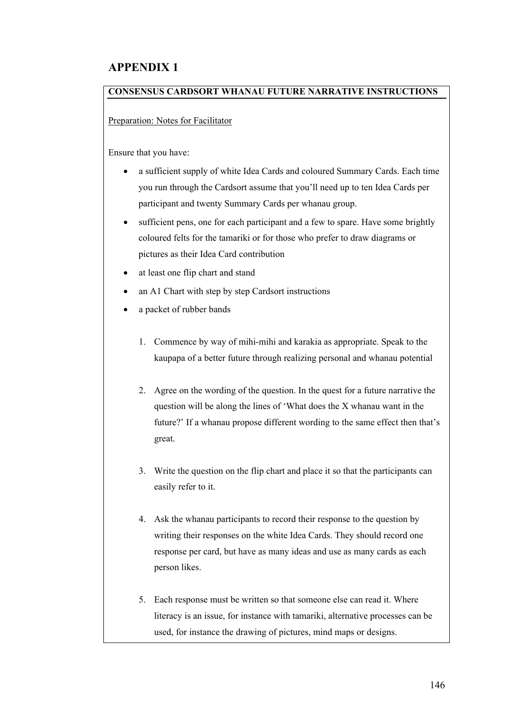## **APPENDIX 1**

## **CONSENSUS CARDSORT WHANAU FUTURE NARRATIVE INSTRUCTIONS**

Preparation: Notes for Facilitator

Ensure that you have:

- a sufficient supply of white Idea Cards and coloured Summary Cards. Each time you run through the Cardsort assume that you'll need up to ten Idea Cards per participant and twenty Summary Cards per whanau group.
- sufficient pens, one for each participant and a few to spare. Have some brightly coloured felts for the tamariki or for those who prefer to draw diagrams or pictures as their Idea Card contribution
- at least one flip chart and stand
- an A1 Chart with step by step Cardsort instructions
- a packet of rubber bands
	- 1. Commence by way of mihi-mihi and karakia as appropriate. Speak to the kaupapa of a better future through realizing personal and whanau potential
	- 2. Agree on the wording of the question. In the quest for a future narrative the question will be along the lines of 'What does the X whanau want in the future?' If a whanau propose different wording to the same effect then that's great.
	- 3. Write the question on the flip chart and place it so that the participants can easily refer to it.
	- 4. Ask the whanau participants to record their response to the question by writing their responses on the white Idea Cards. They should record one response per card, but have as many ideas and use as many cards as each person likes.
	- 5. Each response must be written so that someone else can read it. Where literacy is an issue, for instance with tamariki, alternative processes can be used, for instance the drawing of pictures, mind maps or designs.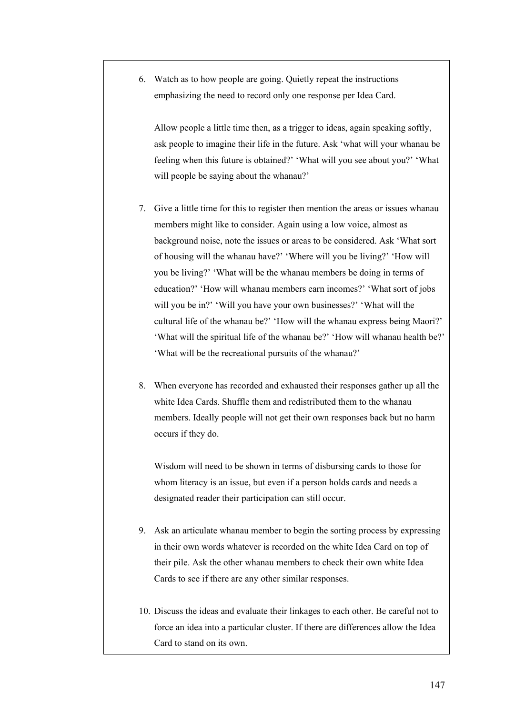6. Watch as to how people are going. Quietly repeat the instructions emphasizing the need to record only one response per Idea Card.

Allow people a little time then, as a trigger to ideas, again speaking softly, ask people to imagine their life in the future. Ask 'what will your whanau be feeling when this future is obtained?' 'What will you see about you?' 'What will people be saying about the whanau?'

- 7. Give a little time for this to register then mention the areas or issues whanau members might like to consider. Again using a low voice, almost as background noise, note the issues or areas to be considered. Ask 'What sort of housing will the whanau have?' 'Where will you be living?' 'How will you be living?' 'What will be the whanau members be doing in terms of education?' 'How will whanau members earn incomes?' 'What sort of jobs will you be in?' 'Will you have your own businesses?' 'What will the cultural life of the whanau be?' 'How will the whanau express being Maori?' 'What will the spiritual life of the whanau be?' 'How will whanau health be?' 'What will be the recreational pursuits of the whanau?'
- 8. When everyone has recorded and exhausted their responses gather up all the white Idea Cards. Shuffle them and redistributed them to the whanau members. Ideally people will not get their own responses back but no harm occurs if they do.

Wisdom will need to be shown in terms of disbursing cards to those for whom literacy is an issue, but even if a person holds cards and needs a designated reader their participation can still occur.

- 9. Ask an articulate whanau member to begin the sorting process by expressing in their own words whatever is recorded on the white Idea Card on top of their pile. Ask the other whanau members to check their own white Idea Cards to see if there are any other similar responses.
- 10. Discuss the ideas and evaluate their linkages to each other. Be careful not to force an idea into a particular cluster. If there are differences allow the Idea Card to stand on its own.